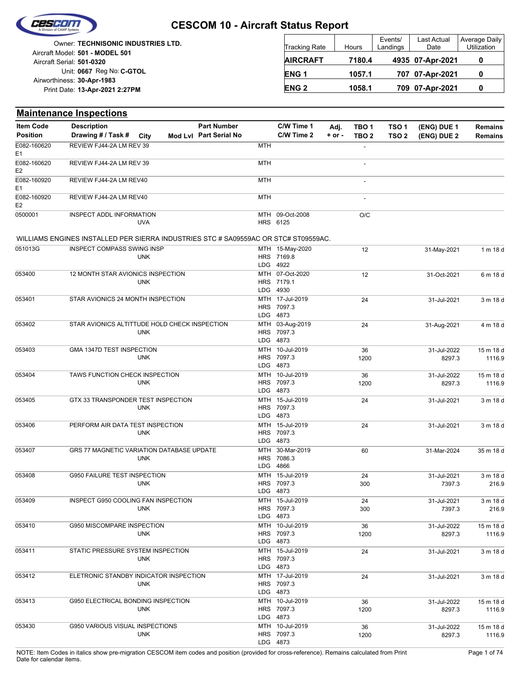

|                            | <b>Owner: TECHNISONIC INDUSTRIES LTD.</b> |
|----------------------------|-------------------------------------------|
|                            | Aircraft Model: 501 - MODEL 501           |
| Aircraft Serial: 501-0320  |                                           |
|                            | Unit: 0667 Reg No: C-GTOL                 |
| Airworthiness: 30-Apr-1983 |                                           |
|                            | Print Date: 13-Apr-2021 2:27PM            |
|                            |                                           |

| <b>Tracking Rate</b> | Hours  | Events/<br>Landings | Last Actual<br>Date | Average Daily<br>Utilization |
|----------------------|--------|---------------------|---------------------|------------------------------|
| <b>AIRCRAFT</b>      | 7180.4 |                     | 4935 07-Apr-2021    |                              |
| ENG <sub>1</sub>     | 1057.1 |                     | 707 07-Apr-2021     | 0                            |
| <b>ENG 2</b>         | 1058.1 |                     | 709 07-Apr-2021     |                              |

|                               | <b>Maintenance Inspections</b>                                                      |            |                   |                                   |                                       |                                           |            |                          |                     |                       |                     |
|-------------------------------|-------------------------------------------------------------------------------------|------------|-------------------|-----------------------------------|---------------------------------------|-------------------------------------------|------------|--------------------------|---------------------|-----------------------|---------------------|
| <b>Item Code</b>              | <b>Description</b>                                                                  |            |                   | <b>Part Number</b>                |                                       | C/W Time 1                                | Adj.       | TBO <sub>1</sub>         | TSO <sub>1</sub>    | (ENG) DUE 1           | <b>Remains</b>      |
| <b>Position</b>               | Drawing # / Task #                                                                  | City       |                   | Mod Lvl Part Serial No            |                                       | C/W Time 2                                | $+$ or $-$ | TBO <sub>2</sub>         | TSO <sub>2</sub>    | (ENG) DUE 2           | <b>Remains</b>      |
| E082-160620<br>E <sub>1</sub> | REVIEW FJ44-2A LM REV 39                                                            |            |                   |                                   | <b>MTH</b>                            |                                           |            |                          |                     |                       |                     |
| E082-160620<br>E <sub>2</sub> | REVIEW FJ44-2A LM REV 39                                                            |            |                   |                                   | <b>MTH</b>                            |                                           |            | $\overline{\phantom{a}}$ |                     |                       |                     |
| E082-160920<br>E <sub>1</sub> | REVIEW FJ44-2A LM REV40                                                             |            |                   |                                   | <b>MTH</b>                            |                                           |            | $\overline{\phantom{a}}$ |                     |                       |                     |
| E082-160920<br>E <sub>2</sub> | REVIEW FJ44-2A LM REV40                                                             |            |                   |                                   | <b>MTH</b>                            |                                           |            | $\blacksquare$           |                     |                       |                     |
| 0500001                       | INSPECT ADDL INFORMATION                                                            | <b>UVA</b> |                   |                                   |                                       | MTH 09-Oct-2008<br>HRS 6125               |            | O/C                      |                     |                       |                     |
|                               | WILLIAMS ENGINES INSTALLED PER SIERRA INDUSTRIES STC # SA09559AC OR STC# ST09559AC. |            |                   |                                   |                                       |                                           |            |                          |                     |                       |                     |
| 051013G                       | <b>INSPECT COMPASS SWING INSP</b>                                                   | <b>UNK</b> |                   |                                   |                                       | MTH 15-May-2020<br>HRS 7169.8<br>LDG 4922 |            | 12                       |                     | 31-May-2021           | 1 m 18 d            |
| 053400                        | 12 MONTH STAR AVIONICS INSPECTION                                                   | <b>UNK</b> |                   |                                   |                                       | MTH 07-Oct-2020<br>HRS 7179.1<br>LDG 4930 |            | 12                       |                     | 31-Oct-2021           | 6 m 18 d            |
| 053401                        | STAR AVIONICS 24 MONTH INSPECTION                                                   |            |                   | LDG                               | MTH 17-Jul-2019<br>HRS 7097.3<br>4873 |                                           | 24         |                          | 31-Jul-2021         | 3 m 18 d              |                     |
| 053402                        | STAR AVIONICS ALTITTUDE HOLD CHECK INSPECTION                                       |            |                   | MTH                               | 03-Aug-2019<br>HRS 7097.3<br>LDG 4873 |                                           | 24         |                          | 31-Aug-2021         | 4 m 18 d              |                     |
| 053403                        | GMA 1347D TEST INSPECTION                                                           |            | MTH<br>LDG        | 10-Jul-2019<br>HRS 7097.3<br>4873 |                                       | 36<br>1200                                |            | 31-Jul-2022<br>8297.3    | 15 m 18 d<br>1116.9 |                       |                     |
| 053404                        | TAWS FUNCTION CHECK INSPECTION                                                      |            | MTH<br>HRS<br>LDG | 10-Jul-2019<br>7097.3<br>4873     |                                       | 36<br>1200                                |            | 31-Jul-2022<br>8297.3    | 15 m 18 d<br>1116.9 |                       |                     |
| 053405                        | GTX 33 TRANSPONDER TEST INSPECTION                                                  | <b>UNK</b> |                   |                                   | <b>MTH</b><br>LDG.                    | 15-Jul-2019<br>HRS 7097.3<br>4873         |            | 24                       |                     | 31-Jul-2021           | 3 m 18 d            |
| 053406                        | PERFORM AIR DATA TEST INSPECTION                                                    | <b>UNK</b> |                   |                                   | <b>HRS</b>                            | MTH 15-Jul-2019<br>7097.3<br>LDG 4873     |            | 24                       |                     | 31-Jul-2021           | 3 m 18 d            |
| 053407                        | GRS 77 MAGNETIC VARIATION DATABASE UPDATE                                           | <b>UNK</b> |                   |                                   | MTH<br><b>HRS</b><br>LDG              | 30-Mar-2019<br>7086.3<br>4866             |            | 60                       |                     | 31-Mar-2024           | 35 m 18 d           |
| 053408                        | G950 FAILURE TEST INSPECTION                                                        | <b>UNK</b> |                   |                                   | MTH                                   | 15-Jul-2019<br>HRS 7097.3<br>LDG 4873     |            | 24<br>300                |                     | 31-Jul-2021<br>7397.3 | 3 m 18 d<br>216.9   |
| 053409                        | INSPECT G950 COOLING FAN INSPECTION                                                 | <b>UNK</b> |                   |                                   |                                       | MTH 15-Jul-2019<br>HRS 7097.3<br>LDG 4873 |            | 24<br>300                |                     | 31-Jul-2021<br>7397.3 | 3 m 18 d<br>216.9   |
| 053410                        | G950 MISCOMPARE INSPECTION                                                          | <b>UNK</b> |                   |                                   |                                       | MTH 10-Jul-2019<br>HRS 7097.3<br>LDG 4873 |            | 36<br>1200               |                     | 31-Jul-2022<br>8297.3 | 15 m 18 d<br>1116.9 |
| 053411                        | STATIC PRESSURE SYSTEM INSPECTION<br><b>UNK</b>                                     |            |                   |                                   |                                       | MTH 15-Jul-2019<br>HRS 7097.3<br>LDG 4873 |            | 24                       |                     | 31-Jul-2021           | 3 m 18 d            |
| 053412                        | ELETRONIC STANDBY INDICATOR INSPECTION<br><b>UNK</b>                                |            |                   |                                   |                                       | MTH 17-Jul-2019<br>HRS 7097.3<br>LDG 4873 |            | 24                       |                     | 31-Jul-2021           | 3 m 18 d            |
| 053413                        | G950 ELECTRICAL BONDING INSPECTION<br><b>UNK</b>                                    |            |                   |                                   |                                       | MTH 10-Jul-2019<br>HRS 7097.3<br>LDG 4873 |            | 36<br>1200               |                     | 31-Jul-2022<br>8297.3 | 15 m 18 d<br>1116.9 |
| 053430                        | G950 VARIOUS VISUAL INSPECTIONS                                                     | <b>UNK</b> |                   |                                   |                                       | MTH 10-Jul-2019<br>HRS 7097.3<br>LDG 4873 |            | 36<br>1200               |                     | 31-Jul-2022<br>8297.3 | 15 m 18 d<br>1116.9 |

NOTE: Item Codes in italics show pre-migration CESCOM item codes and position (provided for cross-reference). Remains calculated from Print Page 1 of 74 Date for calendar items.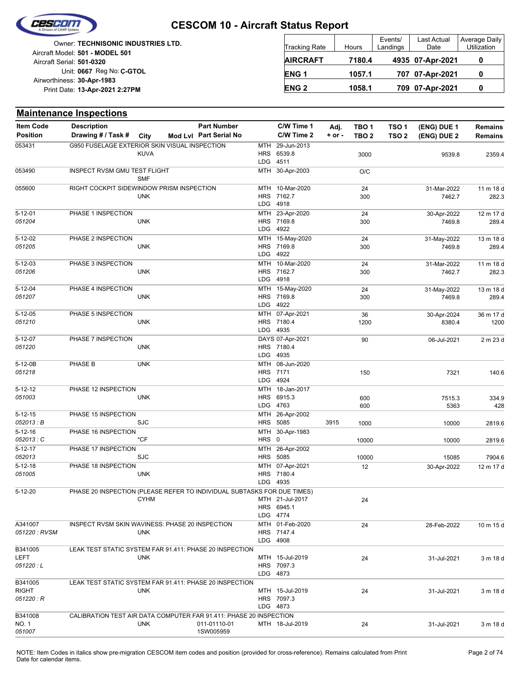

| Owner: TECHNISONIC INDUSTRIES LTD.<br>Aircraft Model: 501 - MODEL 501 | Tracking Rate   | Hours  | Events/<br>Landings | Last Actual<br>Date | Average Daily<br>Utilization |
|-----------------------------------------------------------------------|-----------------|--------|---------------------|---------------------|------------------------------|
| Aircraft Serial: 501-0320                                             | <b>AIRCRAFT</b> | 7180.4 |                     | 4935 07-Apr-2021    |                              |
| Unit: 0667 Reg No: C-GTOL                                             | <b>ENG1</b>     | 1057.1 |                     | 707 07-Apr-2021     |                              |
| Airworthiness: 30-Apr-1983<br>Print Date: 13-Apr-2021 2:27PM          | <b>ENG 2</b>    | 1058.1 |                     | 709 07-Apr-2021     |                              |

|                          | <b>Maintenance Inspections</b>                                          |             |                        |            |                               |            |                  |                  |                       |                     |
|--------------------------|-------------------------------------------------------------------------|-------------|------------------------|------------|-------------------------------|------------|------------------|------------------|-----------------------|---------------------|
| <b>Item Code</b>         | <b>Description</b>                                                      |             | <b>Part Number</b>     |            | C/W Time 1                    | Adj.       | TBO <sub>1</sub> | TSO <sub>1</sub> | (ENG) DUE 1           | <b>Remains</b>      |
| <b>Position</b>          | Drawing # / Task #                                                      | <b>City</b> | Mod Lvl Part Serial No |            | C/W Time 2                    | $+$ or $-$ | TBO 2            | TSO <sub>2</sub> | (ENG) DUE 2           | <b>Remains</b>      |
| 053431                   | G950 FUSELAGE EXTERIOR SKIN VISUAL INSPECTION                           |             |                        | MTH        | 29-Jun-2013                   |            |                  |                  |                       |                     |
|                          |                                                                         | <b>KUVA</b> |                        |            | HRS 6539.8                    |            | 3000             |                  | 9539.8                | 2359.4              |
|                          |                                                                         |             |                        | LDG        | 4511                          |            |                  |                  |                       |                     |
| 053490                   | INSPECT RVSM GMU TEST FLIGHT                                            | <b>SMF</b>  |                        |            | MTH 30-Apr-2003               |            | O/C              |                  |                       |                     |
| 055600                   | RIGHT COCKPIT SIDEWINDOW PRISM INSPECTION                               |             |                        |            | MTH 10-Mar-2020               |            | 24               |                  | 31-Mar-2022           | 11 m 18 d           |
|                          |                                                                         | <b>UNK</b>  |                        |            | HRS 7162.7                    |            | 300              |                  | 7462.7                | 282.3               |
|                          |                                                                         |             |                        | LDG        | 4918                          |            |                  |                  |                       |                     |
| $5 - 12 - 01$            | PHASE 1 INSPECTION                                                      |             |                        |            | MTH 23-Apr-2020               |            | 24               |                  | 30-Apr-2022           | 12 m 17 d           |
| 051204                   |                                                                         | <b>UNK</b>  |                        |            | HRS 7169.8                    |            | 300              |                  | 7469.8                | 289.4               |
|                          |                                                                         |             |                        | LDG        | 4922                          |            |                  |                  |                       |                     |
| $5 - 12 - 02$<br>051205  | PHASE 2 INSPECTION                                                      | <b>UNK</b>  |                        |            | MTH 15-May-2020<br>HRS 7169.8 |            | 24<br>300        |                  | 31-May-2022<br>7469.8 | 13 m 18 d<br>289.4  |
|                          |                                                                         |             |                        | <b>LDG</b> | 4922                          |            |                  |                  |                       |                     |
| $5 - 12 - 03$            | PHASE 3 INSPECTION                                                      |             |                        |            | MTH 10-Mar-2020               |            | 24               |                  | 31-Mar-2022           | 11 m 18 d           |
| 051206                   |                                                                         | <b>UNK</b>  |                        |            | HRS 7162.7                    |            | 300              |                  | 7462.7                | 282.3               |
|                          |                                                                         |             |                        | LDG        | 4918                          |            |                  |                  |                       |                     |
| 5-12-04                  | PHASE 4 INSPECTION                                                      |             |                        |            | MTH 15-May-2020               |            | 24               |                  | 31-May-2022           | 13 m 18 d           |
| 051207                   |                                                                         | <b>UNK</b>  |                        |            | HRS 7169.8                    |            | 300              |                  | 7469.8                | 289.4               |
|                          |                                                                         |             |                        | LDG        | 4922                          |            |                  |                  |                       |                     |
| 5-12-05<br>051210        | PHASE 5 INSPECTION                                                      | <b>UNK</b>  |                        |            | MTH 07-Apr-2021<br>HRS 7180.4 |            | 36<br>1200       |                  | 30-Apr-2024<br>8380.4 | 36 m 17 d<br>1200   |
|                          |                                                                         |             |                        |            | LDG 4935                      |            |                  |                  |                       |                     |
| 5-12-07                  | PHASE 7 INSPECTION                                                      |             |                        |            | DAYS 07-Apr-2021              |            | 90               |                  | 06-Jul-2021           | 2 m 23 d            |
| 051220                   |                                                                         | <b>UNK</b>  |                        |            | HRS 7180.4                    |            |                  |                  |                       |                     |
|                          |                                                                         |             |                        |            | LDG 4935                      |            |                  |                  |                       |                     |
| 5-12-0B                  | PHASE B                                                                 | <b>UNK</b>  |                        |            | MTH 08-Jun-2020               |            |                  |                  |                       |                     |
| 051218                   |                                                                         |             |                        | <b>LDG</b> | HRS 7171<br>4924              |            | 150              |                  | 7321                  | 140.6               |
| 5-12-12                  | PHASE 12 INSPECTION                                                     |             |                        | <b>MTH</b> | 18-Jan-2017                   |            |                  |                  |                       |                     |
| 051003                   |                                                                         | <b>UNK</b>  |                        |            | HRS 6915.3                    |            | 600              |                  | 7515.3                | 334.9               |
|                          |                                                                         |             |                        | <b>LDG</b> | 4763                          |            | 600              |                  | 5363                  | 428                 |
| $5 - 12 - 15$            | PHASE 15 INSPECTION                                                     |             |                        | MTH        | 26-Apr-2002                   |            |                  |                  |                       |                     |
| 052013 : B               |                                                                         | <b>SJC</b>  |                        | <b>HRS</b> | 5085                          | 3915       | 1000             |                  | 10000                 | 2819.6              |
| $5 - 12 - 16$            | PHASE 16 INSPECTION                                                     |             |                        | MTH        | 30-Apr-1983                   |            |                  |                  |                       |                     |
| 052013 : C               |                                                                         | *CF         |                        | HRS 0      |                               |            | 10000            |                  | 10000                 | 2819.6              |
| $5 - 12 - 17$<br>052013  | PHASE 17 INSPECTION                                                     | <b>SJC</b>  |                        |            | MTH 26-Apr-2002<br>HRS 5085   |            |                  |                  |                       |                     |
| $5 - 12 - 18$            | PHASE 18 INSPECTION                                                     |             |                        |            | MTH 07-Apr-2021               |            | 10000<br>12      |                  | 15085                 | 7904.6<br>12 m 17 d |
| 051005                   |                                                                         | <b>UNK</b>  |                        |            | HRS 7180.4                    |            |                  |                  | 30-Apr-2022           |                     |
|                          |                                                                         |             |                        |            | LDG 4935                      |            |                  |                  |                       |                     |
| 5-12-20                  | PHASE 20 INSPECTION (PLEASE REFER TO INDIVIDUAL SUBTASKS FOR DUE TIMES) |             |                        |            |                               |            |                  |                  |                       |                     |
|                          |                                                                         | <b>CYHM</b> |                        |            | MTH 21-Jul-2017               |            | 24               |                  |                       |                     |
|                          |                                                                         |             |                        |            | HRS 6945.1                    |            |                  |                  |                       |                     |
|                          |                                                                         |             |                        |            | LDG 4774                      |            |                  |                  |                       |                     |
| A341007<br>051220 : RVSM | INSPECT RVSM SKIN WAVINESS: PHASE 20 INSPECTION                         | <b>UNK</b>  |                        |            | MTH 01-Feb-2020<br>HRS 7147.4 |            | 24               |                  | 28-Feb-2022           | 10 m 15 d           |
|                          |                                                                         |             |                        |            | LDG 4908                      |            |                  |                  |                       |                     |
| B341005                  | LEAK TEST STATIC SYSTEM FAR 91.411: PHASE 20 INSPECTION                 |             |                        |            |                               |            |                  |                  |                       |                     |
| LEFT                     |                                                                         | <b>UNK</b>  |                        |            | MTH 15-Jul-2019               |            | 24               |                  | 31-Jul-2021           | 3 m 18 d            |
| 051220 : L               |                                                                         |             |                        |            | HRS 7097.3                    |            |                  |                  |                       |                     |
|                          |                                                                         |             |                        |            | LDG 4873                      |            |                  |                  |                       |                     |
| B341005<br>RIGHT         | LEAK TEST STATIC SYSTEM FAR 91.411: PHASE 20 INSPECTION                 | <b>UNK</b>  |                        |            | MTH 15-Jul-2019               |            | 24               |                  | 31-Jul-2021           | 3 m 18 d            |
| 051220 : R               |                                                                         |             |                        |            | HRS 7097.3                    |            |                  |                  |                       |                     |
|                          |                                                                         |             |                        |            | LDG 4873                      |            |                  |                  |                       |                     |
| B341008                  | CALIBRATION TEST AIR DATA COMPUTER FAR 91.411: PHASE 20 INSPECTION      |             |                        |            |                               |            |                  |                  |                       |                     |
| NO. 1                    |                                                                         | <b>UNK</b>  | 011-01110-01           |            | MTH 18-Jul-2019               |            | 24               |                  | 31-Jul-2021           | 3 m 18 d            |
| 051007                   |                                                                         |             | 1SW005959              |            |                               |            |                  |                  |                       |                     |

NOTE: Item Codes in italics show pre-migration CESCOM item codes and position (provided for cross-reference). Remains calculated from Print Page 2 of 74 Date for calendar items.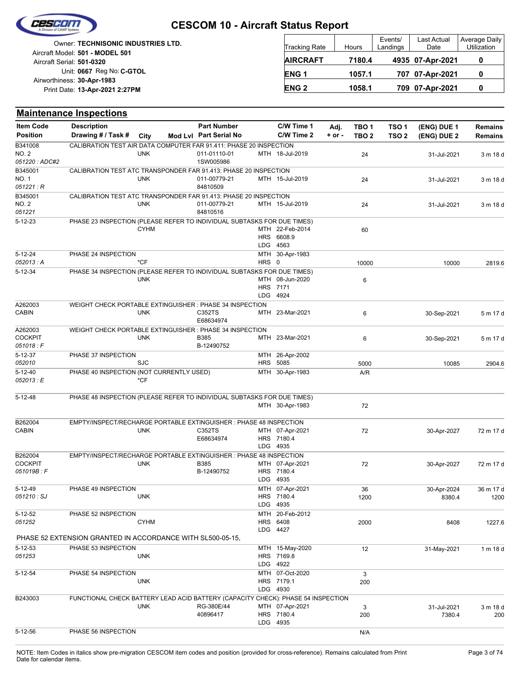

| Owner: TECHNISONIC INDUSTRIES LTD.                           | <b>Tracking Rate</b>   | Hours  | Events/<br>Landings | Last Actual<br>Date | Average Daily<br>Utilization |
|--------------------------------------------------------------|------------------------|--------|---------------------|---------------------|------------------------------|
| Aircraft Model: 501 - MODEL 501<br>Aircraft Serial: 501-0320 | <b>AIRCRAFT</b>        | 7180.4 |                     | 4935 07-Apr-2021    |                              |
| Unit: 0667 Reg No: C-GTOL<br>Airworthiness: 30-Apr-1983      | <b>ENG1</b>            | 1057.1 |                     | 707 07-Apr-2021     |                              |
| Print Date: 13-Apr-2021 2:27PM                               | <b>ENG<sub>2</sub></b> | 1058.1 |                     | 709 07-Apr-2021     |                              |

#### **(ENG) DUE 2 (ENG) DUE 1 Maintenance Inspections** City **Mod Lvl Part Serial No Part Number C/W Time 1 C/W Time 2 + or - Adj. TBO 1 TBO 2 TSO 2 TSO 1** Description Part Number C/W Time 1 Adj. TBO 1 TSO 1 (ENG) DUE 1 Remains **Position Drawing # / Task # Item Code** MTH 18-Jul-2019 24 011-01110-01 31-Jul-2021 3 m 18 d 1SW005986 *051220 : ADC#2* NO. 2 B341008 UNK CALIBRATION TEST AIR DATA COMPUTER FAR 91.411: PHASE 20 INSPECTION MTH 15-Jul-2019 24 011-00779-21 31-Jul-2021 3 m 18 d 84810509 *051221 : R* NO. 1 B345001 UNK CALIBRATION TEST ATC TRANSPONDER FAR 91.413: PHASE 20 INSPECTION MTH 15-Jul-2019 24 011-00779-21 31-Jul-2021 3 m 18 d 84810516 *051221* NO. 2 B345001 UNK CALIBRATION TEST ATC TRANSPONDER FAR 91.413: PHASE 20 INSPECTION LDG HRS 6608.9 MTH 22-Feb-2014 60 4563 5-12-23 CYHM PHASE 23 INSPECTION (PLEASE REFER TO INDIVIDUAL SUBTASKS FOR DUE TIMES) HRS 0 MTH 30-Apr-1983 *052013 : A* 10000 10000 2819.6 5-12-24 \*CF PHASE 24 INSPECTION LDG HRS MTH 08-Jun-2020 6 4924 7171 5-12-34 UNK PHASE 34 INSPECTION (PLEASE REFER TO INDIVIDUAL SUBTASKS FOR DUE TIMES) MTH 23-Mar-2021 6 E68634974 CABIN C352TS 30-Sep-2021 5 m 17 d A262003<br>CABIN UNK WEIGHT CHECK PORTABLE EXTINGUISHER : PHASE 34 INSPECTION MTH 23-Mar-2021 6 B385 30-Sep-2021 5 m 17 d B-12490752 *051018 : F* **COCKPIT** A262003 UNK WEIGHT CHECK PORTABLE EXTINGUISHER : PHASE 34 INSPECTION HRS 5085 MTH 26-Apr-2002 *052010* 5000 10085 2904.6  $5 - 12 - 37$ SJC PHASE 37 INSPECTION MTH 30-Apr-1983 A/R *052013 : E* 5-12-40 \*CF PHASE 40 INSPECTION (NOT CURRENTLY USED) MTH 30-Apr-1983 72 5-12-48 PHASE 48 INSPECTION (PLEASE REFER TO INDIVIDUAL SUBTASKS FOR DUE TIMES) LDG 4935 HRS 7180.4 MTH 07-Apr-2021 72 CABIN C352TS 30-Apr-2027 72 m 17 d E68634974 B262004 UNK EMPTY/INSPECT/RECHARGE PORTABLE EXTINGUISHER : PHASE 48 INSPECTION LDG HRS 7180.4 MTH 07-Apr-2021 72 B385 30-Apr-2027 72 m 17 d 4935  $B$ -12400752 *051019B : F* **COCKPIT** B262004 UNK EMPTY/INSPECT/RECHARGE PORTABLE EXTINGUISHER : PHASE 48 INSPECTION

| 00 <i>10 10 20 . 1</i> |                                                                                  | שט ובה ש   |     |                 |      |             |           |
|------------------------|----------------------------------------------------------------------------------|------------|-----|-----------------|------|-------------|-----------|
|                        |                                                                                  |            |     | LDG 4935        |      |             |           |
| $5-12-49$              | PHASE 49 INSPECTION                                                              |            |     | MTH 07-Apr-2021 | 36   | 30-Apr-2024 | 36 m 17 d |
| 051210: SJ             | <b>UNK</b>                                                                       |            |     | HRS 7180.4      | 1200 | 8380.4      | 1200      |
|                        |                                                                                  |            | LDG | 4935            |      |             |           |
| $5 - 12 - 52$          | PHASE 52 INSPECTION                                                              |            |     | MTH 20-Feb-2012 |      |             |           |
| 051252                 | <b>CYHM</b>                                                                      |            |     | <b>HRS 6408</b> | 2000 | 8408        | 1227.6    |
|                        |                                                                                  |            | LDG | 4427            |      |             |           |
|                        | PHASE 52 EXTENSION GRANTED IN ACCORDANCE WITH SL500-05-15.                       |            |     |                 |      |             |           |
| $5 - 12 - 53$          | PHASE 53 INSPECTION                                                              |            |     | MTH 15-May-2020 | 12   | 31-May-2021 | 1 m 18 d  |
| 051253                 | <b>UNK</b>                                                                       |            |     | HRS 7169.8      |      |             |           |
|                        |                                                                                  |            |     | LDG 4922        |      |             |           |
| $5 - 12 - 54$          | PHASE 54 INSPECTION                                                              |            |     | MTH 07-Oct-2020 | 3    |             |           |
|                        | <b>UNK</b>                                                                       |            |     | HRS 7179.1      | 200  |             |           |
|                        |                                                                                  |            |     | LDG 4930        |      |             |           |
| B243003                | FUNCTIONAL CHECK BATTERY LEAD ACID BATTERY (CAPACITY CHECK): PHASE 54 INSPECTION |            |     |                 |      |             |           |
|                        | <b>UNK</b>                                                                       | RG-380E/44 |     | MTH 07-Apr-2021 | 3    | 31-Jul-2021 | 3 m 18 d  |
|                        |                                                                                  | 40896417   |     | HRS 7180.4      | 200  | 7380.4      | 200       |
|                        |                                                                                  |            |     | LDG 4935        |      |             |           |
| $5 - 12 - 56$          | PHASE 56 INSPECTION                                                              |            |     |                 | N/A  |             |           |
|                        |                                                                                  |            |     |                 |      |             |           |

**Remains**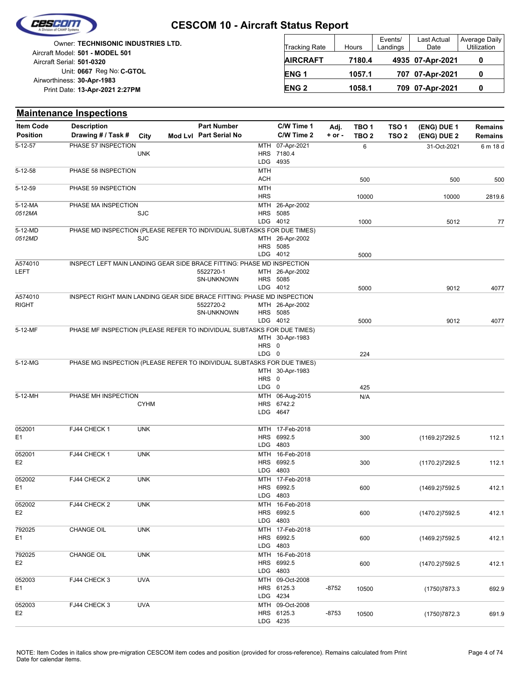

| Owner: TECHNISONIC INDUSTRIES LTD.<br>Aircraft Model: 501 - MODEL 501 | Tracking Rate   | Hours  | Events/<br>Landings | Last Actual<br>Date | Average Daily<br>Utilization |
|-----------------------------------------------------------------------|-----------------|--------|---------------------|---------------------|------------------------------|
| Aircraft Serial: 501-0320                                             | <b>AIRCRAFT</b> | 7180.4 |                     | 4935 07-Apr-2021    |                              |
| Unit: 0667 Reg No: C-GTOL                                             | <b>ENG1</b>     | 1057.1 |                     | 707 07-Apr-2021     |                              |
| Airworthiness: 30-Apr-1983<br>Print Date: 13-Apr-2021 2:27PM          | <b>ENG2</b>     | 1058.1 |                     | 709 07-Apr-2021     |                              |

|                                     | <b>Maintenance Inspections</b>                                          |             |                                              |                   |                             |                    |                                      |                                      |                            |                                  |
|-------------------------------------|-------------------------------------------------------------------------|-------------|----------------------------------------------|-------------------|-----------------------------|--------------------|--------------------------------------|--------------------------------------|----------------------------|----------------------------------|
| <b>Item Code</b><br><b>Position</b> | <b>Description</b><br>Drawing # / Task #                                | City        | <b>Part Number</b><br>Mod Lvl Part Serial No |                   | C/W Time 1<br>C/W Time 2    | Adj.<br>$+$ or $-$ | TBO <sub>1</sub><br>TBO <sub>2</sub> | TSO <sub>1</sub><br>TSO <sub>2</sub> | (ENG) DUE 1<br>(ENG) DUE 2 | <b>Remains</b><br><b>Remains</b> |
| 5-12-57                             | PHASE 57 INSPECTION                                                     |             |                                              |                   | MTH 07-Apr-2021             |                    | 6                                    |                                      | 31-Oct-2021                | 6 m 18 d                         |
|                                     |                                                                         | <b>UNK</b>  |                                              |                   | HRS 7180.4                  |                    |                                      |                                      |                            |                                  |
| $5 - 12 - 58$                       | PHASE 58 INSPECTION                                                     |             |                                              | LDG<br><b>MTH</b> | 4935                        |                    |                                      |                                      |                            |                                  |
|                                     |                                                                         |             |                                              | <b>ACH</b>        |                             |                    | 500                                  |                                      | 500                        | 500                              |
| 5-12-59                             | PHASE 59 INSPECTION                                                     |             |                                              | <b>MTH</b>        |                             |                    |                                      |                                      |                            |                                  |
|                                     |                                                                         |             |                                              | <b>HRS</b>        |                             |                    | 10000                                |                                      | 10000                      | 2819.6                           |
| 5-12-MA<br>0512MA                   | PHASE MA INSPECTION                                                     | <b>SJC</b>  |                                              |                   | MTH 26-Apr-2002<br>HRS 5085 |                    |                                      |                                      |                            |                                  |
|                                     |                                                                         |             |                                              |                   | LDG 4012                    |                    | 1000                                 |                                      | 5012                       | 77                               |
| 5-12-MD                             | PHASE MD INSPECTION (PLEASE REFER TO INDIVIDUAL SUBTASKS FOR DUE TIMES) |             |                                              |                   |                             |                    |                                      |                                      |                            |                                  |
| 0512MD                              |                                                                         | <b>SJC</b>  |                                              |                   | MTH 26-Apr-2002             |                    |                                      |                                      |                            |                                  |
|                                     |                                                                         |             |                                              |                   | HRS 5085                    |                    |                                      |                                      |                            |                                  |
|                                     |                                                                         |             |                                              |                   | LDG 4012                    |                    | 5000                                 |                                      |                            |                                  |
| A574010<br>LEFT                     | INSPECT LEFT MAIN LANDING GEAR SIDE BRACE FITTING: PHASE MD INSPECTION  |             | 5522720-1                                    |                   | MTH 26-Apr-2002             |                    |                                      |                                      |                            |                                  |
|                                     |                                                                         |             | <b>SN-UNKNOWN</b>                            |                   | HRS 5085                    |                    |                                      |                                      |                            |                                  |
|                                     |                                                                         |             |                                              |                   | LDG 4012                    |                    | 5000                                 |                                      | 9012                       | 4077                             |
| A574010                             | INSPECT RIGHT MAIN LANDING GEAR SIDE BRACE FITTING: PHASE MD INSPECTION |             |                                              |                   |                             |                    |                                      |                                      |                            |                                  |
| <b>RIGHT</b>                        |                                                                         |             | 5522720-2                                    |                   | MTH 26-Apr-2002             |                    |                                      |                                      |                            |                                  |
|                                     |                                                                         |             | <b>SN-UNKNOWN</b>                            |                   | HRS 5085<br>LDG 4012        |                    | 5000                                 |                                      | 9012                       | 4077                             |
| 5-12-MF                             | PHASE MF INSPECTION (PLEASE REFER TO INDIVIDUAL SUBTASKS FOR DUE TIMES) |             |                                              |                   |                             |                    |                                      |                                      |                            |                                  |
|                                     |                                                                         |             |                                              |                   | MTH 30-Apr-1983             |                    |                                      |                                      |                            |                                  |
|                                     |                                                                         |             |                                              | HRS 0             |                             |                    |                                      |                                      |                            |                                  |
|                                     |                                                                         |             |                                              | LDG 0             |                             |                    | 224                                  |                                      |                            |                                  |
| 5-12-MG                             | PHASE MG INSPECTION (PLEASE REFER TO INDIVIDUAL SUBTASKS FOR DUE TIMES) |             |                                              |                   | MTH 30-Apr-1983             |                    |                                      |                                      |                            |                                  |
|                                     |                                                                         |             |                                              | HRS 0             |                             |                    |                                      |                                      |                            |                                  |
|                                     |                                                                         |             |                                              | LDG 0             |                             |                    | 425                                  |                                      |                            |                                  |
| 5-12-MH                             | PHASE MH INSPECTION                                                     |             |                                              |                   | MTH 06-Aug-2015             |                    | N/A                                  |                                      |                            |                                  |
|                                     |                                                                         | <b>CYHM</b> |                                              |                   | HRS 6742.2                  |                    |                                      |                                      |                            |                                  |
|                                     |                                                                         |             |                                              |                   | LDG 4647                    |                    |                                      |                                      |                            |                                  |
| 052001                              | FJ44 CHECK 1                                                            | <b>UNK</b>  |                                              |                   | MTH 17-Feb-2018             |                    |                                      |                                      |                            |                                  |
| E1                                  |                                                                         |             |                                              |                   | HRS 6992.5                  |                    | 300                                  |                                      | (1169.2)7292.5             | 112.1                            |
|                                     |                                                                         |             |                                              |                   | LDG 4803                    |                    |                                      |                                      |                            |                                  |
| 052001                              | FJ44 CHECK 1                                                            | <b>UNK</b>  |                                              |                   | MTH 16-Feb-2018             |                    |                                      |                                      |                            |                                  |
| E <sub>2</sub>                      |                                                                         |             |                                              |                   | HRS 6992.5<br>LDG 4803      |                    | 300                                  |                                      | (1170.2)7292.5             | 112.1                            |
| 052002                              | FJ44 CHECK 2                                                            | <b>UNK</b>  |                                              |                   | MTH 17-Feb-2018             |                    |                                      |                                      |                            |                                  |
| E1                                  |                                                                         |             |                                              |                   | HRS 6992.5                  |                    | 600                                  |                                      | (1469.2)7592.5             | 412.1                            |
|                                     |                                                                         |             |                                              |                   | LDG 4803                    |                    |                                      |                                      |                            |                                  |
| 052002                              | FJ44 CHECK 2                                                            | <b>UNK</b>  |                                              |                   | MTH 16-Feb-2018             |                    |                                      |                                      |                            |                                  |
| E2                                  |                                                                         |             |                                              |                   | HRS 6992.5<br>LDG 4803      |                    | 600                                  |                                      | (1470.2) 7592.5            | 412.1                            |
| 792025                              | CHANGE OIL                                                              | <b>UNK</b>  |                                              |                   | MTH 17-Feb-2018             |                    |                                      |                                      |                            |                                  |
| E1                                  |                                                                         |             |                                              |                   | HRS 6992.5                  |                    | 600                                  |                                      | (1469.2)7592.5             | 412.1                            |
|                                     |                                                                         |             |                                              |                   | LDG 4803                    |                    |                                      |                                      |                            |                                  |
| 792025                              | <b>CHANGE OIL</b>                                                       | <b>UNK</b>  |                                              |                   | MTH 16-Feb-2018             |                    |                                      |                                      |                            |                                  |
| E2                                  |                                                                         |             |                                              |                   | HRS 6992.5                  |                    | 600                                  |                                      | (1470.2) 7592.5            | 412.1                            |
| 052003                              | FJ44 CHECK 3                                                            | <b>UVA</b>  |                                              |                   | LDG 4803<br>MTH 09-Oct-2008 |                    |                                      |                                      |                            |                                  |
| E1                                  |                                                                         |             |                                              |                   | HRS 6125.3                  | $-8752$            | 10500                                |                                      | (1750) 7873.3              | 692.9                            |
|                                     |                                                                         |             |                                              |                   | LDG 4234                    |                    |                                      |                                      |                            |                                  |
| 052003                              | FJ44 CHECK 3                                                            | <b>UVA</b>  |                                              |                   | MTH 09-Oct-2008             |                    |                                      |                                      |                            |                                  |
| E2                                  |                                                                         |             |                                              |                   | HRS 6125.3                  | $-8753$            | 10500                                |                                      | (1750)7872.3               | 691.9                            |
|                                     |                                                                         |             |                                              |                   | LDG 4235                    |                    |                                      |                                      |                            |                                  |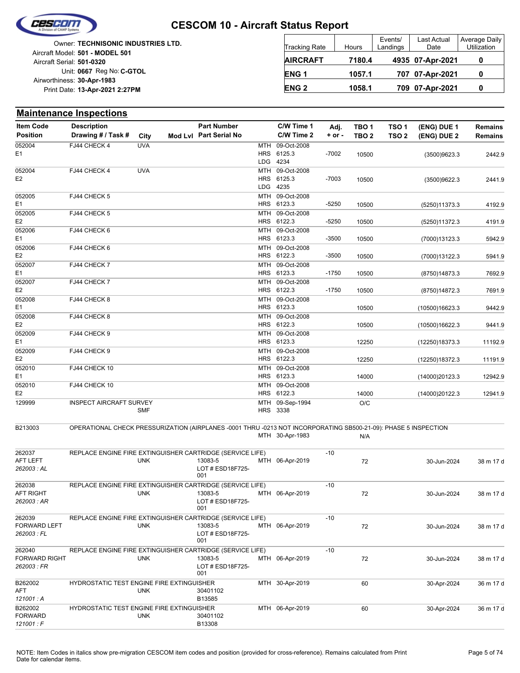

*121001 : F* FORWARD

## **CESCOM 10 - Aircraft Status Report**

| <b>Owner: TECHNISONIC INDUSTRIES LTD.</b><br>Aircraft Model: 501 - MODEL 501 | <b>Tracking Rate</b>   | Hours  | Events/<br>Landings | Last Actual<br>Date | Average Daily<br>Utilization |
|------------------------------------------------------------------------------|------------------------|--------|---------------------|---------------------|------------------------------|
| Aircraft Serial: 501-0320                                                    | <b>AIRCRAFT</b>        | 7180.4 |                     | 4935 07-Apr-2021    |                              |
| Unit: 0667 Reg No: C-GTOL                                                    | ENG <sub>1</sub>       | 1057.1 |                     | 707 07-Apr-2021     |                              |
| Airworthiness: 30-Apr-1983<br>Print Date: 13-Apr-2021 2:27PM                 | <b>ENG<sub>2</sub></b> | 1058.1 |                     | 709 07-Apr-2021     |                              |

|                                     | <b>Maintenance Inspections</b>                                                                                  |            |                                              |            |                               |                    |                           |                                      |                            |                                  |
|-------------------------------------|-----------------------------------------------------------------------------------------------------------------|------------|----------------------------------------------|------------|-------------------------------|--------------------|---------------------------|--------------------------------------|----------------------------|----------------------------------|
| <b>Item Code</b><br><b>Position</b> | <b>Description</b><br>Drawing # / Task #                                                                        | City       | <b>Part Number</b><br>Mod Lvl Part Serial No |            | C/W Time 1<br>C/W Time 2      | Adj.<br>$+$ or $-$ | TBO 1<br>TBO <sub>2</sub> | TSO <sub>1</sub><br>TSO <sub>2</sub> | (ENG) DUE 1<br>(ENG) DUE 2 | <b>Remains</b><br><b>Remains</b> |
| 052004                              | FJ44 CHECK 4                                                                                                    | <b>UVA</b> |                                              | MTH        | 09-Oct-2008                   |                    |                           |                                      |                            |                                  |
| E1                                  |                                                                                                                 |            |                                              | <b>HRS</b> | 6125.3<br>LDG 4234            | $-7002$            | 10500                     |                                      | (3500)9623.3               | 2442.9                           |
|                                     |                                                                                                                 |            |                                              |            |                               |                    |                           |                                      |                            |                                  |
| 052004<br>E <sub>2</sub>            | FJ44 CHECK 4                                                                                                    | <b>UVA</b> |                                              | MTH<br>HRS | 09-Oct-2008<br>6125.3         | $-7003$            | 10500                     |                                      |                            | 2441.9                           |
|                                     |                                                                                                                 |            |                                              |            | LDG 4235                      |                    |                           |                                      | (3500)9622.3               |                                  |
| 052005<br>E1                        | FJ44 CHECK 5                                                                                                    |            |                                              |            | MTH 09-Oct-2008<br>HRS 6123.3 | $-5250$            | 10500                     |                                      | (5250)11373.3              | 4192.9                           |
| 052005                              | FJ44 CHECK 5                                                                                                    |            |                                              | MTH        | 09-Oct-2008                   |                    |                           |                                      |                            |                                  |
| E <sub>2</sub>                      |                                                                                                                 |            |                                              |            | HRS 6122.3                    | $-5250$            | 10500                     |                                      | (5250)11372.3              | 4191.9                           |
| 052006                              | FJ44 CHECK 6                                                                                                    |            |                                              | MTH        | 09-Oct-2008                   |                    |                           |                                      |                            |                                  |
| E1                                  |                                                                                                                 |            |                                              |            | HRS 6123.3                    | $-3500$            | 10500                     |                                      | (7000)13123.3              | 5942.9                           |
| 052006                              | FJ44 CHECK 6                                                                                                    |            |                                              |            | MTH 09-Oct-2008               |                    |                           |                                      |                            |                                  |
| E <sub>2</sub>                      |                                                                                                                 |            |                                              | <b>HRS</b> | 6122.3                        | $-3500$            | 10500                     |                                      | (7000)13122.3              | 5941.9                           |
| 052007                              | FJ44 CHECK 7                                                                                                    |            |                                              | MTH        | 09-Oct-2008                   |                    |                           |                                      |                            |                                  |
| E1                                  |                                                                                                                 |            |                                              |            | HRS 6123.3                    | $-1750$            | 10500                     |                                      | (8750) 14873.3             | 7692.9                           |
| 052007                              | FJ44 CHECK 7                                                                                                    |            |                                              |            | MTH 09-Oct-2008               |                    |                           |                                      |                            |                                  |
| E <sub>2</sub>                      |                                                                                                                 |            |                                              |            | HRS 6122.3                    | $-1750$            | 10500                     |                                      | (8750)14872.3              | 7691.9                           |
| 052008                              | FJ44 CHECK 8                                                                                                    |            |                                              |            | MTH 09-Oct-2008               |                    |                           |                                      |                            |                                  |
| E1                                  |                                                                                                                 |            |                                              | <b>HRS</b> | 6123.3                        |                    | 10500                     |                                      | (10500)16623.3             | 9442.9                           |
| 052008                              | FJ44 CHECK 8                                                                                                    |            |                                              | MTH        | 09-Oct-2008                   |                    |                           |                                      |                            |                                  |
| E <sub>2</sub>                      |                                                                                                                 |            |                                              |            | HRS 6122.3                    |                    | 10500                     |                                      | (10500)16622.3             | 9441.9                           |
| 052009                              | FJ44 CHECK 9                                                                                                    |            |                                              |            | MTH 09-Oct-2008               |                    |                           |                                      |                            |                                  |
| E1                                  |                                                                                                                 |            |                                              |            | HRS 6123.3                    |                    | 12250                     |                                      | (12250)18373.3             | 11192.9                          |
| 052009                              | FJ44 CHECK 9                                                                                                    |            |                                              | MTH        | 09-Oct-2008                   |                    |                           |                                      |                            |                                  |
| E <sub>2</sub>                      |                                                                                                                 |            |                                              |            | HRS 6122.3                    |                    | 12250                     |                                      | (12250) 18372.3            | 11191.9                          |
| 052010                              | FJ44 CHECK 10                                                                                                   |            |                                              |            | MTH 09-Oct-2008               |                    |                           |                                      |                            |                                  |
| E1                                  |                                                                                                                 |            |                                              |            | HRS 6123.3                    |                    | 14000                     |                                      | (14000)20123.3             | 12942.9                          |
| 052010                              | FJ44 CHECK 10                                                                                                   |            |                                              |            | MTH 09-Oct-2008               |                    |                           |                                      |                            |                                  |
| E <sub>2</sub>                      |                                                                                                                 |            |                                              | HRS        | 6122.3                        |                    | 14000                     |                                      | (14000)20122.3             | 12941.9                          |
| 129999                              | <b>INSPECT AIRCRAFT SURVEY</b>                                                                                  | <b>SMF</b> |                                              | <b>MTH</b> | 09-Sep-1994<br>HRS 3338       |                    | O/C                       |                                      |                            |                                  |
| B213003                             | OPERATIONAL CHECK PRESSURIZATION (AIRPLANES -0001 THRU -0213 NOT INCORPORATING SB500-21-09): PHASE 5 INSPECTION |            |                                              |            |                               |                    |                           |                                      |                            |                                  |
|                                     |                                                                                                                 |            |                                              |            | MTH 30-Apr-1983               |                    | N/A                       |                                      |                            |                                  |
| 262037                              | REPLACE ENGINE FIRE EXTINGUISHER CARTRIDGE (SERVICE LIFE)                                                       |            |                                              |            |                               | $-10$              |                           |                                      |                            |                                  |
| <b>AFT LEFT</b>                     |                                                                                                                 | <b>UNK</b> | 13083-5                                      |            | MTH 06-Apr-2019               |                    | 72                        |                                      | 30-Jun-2024                | 38 m 17 d                        |
| 262003 : AL                         |                                                                                                                 |            | LOT # ESD18F725-                             |            |                               |                    |                           |                                      |                            |                                  |
|                                     |                                                                                                                 |            | 001                                          |            |                               |                    |                           |                                      |                            |                                  |
| 262038                              | REPLACE ENGINE FIRE EXTINGUISHER CARTRIDGE (SERVICE LIFE)                                                       |            |                                              |            |                               | $-10$              |                           |                                      |                            |                                  |
| AFT RIGHT                           |                                                                                                                 | <b>UNK</b> | 13083-5                                      |            | MTH 06-Apr-2019               |                    | 72                        |                                      | 30-Jun-2024                | 38 m 17 d                        |
| 262003 : AR                         |                                                                                                                 |            | LOT # ESD18F725-                             |            |                               |                    |                           |                                      |                            |                                  |
|                                     |                                                                                                                 |            | 001                                          |            |                               |                    |                           |                                      |                            |                                  |
| 262039                              | REPLACE ENGINE FIRE EXTINGUISHER CARTRIDGE (SERVICE LIFE)                                                       |            |                                              |            |                               | -10                |                           |                                      |                            |                                  |
| <b>FORWARD LEFT</b>                 |                                                                                                                 | <b>UNK</b> | 13083-5                                      |            | MTH 06-Apr-2019               |                    | 72                        |                                      | 30-Jun-2024                | 38 m 17 d                        |
| 262003 : FL                         |                                                                                                                 |            | LOT # ESD18F725-                             |            |                               |                    |                           |                                      |                            |                                  |
|                                     |                                                                                                                 |            | 001                                          |            |                               |                    |                           |                                      |                            |                                  |
| 262040                              | REPLACE ENGINE FIRE EXTINGUISHER CARTRIDGE (SERVICE LIFE)                                                       |            |                                              |            |                               | $-10$              |                           |                                      |                            |                                  |
| <b>FORWARD RIGHT</b>                |                                                                                                                 | <b>UNK</b> | 13083-5                                      |            | MTH 06-Apr-2019               |                    | 72                        |                                      | 30-Jun-2024                | 38 m 17 d                        |
| 262003 : FR                         |                                                                                                                 |            | LOT # ESD18F725-<br>001                      |            |                               |                    |                           |                                      |                            |                                  |
| B262002                             | HYDROSTATIC TEST ENGINE FIRE EXTINGUISHER                                                                       |            |                                              |            | MTH 30-Apr-2019               |                    |                           |                                      |                            |                                  |
| AFT                                 |                                                                                                                 | <b>UNK</b> | 30401102                                     |            |                               |                    | 60                        |                                      | 30-Apr-2024                | 36 m 17 d                        |
| 121001: A                           |                                                                                                                 |            | B13585                                       |            |                               |                    |                           |                                      |                            |                                  |
| B262002                             | HYDROSTATIC TEST ENGINE FIRE EXTINGUISHER                                                                       |            |                                              |            | MTH 06-Apr-2019               |                    | 60                        |                                      | 30-Apr-2024                | 36 m 17 d                        |
|                                     |                                                                                                                 |            |                                              |            |                               |                    |                           |                                      |                            |                                  |

B13308 30401102

UNK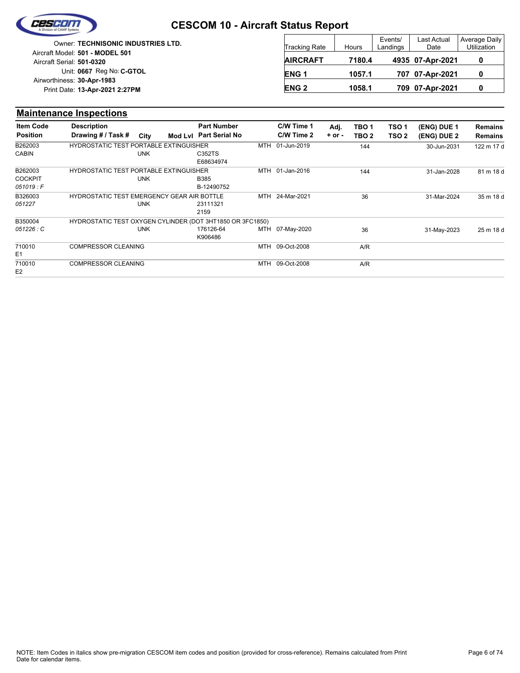

|                            | <b>Owner: TECHNISONIC INDUSTRIES LTD.</b> |
|----------------------------|-------------------------------------------|
|                            | Aircraft Model: 501 - MODEL 501           |
| Aircraft Serial: 501-0320  |                                           |
|                            | Unit: 0667 Reg No: C-GTOL                 |
| Airworthiness: 30-Apr-1983 |                                           |
|                            | Print Date: 13-Apr-2021 2:27PM            |
|                            |                                           |

| <b>Tracking Rate</b> | Hours  | Events/<br>Landings | Last Actual<br>Date | Average Daily<br>Utilization |
|----------------------|--------|---------------------|---------------------|------------------------------|
| <b>AIRCRAFT</b>      | 7180.4 |                     | 4935 07-Apr-2021    |                              |
| ENG <sub>1</sub>     | 1057.1 |                     | 707 07-Apr-2021     |                              |
| <b>ENG 2</b>         | 1058.1 |                     | 709 07-Apr-2021     |                              |

#### **Maintenance Inspections**

| <b>Item Code</b> | <b>Description</b>                                        |            |                        | <b>Part Number</b>  |     | C/W Time 1  | Adj.       | TBO <sub>1</sub> | TSO <sub>1</sub> | (ENG) DUE 1 | <b>Remains</b> |
|------------------|-----------------------------------------------------------|------------|------------------------|---------------------|-----|-------------|------------|------------------|------------------|-------------|----------------|
| <b>Position</b>  | Drawing # / Task #                                        | City       | Mod Lvl Part Serial No |                     |     | C/W Time 2  | $+$ or $-$ | TBO <sub>2</sub> | TSO <sub>2</sub> | (ENG) DUE 2 | <b>Remains</b> |
| B262003          | <b>HYDROSTATIC TEST PORTABLE EXTINGUISHER</b>             |            |                        |                     | MTH | 01-Jun-2019 |            | 144              |                  | 30-Jun-2031 | 122 m 17 d     |
| <b>CABIN</b>     |                                                           | <b>UNK</b> |                        | C352TS<br>E68634974 |     |             |            |                  |                  |             |                |
| B262003          | <b>HYDROSTATIC TEST PORTABLE EXTINGUISHER</b>             |            |                        |                     | MTH | 01-Jan-2016 |            | 144              |                  | 31-Jan-2028 | 81 m 18 d      |
| <b>COCKPIT</b>   |                                                           | <b>UNK</b> |                        | <b>B385</b>         |     |             |            |                  |                  |             |                |
| 051019:F         |                                                           |            |                        | B-12490752          |     |             |            |                  |                  |             |                |
| B326003          | HYDROSTATIC TEST EMERGENCY GEAR AIR BOTTLE                |            |                        |                     | MTH | 24-Mar-2021 |            | 36               |                  | 31-Mar-2024 | 35 m 18 d      |
| 051227           |                                                           | <b>UNK</b> |                        | 23111321            |     |             |            |                  |                  |             |                |
|                  |                                                           |            |                        | 2159                |     |             |            |                  |                  |             |                |
| B350004          | HYDROSTATIC TEST OXYGEN CYLINDER (DOT 3HT1850 OR 3FC1850) |            |                        |                     |     |             |            |                  |                  |             |                |
| 051226 : C       |                                                           | <b>UNK</b> |                        | 176126-64           | MTH | 07-May-2020 |            | 36               |                  | 31-May-2023 | 25 m 18 d      |
|                  |                                                           |            |                        | K906486             |     |             |            |                  |                  |             |                |
| 710010           | <b>COMPRESSOR CLEANING</b>                                |            |                        |                     | MTH | 09-Oct-2008 |            | A/R              |                  |             |                |
| E <sub>1</sub>   |                                                           |            |                        |                     |     |             |            |                  |                  |             |                |
| 710010           | <b>COMPRESSOR CLEANING</b>                                |            |                        |                     | MTH | 09-Oct-2008 |            | A/R              |                  |             |                |
| E2               |                                                           |            |                        |                     |     |             |            |                  |                  |             |                |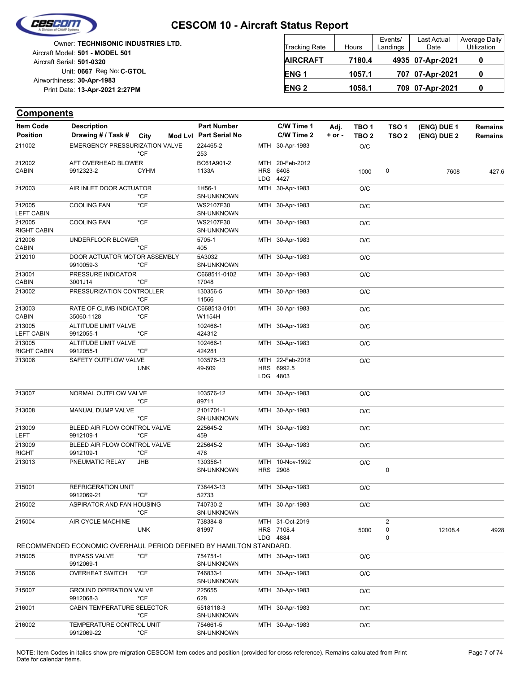

| <b>Owner: TECHNISONIC INDUSTRIES LTD.</b>              | <b>Tracking Rate</b> | Hours  | Events/<br>Landings | Last Actual<br>Date | <b>Average Daily</b><br>Utilization |
|--------------------------------------------------------|----------------------|--------|---------------------|---------------------|-------------------------------------|
| Aircraft Model: 501 - MODEL 501                        | <b>AIRCRAFT</b>      | 7180.4 |                     | 4935 07-Apr-2021    | 0                                   |
| Aircraft Serial: 501-0320<br>Unit: 0667 Reg No: C-GTOL | <b>ENG1</b>          | 1057.1 |                     | 707 07-Apr-2021     | 0                                   |
| Airworthiness: 30-Apr-1983                             |                      |        |                     |                     |                                     |
| Print Date: 13-Apr-2021 2:27PM                         | <b>ENG 2</b>         | 1058.1 |                     | 709 07-Apr-2021     |                                     |

| <b>Item Code</b>             | <b>Description</b>                                                 |             | <b>Part Number</b>      | C/W Time 1                    | Adj.       | TBO <sub>1</sub> | TSO <sub>1</sub>            | (ENG) DUE 1 | <b>Remains</b> |
|------------------------------|--------------------------------------------------------------------|-------------|-------------------------|-------------------------------|------------|------------------|-----------------------------|-------------|----------------|
| <b>Position</b>              | Drawing # / Task #                                                 | City        | Mod Lvl Part Serial No  | C/W Time 2                    | $+$ or $-$ | TBO <sub>2</sub> | TSO <sub>2</sub>            | (ENG) DUE 2 | <b>Remains</b> |
| 211002                       | <b>EMERGENCY PRESSURIZATION VALVE</b>                              | $*CF$       | 224465-2<br>253         | MTH 30-Apr-1983               |            | O/C              |                             |             |                |
| 212002                       | AFT OVERHEAD BLOWER                                                |             | BC61A901-2              | MTH 20-Feb-2012               |            |                  |                             |             |                |
| <b>CABIN</b>                 | 9912323-2                                                          | <b>CYHM</b> | 1133A                   | HRS 6408                      |            | 1000             | 0                           | 7608        | 427.6          |
|                              |                                                                    |             |                         | LDG 4427                      |            |                  |                             |             |                |
| 212003                       | AIR INLET DOOR ACTUATOR                                            | $*$ CF      | 1H56-1<br>SN-UNKNOWN    | MTH 30-Apr-1983               |            | O/C              |                             |             |                |
| 212005<br><b>LEFT CABIN</b>  | <b>COOLING FAN</b>                                                 | $*$ CF      | WS2107F30<br>SN-UNKNOWN | MTH 30-Apr-1983               |            | O/C              |                             |             |                |
| 212005<br><b>RIGHT CABIN</b> | <b>COOLING FAN</b>                                                 | $*$ CF      | WS2107F30<br>SN-UNKNOWN | MTH 30-Apr-1983               |            | O/C              |                             |             |                |
| 212006<br><b>CABIN</b>       | UNDERFLOOR BLOWER                                                  | $*CF$       | 5705-1<br>405           | MTH 30-Apr-1983               |            | O/C              |                             |             |                |
| 212010                       | DOOR ACTUATOR MOTOR ASSEMBLY<br>9910059-3                          | $*$ CF      | 5A3032<br>SN-UNKNOWN    | MTH 30-Apr-1983               |            | O/C              |                             |             |                |
| 213001<br><b>CABIN</b>       | PRESSURE INDICATOR<br>3001J14                                      | $*CF$       | C668511-0102<br>17048   | MTH 30-Apr-1983               |            | O/C              |                             |             |                |
| 213002                       | PRESSURIZATION CONTROLLER                                          | *CF         | 130356-5<br>11566       | MTH 30-Apr-1983               |            | O/C              |                             |             |                |
| 213003<br><b>CABIN</b>       | RATE OF CLIMB INDICATOR<br>35060-1128                              | $*CF$       | C668513-0101<br>W1154H  | MTH 30-Apr-1983               |            | O/C              |                             |             |                |
| 213005<br><b>LEFT CABIN</b>  | ALTITUDE LIMIT VALVE<br>9912055-1                                  | $*$ CF      | 102466-1<br>424312      | MTH 30-Apr-1983               |            | O/C              |                             |             |                |
| 213005<br><b>RIGHT CABIN</b> | ALTITUDE LIMIT VALVE<br>9912055-1                                  | $*CF$       | 102466-1<br>424281      | MTH 30-Apr-1983               |            | O/C              |                             |             |                |
| 213006                       | SAFETY OUTFLOW VALVE                                               |             | 103576-13               | MTH 22-Feb-2018               |            | O/C              |                             |             |                |
|                              |                                                                    | <b>UNK</b>  | 49-609                  | HRS 6992.5<br>LDG 4803        |            |                  |                             |             |                |
| 213007                       | NORMAL OUTFLOW VALVE                                               | *CF         | 103576-12<br>89711      | MTH 30-Apr-1983               |            | O/C              |                             |             |                |
| 213008                       | MANUAL DUMP VALVE                                                  | $*CF$       | 2101701-1<br>SN-UNKNOWN | MTH 30-Apr-1983               |            | O/C              |                             |             |                |
| 213009<br><b>LEFT</b>        | BLEED AIR FLOW CONTROL VALVE<br>9912109-1                          | $*$ CF      | 225645-2<br>459         | MTH 30-Apr-1983               |            | O/C              |                             |             |                |
| 213009<br><b>RIGHT</b>       | BLEED AIR FLOW CONTROL VALVE<br>9912109-1                          | $*CF$       | 225645-2<br>478         | MTH 30-Apr-1983               |            | O/C              |                             |             |                |
| 213013                       | PNEUMATIC RELAY                                                    | JHB         | 130358-1<br>SN-UNKNOWN  | MTH 10-Nov-1992<br>HRS 2908   |            | O/C              | 0                           |             |                |
| 215001                       | <b>REFRIGERATION UNIT</b><br>9912069-21                            | $*$ CF      | 738443-13<br>52733      | MTH 30-Apr-1983               |            | O/C              |                             |             |                |
| 215002                       | ASPIRATOR AND FAN HOUSING                                          | $*$ CF      | 740730-2<br>SN-UNKNOWN  | MTH 30-Apr-1983               |            | O/C              |                             |             |                |
| 215004                       | AIR CYCLE MACHINE                                                  | <b>UNK</b>  | 738384-8<br>81997       | MTH 31-Oct-2019<br>HRS 7108.4 |            | 5000             | $\overline{2}$<br>$\pmb{0}$ | 12108.4     | 4928           |
|                              | RECOMMENDED ECONOMIC OVERHAUL PERIOD DEFINED BY HAMILTON STANDARD. |             |                         | LDG 4884                      |            |                  | 0                           |             |                |
| 215005                       | <b>BYPASS VALVE</b><br>9912069-1                                   | $*$ CF      | 754751-1<br>SN-UNKNOWN  | MTH 30-Apr-1983               |            | O/C              |                             |             |                |
| 215006                       | <b>OVERHEAT SWITCH</b>                                             | $*$ CF      | 746833-1<br>SN-UNKNOWN  | MTH 30-Apr-1983               |            | O/C              |                             |             |                |
| 215007                       | <b>GROUND OPERATION VALVE</b><br>9912068-3                         | *CF         | 225655<br>628           | MTH 30-Apr-1983               |            | O/C              |                             |             |                |
| 216001                       | CABIN TEMPERATURE SELECTOR                                         | $*$ CF      | 5518118-3<br>SN-UNKNOWN | MTH 30-Apr-1983               |            | O/C              |                             |             |                |
| 216002                       | TEMPERATURE CONTROL UNIT<br>9912069-22                             | $*$ CF      | 754661-5<br>SN-UNKNOWN  | MTH 30-Apr-1983               |            | O/C              |                             |             |                |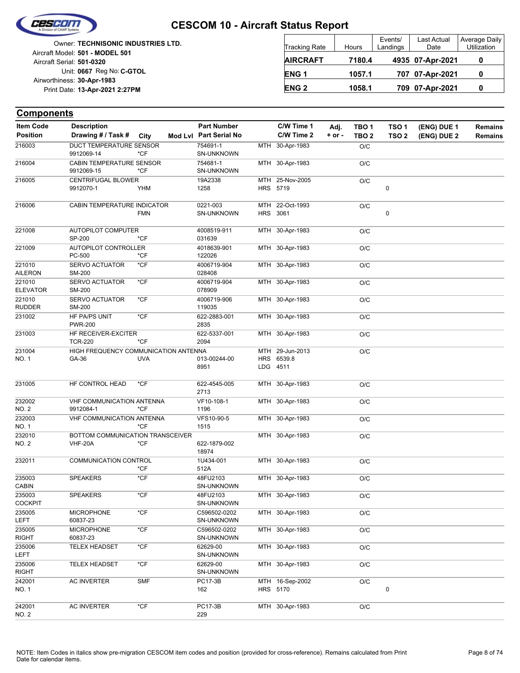

NO. 2

242001 AC INVERTER \*CF

#### **CESCOM 10 - Aircraft Status Report**

|                            | Owner: TECHNISONIC INDUSTRIES LTD. |
|----------------------------|------------------------------------|
|                            | Aircraft Model: 501 - MODEL 501    |
| Aircraft Serial: 501-0320  |                                    |
|                            | Unit: 0667 Reg No: C-GTOL          |
| Airworthiness: 30-Apr-1983 |                                    |
|                            | Print Date: 13-Apr-2021 2:27PM     |
|                            |                                    |

| <b>Tracking Rate</b> | Hours  | Events/<br>Landings | Last Actual<br>Date | Average Daily<br>Utilization |
|----------------------|--------|---------------------|---------------------|------------------------------|
| <b>AIRCRAFT</b>      | 7180.4 |                     | 4935 07-Apr-2021    |                              |
| ENG <sub>1</sub>     | 1057.1 |                     | 707 07-Apr-2021     |                              |
| <b>ENG 2</b>         | 1058.1 |                     | 709 07-Apr-2021     |                              |

#### **(ENG) DUE 2 (ENG) DUE 1 Components** City **Mod Lvl Part Serial No Part Number C/W Time 1 C/W Time 2 + or - Adj. TBO 1 TBO 2 TSO 2 TSO 1 Remains** Description Part Number C/W Time 1 Adj. TBO 1 TSO 1 (ENG) DUE 1 Remains **Position Drawing # / Task # Item Code** MTH 30-Apr-1983 O/C SN-UNKNOWN 216003 754691-1 DUCT TEMPERATURE SENSOR 9912069-14 \*CF MTH 30-Apr-1983 O/C SN-UNKNOWN 216004 754681-1 CABIN TEMPERATURE SENSOR 9912069-15 \*CF HRS 5719 MTH 25-Nov-2005 0 O/C 1258 216005 19A2338 CENTRIFUGAL BLOWER 9912070-1 YHM **HRS** MTH 3061 22-Oct-1993 0 O/C SN-UNKNOWN 216006 0221-003 CABIN TEMPERATURE INDICATOR FMN MTH 30-Apr-1983 O/C 031639 221008 4008519-911 AUTOPILOT COMPUTER SP-200 \*CF MTH 30-Apr-1983 O/C 122026 221009 4018639-901 AUTOPILOT CONTROLLER PC-500 \*CF MTH 30-Apr-1983 O/C 028408 4006719-904 AILERON 221010 SM-200 SERVO ACTUATOR \*CF MTH 30-Apr-1983 O/C 078909 4006719-904 ELEVATOR 221010 SM-200 SERVO ACTUATOR \*CF MTH 30-Apr-1983 O/C 119035 4006719-906 RUDDER 221010 SM-200 SERVO ACTUATOR \*CF MTH 30-Apr-1983 O/C 2835 231002 622-2883-001 HF PA/PS UNIT \*CF PWR-200 MTH 30-Apr-1983 O/C 2094 231003 622-5337-001 HF RECEIVER-EXCITER TCR-220 \*CF LDG HRS MTH 29-Jun-2013 O/C 4511 6539.8 8951 NO. 1 6A-36 UVA 013-00244-00 231004  $GA-36$ HIGH FREQUENCY COMMUNICATION ANTENNA MTH 30-Apr-1983 O/C 2713 231005 HF CONTROL HEAD \*CF 622-4545-005 MTH 30-Apr-1983 O/C 1196 VF10-108-1 NO. 2 232002 9912084-1 \*CF VHF COMMUNICATION ANTENNA MTH 30-Apr-1983 O/C 1515 VFS10-90-5 NO. 1 232003 \*CF VHF COMMUNICATION ANTENNA MTH 30-Apr-1983 O/C 18974 NO. 2 622-1879-002 232010  $VHF-20A$ BOTTOM COMMUNICATION TRANSCEIVER MTH 30-Apr-1983 O/C 512A 232011 COMMUNICATION CONTROL 1U434-001 \*CF MTH 30-Apr-1983 O/C SN-UNKNOWN 48FU2103 CABIN 235003 SPEAKERS \*CF MTH 30-Apr-1983 O/C SN-UNKNOWN 48FU2103 **COCKPIT** 235003 SPEAKERS \*CF MTH 30-Apr-1983 O/C SN-UNKNOWN C596502-0202 LEFT 235005 60837-23 MICROPHONE \*CF MTH 30-Apr-1983 O/C SN-UNKNOWN C596502-0202 RIGHT 235005 60837-23 MICROPHONE \*CF MTH 30-Apr-1983 O/C SN-UNKNOWN 62629-00 LEFT 235006 TELEX HEADSET \*CF MTH 30-Apr-1983 O/C SN-UNKNOWN 62629-00 RIGHT 235006 TELEX HEADSET \*CF HRS 5170 MTH 16-Sep-2002  $\Omega$ O/C 162 PC17-3B NO. 1 242001 AC INVERTER SMF

229 PC17-3B MTH 30-Apr-1983 O/C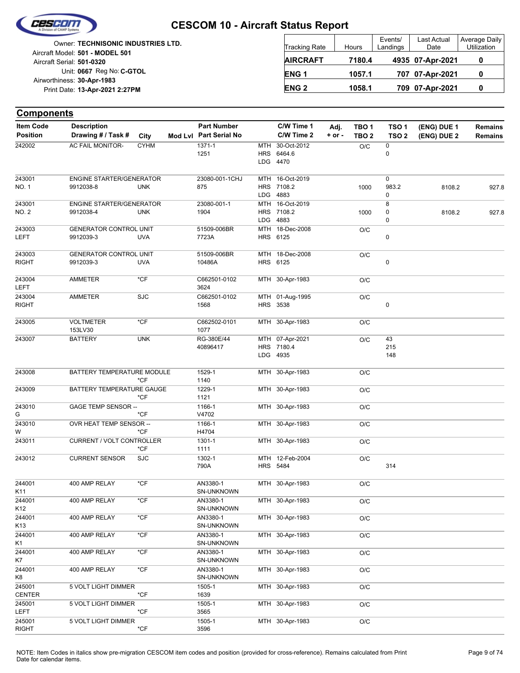

|                            | <b>Owner: TECHNISONIC INDUSTRIES LTD.</b> |
|----------------------------|-------------------------------------------|
|                            | Aircraft Model: 501 - MODEL 501           |
| Aircraft Serial: 501-0320  |                                           |
|                            | Unit: 0667 Reg No: C-GTOL                 |
| Airworthiness: 30-Apr-1983 |                                           |
|                            | Print Date: 13-Apr-2021 2:27PM            |
|                            |                                           |

| <b>Tracking Rate</b> | Hours  | Events/<br>Landings | Last Actual<br>Date | Average Daily<br>Utilization |
|----------------------|--------|---------------------|---------------------|------------------------------|
| <b>AIRCRAFT</b>      | 7180.4 |                     | 4935 07-Apr-2021    |                              |
| ENG <sub>1</sub>     | 1057.1 |                     | 707 07-Apr-2021     | 0                            |
| <b>ENG 2</b>         | 1058.1 |                     | 709 07-Apr-2021     |                              |

| <b>Components</b>         |                                              |               |                        |            |                                           |          |                  |                  |             |                |
|---------------------------|----------------------------------------------|---------------|------------------------|------------|-------------------------------------------|----------|------------------|------------------|-------------|----------------|
| <b>Item Code</b>          | <b>Description</b>                           |               | <b>Part Number</b>     |            | C/W Time 1                                | Adj.     | TBO <sub>1</sub> | TSO <sub>1</sub> | (ENG) DUE 1 | <b>Remains</b> |
| <b>Position</b>           | Drawing # / Task #                           | City          | Mod Lvl Part Serial No |            | C/W Time 2                                | $+ or -$ | TBO <sub>2</sub> | TSO <sub>2</sub> | (ENG) DUE 2 | <b>Remains</b> |
| 242002                    | <b>AC FAIL MONITOR-</b>                      | <b>CYHM</b>   | 1371-1<br>1251         | <b>MTH</b> | 30-Oct-2012<br>HRS 6464.6<br>LDG 4470     |          | O/C              | 0<br>0           |             |                |
| 243001<br>NO. 1           | <b>ENGINE STARTER/GENERATOR</b><br>9912038-8 | <b>UNK</b>    | 23080-001-1CHJ<br>875  |            | MTH 16-Oct-2019<br>HRS 7108.2<br>LDG 4883 |          | 1000             | 0<br>983.2<br>0  | 8108.2      | 927.8          |
| 243001<br>NO. 2           | <b>ENGINE STARTER/GENERATOR</b><br>9912038-4 | <b>UNK</b>    | 23080-001-1<br>1904    |            | MTH 16-Oct-2019<br>HRS 7108.2<br>LDG 4883 |          | 1000             | 8<br>0<br>0      | 8108.2      | 927.8          |
| 243003<br>LEFT            | <b>GENERATOR CONTROL UNIT</b><br>9912039-3   | <b>UVA</b>    | 51509-006BR<br>7723A   |            | MTH 18-Dec-2008<br>HRS 6125               |          | O/C              | 0                |             |                |
| 243003<br><b>RIGHT</b>    | <b>GENERATOR CONTROL UNIT</b><br>9912039-3   | <b>UVA</b>    | 51509-006BR<br>10486A  |            | MTH 18-Dec-2008<br>HRS 6125               |          | O/C              | 0                |             |                |
| 243004<br><b>LEFT</b>     | AMMETER                                      | $*$ CF        | C662501-0102<br>3624   |            | MTH 30-Apr-1983                           |          | O/C              |                  |             |                |
| 243004<br><b>RIGHT</b>    | AMMETER                                      | <b>SJC</b>    | C662501-0102<br>1568   |            | MTH 01-Aug-1995<br>HRS 3538               |          | O/C              | 0                |             |                |
| 243005                    | <b>VOLTMETER</b><br>153LV30                  | $*$ CF        | C662502-0101<br>1077   |            | MTH 30-Apr-1983                           |          | O/C              |                  |             |                |
| 243007                    | <b>BATTERY</b>                               | <b>UNK</b>    | RG-380E/44<br>40896417 |            | MTH 07-Apr-2021<br>HRS 7180.4<br>LDG 4935 |          | O/C              | 43<br>215<br>148 |             |                |
| 243008                    | BATTERY TEMPERATURE MODULE                   | *CF           | 1529-1<br>1140         |            | MTH 30-Apr-1983                           |          | O/C              |                  |             |                |
| 243009                    | BATTERY TEMPERATURE GAUGE                    | *CF           | 1229-1<br>1121         |            | MTH 30-Apr-1983                           |          | O/C              |                  |             |                |
| 243010<br>G               | <b>GAGE TEMP SENSOR --</b>                   | *CF           | 1166-1<br>V4702        |            | MTH 30-Apr-1983                           |          | O/C              |                  |             |                |
| 243010<br>W               | OVR HEAT TEMP SENSOR --                      | *CF           | 1166-1<br>H4704        |            | MTH 30-Apr-1983                           |          | O/C              |                  |             |                |
| 243011                    | <b>CURRENT / VOLT CONTROLLER</b>             | *CF           | 1301-1<br>1111         |            | MTH 30-Apr-1983                           |          | O/C              |                  |             |                |
| 243012                    | <b>CURRENT SENSOR</b>                        | <b>SJC</b>    | 1302-1<br>790A         |            | MTH 12-Feb-2004<br>HRS 5484               |          | O/C              | 314              |             |                |
| 244001<br>K11             | 400 AMP RELAY                                | *CF           | AN3380-1<br>SN-UNKNOWN |            | MTH 30-Apr-1983                           |          | O/C              |                  |             |                |
| 244001<br>K12             | 400 AMP RELAY                                | *CF           | AN3380-1<br>SN-UNKNOWN |            | MTH 30-Apr-1983                           |          | O/C              |                  |             |                |
| 244001<br>K <sub>13</sub> | 400 AMP RELAY                                | $*$ CF        | AN3380-1<br>SN-UNKNOWN |            | MTH 30-Apr-1983                           |          | O/C              |                  |             |                |
| 244001<br>K1              | 400 AMP RELAY                                | $^{\star}$ CF | AN3380-1<br>SN-UNKNOWN |            | MTH 30-Apr-1983                           |          | O/C              |                  |             |                |
| 244001<br>K7              | 400 AMP RELAY                                | *CF           | AN3380-1<br>SN-UNKNOWN |            | MTH 30-Apr-1983                           |          | O/C              |                  |             |                |
| 244001<br>K8              | 400 AMP RELAY                                | $*CF$         | AN3380-1<br>SN-UNKNOWN |            | MTH 30-Apr-1983                           |          | O/C              |                  |             |                |
| 245001<br><b>CENTER</b>   | 5 VOLT LIGHT DIMMER                          | $*$ CF        | 1505-1<br>1639         |            | MTH 30-Apr-1983                           |          | O/C              |                  |             |                |
| 245001<br><b>LEFT</b>     | 5 VOLT LIGHT DIMMER                          | *CF           | 1505-1<br>3565         |            | MTH 30-Apr-1983                           |          | O/C              |                  |             |                |
| 245001<br><b>RIGHT</b>    | 5 VOLT LIGHT DIMMER                          | $*$ CF        | 1505-1<br>3596         |            | MTH 30-Apr-1983                           |          | O/C              |                  |             |                |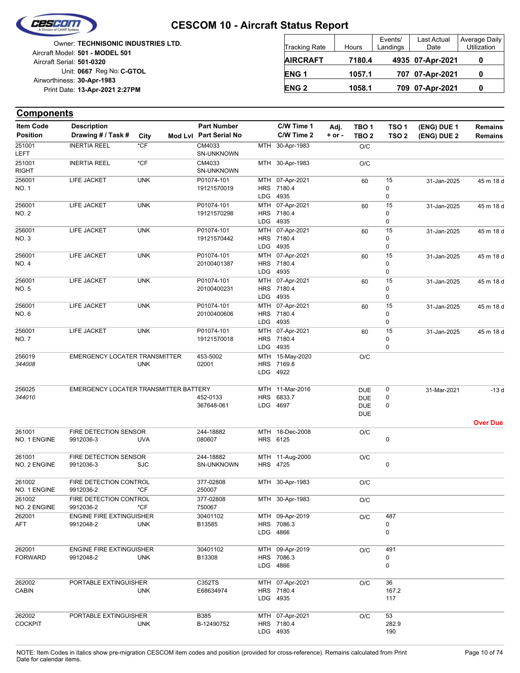

|                            | Owner: TECHNISONIC INDUSTRIES LTD. |
|----------------------------|------------------------------------|
|                            | Aircraft Model: 501 - MODEL 501    |
| Aircraft Serial: 501-0320  |                                    |
|                            | Unit: 0667 Reg No: C-GTOL          |
| Airworthiness: 30-Apr-1983 |                                    |
|                            | Print Date: 13-Apr-2021 2:27PM     |
|                            |                                    |

| <b>Tracking Rate</b> | Hours  | Events/<br>Landings | Last Actual<br>Date | Average Daily<br>Utilization |
|----------------------|--------|---------------------|---------------------|------------------------------|
| <b>AIRCRAFT</b>      | 7180.4 |                     | 4935 07-Apr-2021    |                              |
| ENG <sub>1</sub>     | 1057.1 |                     | 707 07-Apr-2021     | O                            |
| <b>ENG 2</b>         | 1058.1 |                     | 709 07-Apr-2021     | 0                            |

| <b>Item Code</b>       | <b>Description</b>                    |            | <b>Part Number</b>          |            | C/W Time 1                    | Adj.       | TBO 1            | TSO <sub>1</sub> | (ENG) DUE 1 | <b>Remains</b>  |
|------------------------|---------------------------------------|------------|-----------------------------|------------|-------------------------------|------------|------------------|------------------|-------------|-----------------|
| <b>Position</b>        | Drawing # / Task #                    | City       | Mod Lvl Part Serial No      |            | C/W Time 2                    | $+$ or $-$ | TBO <sub>2</sub> | TSO <sub>2</sub> | (ENG) DUE 2 | <b>Remains</b>  |
| 251001<br>LEFT         | <b>INERTIA REEL</b>                   | $*$ CF     | CM4033<br><b>SN-UNKNOWN</b> | MTH        | 30-Apr-1983                   |            | O/C              |                  |             |                 |
| 251001<br><b>RIGHT</b> | <b>INERTIA REEL</b>                   | $*$ CF     | CM4033<br>SN-UNKNOWN        |            | MTH 30-Apr-1983               |            | O/C              |                  |             |                 |
| 256001                 | LIFE JACKET                           | <b>UNK</b> | P01074-101                  |            | MTH 07-Apr-2021               |            | 60               | 15               | 31-Jan-2025 | 45 m 18 d       |
| NO. 1                  |                                       |            | 19121570019                 |            | HRS 7180.4                    |            |                  | 0                |             |                 |
| 256001                 | LIFE JACKET                           | <b>UNK</b> | P01074-101                  |            | LDG 4935<br>MTH 07-Apr-2021   |            |                  | 0<br>15          |             |                 |
| NO. 2                  |                                       |            | 19121570298                 |            | HRS 7180.4                    |            | 60               | 0                | 31-Jan-2025 | 45 m 18 d       |
|                        |                                       |            |                             |            | LDG 4935                      |            |                  | 0                |             |                 |
| 256001                 | LIFE JACKET                           | <b>UNK</b> | P01074-101                  |            | MTH 07-Apr-2021               |            | 60               | 15               | 31-Jan-2025 | 45 m 18 d       |
| NO. 3                  |                                       |            | 19121570442                 |            | HRS 7180.4                    |            |                  | 0                |             |                 |
|                        |                                       |            |                             |            | LDG 4935                      |            |                  | 0                |             |                 |
| 256001                 | LIFE JACKET                           | <b>UNK</b> | P01074-101                  |            | MTH 07-Apr-2021               |            | 60               | 15               | 31-Jan-2025 | 45 m 18 d       |
| NO. 4                  |                                       |            | 20100401387                 |            | HRS 7180.4<br>LDG 4935        |            |                  | 0<br>0           |             |                 |
| 256001                 | LIFE JACKET                           | <b>UNK</b> | P01074-101                  |            | MTH 07-Apr-2021               |            | 60               | 15               | 31-Jan-2025 | 45 m 18 d       |
| NO. 5                  |                                       |            | 20100400231                 |            | HRS 7180.4                    |            |                  | 0                |             |                 |
|                        |                                       |            |                             |            | LDG 4935                      |            |                  | 0                |             |                 |
| 256001                 | LIFE JACKET                           | <b>UNK</b> | P01074-101                  |            | MTH 07-Apr-2021               |            | 60               | 15               | 31-Jan-2025 | 45 m 18 d       |
| NO. 6                  |                                       |            | 20100400606                 |            | HRS 7180.4                    |            |                  | 0                |             |                 |
|                        |                                       |            |                             |            | LDG 4935                      |            |                  | 0                |             |                 |
| 256001<br>NO. 7        | LIFE JACKET                           | <b>UNK</b> | P01074-101<br>19121570018   |            | MTH 07-Apr-2021<br>HRS 7180.4 |            | 60               | 15<br>0          | 31-Jan-2025 | 45 m 18 d       |
|                        |                                       |            |                             |            | LDG 4935                      |            |                  | 0                |             |                 |
| 256019                 | EMERGENCY LOCATER TRANSMITTER         |            | 453-5002                    |            | MTH 15-May-2020               |            | O/C              |                  |             |                 |
| 344008                 |                                       | <b>UNK</b> | 02001                       |            | HRS 7169.8                    |            |                  |                  |             |                 |
|                        |                                       |            |                             |            | LDG 4922                      |            |                  |                  |             |                 |
| 256025                 | EMERGENCY LOCATER TRANSMITTER BATTERY |            |                             |            | MTH 11-Mar-2016               |            | <b>DUE</b>       | 0                | 31-Mar-2021 | $-13d$          |
| 344010                 |                                       |            | 452-0133                    | <b>HRS</b> | 6833.7                        |            | <b>DUE</b>       | 0                |             |                 |
|                        |                                       |            | 367648-061                  |            | LDG 4697                      |            | <b>DUE</b>       | 0                |             |                 |
|                        |                                       |            |                             |            |                               |            | <b>DUE</b>       |                  |             |                 |
| 261001                 | FIRE DETECTION SENSOR                 |            | 244-18882                   |            | MTH 18-Dec-2008               |            |                  |                  |             | <b>Over Due</b> |
| NO. 1 ENGINE           | 9912036-3                             | <b>UVA</b> | 080607                      |            | HRS 6125                      |            | O/C              | 0                |             |                 |
|                        |                                       |            |                             |            |                               |            |                  |                  |             |                 |
| 261001                 | FIRE DETECTION SENSOR                 |            | 244-18882                   |            | MTH 11-Aug-2000               |            | O/C              |                  |             |                 |
| NO. 2 ENGINE           | 9912036-3                             | <b>SJC</b> | SN-UNKNOWN                  |            | <b>HRS 4725</b>               |            |                  | 0                |             |                 |
| 261002                 | FIRE DETECTION CONTROL                |            | 377-02808                   |            | MTH 30-Apr-1983               |            | O/C              |                  |             |                 |
| NO. 1 ENGINE           | 9912036-2                             | *CF        | 250007                      |            |                               |            |                  |                  |             |                 |
| 261002                 | FIRE DETECTION CONTROL                |            | 377-02808                   |            | MTH 30-Apr-1983               |            | O/C              |                  |             |                 |
| NO. 2 ENGINE           | 9912036-2                             | $*$ CF     | 750067                      |            |                               |            |                  |                  |             |                 |
| 262001                 | <b>ENGINE FIRE EXTINGUISHER</b>       |            | 30401102                    |            | MTH 09-Apr-2019               |            | O/C              | 487              |             |                 |
| AFT                    | 9912048-2                             | <b>UNK</b> | B13585                      |            | HRS 7086.3                    |            |                  | 0                |             |                 |
|                        |                                       |            |                             |            | LDG 4866                      |            |                  | 0                |             |                 |
| 262001                 | <b>ENGINE FIRE EXTINGUISHER</b>       |            | 30401102                    |            | MTH 09-Apr-2019               |            | O/C              | 491              |             |                 |
| <b>FORWARD</b>         | 9912048-2                             | <b>UNK</b> | B13308                      |            | HRS 7086.3                    |            |                  | 0                |             |                 |
|                        |                                       |            |                             |            | LDG 4866                      |            |                  | 0                |             |                 |
| 262002                 | PORTABLE EXTINGUISHER                 |            | C352TS                      |            | MTH 07-Apr-2021               |            |                  | 36               |             |                 |
| <b>CABIN</b>           |                                       | <b>UNK</b> | E68634974                   |            | HRS 7180.4                    |            | O/C              | 167.2            |             |                 |
|                        |                                       |            |                             |            | LDG 4935                      |            |                  | 117              |             |                 |
|                        |                                       |            |                             |            |                               |            |                  |                  |             |                 |
| 262002                 | PORTABLE EXTINGUISHER                 |            | <b>B385</b>                 |            | MTH 07-Apr-2021               |            | O/C              | 53               |             |                 |
| <b>COCKPIT</b>         |                                       | <b>UNK</b> | B-12490752                  |            | HRS 7180.4<br>LDG 4935        |            |                  | 282.9<br>190     |             |                 |
|                        |                                       |            |                             |            |                               |            |                  |                  |             |                 |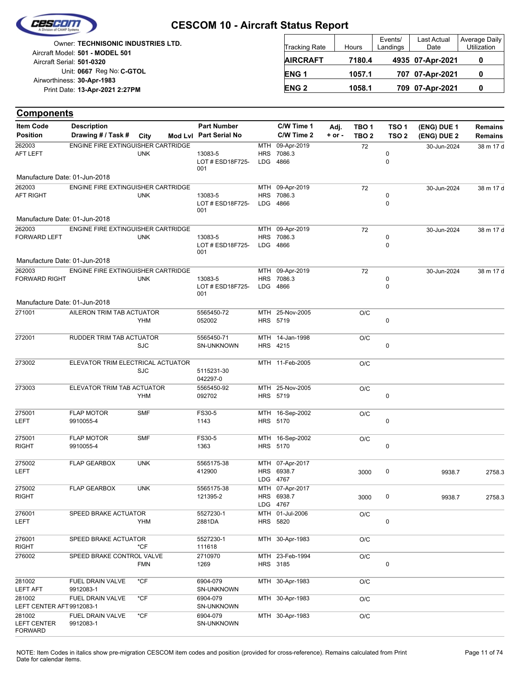

| <b>Owner: TECHNISONIC INDUSTRIES LTD.</b>                    | <b>Tracking Rate</b>   | Hours  | Events/<br>Landings | <b>Last Actual</b><br>Date | Average Daily<br>Utilization |
|--------------------------------------------------------------|------------------------|--------|---------------------|----------------------------|------------------------------|
| Aircraft Model: 501 - MODEL 501<br>Aircraft Serial: 501-0320 | <b>AIRCRAFT</b>        | 7180.4 |                     | 4935 07-Apr-2021           |                              |
| Unit: 0667 Reg No: C-GTOL                                    | ENG <sub>1</sub>       | 1057.1 |                     | 707 07-Apr-2021            |                              |
| Airworthiness: 30-Apr-1983<br>Print Date: 13-Apr-2021 2:27PM | <b>ENG<sub>2</sub></b> | 1058.1 |                     | 709 07-Apr-2021            |                              |

| ltem Code                                      | <b>Description</b>                        |            | <b>Part Number</b>                 |            | C/W Time 1                                | Adj.       | TBO <sub>1</sub> | TSO <sub>1</sub> | (ENG) DUE 1 | Remains   |
|------------------------------------------------|-------------------------------------------|------------|------------------------------------|------------|-------------------------------------------|------------|------------------|------------------|-------------|-----------|
| <b>Position</b>                                | Drawing # / Task #                        | City       | Mod Lvl Part Serial No             |            | C/W Time 2                                | $+$ or $-$ | TBO <sub>2</sub> | TSO <sub>2</sub> | (ENG) DUE 2 | Remains   |
| 262003<br><b>AFT LEFT</b>                      | <b>ENGINE FIRE EXTINGUISHER CARTRIDGE</b> | <b>UNK</b> | 13083-5<br>LOT # ESD18F725-<br>001 | <b>HRS</b> | MTH 09-Apr-2019<br>7086.3<br>LDG 4866     |            | 72               | 0<br>$\mathbf 0$ | 30-Jun-2024 | 38 m 17 d |
| Manufacture Date: 01-Jun-2018                  |                                           |            |                                    |            |                                           |            |                  |                  |             |           |
| 262003                                         | ENGINE FIRE EXTINGUISHER CARTRIDGE        |            |                                    |            | MTH 09-Apr-2019                           |            | 72               |                  | 30-Jun-2024 | 38 m 17 d |
| <b>AFT RIGHT</b>                               |                                           | <b>UNK</b> | 13083-5<br>LOT # ESD18F725-<br>001 |            | HRS 7086.3<br>LDG 4866                    |            |                  | 0<br>0           |             |           |
| Manufacture Date: 01-Jun-2018                  |                                           |            |                                    |            |                                           |            |                  |                  |             |           |
| 262003<br><b>FORWARD LEFT</b>                  | ENGINE FIRE EXTINGUISHER CARTRIDGE        | <b>UNK</b> | 13083-5<br>LOT # ESD18F725-<br>001 |            | MTH 09-Apr-2019<br>HRS 7086.3<br>LDG 4866 |            | 72               | 0<br>0           | 30-Jun-2024 | 38 m 17 d |
| Manufacture Date: 01-Jun-2018                  |                                           |            |                                    |            |                                           |            |                  |                  |             |           |
| 262003                                         | ENGINE FIRE EXTINGUISHER CARTRIDGE        |            |                                    |            | MTH 09-Apr-2019                           |            | 72               |                  | 30-Jun-2024 | 38 m 17 d |
| <b>FORWARD RIGHT</b>                           |                                           | <b>UNK</b> | 13083-5<br>LOT # ESD18F725-<br>001 |            | HRS 7086.3<br>LDG 4866                    |            |                  | 0<br>$\mathbf 0$ |             |           |
| Manufacture Date: 01-Jun-2018                  |                                           |            |                                    |            |                                           |            |                  |                  |             |           |
| 271001                                         | AILERON TRIM TAB ACTUATOR                 | <b>YHM</b> | 5565450-72<br>052002               |            | MTH 25-Nov-2005<br>HRS 5719               |            | O/C              | 0                |             |           |
| 272001                                         | RUDDER TRIM TAB ACTUATOR                  | <b>SJC</b> | 5565450-71<br><b>SN-UNKNOWN</b>    |            | MTH 14-Jan-1998<br>HRS 4215               |            | O/C              | 0                |             |           |
| 273002                                         | ELEVATOR TRIM ELECTRICAL ACTUATOR         | <b>SJC</b> | 5115231-30<br>042297-0             |            | MTH 11-Feb-2005                           |            | O/C              |                  |             |           |
| 273003                                         | ELEVATOR TRIM TAB ACTUATOR                | <b>YHM</b> | 5565450-92<br>092702               |            | MTH 25-Nov-2005<br>HRS 5719               |            | O/C              | 0                |             |           |
| 275001<br>LEFT                                 | <b>FLAP MOTOR</b><br>9910055-4            | <b>SMF</b> | FS30-5<br>1143                     |            | MTH 16-Sep-2002<br>HRS 5170               |            | O/C              | 0                |             |           |
| 275001                                         | <b>FLAP MOTOR</b>                         | <b>SMF</b> | FS30-5                             |            | MTH 16-Sep-2002                           |            | O/C              |                  |             |           |
| <b>RIGHT</b>                                   | 9910055-4                                 |            | 1363                               |            | HRS 5170                                  |            |                  | 0                |             |           |
| 275002<br>LEFT                                 | <b>FLAP GEARBOX</b>                       | <b>UNK</b> | 5565175-38<br>412900               |            | MTH 07-Apr-2017<br>HRS 6938.7<br>LDG 4767 |            | 3000             | 0                | 9938.7      | 2758.3    |
| 275002<br><b>RIGHT</b>                         | <b>FLAP GEARBOX</b>                       | <b>UNK</b> | 5565175-38<br>121395-2             |            | MTH 07-Apr-2017<br>HRS 6938.7<br>LDG 4767 |            | 3000             | 0                | 9938.7      | 2758.3    |
| 276001<br>LEFT                                 | SPEED BRAKE ACTUATOR                      | YHM        | 5527230-1<br>2881DA                |            | MTH 01-Jul-2006<br>HRS 5820               |            | O/C              | 0                |             |           |
| 276001<br><b>RIGHT</b>                         | SPEED BRAKE ACTUATOR                      | $*$ CF     | 5527230-1<br>111618                |            | MTH 30-Apr-1983                           |            | O/C              |                  |             |           |
| 276002                                         | SPEED BRAKE CONTROL VALVE                 | <b>FMN</b> | 2710970<br>1269                    |            | MTH 23-Feb-1994<br>HRS 3185               |            | O/C              | 0                |             |           |
| 281002<br><b>LEFT AFT</b>                      | FUEL DRAIN VALVE<br>9912083-1             | *CF        | 6904-079<br>SN-UNKNOWN             |            | MTH 30-Apr-1983                           |            | O/C              |                  |             |           |
| 281002<br>LEFT CENTER AFT 9912083-1            | FUEL DRAIN VALVE                          | *CF        | 6904-079<br>SN-UNKNOWN             |            | MTH 30-Apr-1983                           |            | O/C              |                  |             |           |
| 281002<br><b>LEFT CENTER</b><br><b>FORWARD</b> | FUEL DRAIN VALVE<br>9912083-1             | *CF        | 6904-079<br>SN-UNKNOWN             |            | MTH 30-Apr-1983                           |            | $\rm O/C$        |                  |             |           |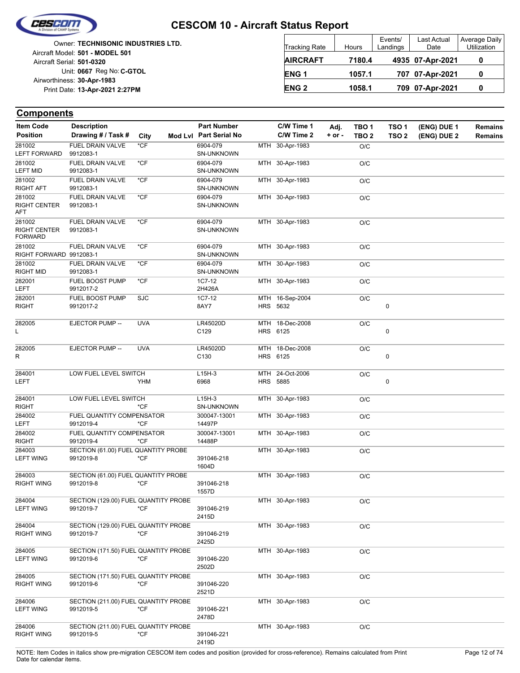

|                            | <b>Owner: TECHNISONIC INDUSTRIES LTD.</b> |
|----------------------------|-------------------------------------------|
|                            | Aircraft Model: 501 - MODEL 501           |
| Aircraft Serial: 501-0320  |                                           |
|                            | Unit: 0667 Reg No: C-GTOL                 |
| Airworthiness: 30-Apr-1983 |                                           |
|                            | Print Date: 13-Apr-2021 2:27PM            |
|                            |                                           |

| <b>Tracking Rate</b> | Hours  | Events/<br>Landings | Last Actual<br>Date | Average Daily<br>Utilization |
|----------------------|--------|---------------------|---------------------|------------------------------|
| <b>AIRCRAFT</b>      | 7180.4 |                     | 4935 07-Apr-2021    |                              |
| ENG <sub>1</sub>     | 1057.1 |                     | 707 07-Apr-2021     |                              |
| <b>ENG 2</b>         | 1058.1 |                     | 709 07-Apr-2021     |                              |

#### **Components**

| <b>Item Code</b>                                | <b>Description</b>                                |            | <b>Part Number</b>            | C/W Time 1                         | Adj.       | TBO <sub>1</sub> | TSO <sub>1</sub> | (ENG) DUE 1 | Remains |
|-------------------------------------------------|---------------------------------------------------|------------|-------------------------------|------------------------------------|------------|------------------|------------------|-------------|---------|
| <b>Position</b>                                 | Drawing # / Task #                                | City       | Mod Lvl Part Serial No        | C/W Time 2                         | $+$ or $-$ | TBO <sub>2</sub> | TSO <sub>2</sub> | (ENG) DUE 2 | Remains |
| 281002<br><b>LEFT FORWARD</b>                   | <b>FUEL DRAIN VALVE</b><br>9912083-1              | $*CF$      | 6904-079<br><b>SN-UNKNOWN</b> | MTH 30-Apr-1983                    |            | O/C              |                  |             |         |
| 281002<br><b>LEFT MID</b>                       | FUEL DRAIN VALVE<br>9912083-1                     | *CF        | 6904-079<br><b>SN-UNKNOWN</b> | MTH 30-Apr-1983                    |            | O/C              |                  |             |         |
| 281002<br>RIGHT AFT                             | <b>FUEL DRAIN VALVE</b><br>9912083-1              | *CF        | 6904-079<br><b>SN-UNKNOWN</b> | MTH 30-Apr-1983                    |            | O/C              |                  |             |         |
| 281002<br><b>RIGHT CENTER</b><br>AFT            | FUEL DRAIN VALVE<br>9912083-1                     | $*$ CF     | 6904-079<br><b>SN-UNKNOWN</b> | MTH 30-Apr-1983                    |            | O/C              |                  |             |         |
| 281002<br><b>RIGHT CENTER</b><br><b>FORWARD</b> | <b>FUEL DRAIN VALVE</b><br>9912083-1              | $*$ CF     | 6904-079<br><b>SN-UNKNOWN</b> | MTH 30-Apr-1983                    |            | O/C              |                  |             |         |
| 281002<br>RIGHT FORWARD 9912083-1               | FUEL DRAIN VALVE                                  | $*$ CF     | 6904-079<br><b>SN-UNKNOWN</b> | MTH 30-Apr-1983                    |            | O/C              |                  |             |         |
| 281002<br><b>RIGHT MID</b>                      | FUEL DRAIN VALVE<br>9912083-1                     | $*$ CF     | 6904-079<br><b>SN-UNKNOWN</b> | MTH 30-Apr-1983                    |            | O/C              |                  |             |         |
| 282001<br>LEFT                                  | FUEL BOOST PUMP<br>9912017-2                      | *CF        | 1C7-12<br>2H426A              | MTH 30-Apr-1983                    |            | O/C              |                  |             |         |
| 282001<br>RIGHT                                 | FUEL BOOST PUMP<br>9912017-2                      | <b>SJC</b> | 1C7-12<br>8AY7                | MTH 16-Sep-2004<br>HRS 5632        |            | O/C              | $\pmb{0}$        |             |         |
| 282005<br>L                                     | EJECTOR PUMP --                                   | <b>UVA</b> | LR45020D<br>C <sub>129</sub>  | MTH 18-Dec-2008<br>HRS 6125        |            | O/C              | 0                |             |         |
| 282005<br>R                                     | EJECTOR PUMP --                                   | <b>UVA</b> | LR45020D<br>C <sub>130</sub>  | MTH 18-Dec-2008<br>HRS 6125        |            | O/C              | $\pmb{0}$        |             |         |
| 284001<br>LEFT                                  | LOW FUEL LEVEL SWITCH                             | <b>YHM</b> | $L15H-3$<br>6968              | MTH 24-Oct-2006<br><b>HRS 5885</b> |            | O/C              | 0                |             |         |
| 284001<br><b>RIGHT</b>                          | LOW FUEL LEVEL SWITCH                             | *CF        | $L15H-3$<br><b>SN-UNKNOWN</b> | MTH 30-Apr-1983                    |            | O/C              |                  |             |         |
| 284002<br>LEFT                                  | FUEL QUANTITY COMPENSATOR<br>9912019-4            | $*CF$      | 300047-13001<br>14497P        | MTH 30-Apr-1983                    |            | O/C              |                  |             |         |
| 284002<br><b>RIGHT</b>                          | FUEL QUANTITY COMPENSATOR<br>9912019-4            | *CF        | 300047-13001<br>14488P        | MTH 30-Apr-1983                    |            | O/C              |                  |             |         |
| 284003<br><b>LEFT WING</b>                      | SECTION (61.00) FUEL QUANTITY PROBE<br>9912019-8  | $*$ CF     | 391046-218<br>1604D           | MTH 30-Apr-1983                    |            | O/C              |                  |             |         |
| 284003<br><b>RIGHT WING</b>                     | SECTION (61.00) FUEL QUANTITY PROBE<br>9912019-8  | *CF        | 391046-218<br>1557D           | MTH 30-Apr-1983                    |            | O/C              |                  |             |         |
| 284004<br>LEFT WING                             | SECTION (129.00) FUEL QUANTITY PROBE<br>9912019-7 | *CF        | 391046-219<br>2415D           | MTH 30-Apr-1983                    |            | O/C              |                  |             |         |
| 284004<br><b>RIGHT WING</b>                     | SECTION (129.00) FUEL QUANTITY PROBE<br>9912019-7 | *CF        | 391046-219<br>2425D           | MTH 30-Apr-1983                    |            | O/C              |                  |             |         |
| 284005<br><b>LEFT WING</b>                      | SECTION (171.50) FUEL QUANTITY PROBE<br>9912019-6 | $*CF$      | 391046-220<br>2502D           | MTH 30-Apr-1983                    |            | O/C              |                  |             |         |
| 284005<br><b>RIGHT WING</b>                     | SECTION (171.50) FUEL QUANTITY PROBE<br>9912019-6 | $*$ CF     | 391046-220<br>2521D           | MTH 30-Apr-1983                    |            | O/C              |                  |             |         |
| 284006<br><b>LEFT WING</b>                      | SECTION (211.00) FUEL QUANTITY PROBE<br>9912019-5 | $*$ CF     | 391046-221<br>2478D           | MTH 30-Apr-1983                    |            | O/C              |                  |             |         |
| 284006<br>RIGHT WING                            | SECTION (211.00) FUEL QUANTITY PROBE<br>9912019-5 | $*$ CF     | 391046-221<br>2419D           | MTH 30-Apr-1983                    |            | O/C              |                  |             |         |

NOTE: Item Codes in italics show pre-migration CESCOM item codes and position (provided for cross-reference). Remains calculated from Print Page 12 of 74 Date for calendar items.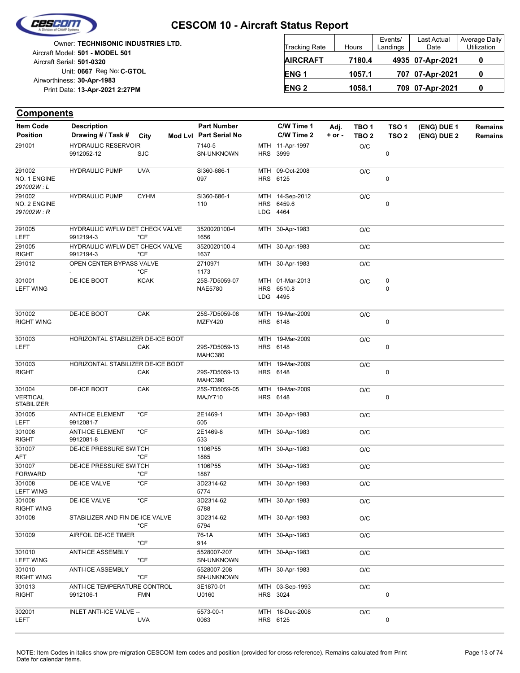

**Components**

#### **CESCOM 10 - Aircraft Status Report**

Unit: 0667 Reg No: C-GTOL **13-Apr-2021 2:27PM** Print Date: **30-Apr-1983** Airworthiness: Owner: **TECHNISONIC INDUSTRIES LTD.** Aircraft Serial: **501-0320** Aircraft Model: **501 - MODEL 501**

| <b>Tracking Rate</b> | Hours  | Events/<br>Landings | <b>Last Actual</b><br>Date | Average Daily<br>Utilization |
|----------------------|--------|---------------------|----------------------------|------------------------------|
| <b>AIRCRAFT</b>      | 7180.4 |                     | 4935 07-Apr-2021           |                              |
| ENG <sub>1</sub>     | 1057.1 |                     | 707 07-Apr-2021            |                              |
| <b>ENG 2</b>         | 1058.1 |                     | 709 07-Apr-2021            |                              |

| <b>Item Code</b>                        | <b>Description</b>                           |             | <b>Part Number</b>              | C/W Time 1                                | Adj.     | TBO 1            | TSO <sub>1</sub> | (ENG) DUE 1 | <b>Remains</b> |
|-----------------------------------------|----------------------------------------------|-------------|---------------------------------|-------------------------------------------|----------|------------------|------------------|-------------|----------------|
| <b>Position</b>                         | Drawing # / Task #                           | City        | Mod Lvl Part Serial No          | C/W Time 2                                | $+ or -$ | TBO <sub>2</sub> | TSO <sub>2</sub> | (ENG) DUE 2 | <b>Remains</b> |
| 291001                                  | <b>HYDRAULIC RESERVOIR</b><br>9912052-12     | <b>SJC</b>  | 7140-5<br>SN-UNKNOWN            | MTH 11-Apr-1997<br>HRS 3999               |          | O/C              | 0                |             |                |
| 291002<br>NO. 1 ENGINE<br>291002W:L     | <b>HYDRAULIC PUMP</b>                        | <b>UVA</b>  | SI360-686-1<br>097              | MTH 09-Oct-2008<br>HRS 6125               |          | O/C              | 0                |             |                |
| 291002<br>NO. 2 ENGINE<br>291002W: R    | <b>HYDRAULIC PUMP</b>                        | <b>CYHM</b> | SI360-686-1<br>110              | MTH 14-Sep-2012<br>HRS 6459.6<br>LDG 4464 |          | O/C              | 0                |             |                |
| 291005<br>LEFT                          | HYDRAULIC W/FLW DET CHECK VALVE<br>9912194-3 | $*CF$       | 3520020100-4<br>1656            | MTH 30-Apr-1983                           |          | O/C              |                  |             |                |
| 291005<br>RIGHT                         | HYDRAULIC W/FLW DET CHECK VALVE<br>9912194-3 | *CF         | 3520020100-4<br>1637            | MTH 30-Apr-1983                           |          | O/C              |                  |             |                |
| 291012                                  | OPEN CENTER BYPASS VALVE                     | *CF         | 2710971<br>1173                 | MTH 30-Apr-1983                           |          | O/C              |                  |             |                |
| 301001<br><b>LEFT WING</b>              | DE-ICE BOOT                                  | <b>KCAK</b> | 25S-7D5059-07<br><b>NAE5780</b> | MTH 01-Mar-2013<br>HRS 6510.8<br>LDG 4495 |          | O/C              | 0<br>0           |             |                |
| 301002<br><b>RIGHT WING</b>             | DE-ICE BOOT                                  | CAK         | 25S-7D5059-08<br>MZFY420        | MTH 19-Mar-2009<br>HRS 6148               |          | O/C              | 0                |             |                |
| 301003<br>LEFT                          | HORIZONTAL STABILIZER DE-ICE BOOT            | CAK         | 29S-7D5059-13<br>MAHC380        | MTH 19-Mar-2009<br>HRS 6148               |          | O/C              | 0                |             |                |
| 301003<br>RIGHT                         | HORIZONTAL STABILIZER DE-ICE BOOT            | CAK         | 29S-7D5059-13<br>MAHC390        | MTH 19-Mar-2009<br>HRS 6148               |          | O/C              | 0                |             |                |
| 301004<br>VERTICAL<br><b>STABILIZER</b> | <b>DE-ICE BOOT</b>                           | CAK         | 25S-7D5059-05<br>MAJY710        | MTH 19-Mar-2009<br>HRS 6148               |          | O/C              | 0                |             |                |
| 301005<br>LEFT                          | <b>ANTI-ICE ELEMENT</b><br>9912081-7         | $*$ CF      | 2E1469-1<br>505                 | MTH 30-Apr-1983                           |          | O/C              |                  |             |                |
| 301006<br>RIGHT                         | <b>ANTI-ICE ELEMENT</b><br>9912081-8         | *CF         | 2E1469-8<br>533                 | MTH 30-Apr-1983                           |          | O/C              |                  |             |                |
| 301007<br>AFT                           | DE-ICE PRESSURE SWITCH                       | $*$ CF      | 1106P55<br>1885                 | MTH 30-Apr-1983                           |          | O/C              |                  |             |                |
| 301007<br>FORWARD                       | DE-ICE PRESSURE SWITCH                       | *CF         | 1106P55<br>1887                 | MTH 30-Apr-1983                           |          | O/C              |                  |             |                |
| 301008<br>LEFT WING                     | <b>DE-ICE VALVE</b>                          | $*CF$       | 3D2314-62<br>5774               | MTH 30-Apr-1983                           |          | O/C              |                  |             |                |
| 301008<br>RIGHT WING                    | DE-ICE VALVE                                 | *CF         | 3D2314-62<br>5788               | MTH 30-Apr-1983                           |          | O/C              |                  |             |                |
| 301008                                  | STABILIZER AND FIN DE-ICE VALVE              | *CF         | 3D2314-62<br>5794               | MTH 30-Apr-1983                           |          | O/C              |                  |             |                |
| 301009                                  | AIRFOIL DE-ICE TIMER                         | *CF         | 76-1A<br>914                    | MTH 30-Apr-1983                           |          | O/C              |                  |             |                |
| 301010<br><b>LEFT WING</b>              | <b>ANTI-ICE ASSEMBLY</b>                     | $*$ CF      | 5528007-207<br>SN-UNKNOWN       | MTH 30-Apr-1983                           |          | O/C              |                  |             |                |
| 301010<br>RIGHT WING                    | <b>ANTI-ICE ASSEMBLY</b>                     | *CF         | 5528007-208<br>SN-UNKNOWN       | MTH 30-Apr-1983                           |          | O/C              |                  |             |                |
| 301013<br>RIGHT                         | ANTI-ICE TEMPERATURE CONTROL<br>9912106-1    | <b>FMN</b>  | 3E1870-01<br>U0160              | MTH 03-Sep-1993<br>HRS 3024               |          | O/C              | $\pmb{0}$        |             |                |
| 302001<br>LEFT                          | INLET ANTI-ICE VALVE --                      | <b>UVA</b>  | 5573-00-1<br>0063               | MTH 18-Dec-2008<br>HRS 6125               |          | O/C              | 0                |             |                |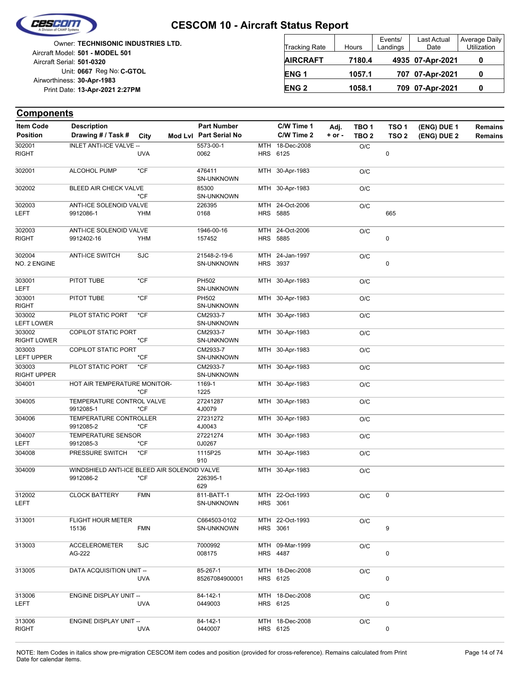

Unit: 0667 Reg No: C-GTOL **13-Apr-2021 2:27PM** Print Date: **30-Apr-1983** Airworthiness: Owner: **TECHNISONIC INDUSTRIES LTD.** Aircraft Serial: **501-0320** Aircraft Model: **501 - MODEL 501**

| <b>Tracking Rate</b> | Hours  | Events/<br>Landings | Last Actual<br>Date | Average Daily<br>Utilization |
|----------------------|--------|---------------------|---------------------|------------------------------|
| <b>AIRCRAFT</b>      | 7180.4 |                     | 4935 07-Apr-2021    |                              |
| ENG <sub>1</sub>     | 1057.1 |                     | 707 07-Apr-2021     |                              |
| <b>ENG 2</b>         | 1058.1 |                     | 709 07-Apr-2021     |                              |

| <b>Item Code</b>             | <b>Description</b>                                        |            | <b>Part Number</b>            | C/W Time 1                         | Adj.       | TBO <sub>1</sub> | TSO <sub>1</sub> | (ENG) DUE 1 | Remains        |
|------------------------------|-----------------------------------------------------------|------------|-------------------------------|------------------------------------|------------|------------------|------------------|-------------|----------------|
| <b>Position</b>              | Drawing # / Task #                                        | City       | Mod Lvl Part Serial No        | C/W Time 2                         | $+$ or $-$ | TBO <sub>2</sub> | TSO <sub>2</sub> | (ENG) DUE 2 | <b>Remains</b> |
| 302001                       | <b>INLET ANTI-ICE VALVE --</b>                            |            | 5573-00-1                     | MTH 18-Dec-2008                    |            | O/C              |                  |             |                |
| <b>RIGHT</b>                 |                                                           | <b>UVA</b> | 0062                          | HRS 6125                           |            |                  | 0                |             |                |
| 302001                       | <b>ALCOHOL PUMP</b>                                       | $*$ CF     | 476411<br>SN-UNKNOWN          | MTH 30-Apr-1983                    |            | O/C              |                  |             |                |
| 302002                       | BLEED AIR CHECK VALVE                                     | $*$ CF     | 85300<br>SN-UNKNOWN           | MTH 30-Apr-1983                    |            | O/C              |                  |             |                |
| 302003                       | ANTI-ICE SOLENOID VALVE                                   |            | 226395                        | MTH 24-Oct-2006                    |            | O/C              |                  |             |                |
| LEFT                         | 9912086-1                                                 | YHM        | 0168                          | HRS 5885                           |            |                  | 665              |             |                |
| 302003                       | <b>ANTI-ICE SOLENOID VALVE</b>                            |            | 1946-00-16                    | MTH 24-Oct-2006                    |            | O/C              |                  |             |                |
| <b>RIGHT</b>                 | 9912402-16                                                | <b>YHM</b> | 157452                        | <b>HRS 5885</b>                    |            |                  | 0                |             |                |
| 302004                       | <b>ANTI-ICE SWITCH</b>                                    | <b>SJC</b> | 21548-2-19-6                  | MTH 24-Jan-1997                    |            | O/C              |                  |             |                |
| NO. 2 ENGINE                 |                                                           |            | SN-UNKNOWN                    | HRS 3937                           |            |                  | 0                |             |                |
| 303001<br><b>LEFT</b>        | PITOT TUBE                                                | $*$ CF     | PH502<br>SN-UNKNOWN           | MTH 30-Apr-1983                    |            | O/C              |                  |             |                |
| 303001<br><b>RIGHT</b>       | PITOT TUBE                                                | $*$ CF     | PH502<br>SN-UNKNOWN           | MTH 30-Apr-1983                    |            | O/C              |                  |             |                |
| 303002<br><b>LEFT LOWER</b>  | PILOT STATIC PORT                                         | $*CF$      | CM2933-7<br><b>SN-UNKNOWN</b> | MTH 30-Apr-1983                    |            | O/C              |                  |             |                |
| 303002<br><b>RIGHT LOWER</b> | <b>COPILOT STATIC PORT</b>                                | $*CF$      | CM2933-7<br>SN-UNKNOWN        | MTH 30-Apr-1983                    |            | O/C              |                  |             |                |
| 303003<br><b>LEFT UPPER</b>  | <b>COPILOT STATIC PORT</b>                                | *CF        | CM2933-7<br>SN-UNKNOWN        | MTH 30-Apr-1983                    |            | O/C              |                  |             |                |
| 303003<br><b>RIGHT UPPER</b> | PILOT STATIC PORT                                         | $*$ CF     | CM2933-7<br>SN-UNKNOWN        | MTH 30-Apr-1983                    |            | O/C              |                  |             |                |
| 304001                       | HOT AIR TEMPERATURE MONITOR-                              | *CF        | 1169-1<br>1225                | MTH 30-Apr-1983                    |            | O/C              |                  |             |                |
| 304005                       | TEMPERATURE CONTROL VALVE<br>9912085-1                    | *CF        | 27241287<br>4J0079            | MTH 30-Apr-1983                    |            | O/C              |                  |             |                |
| 304006                       | TEMPERATURE CONTROLLER<br>9912085-2                       | $*CF$      | 27231272<br>4J0043            | MTH 30-Apr-1983                    |            | O/C              |                  |             |                |
| 304007<br><b>LEFT</b>        | TEMPERATURE SENSOR<br>9912085-3                           | *CF        | 27221274<br>0J0267            | MTH 30-Apr-1983                    |            | O/C              |                  |             |                |
| 304008                       | PRESSURE SWITCH                                           | $*CF$      | 1115P25<br>910                | MTH 30-Apr-1983                    |            | O/C              |                  |             |                |
| 304009                       | WINDSHIELD ANTI-ICE BLEED AIR SOLENOID VALVE<br>9912086-2 | $*CF$      | 226395-1<br>629               | MTH 30-Apr-1983                    |            | O/C              |                  |             |                |
| 312002<br>LEFT               | <b>CLOCK BATTERY</b>                                      | <b>FMN</b> | 811-BATT-1<br>SN-UNKNOWN      | MTH 22-Oct-1993<br>HRS 3061        |            | O/C              | 0                |             |                |
| 313001                       | <b>FLIGHT HOUR METER</b><br>15136                         | <b>FMN</b> | C664503-0102<br>SN-UNKNOWN    | MTH 22-Oct-1993<br>HRS 3061        |            | O/C              | 9                |             |                |
| 313003                       | <b>ACCELEROMETER</b><br>AG-222                            | <b>SJC</b> | 7000992<br>008175             | MTH 09-Mar-1999<br><b>HRS</b> 4487 |            | O/C              | 0                |             |                |
| 313005                       | DATA ACQUISITION UNIT --                                  | <b>UVA</b> | 85-267-1<br>85267084900001    | MTH 18-Dec-2008<br>HRS 6125        |            | O/C              | 0                |             |                |
| 313006<br>LEFT               | <b>ENGINE DISPLAY UNIT --</b>                             | <b>UVA</b> | 84-142-1<br>0449003           | MTH 18-Dec-2008<br>HRS 6125        |            | O/C              | 0                |             |                |
| 313006<br><b>RIGHT</b>       | <b>ENGINE DISPLAY UNIT --</b>                             | <b>UVA</b> | 84-142-1<br>0440007           | MTH 18-Dec-2008<br>HRS 6125        |            | O/C              | 0                |             |                |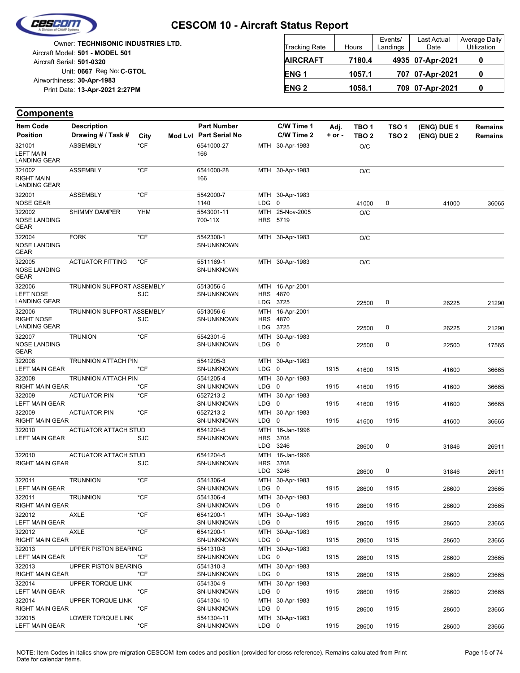

Unit: 0667 Reg No: C-GTOL **13-Apr-2021 2:27PM** Print Date: **30-Apr-1983** Airworthiness: Owner: **TECHNISONIC INDUSTRIES LTD.** Aircraft Serial: **501-0320** Aircraft Model: **501 - MODEL 501**

| <b>Tracking Rate</b> | Hours  | Events/<br>Landings | Last Actual<br>Date | Average Daily<br>Utilization |
|----------------------|--------|---------------------|---------------------|------------------------------|
| <b>AIRCRAFT</b>      | 7180.4 |                     | 4935 07-Apr-2021    |                              |
| ENG <sub>1</sub>     | 1057.1 |                     | 707 07-Apr-2021     |                              |
| <b>ENG 2</b>         | 1058.1 |                     | 709 07-Apr-2021     |                              |

| <b>Item Code</b>                                   | <b>Description</b>               |            | <b>Part Number</b>             |                          | C/W Time 1                  | Adj.       | TBO <sub>1</sub> | TSO <sub>1</sub> | (ENG) DUE 1 | <b>Remains</b> |
|----------------------------------------------------|----------------------------------|------------|--------------------------------|--------------------------|-----------------------------|------------|------------------|------------------|-------------|----------------|
| <b>Position</b>                                    | Drawing # / Task #               | City       | Mod Lvl Part Serial No         |                          | C/W Time 2                  | $+$ or $-$ | TBO <sub>2</sub> | TSO <sub>2</sub> | (ENG) DUE 2 | Remains        |
| 321001<br><b>LEFT MAIN</b><br><b>LANDING GEAR</b>  | <b>ASSEMBLY</b>                  | *CF        | 6541000-27<br>166              |                          | MTH 30-Apr-1983             |            | O/C              |                  |             |                |
| 321002<br><b>RIGHT MAIN</b><br><b>LANDING GEAR</b> | <b>ASSEMBLY</b>                  | *CF        | 6541000-28<br>166              |                          | MTH 30-Apr-1983             |            | O/C              |                  |             |                |
| 322001<br><b>NOSE GEAR</b>                         | <b>ASSEMBLY</b>                  | $*$ CF     | 5542000-7<br>1140              | $LDG \t0$                | MTH 30-Apr-1983             |            | 41000            | 0                | 41000       | 36065          |
| 322002<br><b>NOSE LANDING</b><br><b>GEAR</b>       | <b>SHIMMY DAMPER</b>             | <b>YHM</b> | 5543001-11<br>700-11X          |                          | MTH 25-Nov-2005<br>HRS 5719 |            | O/C              |                  |             |                |
| 322004<br><b>NOSE LANDING</b><br><b>GEAR</b>       | <b>FORK</b>                      | $*$ CF     | 5542300-1<br><b>SN-UNKNOWN</b> |                          | MTH 30-Apr-1983             |            | O/C              |                  |             |                |
| 322005<br><b>NOSE LANDING</b><br><b>GEAR</b>       | <b>ACTUATOR FITTING</b>          | *CF        | 5511169-1<br><b>SN-UNKNOWN</b> |                          | MTH 30-Apr-1983             |            | O/C              |                  |             |                |
| 322006                                             | TRUNNION SUPPORT ASSEMBLY        |            | 5513056-5                      |                          | MTH 16-Apr-2001             |            |                  |                  |             |                |
| <b>LEFT NOSE</b><br><b>LANDING GEAR</b>            |                                  | <b>SJC</b> | <b>SN-UNKNOWN</b>              | <b>HRS</b>               | 4870                        |            |                  |                  |             |                |
| 322006                                             | <b>TRUNNION SUPPORT ASSEMBLY</b> |            | 5513056-6                      |                          | LDG 3725<br>MTH 16-Apr-2001 |            | 22500            | 0                | 26225       | 21290          |
| <b>RIGHT NOSE</b>                                  |                                  | <b>SJC</b> | SN-UNKNOWN                     | <b>HRS</b>               | 4870                        |            |                  |                  |             |                |
| <b>LANDING GEAR</b>                                |                                  |            |                                |                          | LDG 3725                    |            | 22500            | 0                | 26225       | 21290          |
| 322007<br><b>NOSE LANDING</b><br><b>GEAR</b>       | <b>TRUNION</b>                   | $*$ CF     | 5542301-5<br><b>SN-UNKNOWN</b> | MTH<br>LDG               | 30-Apr-1983<br>0            |            | 22500            | 0                | 22500       | 17565          |
| 322008                                             | TRUNNION ATTACH PIN              |            | 5541205-3                      |                          | MTH 30-Apr-1983             |            |                  |                  |             |                |
| <b>LEFT MAIN GEAR</b>                              |                                  | *CF        | <b>SN-UNKNOWN</b>              | LDG <sub>0</sub>         |                             | 1915       | 41600            | 1915             | 41600       | 36665          |
| 322008<br>RIGHT MAIN GEAR                          | <b>TRUNNION ATTACH PIN</b>       | *CF        | 5541205-4<br><b>SN-UNKNOWN</b> | $LDG \t0$                | MTH 30-Apr-1983             | 1915       | 41600            | 1915             | 41600       | 36665          |
| 322009                                             | <b>ACTUATOR PIN</b>              | *CF        | 6527213-2                      |                          | MTH 30-Apr-1983             |            |                  |                  |             |                |
| <b>LEFT MAIN GEAR</b>                              |                                  |            | <b>SN-UNKNOWN</b>              | LDG <sub>0</sub>         |                             | 1915       | 41600            | 1915             | 41600       | 36665          |
| 322009<br><b>RIGHT MAIN GEAR</b>                   | <b>ACTUATOR PIN</b>              | *CF        | 6527213-2<br><b>SN-UNKNOWN</b> | LDG                      | MTH 30-Apr-1983<br>0        | 1915       | 41600            | 1915             | 41600       | 36665          |
| 322010                                             | <b>ACTUATOR ATTACH STUD</b>      |            | 6541204-5                      | MTH                      | 16-Jan-1996                 |            |                  |                  |             |                |
| <b>LEFT MAIN GEAR</b>                              |                                  | SJC        | <b>SN-UNKNOWN</b>              | <b>HRS</b><br><b>LDG</b> | 3708<br>3246                |            | 28600            | 0                | 31846       | 26911          |
| 322010                                             | <b>ACTUATOR ATTACH STUD</b>      |            | 6541204-5                      | MTH                      | 16-Jan-1996                 |            |                  |                  |             |                |
| <b>RIGHT MAIN GEAR</b>                             |                                  | SJC        | <b>SN-UNKNOWN</b>              | <b>HRS</b>               | 3708                        |            |                  |                  |             |                |
|                                                    |                                  |            |                                |                          | LDG 3246                    |            | 28600            | 0                | 31846       | 26911          |
| 322011<br><b>LEFT MAIN GEAR</b>                    | <b>TRUNNION</b>                  | $*$ CF     | 5541306-4<br>SN-UNKNOWN        | MTH<br>LDG               | 30-Apr-1983<br>0            | 1915       |                  | 1915             |             |                |
| 322011                                             | <b>TRUNNION</b>                  | *CF        | 5541306-4                      |                          | MTH 30-Apr-1983             |            | 28600            |                  | 28600       | 23665          |
| RIGHT MAIN GEAR                                    |                                  |            | SN-UNKNOWN                     | LDG 0                    |                             | 1915       | 28600            | 1915             | 28600       | 23665          |
| 322012                                             | AXLE                             | $*$ CF     | 6541200-1                      |                          | MTH 30-Apr-1983             |            |                  |                  |             |                |
| LEFT MAIN GEAR                                     |                                  |            | SN-UNKNOWN                     | LDG 0                    |                             | 1915       | 28600            | 1915             | 28600       | 23665          |
| 322012<br>RIGHT MAIN GEAR                          | <b>AXLE</b>                      | $*CF$      | 6541200-1<br>SN-UNKNOWN        | LDG 0                    | MTH 30-Apr-1983             | 1915       |                  | 1915             |             |                |
| 322013                                             | UPPER PISTON BEARING             |            | 5541310-3                      |                          | MTH 30-Apr-1983             |            | 28600            |                  | 28600       | 23665          |
| LEFT MAIN GEAR                                     |                                  | *CF        | SN-UNKNOWN                     | LDG 0                    |                             | 1915       | 28600            | 1915             | 28600       | 23665          |
| 322013                                             | UPPER PISTON BEARING             |            | 5541310-3                      |                          | MTH 30-Apr-1983             |            |                  |                  |             |                |
| RIGHT MAIN GEAR                                    |                                  | $*CF$      | SN-UNKNOWN                     | LDG 0                    |                             | 1915       | 28600            | 1915             | 28600       | 23665          |
| 322014<br><b>LEFT MAIN GEAR</b>                    | UPPER TORQUE LINK                | *CF        | 5541304-9<br>SN-UNKNOWN        | LDG 0                    | MTH 30-Apr-1983             | 1915       | 28600            | 1915             | 28600       | 23665          |
| 322014                                             | UPPER TORQUE LINK                |            | 5541304-10                     |                          | MTH 30-Apr-1983             |            |                  |                  |             |                |
| RIGHT MAIN GEAR                                    |                                  | $*$ CF     | SN-UNKNOWN                     | LDG 0                    |                             | 1915       | 28600            | 1915             | 28600       | 23665          |
| 322015                                             | LOWER TORQUE LINK                |            | 5541304-11                     |                          | MTH 30-Apr-1983             |            |                  |                  |             |                |
| LEFT MAIN GEAR                                     |                                  | $*$ CF     | SN-UNKNOWN                     | LDG 0                    |                             | 1915       | 28600            | 1915             | 28600       | 23665          |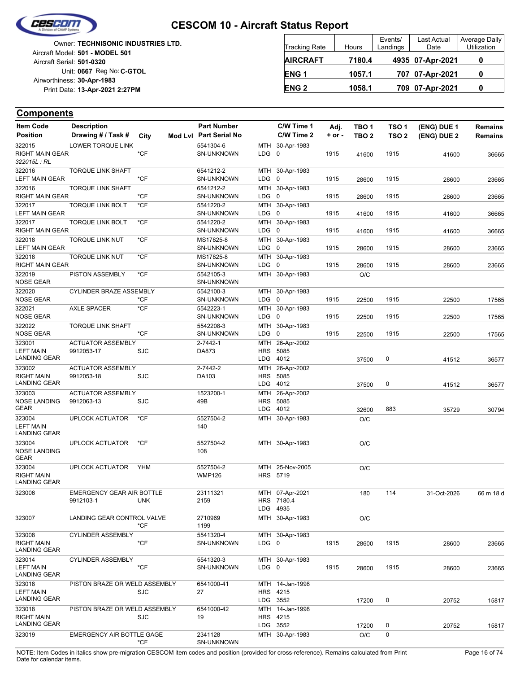

| Owner: TECHNISONIC INDUSTRIES LTD.<br>Aircraft Model: 501 - MODEL 501 | <b>Tracking Rate</b> | Hours  | Events/<br>Landings | Last Actual<br>Date | Average Daily<br>Utilization |
|-----------------------------------------------------------------------|----------------------|--------|---------------------|---------------------|------------------------------|
| Aircraft Serial: 501-0320                                             | <b>AIRCRAFT</b>      | 7180.4 |                     | 4935 07-Apr-2021    |                              |
| Unit: 0667 Reg No: C-GTOL<br>Airworthiness: 30-Apr-1983               | <b>ENG1</b>          | 1057.1 |                     | 707 07-Apr-2021     |                              |
| Print Date: 13-Apr-2021 2:27PM                                        | <b>ENG 2</b>         | 1058.1 |                     | 709 07-Apr-2021     |                              |

| <b>Item Code</b>                                  | <b>Description</b>                                   |      | <b>Part Number</b>             |            | C/W Time 1              | Adj.       | TBO 1            | TSO 1            | (ENG) DUE 1 | <b>Remains</b> |
|---------------------------------------------------|------------------------------------------------------|------|--------------------------------|------------|-------------------------|------------|------------------|------------------|-------------|----------------|
| <b>Position</b>                                   | Drawing # / Task #                                   | City | Mod Lvl Part Serial No         |            | C/W Time 2              | $+$ or $-$ | TBO <sub>2</sub> | TSO <sub>2</sub> | (ENG) DUE 2 | <b>Remains</b> |
| 322015<br><b>RIGHT MAIN GEAR</b>                  | <b>LOWER TORQUE LINK</b>                             | *CF  | 5541304-6<br><b>SN-UNKNOWN</b> | $LDG \t0$  | MTH 30-Apr-1983         | 1915       | 41600            | 1915             | 41600       |                |
| 322015L: RL                                       |                                                      |      |                                |            |                         |            |                  |                  |             | 36665          |
| 322016<br>LEFT MAIN GEAR                          | <b>TORQUE LINK SHAFT</b>                             | *CF  | 6541212-2<br>SN-UNKNOWN        | $LDG \t0$  | MTH 30-Apr-1983         | 1915       | 28600            | 1915             | 28600       | 23665          |
| 322016<br>RIGHT MAIN GEAR                         | <b>TORQUE LINK SHAFT</b>                             | *CF  | 6541212-2<br>SN-UNKNOWN        | LDG        | MTH 30-Apr-1983<br>0    | 1915       | 28600            | 1915             | 28600       | 23665          |
| 322017                                            | <b>TORQUE LINK BOLT</b>                              | *CF  | 5541220-2                      |            | MTH 30-Apr-1983         |            |                  |                  |             |                |
| <b>LEFT MAIN GEAR</b>                             |                                                      |      | SN-UNKNOWN                     | LDG        | 0                       | 1915       | 41600            | 1915             | 41600       | 36665          |
| 322017<br>RIGHT MAIN GEAR                         | <b>TORQUE LINK BOLT</b>                              | *CF  | 5541220-2<br>SN-UNKNOWN        | $LDG \t0$  | MTH 30-Apr-1983         | 1915       | 41600            | 1915             | 41600       | 36665          |
| 322018<br><b>LEFT MAIN GEAR</b>                   | <b>TORQUE LINK NUT</b>                               | *CF  | MS17825-8<br>SN-UNKNOWN        | LDG        | MTH 30-Apr-1983<br>0    | 1915       | 28600            | 1915             | 28600       | 23665          |
| 322018<br>RIGHT MAIN GEAR                         | <b>TORQUE LINK NUT</b>                               | *CF  | MS17825-8<br><b>SN-UNKNOWN</b> | LDG        | MTH 30-Apr-1983<br>0    | 1915       | 28600            | 1915             | 28600       | 23665          |
| 322019<br><b>NOSE GEAR</b>                        | PISTON ASSEMBLY                                      | *CF  | 5542105-3<br>SN-UNKNOWN        |            | MTH 30-Apr-1983         |            | O/C              |                  |             |                |
| 322020<br>NOSE GEAR                               | CYLINDER BRAZE ASSEMBLY                              | *CF  | 5542100-3<br>SN-UNKNOWN        | $LDG \t0$  | MTH 30-Apr-1983         | 1915       |                  | 1915             |             |                |
| 322021                                            | <b>AXLE SPACER</b>                                   | *CF  | 5542223-1                      |            | MTH 30-Apr-1983         |            | 22500            |                  | 22500       | 17565          |
| <b>NOSE GEAR</b>                                  |                                                      |      | <b>SN-UNKNOWN</b>              | $LDG \t0$  |                         | 1915       | 22500            | 1915             | 22500       | 17565          |
| 322022<br><b>NOSE GEAR</b>                        | <b>TORQUE LINK SHAFT</b>                             | *CF  | 5542208-3<br><b>SN-UNKNOWN</b> | MTH<br>LDG | 30-Apr-1983<br>0        | 1915       | 22500            | 1915             | 22500       | 17565          |
| 323001<br><b>LEFT MAIN</b>                        | <b>ACTUATOR ASSEMBLY</b><br>9912053-17               | SJC  | 2-7442-1<br>DA873              | MTH<br>HRS | 26-Apr-2002<br>5085     |            |                  |                  |             |                |
| <b>LANDING GEAR</b>                               |                                                      |      |                                |            | LDG 4012                |            | 37500            | 0                | 41512       | 36577          |
| 323002<br><b>RIGHT MAIN</b>                       | <b>ACTUATOR ASSEMBLY</b><br>9912053-18               | SJC  | 2-7442-2<br>DA103              | <b>HRS</b> | MTH 26-Apr-2002<br>5085 |            |                  |                  |             |                |
| LANDING GEAR                                      |                                                      |      |                                |            | LDG 4012                |            | 37500            | 0                | 41512       | 36577          |
| 323003                                            | <b>ACTUATOR ASSEMBLY</b>                             |      | 1523200-1                      | MTH        | 26-Apr-2002             |            |                  |                  |             |                |
| <b>NOSE LANDING</b><br><b>GEAR</b>                | 9912063-13                                           | SJC  | 49B                            | <b>HRS</b> | 5085<br>LDG 4012        |            | 32600            | 883              | 35729       | 30794          |
| 323004                                            | <b>UPLOCK ACTUATOR</b>                               | *CF  | 5527504-2                      |            | MTH 30-Apr-1983         |            | O/C              |                  |             |                |
| <b>LEFT MAIN</b><br><b>LANDING GEAR</b>           |                                                      |      | 140                            |            |                         |            |                  |                  |             |                |
| 323004<br>NOSE LANDING                            | <b>UPLOCK ACTUATOR</b>                               | *CF  | 5527504-2<br>108               |            | MTH 30-Apr-1983         |            | O/C              |                  |             |                |
| <b>GEAR</b>                                       |                                                      |      |                                |            |                         |            |                  |                  |             |                |
| 323004<br><b>RIGHT MAIN</b>                       | <b>UPLOCK ACTUATOR</b>                               | YHM  | 5527504-2<br><b>WMP126</b>     | MTH        | 25-Nov-2005<br>HRS 5719 |            | O/C              |                  |             |                |
| <b>LANDING GEAR</b><br>323006                     |                                                      |      | 23111321                       |            | MTH 07-Apr-2021         |            |                  | 114              |             |                |
|                                                   | EMERGENCY GEAR AIR BOTTLE<br>9912103-1<br><b>UNK</b> |      | 2159                           |            | HRS 7180.4              |            | 180              |                  | 31-Oct-2026 | 66 m 18 d      |
|                                                   |                                                      |      |                                |            | LDG 4935                |            |                  |                  |             |                |
| 323007                                            | LANDING GEAR CONTROL VALVE                           | *CF  | 2710969<br>1199                |            | MTH 30-Apr-1983         |            | O/C              |                  |             |                |
| 323008                                            | <b>CYLINDER ASSEMBLY</b>                             |      | 5541320-4                      |            | MTH 30-Apr-1983         |            |                  |                  |             |                |
| <b>RIGHT MAIN</b><br><b>LANDING GEAR</b>          |                                                      | *CF  | SN-UNKNOWN                     | $LDG \t0$  |                         | 1915       | 28600            | 1915             | 28600       | 23665          |
| 323014<br><b>LEFT MAIN</b><br><b>LANDING GEAR</b> | <b>CYLINDER ASSEMBLY</b>                             | *CF  | 5541320-3<br>SN-UNKNOWN        | LDG 0      | MTH 30-Apr-1983         | 1915       | 28600            | 1915             | 28600       | 23665          |
| 323018                                            | PISTON BRAZE OR WELD ASSEMBLY                        |      | 6541000-41                     |            | MTH 14-Jan-1998         |            |                  |                  |             |                |
| <b>LEFT MAIN</b><br><b>LANDING GEAR</b>           |                                                      | SJC  | 27                             |            | HRS 4215<br>LDG 3552    |            | 17200            | 0                | 20752       | 15817          |
| 323018                                            | PISTON BRAZE OR WELD ASSEMBLY                        |      | 6541000-42                     |            | MTH 14-Jan-1998         |            |                  |                  |             |                |
| <b>RIGHT MAIN</b><br><b>LANDING GEAR</b>          |                                                      | SJC  | 19                             |            | HRS 4215<br>LDG 3552    |            | 17200            | 0                | 20752       | 15817          |
| 323019                                            | EMERGENCY AIR BOTTLE GAGE                            |      | 2341128                        |            | MTH 30-Apr-1983         |            | O/C              | 0                |             |                |
|                                                   |                                                      | *CF  | SN-UNKNOWN                     |            |                         |            |                  |                  |             |                |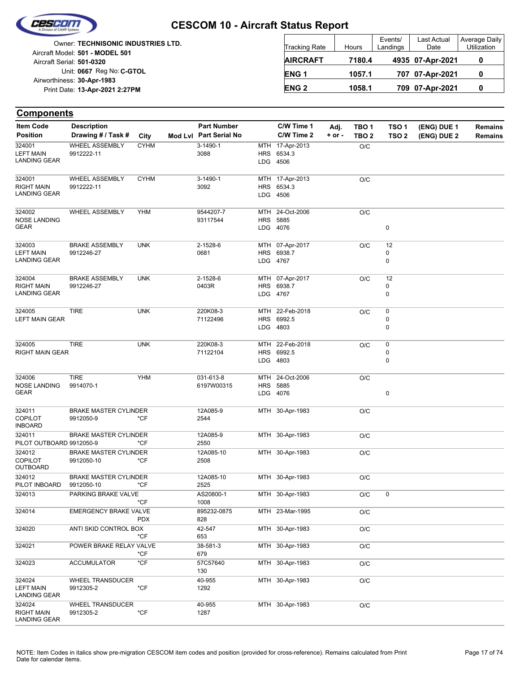

|                            | Owner: TECHNISONIC INDUSTRIES LTD. |
|----------------------------|------------------------------------|
|                            | Aircraft Model: 501 - MODEL 501    |
| Aircraft Serial: 501-0320  |                                    |
|                            | Unit: 0667 Reg No: C-GTOL          |
| Airworthiness: 30-Apr-1983 |                                    |
|                            | Print Date: 13-Apr-2021 2:27PM     |
|                            |                                    |

| <b>Tracking Rate</b> | Hours  | Events/<br>Landings | Last Actual<br>Date | Average Daily<br>Utilization |  |
|----------------------|--------|---------------------|---------------------|------------------------------|--|
| <b>AIRCRAFT</b>      | 7180.4 |                     | 4935 07-Apr-2021    |                              |  |
| <b>ENG1</b>          | 1057.1 |                     | 707 07-Apr-2021     |                              |  |
| <b>ENG 2</b>         | 1058.1 |                     | 709 07-Apr-2021     |                              |  |

| <b>Item Code</b>                         | <b>Description</b>           |               | <b>Part Number</b>     |            | C/W Time 1             | Adj.       | TBO <sub>1</sub> | TSO <sub>1</sub> | (ENG) DUE 1 | <b>Remains</b> |
|------------------------------------------|------------------------------|---------------|------------------------|------------|------------------------|------------|------------------|------------------|-------------|----------------|
| <b>Position</b>                          | Drawing # / Task #           | City          | Mod Lvl Part Serial No |            | C/W Time 2             | $+$ or $-$ | TBO <sub>2</sub> | TSO <sub>2</sub> | (ENG) DUE 2 | Remains        |
| 324001                                   | <b>WHEEL ASSEMBLY</b>        | <b>CYHM</b>   | 3-1490-1               |            | MTH 17-Apr-2013        |            | O/C              |                  |             |                |
| <b>LEFT MAIN</b><br><b>LANDING GEAR</b>  | 9912222-11                   |               | 3088                   |            | HRS 6534.3<br>LDG 4506 |            |                  |                  |             |                |
| 324001                                   | <b>WHEEL ASSEMBLY</b>        | <b>CYHM</b>   | 3-1490-1               |            | MTH 17-Apr-2013        |            | O/C              |                  |             |                |
| <b>RIGHT MAIN</b>                        | 9912222-11                   |               | 3092                   |            | HRS 6534.3             |            |                  |                  |             |                |
| <b>LANDING GEAR</b>                      |                              |               |                        |            | LDG 4506               |            |                  |                  |             |                |
| 324002                                   | WHEEL ASSEMBLY               | <b>YHM</b>    | 9544207-7              | MTH        | 24-Oct-2006            |            | O/C              |                  |             |                |
| <b>NOSE LANDING</b>                      |                              |               | 93117544               |            | HRS 5885               |            |                  |                  |             |                |
| <b>GEAR</b>                              |                              |               |                        |            | LDG 4076               |            |                  | 0                |             |                |
| 324003                                   | <b>BRAKE ASSEMBLY</b>        | <b>UNK</b>    | 2-1528-6               |            | MTH 07-Apr-2017        |            | O/C              | 12               |             |                |
| <b>LEFT MAIN</b>                         | 9912246-27                   |               | 0681                   |            | HRS 6938.7             |            |                  | 0                |             |                |
| <b>LANDING GEAR</b>                      |                              |               |                        |            | LDG 4767               |            |                  | 0                |             |                |
| 324004                                   | <b>BRAKE ASSEMBLY</b>        | <b>UNK</b>    | 2-1528-6               |            | MTH 07-Apr-2017        |            | O/C              | 12               |             |                |
| <b>RIGHT MAIN</b>                        | 9912246-27                   |               | 0403R                  |            | HRS 6938.7             |            |                  | 0                |             |                |
| <b>LANDING GEAR</b>                      |                              |               |                        |            | LDG 4767               |            |                  | 0                |             |                |
| 324005                                   | <b>TIRE</b>                  | <b>UNK</b>    | 220K08-3               |            | MTH 22-Feb-2018        |            | O/C              | 0                |             |                |
| <b>LEFT MAIN GEAR</b>                    |                              |               | 71122496               | <b>HRS</b> | 6992.5                 |            |                  | 0                |             |                |
|                                          |                              |               |                        |            | LDG 4803               |            |                  | 0                |             |                |
| 324005                                   | <b>TIRE</b>                  | <b>UNK</b>    | 220K08-3               | MTH        | 22-Feb-2018            |            | O/C              | 0                |             |                |
| <b>RIGHT MAIN GEAR</b>                   |                              |               | 71122104               |            | HRS 6992.5             |            |                  | 0                |             |                |
|                                          |                              |               |                        |            | LDG 4803               |            |                  | 0                |             |                |
| 324006                                   | <b>TIRE</b>                  | <b>YHM</b>    | 031-613-8              | MTH        | 24-Oct-2006            |            | O/C              |                  |             |                |
| <b>NOSE LANDING</b>                      | 9914070-1                    |               | 6197W00315             | <b>HRS</b> | 5885                   |            |                  |                  |             |                |
| <b>GEAR</b>                              |                              |               |                        |            | LDG 4076               |            |                  | 0                |             |                |
| 324011                                   | <b>BRAKE MASTER CYLINDER</b> |               | 12A085-9               |            | MTH 30-Apr-1983        |            | O/C              |                  |             |                |
| <b>COPILOT</b>                           | 9912050-9                    | *CF           | 2544                   |            |                        |            |                  |                  |             |                |
| <b>INBOARD</b>                           |                              |               |                        |            |                        |            |                  |                  |             |                |
| 324011                                   | <b>BRAKE MASTER CYLINDER</b> |               | 12A085-9               |            | MTH 30-Apr-1983        |            | O/C              |                  |             |                |
| PILOT OUTBOARD 9912050-9<br>324012       | <b>BRAKE MASTER CYLINDER</b> | *CF           | 2550<br>12A085-10      |            | MTH 30-Apr-1983        |            |                  |                  |             |                |
| <b>COPILOT</b>                           | 9912050-10                   | *CF           | 2508                   |            |                        |            | O/C              |                  |             |                |
| OUTBOARD                                 |                              |               |                        |            |                        |            |                  |                  |             |                |
| 324012                                   | <b>BRAKE MASTER CYLINDER</b> |               | 12A085-10              |            | MTH 30-Apr-1983        |            | O/C              |                  |             |                |
| PILOT INBOARD                            | 9912050-10                   | *CF           | 2525                   |            |                        |            |                  |                  |             |                |
| 324013                                   | PARKING BRAKE VALVE          | $*CF$         | AS20800-1<br>1008      |            | MTH 30-Apr-1983        |            | O/C              | 0                |             |                |
| 324014                                   | <b>EMERGENCY BRAKE VALVE</b> | <b>PDX</b>    | 895232-0875<br>828     |            | MTH 23-Mar-1995        |            | O/C              |                  |             |                |
| 324020                                   | ANTI SKID CONTROL BOX        |               | 42-547                 |            | MTH 30-Apr-1983        |            | O/C              |                  |             |                |
|                                          |                              | *CF           | 653                    |            |                        |            |                  |                  |             |                |
| 324021                                   | POWER BRAKE RELAY VALVE      | *CF           | 38-581-3<br>679        |            | MTH 30-Apr-1983        |            | O/C              |                  |             |                |
| 324023                                   | <b>ACCUMULATOR</b>           | $^{\star}$ CF | 57C57640<br>130        |            | MTH 30-Apr-1983        |            | $\rm O/C$        |                  |             |                |
| 324024                                   | <b>WHEEL TRANSDUCER</b>      |               | 40-955                 |            | MTH 30-Apr-1983        |            | O/C              |                  |             |                |
| <b>LEFT MAIN</b><br><b>LANDING GEAR</b>  | 9912305-2                    | *CF           | 1292                   |            |                        |            |                  |                  |             |                |
| 324024                                   | <b>WHEEL TRANSDUCER</b>      |               | 40-955                 |            | MTH 30-Apr-1983        |            | O/C              |                  |             |                |
| <b>RIGHT MAIN</b><br><b>LANDING GEAR</b> | 9912305-2                    | $*$ CF        | 1287                   |            |                        |            |                  |                  |             |                |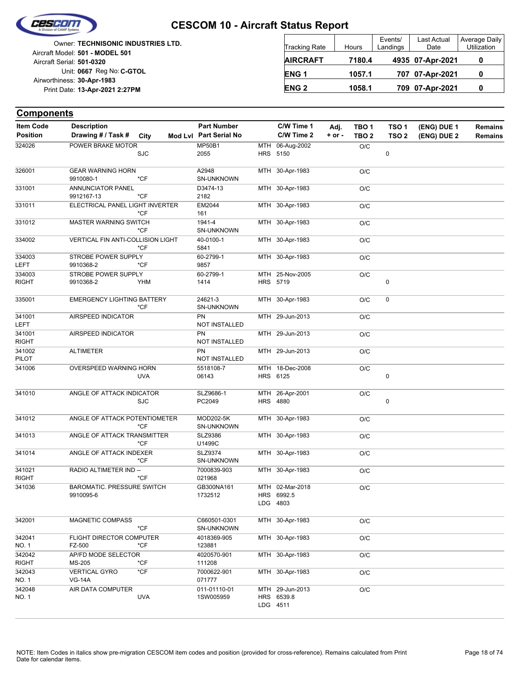

|                            | <b>Owner: TECHNISONIC INDUSTRIES LTD.</b> |
|----------------------------|-------------------------------------------|
|                            | Aircraft Model: 501 - MODEL 501           |
| Aircraft Serial: 501-0320  |                                           |
|                            | Unit: 0667 Reg No: C-GTOL                 |
| Airworthiness: 30-Apr-1983 |                                           |
|                            | Print Date: 13-Apr-2021 2:27PM            |
|                            |                                           |

| <b>Tracking Rate</b> | Hours  | Events/<br>Landings | Last Actual<br>Date | Average Daily<br>Utilization |  |
|----------------------|--------|---------------------|---------------------|------------------------------|--|
| <b>AIRCRAFT</b>      | 7180.4 |                     | 4935 07-Apr-2021    |                              |  |
| ENG <sub>1</sub>     | 1057.1 |                     | 707 07-Apr-2021     | 0                            |  |
| <b>ENG 2</b>         | 1058.1 |                     | 709 07-Apr-2021     | O                            |  |

| <b>Item Code</b>       | <b>Description</b>                             |                | <b>Part Number</b>                 | C/W Time 1                                | Adj.       | TBO <sub>1</sub> | TSO <sub>1</sub> | (ENG) DUE 1 | <b>Remains</b> |
|------------------------|------------------------------------------------|----------------|------------------------------------|-------------------------------------------|------------|------------------|------------------|-------------|----------------|
| <b>Position</b>        | Drawing # / Task # City                        |                | Mod Lvl Part Serial No             | C/W Time 2                                | $+$ or $-$ | TBO <sub>2</sub> | TSO <sub>2</sub> | (ENG) DUE 2 | <b>Remains</b> |
| 324026                 | POWER BRAKE MOTOR                              | <b>SJC</b>     | <b>MP50B1</b><br>2055              | MTH 06-Aug-2002<br>HRS 5150               |            | O/C              | 0                |             |                |
| 326001                 | <b>GEAR WARNING HORN</b><br>9910080-1          | $*CF$          | A2948<br>SN-UNKNOWN                | MTH 30-Apr-1983                           |            | O/C              |                  |             |                |
| 331001                 | ANNUNCIATOR PANEL                              |                | D3474-13                           | MTH 30-Apr-1983                           |            | O/C              |                  |             |                |
| 331011                 | 9912167-13<br>ELECTRICAL PANEL LIGHT INVERTER  | $*$ CF         | 2182<br>EM2044                     | MTH 30-Apr-1983                           |            | O/C              |                  |             |                |
| 331012                 | MASTER WARNING SWITCH                          | $*CF$<br>$*CF$ | 161<br>1941-4<br><b>SN-UNKNOWN</b> | MTH 30-Apr-1983                           |            | O/C              |                  |             |                |
| 334002                 | VERTICAL FIN ANTI-COLLISION LIGHT              | $*CF$          | 40-0100-1<br>5841                  | MTH 30-Apr-1983                           |            | O/C              |                  |             |                |
| 334003<br><b>LEFT</b>  | STROBE POWER SUPPLY<br>9910368-2               | *CF            | 60-2799-1<br>9857                  | MTH 30-Apr-1983                           |            | O/C              |                  |             |                |
| 334003<br><b>RIGHT</b> | STROBE POWER SUPPLY<br>9910368-2               | YHM            | 60-2799-1<br>1414                  | MTH 25-Nov-2005<br>HRS 5719               |            | O/C              | 0                |             |                |
| 335001                 | <b>EMERGENCY LIGHTING BATTERY</b>              | $*$ CF         | 24621-3<br><b>SN-UNKNOWN</b>       | MTH 30-Apr-1983                           |            | O/C              | 0                |             |                |
| 341001<br><b>LEFT</b>  | AIRSPEED INDICATOR                             |                | PN<br>NOT INSTALLED                | MTH 29-Jun-2013                           |            | O/C              |                  |             |                |
| 341001<br><b>RIGHT</b> | AIRSPEED INDICATOR                             |                | PN<br>NOT INSTALLED                | MTH 29-Jun-2013                           |            | O/C              |                  |             |                |
| 341002<br>PILOT        | <b>ALTIMETER</b>                               |                | <b>PN</b><br>NOT INSTALLED         | MTH 29-Jun-2013                           |            | O/C              |                  |             |                |
| 341006                 | OVERSPEED WARNING HORN                         | <b>UVA</b>     | 5518108-7<br>06143                 | MTH 18-Dec-2008<br>HRS 6125               |            | O/C              | 0                |             |                |
| 341010                 | ANGLE OF ATTACK INDICATOR                      | <b>SJC</b>     | SLZ9686-1<br>PC2049                | MTH 26-Apr-2001<br><b>HRS 4880</b>        |            | O/C              | 0                |             |                |
| 341012                 | ANGLE OF ATTACK POTENTIOMETER                  | $*$ CF         | MOD202-5K<br>SN-UNKNOWN            | MTH 30-Apr-1983                           |            | O/C              |                  |             |                |
| 341013                 | ANGLE OF ATTACK TRANSMITTER                    | *CF            | SLZ9386<br>U1499C                  | MTH 30-Apr-1983                           |            | O/C              |                  |             |                |
| 341014                 | ANGLE OF ATTACK INDEXER                        | $*CF$          | SLZ9374<br>SN-UNKNOWN              | MTH 30-Apr-1983                           |            | O/C              |                  |             |                |
| 341021<br><b>RIGHT</b> | RADIO ALTIMETER IND --                         | $*$ CF         | 7000839-903<br>021968              | MTH 30-Apr-1983                           |            | O/C              |                  |             |                |
| 341036                 | <b>BAROMATIC. PRESSURE SWITCH</b><br>9910095-6 |                | GB300NA161<br>1732512              | MTH 02-Mar-2018<br>HRS 6992.5<br>LDG 4803 |            | O/C              |                  |             |                |
| 342001                 | MAGNETIC COMPASS                               | $*$ CF         | C660501-0301<br>SN-UNKNOWN         | MTH 30-Apr-1983                           |            | O/C              |                  |             |                |
| 342041<br>NO. 1        | FLIGHT DIRECTOR COMPUTER<br>FZ-500             | *CF            | 4018369-905<br>123881              | MTH 30-Apr-1983                           |            | O/C              |                  |             |                |
| 342042<br><b>RIGHT</b> | AP/FD MODE SELECTOR<br>MS-205                  | *CF            | 4020570-901<br>111208              | MTH 30-Apr-1983                           |            | O/C              |                  |             |                |
| 342043<br>NO. 1        | <b>VERTICAL GYRO</b><br><b>VG-14A</b>          | *CF            | 7000622-901<br>071777              | MTH 30-Apr-1983                           |            | O/C              |                  |             |                |
| 342048<br><b>NO.1</b>  | AIR DATA COMPUTER                              | <b>UVA</b>     | 011-01110-01<br>1SW005959          | MTH 29-Jun-2013<br>HRS 6539.8<br>LDG 4511 |            | O/C              |                  |             |                |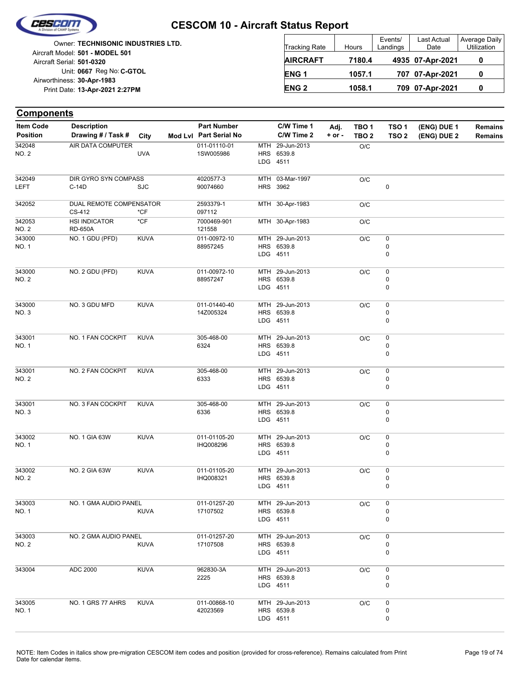

|                            | Owner: TECHNISONIC INDUSTRIES LTD. |
|----------------------------|------------------------------------|
|                            | Aircraft Model: 501 - MODEL 501    |
| Aircraft Serial: 501-0320  |                                    |
|                            | Unit: 0667 Reg No: C-GTOL          |
| Airworthiness: 30-Apr-1983 |                                    |
|                            | Print Date: 13-Apr-2021 2:27PM     |
|                            |                                    |

| <b>Tracking Rate</b> | Hours  | Events/<br>Landings | <b>Last Actual</b><br>Date | Average Daily<br>Utilization |  |
|----------------------|--------|---------------------|----------------------------|------------------------------|--|
| <b>AIRCRAFT</b>      | 7180.4 |                     | 4935 07-Apr-2021           |                              |  |
| ENG <sub>1</sub>     | 1057.1 |                     | 707 07-Apr-2021            |                              |  |
| <b>ENG 2</b>         | 1058.1 |                     | 709 07-Apr-2021            |                              |  |

| <b>Components</b>                   |                                          |             |                                              |     |                          |                    |                                      |                                      |                            |                           |
|-------------------------------------|------------------------------------------|-------------|----------------------------------------------|-----|--------------------------|--------------------|--------------------------------------|--------------------------------------|----------------------------|---------------------------|
| <b>Item Code</b><br><b>Position</b> | <b>Description</b><br>Drawing # / Task # | City        | <b>Part Number</b><br>Mod Lvl Part Serial No |     | C/W Time 1<br>C/W Time 2 | Adj.<br>$+$ or $-$ | TBO <sub>1</sub><br>TBO <sub>2</sub> | TSO <sub>1</sub><br>TSO <sub>2</sub> | (ENG) DUE 1<br>(ENG) DUE 2 | <b>Remains</b><br>Remains |
| 342048                              | AIR DATA COMPUTER                        |             | 011-01110-01                                 | MTH | 29-Jun-2013              |                    | O/C                                  |                                      |                            |                           |
| <b>NO. 2</b>                        |                                          | <b>UVA</b>  | 1SW005986                                    |     | HRS 6539.8<br>LDG 4511   |                    |                                      |                                      |                            |                           |
| 342049                              | DIR GYRO SYN COMPASS                     |             | 4020577-3                                    |     | MTH 03-Mar-1997          |                    | O/C                                  |                                      |                            |                           |
| LEFT                                | $C-14D$                                  | <b>SJC</b>  | 90074660                                     |     | HRS 3962                 |                    |                                      | 0                                    |                            |                           |
| 342052                              | DUAL REMOTE COMPENSATOR<br>CS-412        | *CF         | 2593379-1<br>097112                          |     | MTH 30-Apr-1983          |                    | O/C                                  |                                      |                            |                           |
| 342053<br>NO. 2                     | <b>HSI INDICATOR</b><br><b>RD-650A</b>   | *CF         | 7000469-901<br>121558                        |     | MTH 30-Apr-1983          |                    | O/C                                  |                                      |                            |                           |
| 343000                              | NO. 1 GDU (PFD)                          | <b>KUVA</b> | 011-00972-10                                 |     | MTH 29-Jun-2013          |                    | O/C                                  | 0                                    |                            |                           |
| NO. 1                               |                                          |             | 88957245                                     |     | HRS 6539.8<br>LDG 4511   |                    |                                      | 0<br>0                               |                            |                           |
| 343000                              | NO. 2 GDU (PFD)                          | <b>KUVA</b> | 011-00972-10                                 |     | MTH 29-Jun-2013          |                    | O/C                                  | 0                                    |                            |                           |
| <b>NO. 2</b>                        |                                          |             | 88957247                                     |     | HRS 6539.8               |                    |                                      | 0                                    |                            |                           |
|                                     |                                          |             |                                              |     | LDG 4511                 |                    |                                      | 0                                    |                            |                           |
| 343000                              | NO. 3 GDU MFD                            | <b>KUVA</b> | 011-01440-40                                 |     | MTH 29-Jun-2013          |                    | O/C                                  | 0                                    |                            |                           |
| NO. 3                               |                                          |             | 14Z005324                                    |     | HRS 6539.8<br>LDG 4511   |                    |                                      | 0<br>0                               |                            |                           |
| 343001                              | NO. 1 FAN COCKPIT                        | <b>KUVA</b> | 305-468-00                                   |     | MTH 29-Jun-2013          |                    | O/C                                  | 0                                    |                            |                           |
| NO. 1                               |                                          |             | 6324                                         |     | HRS 6539.8               |                    |                                      | 0                                    |                            |                           |
|                                     |                                          |             |                                              |     | LDG 4511                 |                    |                                      | 0                                    |                            |                           |
| 343001                              | NO. 2 FAN COCKPIT                        | <b>KUVA</b> | 305-468-00                                   |     | MTH 29-Jun-2013          |                    | O/C                                  | 0                                    |                            |                           |
| <b>NO. 2</b>                        |                                          |             | 6333                                         |     | HRS 6539.8<br>LDG 4511   |                    |                                      | 0<br>0                               |                            |                           |
| 343001                              | NO. 3 FAN COCKPIT                        | <b>KUVA</b> | 305-468-00                                   |     | MTH 29-Jun-2013          |                    | O/C                                  | 0                                    |                            |                           |
| NO. 3                               |                                          |             | 6336                                         |     | HRS 6539.8               |                    |                                      | 0                                    |                            |                           |
|                                     |                                          |             |                                              |     | LDG 4511                 |                    |                                      | 0                                    |                            |                           |
| 343002                              | NO. 1 GIA 63W                            | <b>KUVA</b> | 011-01105-20                                 |     | MTH 29-Jun-2013          |                    | O/C                                  | 0                                    |                            |                           |
| NO. 1                               |                                          |             | IHQ008296                                    |     | HRS 6539.8               |                    |                                      | 0                                    |                            |                           |
|                                     |                                          |             |                                              |     | LDG 4511                 |                    |                                      | 0                                    |                            |                           |
| 343002                              | NO. 2 GIA 63W                            | <b>KUVA</b> | 011-01105-20                                 |     | MTH 29-Jun-2013          |                    | O/C                                  | 0                                    |                            |                           |
| <b>NO. 2</b>                        |                                          |             | IHQ008321                                    |     | HRS 6539.8<br>LDG 4511   |                    |                                      | 0<br>0                               |                            |                           |
| 343003                              | NO. 1 GMA AUDIO PANEL                    |             | 011-01257-20                                 |     | MTH 29-Jun-2013          |                    | O/C                                  | 0                                    |                            |                           |
| NO. 1                               |                                          | <b>KUVA</b> | 17107502                                     |     | HRS 6539.8               |                    |                                      | 0                                    |                            |                           |
|                                     |                                          |             |                                              |     | LDG 4511                 |                    |                                      | 0                                    |                            |                           |
| 343003                              | NO. 2 GMA AUDIO PANEL                    |             | 011-01257-20                                 |     | MTH 29-Jun-2013          |                    | O/C                                  | 0                                    |                            |                           |
| NO. 2                               |                                          | <b>KUVA</b> | 17107508                                     |     | HRS 6539.8<br>LDG 4511   |                    |                                      | 0<br>0                               |                            |                           |
|                                     |                                          |             |                                              |     |                          |                    |                                      |                                      |                            |                           |
| 343004                              | ADC 2000                                 | <b>KUVA</b> | 962830-3A                                    |     | MTH 29-Jun-2013          |                    | O/C                                  | 0                                    |                            |                           |
|                                     |                                          |             | 2225                                         |     | HRS 6539.8<br>LDG 4511   |                    |                                      | 0<br>0                               |                            |                           |
| 343005                              | NO. 1 GRS 77 AHRS                        | <b>KUVA</b> | 011-00868-10                                 |     | MTH 29-Jun-2013          |                    | O/C                                  | 0                                    |                            |                           |
| NO. 1                               |                                          |             | 42023569                                     |     | HRS 6539.8               |                    |                                      | 0                                    |                            |                           |
|                                     |                                          |             |                                              |     | LDG 4511                 |                    |                                      | 0                                    |                            |                           |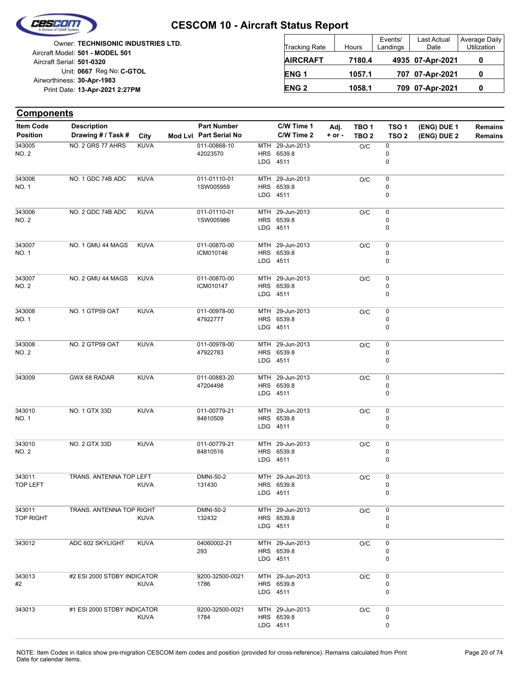

Unit: 0667 Reg No: C-GTOL **13-Apr-2021 2:27PM** Print Date: **30-Apr-1983** Airworthiness: Owner: **TECHNISONIC INDUSTRIES LTD.** Aircraft Serial: **501-0320** Aircraft Model: **501 - MODEL 501**

| <b>Tracking Rate</b> | Hours  | Events/<br>Landings | Last Actual<br>Date | Average Daily<br>Utilization |  |
|----------------------|--------|---------------------|---------------------|------------------------------|--|
| <b>AIRCRAFT</b>      | 7180.4 |                     | 4935 07-Apr-2021    |                              |  |
| ENG <sub>1</sub>     | 1057.1 |                     | 707 07-Apr-2021     |                              |  |
| <b>ENG 2</b>         | 1058.1 |                     | 709 07-Apr-2021     |                              |  |

| <b>Components</b>                   |                                          |             |                                              |     |                                           |                    |                                      |                                      |                            |                           |
|-------------------------------------|------------------------------------------|-------------|----------------------------------------------|-----|-------------------------------------------|--------------------|--------------------------------------|--------------------------------------|----------------------------|---------------------------|
| <b>Item Code</b><br><b>Position</b> | <b>Description</b><br>Drawing # / Task # | City        | <b>Part Number</b><br>Mod Lvl Part Serial No |     | C/W Time 1<br>C/W Time 2                  | Adj.<br>$+$ or $-$ | TBO <sub>1</sub><br>TBO <sub>2</sub> | TSO <sub>1</sub><br>TSO <sub>2</sub> | (ENG) DUE 1<br>(ENG) DUE 2 | <b>Remains</b><br>Remains |
| 343005<br><b>NO. 2</b>              | NO. 2 GRS 77 AHRS                        | <b>KUVA</b> | 011-00868-10<br>42023570                     | MTH | 29-Jun-2013<br>HRS 6539.8<br>LDG 4511     |                    | O/C                                  | 0<br>0<br>0                          |                            |                           |
| 343006<br>NO. 1                     | NO. 1 GDC 74B ADC                        | <b>KUVA</b> | 011-01110-01<br>1SW005959                    |     | MTH 29-Jun-2013<br>HRS 6539.8<br>LDG 4511 |                    | O/C                                  | 0<br>0<br>0                          |                            |                           |
| 343006<br>NO. 2                     | NO. 2 GDC 74B ADC                        | <b>KUVA</b> | 011-01110-01<br>1SW005986                    |     | MTH 29-Jun-2013<br>HRS 6539.8<br>LDG 4511 |                    | O/C                                  | 0<br>0<br>0                          |                            |                           |
| 343007<br>NO. 1                     | NO. 1 GMU 44 MAGS                        | <b>KUVA</b> | 011-00870-00<br>ICM010146                    |     | MTH 29-Jun-2013<br>HRS 6539.8<br>LDG 4511 |                    | O/C                                  | $\pmb{0}$<br>0<br>0                  |                            |                           |
| 343007<br>NO. 2                     | NO. 2 GMU 44 MAGS                        | <b>KUVA</b> | 011-00870-00<br>ICM010147                    |     | MTH 29-Jun-2013<br>HRS 6539.8<br>LDG 4511 |                    | O/C                                  | 0<br>0<br>0                          |                            |                           |
| 343008<br>NO. 1                     | NO. 1 GTP59 OAT                          | <b>KUVA</b> | 011-00978-00<br>47922777                     |     | MTH 29-Jun-2013<br>HRS 6539.8<br>LDG 4511 |                    | O/C                                  | 0<br>0<br>0                          |                            |                           |
| 343008<br>NO. 2                     | NO. 2 GTP59 OAT                          | <b>KUVA</b> | 011-00978-00<br>47922783                     |     | MTH 29-Jun-2013<br>HRS 6539.8<br>LDG 4511 |                    | O/C                                  | $\pmb{0}$<br>0<br>0                  |                            |                           |
| 343009                              | GWX 68 RADAR                             | <b>KUVA</b> | 011-00883-20<br>47204498                     |     | MTH 29-Jun-2013<br>HRS 6539.8<br>LDG 4511 |                    | O/C                                  | 0<br>0<br>0                          |                            |                           |
| 343010<br>NO. 1                     | NO. 1 GTX 33D                            | <b>KUVA</b> | 011-00779-21<br>84810509                     | MTH | 29-Jun-2013<br>HRS 6539.8<br>LDG 4511     |                    | O/C                                  | $\pmb{0}$<br>0<br>0                  |                            |                           |
| 343010<br>NO. 2                     | NO. 2 GTX 33D                            | <b>KUVA</b> | 011-00779-21<br>84810516                     |     | MTH 29-Jun-2013<br>HRS 6539.8<br>LDG 4511 |                    | O/C                                  | $\pmb{0}$<br>0<br>0                  |                            |                           |
| 343011<br>TOP LEFT                  | TRANS. ANTENNA TOP LEFT                  | <b>KUVA</b> | DMNI-50-2<br>131430                          |     | MTH 29-Jun-2013<br>HRS 6539.8<br>LDG 4511 |                    | O/C                                  | 0<br>0<br>0                          |                            |                           |
| 343011<br><b>TOP RIGHT</b>          | TRANS. ANTENNA TOP RIGHT                 | KUVA        | DMNI-50-2<br>132432                          |     | MTH 29-Jun-2013<br>HRS 6539.8<br>LDG 4511 |                    | O/C                                  | 0<br>0<br>0                          |                            |                           |
| 343012                              | ADC 602 SKYLIGHT                         | <b>KUVA</b> | 04060002-21<br>293                           |     | MTH 29-Jun-2013<br>HRS 6539.8<br>LDG 4511 |                    | O/C                                  | 0<br>0<br>0                          |                            |                           |
| 343013<br>#2                        | #2 ESI 2000 STDBY INDICATOR              | <b>KUVA</b> | 9200-32500-0021<br>1786                      |     | MTH 29-Jun-2013<br>HRS 6539.8<br>LDG 4511 |                    | O/C                                  | 0<br>0<br>0                          |                            |                           |
| 343013                              | #1 ESI 2000 STDBY INDICATOR              | <b>KUVA</b> | 9200-32500-0021<br>1784                      |     | MTH 29-Jun-2013<br>HRS 6539.8<br>LDG 4511 |                    | O/C                                  | 0<br>0<br>0                          |                            |                           |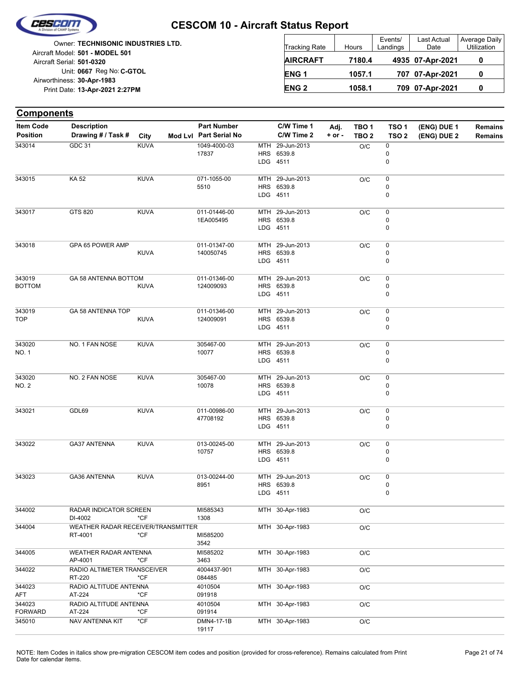

|                            | <b>Owner: TECHNISONIC INDUSTRIES LTD.</b> |
|----------------------------|-------------------------------------------|
|                            | Aircraft Model: 501 - MODEL 501           |
| Aircraft Serial: 501-0320  |                                           |
|                            | Unit: 0667 Reg No: C-GTOL                 |
| Airworthiness: 30-Apr-1983 |                                           |
|                            | Print Date: 13-Apr-2021 2:27PM            |
|                            |                                           |

| <b>Tracking Rate</b> | Hours  | Events/<br>Landings | Last Actual<br>Date | Average Daily<br>Utilization |
|----------------------|--------|---------------------|---------------------|------------------------------|
| <b>AIRCRAFT</b>      | 7180.4 |                     | 4935 07-Apr-2021    |                              |
| ENG <sub>1</sub>     | 1057.1 |                     | 707 07-Apr-2021     |                              |
| <b>ENG 2</b>         | 1058.1 |                     | 709 07-Apr-2021     |                              |

| <b>Components</b>                   |                                               |             |                                              |     |                                           |                    |                                      |                                      |                            |                                  |
|-------------------------------------|-----------------------------------------------|-------------|----------------------------------------------|-----|-------------------------------------------|--------------------|--------------------------------------|--------------------------------------|----------------------------|----------------------------------|
| <b>Item Code</b><br><b>Position</b> | <b>Description</b><br>Drawing # / Task #      | City        | <b>Part Number</b><br>Mod Lvl Part Serial No |     | C/W Time 1<br>C/W Time 2                  | Adj.<br>$+$ or $-$ | TBO <sub>1</sub><br>TBO <sub>2</sub> | TSO <sub>1</sub><br>TSO <sub>2</sub> | (ENG) DUE 1<br>(ENG) DUE 2 | <b>Remains</b><br><b>Remains</b> |
| 343014                              | GDC 31                                        | <b>KUVA</b> | 1049-4000-03<br>17837                        | MTH | 29-Jun-2013<br>HRS 6539.8<br>LDG 4511     |                    | O/C                                  | 0<br>0<br>0                          |                            |                                  |
| 343015                              | KA 52                                         | <b>KUVA</b> | 071-1055-00<br>5510                          |     | MTH 29-Jun-2013<br>HRS 6539.8<br>LDG 4511 |                    | O/C                                  | 0<br>0<br>0                          |                            |                                  |
| 343017                              | GTS 820                                       | <b>KUVA</b> | 011-01446-00<br>1EA005495                    |     | MTH 29-Jun-2013<br>HRS 6539.8<br>LDG 4511 |                    | O/C                                  | 0<br>0<br>0                          |                            |                                  |
| 343018                              | GPA 65 POWER AMP                              | <b>KUVA</b> | 011-01347-00<br>140050745                    |     | MTH 29-Jun-2013<br>HRS 6539.8<br>LDG 4511 |                    | O/C                                  | 0<br>0<br>0                          |                            |                                  |
| 343019<br><b>BOTTOM</b>             | GA 58 ANTENNA BOTTOM                          | <b>KUVA</b> | 011-01346-00<br>124009093                    |     | MTH 29-Jun-2013<br>HRS 6539.8<br>LDG 4511 |                    | O/C                                  | 0<br>0<br>0                          |                            |                                  |
| 343019<br><b>TOP</b>                | GA 58 ANTENNA TOP                             | <b>KUVA</b> | 011-01346-00<br>124009091                    |     | MTH 29-Jun-2013<br>HRS 6539.8<br>LDG 4511 |                    | O/C                                  | 0<br>0<br>0                          |                            |                                  |
| 343020<br>NO. 1                     | NO. 1 FAN NOSE                                | <b>KUVA</b> | 305467-00<br>10077                           |     | MTH 29-Jun-2013<br>HRS 6539.8<br>LDG 4511 |                    | O/C                                  | 0<br>0<br>0                          |                            |                                  |
| 343020<br>NO. 2                     | NO. 2 FAN NOSE                                | <b>KUVA</b> | 305467-00<br>10078                           |     | MTH 29-Jun-2013<br>HRS 6539.8<br>LDG 4511 |                    | O/C                                  | 0<br>0<br>0                          |                            |                                  |
| 343021                              | GDL69                                         | <b>KUVA</b> | 011-00986-00<br>47708192                     |     | MTH 29-Jun-2013<br>HRS 6539.8<br>LDG 4511 |                    | O/C                                  | 0<br>0<br>0                          |                            |                                  |
| 343022                              | <b>GA37 ANTENNA</b>                           | <b>KUVA</b> | 013-00245-00<br>10757                        |     | MTH 29-Jun-2013<br>HRS 6539.8<br>LDG 4511 |                    | O/C                                  | 0<br>0<br>0                          |                            |                                  |
| 343023                              | <b>GA36 ANTENNA</b>                           | <b>KUVA</b> | 013-00244-00<br>8951                         |     | MTH 29-Jun-2013<br>HRS 6539.8<br>LDG 4511 |                    | O/C                                  | 0<br>0<br>0                          |                            |                                  |
| 344002                              | RADAR INDICATOR SCREEN<br>DI-4002             | *CF         | MI585343<br>1308                             |     | MTH 30-Apr-1983                           |                    | O/C                                  |                                      |                            |                                  |
| 344004                              | WEATHER RADAR RECEIVER/TRANSMITTER<br>RT-4001 | *CF         | MI585200<br>3542                             |     | MTH 30-Apr-1983                           |                    | $O/C$                                |                                      |                            |                                  |
| 344005                              | WEATHER RADAR ANTENNA<br>AP-4001              | *CF         | MI585202<br>3463                             |     | MTH 30-Apr-1983                           |                    | $\rm O/C$                            |                                      |                            |                                  |
| 344022                              | RADIO ALTIMETER TRANSCEIVER<br>RT-220         | *CF         | 4004437-901<br>084485                        |     | MTH 30-Apr-1983                           |                    | O/C                                  |                                      |                            |                                  |
| 344023<br>AFT                       | RADIO ALTITUDE ANTENNA<br>AT-224              | *CF         | 4010504<br>091918                            |     | MTH 30-Apr-1983                           |                    | O/C                                  |                                      |                            |                                  |
| 344023<br><b>FORWARD</b>            | RADIO ALTITUDE ANTENNA<br>AT-224              | *CF         | 4010504<br>091914                            |     | MTH 30-Apr-1983                           |                    | $\rm O/C$                            |                                      |                            |                                  |
| 345010                              | NAV ANTENNA KIT                               | *CF         | DMN4-17-1B<br>19117                          |     | MTH 30-Apr-1983                           |                    | O/C                                  |                                      |                            |                                  |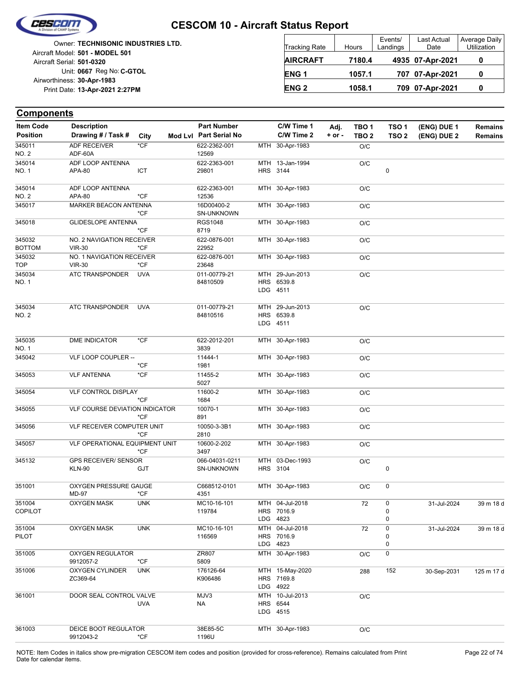

|                            | Owner: TECHNISONIC INDUSTRIES LTD. |
|----------------------------|------------------------------------|
|                            | Aircraft Model: 501 - MODEL 501    |
| Aircraft Serial: 501-0320  |                                    |
|                            | Unit: 0667 Reg No: C-GTOL          |
| Airworthiness: 30-Apr-1983 |                                    |
|                            | Print Date: 13-Apr-2021 2:27PM     |
|                            |                                    |

| <b>Tracking Rate</b> | Hours  | Events/<br>Landings | Last Actual<br>Date | Average Daily<br>Utilization |
|----------------------|--------|---------------------|---------------------|------------------------------|
| <b>AIRCRAFT</b>      | 7180.4 |                     | 4935 07-Apr-2021    |                              |
| ENG <sub>1</sub>     | 1057.1 |                     | 707 07-Apr-2021     | O                            |
| <b>ENG 2</b>         | 1058.1 |                     | 709 07-Apr-2021     | 0                            |

| Item Code               | <b>Description</b>                           |               | <b>Part Number</b>              | C/W Time 1                  | Adj.       | TBO <sub>1</sub> | TSO <sub>1</sub> | (ENG) DUE 1 | <b>Remains</b> |
|-------------------------|----------------------------------------------|---------------|---------------------------------|-----------------------------|------------|------------------|------------------|-------------|----------------|
| <b>Position</b>         | Drawing # / Task #                           | City          | Mod Lvl Part Serial No          | C/W Time 2                  | $+$ or $-$ | TBO <sub>2</sub> | TSO <sub>2</sub> | (ENG) DUE 2 | <b>Remains</b> |
| 345011                  | <b>ADF RECEIVER</b>                          | *CF           | 622-2362-001                    | MTH 30-Apr-1983             |            | O/C              |                  |             |                |
| <b>NO. 2</b>            | ADF-60A                                      |               | 12569                           |                             |            |                  |                  |             |                |
| 345014                  | ADF LOOP ANTENNA                             |               | 622-2363-001                    | MTH 13-Jan-1994             |            | O/C              |                  |             |                |
| NO. 1                   | APA-80                                       | ICT           | 29801                           | HRS 3144                    |            |                  | $\pmb{0}$        |             |                |
| 345014                  | ADF LOOP ANTENNA                             |               | 622-2363-001                    | MTH 30-Apr-1983             |            | O/C              |                  |             |                |
| <b>NO. 2</b>            | APA-80                                       | *CF           | 12536                           |                             |            |                  |                  |             |                |
| 345017                  | MARKER BEACON ANTENNA                        | *CF           | 16D00400-2<br><b>SN-UNKNOWN</b> | MTH 30-Apr-1983             |            | O/C              |                  |             |                |
| 345018                  | <b>GLIDESLOPE ANTENNA</b>                    | *CF           | <b>RGS1048</b><br>8719          | MTH 30-Apr-1983             |            | O/C              |                  |             |                |
| 345032<br><b>BOTTOM</b> | NO. 2 NAVIGATION RECEIVER<br><b>VIR-30</b>   | *CF           | 622-0876-001<br>22952           | MTH 30-Apr-1983             |            | O/C              |                  |             |                |
| 345032<br><b>TOP</b>    | NO. 1 NAVIGATION RECEIVER<br><b>VIR-30</b>   | *CF           | 622-0876-001<br>23648           | MTH 30-Apr-1983             |            | O/C              |                  |             |                |
| 345034                  | ATC TRANSPONDER                              | <b>UVA</b>    | 011-00779-21                    | MTH 29-Jun-2013             |            | O/C              |                  |             |                |
| NO. 1                   |                                              |               | 84810509                        | HRS 6539.8                  |            |                  |                  |             |                |
|                         |                                              |               |                                 | LDG 4511                    |            |                  |                  |             |                |
| 345034                  | ATC TRANSPONDER                              | <b>UVA</b>    | 011-00779-21                    | MTH 29-Jun-2013             |            | O/C              |                  |             |                |
| NO. 2                   |                                              |               | 84810516                        | HRS 6539.8                  |            |                  |                  |             |                |
|                         |                                              |               |                                 | LDG 4511                    |            |                  |                  |             |                |
| 345035<br><b>NO. 1</b>  | DME INDICATOR                                | *CF           | 622-2012-201<br>3839            | MTH 30-Apr-1983             |            | O/C              |                  |             |                |
| 345042                  | VLF LOOP COUPLER --                          | *CF           | 11444-1<br>1981                 | MTH 30-Apr-1983             |            | O/C              |                  |             |                |
| 345053                  | <b>VLF ANTENNA</b>                           | *CF           | 11455-2                         | MTH 30-Apr-1983             |            | O/C              |                  |             |                |
|                         |                                              |               | 5027                            |                             |            |                  |                  |             |                |
| 345054                  | VLF CONTROL DISPLAY                          | *CF           | 11600-2<br>1684                 | MTH 30-Apr-1983             |            | O/C              |                  |             |                |
| 345055                  | VLF COURSE DEVIATION INDICATOR               | *CF           | 10070-1<br>891                  | MTH 30-Apr-1983             |            | O/C              |                  |             |                |
| 345056                  | VLF RECEIVER COMPUTER UNIT                   | *CF           | 10050-3-3B1<br>2810             | MTH 30-Apr-1983             |            | O/C              |                  |             |                |
| 345057                  | VLF OPERATIONAL EQUIPMENT UNIT               |               | 10600-2-202                     | MTH 30-Apr-1983             |            | O/C              |                  |             |                |
|                         |                                              | *CF           | 3497                            |                             |            |                  |                  |             |                |
| 345132                  | <b>GPS RECEIVER/ SENSOR</b><br><b>KLN-90</b> | GJT           | 066-04031-0211<br>SN-UNKNOWN    | MTH 03-Dec-1993<br>HRS 3104 |            | O/C              | 0                |             |                |
| 351001                  | OXYGEN PRESSURE GAUGE                        |               | C668512-0101                    | MTH 30-Apr-1983             |            | O/C              | 0                |             |                |
|                         | MD-97                                        | *CF           | 4351                            |                             |            |                  |                  |             |                |
| 351004                  | OXYGEN MASK                                  | <b>UNK</b>    | MC10-16-101                     | MTH 04-Jul-2018             |            | 72               | 0                | 31-Jul-2024 | 39 m 18 d      |
| COPILOT                 |                                              |               | 119784                          | HRS 7016.9                  |            |                  | 0                |             |                |
|                         |                                              |               |                                 | LDG 4823                    |            |                  | 0                |             |                |
| 351004                  | <b>OXYGEN MASK</b>                           | <b>UNK</b>    | MC10-16-101                     | MTH 04-Jul-2018             |            | 72               | 0                | 31-Jul-2024 | 39 m 18 d      |
| PILOT                   |                                              |               | 116569                          | HRS 7016.9                  |            |                  | 0                |             |                |
|                         |                                              |               |                                 | LDG 4823                    |            |                  | 0                |             |                |
| 351005                  | <b>OXYGEN REGULATOR</b><br>9912057-2         | *CF           | ZR807<br>5809                   | MTH 30-Apr-1983             |            | O/C              | 0                |             |                |
| 351006                  | OXYGEN CYLINDER                              | <b>UNK</b>    | 176126-64                       | MTH 15-May-2020             |            | 288              | 152              | 30-Sep-2031 | 125 m 17 d     |
|                         | ZC369-64                                     |               | K906486                         | HRS 7169.8<br>LDG 4922      |            |                  |                  |             |                |
| 361001                  | DOOR SEAL CONTROL VALVE                      |               | MJV3                            | MTH 10-Jul-2013             |            | O/C              |                  |             |                |
|                         |                                              | UVA           | NA                              | HRS 6544<br>LDG 4515        |            |                  |                  |             |                |
| 361003                  | DEICE BOOT REGULATOR                         |               | 38E85-5C                        | MTH 30-Apr-1983             |            | O/C              |                  |             |                |
|                         | 9912043-2                                    | $^{\star}$ CF | 1196U                           |                             |            |                  |                  |             |                |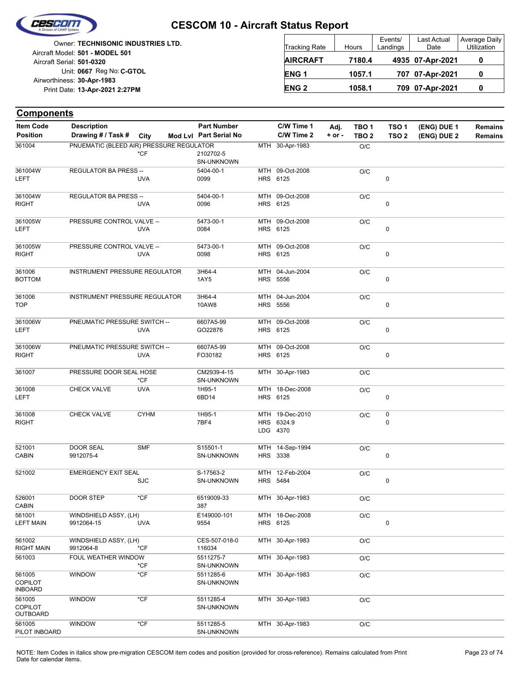

Unit: 0667 Reg No: C-GTOL **13-Apr-2021 2:27PM** Print Date: **30-Apr-1983** Airworthiness: Owner: **TECHNISONIC INDUSTRIES LTD.** Aircraft Serial: **501-0320** Aircraft Model: **501 - MODEL 501**

| <b>Tracking Rate</b> | Hours  | Events/<br>Landings | Last Actual<br>Date | Average Daily<br>Utilization |
|----------------------|--------|---------------------|---------------------|------------------------------|
| <b>AIRCRAFT</b>      | 7180.4 |                     | 4935 07-Apr-2021    |                              |
| ENG <sub>1</sub>     | 1057.1 |                     | 707 07-Apr-2021     |                              |
| <b>ENG 2</b>         | 1058.1 |                     | 709 07-Apr-2021     |                              |

| <b>Components</b>                          |                                          |             |                                              |     |                                           |                    |                                      |                                      |                            |                           |
|--------------------------------------------|------------------------------------------|-------------|----------------------------------------------|-----|-------------------------------------------|--------------------|--------------------------------------|--------------------------------------|----------------------------|---------------------------|
| Item Code<br><b>Position</b>               | <b>Description</b><br>Drawing # / Task # | City        | <b>Part Number</b><br>Mod Lvl Part Serial No |     | C/W Time 1<br>C/W Time 2                  | Adj.<br>$+$ or $-$ | TBO <sub>1</sub><br>TBO <sub>2</sub> | TSO <sub>1</sub><br>TSO <sub>2</sub> | (ENG) DUE 1<br>(ENG) DUE 2 | <b>Remains</b><br>Remains |
| 361004                                     | PNUEMATIC (BLEED AIR) PRESSURE REGULATOR | *CF         | 2102702-5<br><b>SN-UNKNOWN</b>               |     | MTH 30-Apr-1983                           |                    | O/C                                  |                                      |                            |                           |
| 361004W<br>LEFT                            | <b>REGULATOR BA PRESS --</b>             | <b>UVA</b>  | 5404-00-1<br>0099                            |     | MTH 09-Oct-2008<br>HRS 6125               |                    | O/C                                  | $\pmb{0}$                            |                            |                           |
| 361004W<br>RIGHT                           | <b>REGULATOR BA PRESS --</b>             | <b>UVA</b>  | 5404-00-1<br>0096                            |     | MTH 09-Oct-2008<br>HRS 6125               |                    | O/C                                  | $\pmb{0}$                            |                            |                           |
| 361005W<br>LEFT                            | PRESSURE CONTROL VALVE --                | <b>UVA</b>  | 5473-00-1<br>0084                            | MTH | 09-Oct-2008<br>HRS 6125                   |                    | O/C                                  | 0                                    |                            |                           |
| 361005W<br>RIGHT                           | PRESSURE CONTROL VALVE --                | <b>UVA</b>  | 5473-00-1<br>0098                            |     | MTH 09-Oct-2008<br>HRS 6125               |                    | O/C                                  | 0                                    |                            |                           |
| 361006<br><b>BOTTOM</b>                    | <b>INSTRUMENT PRESSURE REGULATOR</b>     |             | 3H64-4<br>1AY5                               | MTH | 04-Jun-2004<br>HRS 5556                   |                    | O/C                                  | 0                                    |                            |                           |
| 361006<br><b>TOP</b>                       | <b>INSTRUMENT PRESSURE REGULATOR</b>     |             | 3H64-4<br>10AW8                              |     | MTH 04-Jun-2004<br>HRS 5556               |                    | O/C                                  | 0                                    |                            |                           |
| 361006W<br>LEFT                            | PNEUMATIC PRESSURE SWITCH --             | <b>UVA</b>  | 6607A5-99<br>GO22876                         |     | MTH 09-Oct-2008<br>HRS 6125               |                    | O/C                                  | $\pmb{0}$                            |                            |                           |
| 361006W<br>RIGHT                           | PNEUMATIC PRESSURE SWITCH --             | <b>UVA</b>  | 6607A5-99<br>FO30182                         |     | MTH 09-Oct-2008<br>HRS 6125               |                    | O/C                                  | 0                                    |                            |                           |
| 361007                                     | PRESSURE DOOR SEAL HOSE                  | $*$ CF      | CM2939-4-15<br><b>SN-UNKNOWN</b>             |     | MTH 30-Apr-1983                           |                    | O/C                                  |                                      |                            |                           |
| 361008<br>LEFT                             | <b>CHECK VALVE</b>                       | <b>UVA</b>  | 1H95-1<br>6BD14                              |     | MTH 18-Dec-2008<br>HRS 6125               |                    | O/C                                  | 0                                    |                            |                           |
| 361008<br>RIGHT                            | <b>CHECK VALVE</b>                       | <b>CYHM</b> | 1H95-1<br>7BF4                               |     | MTH 19-Dec-2010<br>HRS 6324.9<br>LDG 4370 |                    | O/C                                  | $\pmb{0}$<br>0                       |                            |                           |
| 521001<br>CABIN                            | <b>DOOR SEAL</b><br>9912075-4            | <b>SMF</b>  | S15501-1<br><b>SN-UNKNOWN</b>                |     | MTH 14-Sep-1994<br>HRS 3338               |                    | O/C                                  | 0                                    |                            |                           |
| 521002                                     | <b>EMERGENCY EXIT SEAL</b>               | <b>SJC</b>  | S-17563-2<br>SN-UNKNOWN                      | MTH | 12-Feb-2004<br>HRS 5484                   |                    | O/C                                  | 0                                    |                            |                           |
| 526001<br><b>CABIN</b>                     | DOOR STEP                                | $*$ CF      | 6519009-33<br>387                            |     | MTH 30-Apr-1983                           |                    | O/C                                  |                                      |                            |                           |
| 561001<br><b>LEFT MAIN</b>                 | WINDSHIELD ASSY, (LH)<br>9912064-15      | <b>UVA</b>  | E149000-101<br>9554                          |     | MTH 18-Dec-2008<br>HRS 6125               |                    | $O/C$                                | $\pmb{0}$                            |                            |                           |
| 561002<br>RIGHT MAIN                       | WINDSHIELD ASSY, (LH)<br>9912064-8       | $*$ CF      | CES-507-018-0<br>116034                      |     | MTH 30-Apr-1983                           |                    | O/C                                  |                                      |                            |                           |
| 561003                                     | FOUL WEATHER WINDOW                      | *CF         | 5511275-7<br>SN-UNKNOWN                      |     | MTH 30-Apr-1983                           |                    | O/C                                  |                                      |                            |                           |
| 561005<br><b>COPILOT</b><br><b>INBOARD</b> | <b>WINDOW</b>                            | $*$ CF      | 5511285-6<br>SN-UNKNOWN                      |     | MTH 30-Apr-1983                           |                    | O/C                                  |                                      |                            |                           |
| 561005<br><b>COPILOT</b><br>OUTBOARD       | <b>WINDOW</b>                            | $*CF$       | 5511285-4<br>SN-UNKNOWN                      |     | MTH 30-Apr-1983                           |                    | O/C                                  |                                      |                            |                           |
| 561005<br>PILOT INBOARD                    | <b>WINDOW</b>                            | $*$ CF      | 5511285-5<br>SN-UNKNOWN                      |     | MTH 30-Apr-1983                           |                    | O/C                                  |                                      |                            |                           |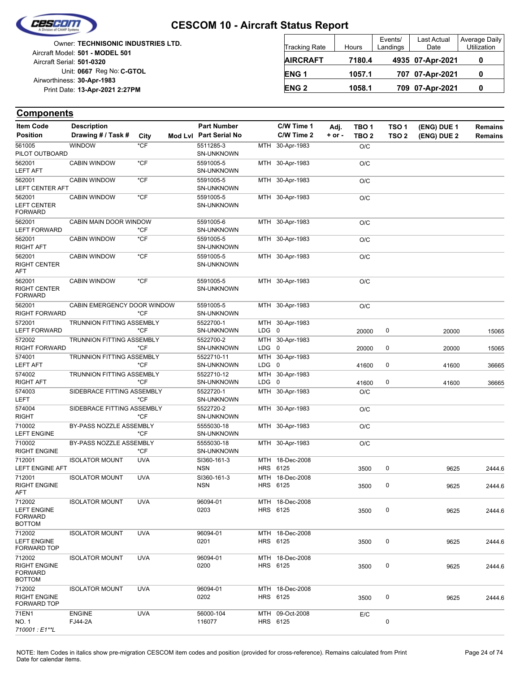

|                            | <b>Owner: TECHNISONIC INDUSTRIES LTD.</b> |
|----------------------------|-------------------------------------------|
|                            | Aircraft Model: 501 - MODEL 501           |
| Aircraft Serial: 501-0320  |                                           |
|                            | Unit: 0667 Reg No: C-GTOL                 |
| Airworthiness: 30-Apr-1983 |                                           |
|                            | Print Date: 13-Apr-2021 2:27PM            |
|                            |                                           |

| <b>Tracking Rate</b> | Hours  | Events/<br>Landings | Last Actual<br>Date | Average Daily<br>Utilization |
|----------------------|--------|---------------------|---------------------|------------------------------|
| <b>AIRCRAFT</b>      | 7180.4 |                     | 4935 07-Apr-2021    |                              |
| ENG <sub>1</sub>     | 1057.1 |                     | 707 07-Apr-2021     |                              |
| <b>ENG 2</b>         | 1058.1 |                     | 709 07-Apr-2021     |                              |

| <b>Item Code</b>                                                 | <b>Description</b>               |            | <b>Part Number</b>                                   |           | C/W Time 1                  | Adj.     | TBO 1            | TSO 1            | (ENG) DUE 1 | <b>Remains</b> |
|------------------------------------------------------------------|----------------------------------|------------|------------------------------------------------------|-----------|-----------------------------|----------|------------------|------------------|-------------|----------------|
| <b>Position</b>                                                  | Drawing # / Task #               | City       | Mod Lvl Part Serial No                               |           | C/W Time 2                  | $+ or -$ | TBO <sub>2</sub> | TSO <sub>2</sub> | (ENG) DUE 2 | <b>Remains</b> |
| 561005                                                           | <b>WINDOW</b>                    | $*$ CF     | 5511285-3                                            |           | MTH 30-Apr-1983             |          | O/C              |                  |             |                |
| PILOT OUTBOARD                                                   |                                  |            | <b>SN-UNKNOWN</b>                                    |           |                             |          |                  |                  |             |                |
| 562001<br><b>LEFT AFT</b>                                        | <b>CABIN WINDOW</b>              | *CF        | 5591005-5<br><b>SN-UNKNOWN</b>                       |           | MTH 30-Apr-1983             |          | O/C              |                  |             |                |
| 562001<br>LEFT CENTER AFT                                        | <b>CABIN WINDOW</b>              | $*$ CF     | 5591005-5<br><b>SN-UNKNOWN</b>                       |           | MTH 30-Apr-1983             |          | O/C              |                  |             |                |
| 562001<br><b>LEFT CENTER</b><br><b>FORWARD</b>                   | <b>CABIN WINDOW</b>              | $*$ CF     | 5591005-5<br><b>SN-UNKNOWN</b>                       |           | MTH 30-Apr-1983             |          | O/C              |                  |             |                |
| 562001<br><b>LEFT FORWARD</b>                                    | CABIN MAIN DOOR WINDOW           | *CF        | 5591005-6<br>SN-UNKNOWN                              |           | MTH 30-Apr-1983             |          | O/C              |                  |             |                |
| 562001<br>RIGHT AFT                                              | <b>CABIN WINDOW</b>              | *CF        | 5591005-5<br><b>SN-UNKNOWN</b>                       |           | MTH 30-Apr-1983             |          | O/C              |                  |             |                |
| 562001<br>RIGHT CENTER<br>AFT                                    | <b>CABIN WINDOW</b>              | $*CF$      | 5591005-5<br><b>SN-UNKNOWN</b>                       |           | MTH 30-Apr-1983             |          | O/C              |                  |             |                |
| 562001<br>RIGHT CENTER<br><b>FORWARD</b>                         | <b>CABIN WINDOW</b>              | $*CF$      | 5591005-5<br>SN-UNKNOWN                              |           | MTH 30-Apr-1983             |          | O/C              |                  |             |                |
| 562001<br>RIGHT FORWARD                                          | CABIN EMERGENCY DOOR WINDOW      | *CF        | 5591005-5<br><b>SN-UNKNOWN</b>                       |           | MTH 30-Apr-1983             |          | O/C              |                  |             |                |
| 572001<br><b>LEFT FORWARD</b>                                    | <b>TRUNNION FITTING ASSEMBLY</b> | *CF        | 5522700-1<br><b>SN-UNKNOWN</b>                       | $LDG \t0$ | MTH 30-Apr-1983             |          | 20000            | 0                | 20000       | 15065          |
| 572002<br><b>RIGHT FORWARD</b>                                   | TRUNNION FITTING ASSEMBLY        | *CF        | 5522700-2<br><b>SN-UNKNOWN</b>                       | LDG 0     | MTH 30-Apr-1983             |          | 20000            | 0                | 20000       | 15065          |
| 574001<br><b>LEFT AFT</b>                                        | <b>TRUNNION FITTING ASSEMBLY</b> | *CF        | 5522710-11<br><b>SN-UNKNOWN</b>                      | LDG 0     | MTH 30-Apr-1983             |          | 41600            | 0                | 41600       | 36665          |
| 574002                                                           | TRUNNION FITTING ASSEMBLY        | *CF        | 5522710-12                                           |           | MTH 30-Apr-1983             |          |                  |                  |             |                |
| <b>RIGHT AFT</b><br>574003                                       | SIDEBRACE FITTING ASSEMBLY       |            | <b>SN-UNKNOWN</b><br>5522720-1                       | $LDG \t0$ | MTH 30-Apr-1983             |          | 41600<br>O/C     | 0                | 41600       | 36665          |
| LEFT<br>574004                                                   | SIDEBRACE FITTING ASSEMBLY       | *CF        | <b>SN-UNKNOWN</b><br>5522720-2                       |           | MTH 30-Apr-1983             |          | O/C              |                  |             |                |
| <b>RIGHT</b><br>710002                                           | BY-PASS NOZZLE ASSEMBLY          | *CF        | <b>SN-UNKNOWN</b><br>5555030-18                      |           | MTH 30-Apr-1983             |          | O/C              |                  |             |                |
| <b>LEFT ENGINE</b><br>710002                                     | BY-PASS NOZZLE ASSEMBLY          | *CF<br>*CF | <b>SN-UNKNOWN</b><br>5555030-18<br><b>SN-UNKNOWN</b> |           | MTH 30-Apr-1983             |          | O/C              |                  |             |                |
| RIGHT ENGINE<br>712001                                           | <b>ISOLATOR MOUNT</b>            | <b>UVA</b> | SI360-161-3                                          |           | MTH 18-Dec-2008             |          |                  |                  |             |                |
| LEFT ENGINE AFT                                                  |                                  |            | <b>NSN</b>                                           |           | HRS 6125                    |          | 3500             | 0                | 9625        | 2444.6         |
| 712001<br><b>RIGHT ENGINE</b><br>AFT                             | <b>ISOLATOR MOUNT</b>            | <b>UVA</b> | SI360-161-3<br><b>NSN</b>                            |           | MTH 18-Dec-2008<br>HRS 6125 |          | 3500             | 0                | 9625        | 2444.6         |
| 712002<br><b>LEFT ENGINE</b><br><b>FORWARD</b><br><b>BOTTOM</b>  | <b>ISOLATOR MOUNT</b>            | <b>UVA</b> | 96094-01<br>0203                                     |           | MTH 18-Dec-2008<br>HRS 6125 |          | 3500             | 0                | 9625        | 2444.6         |
| 712002<br><b>LEFT ENGINE</b><br>FORWARD TOP                      | <b>ISOLATOR MOUNT</b>            | <b>UVA</b> | 96094-01<br>0201                                     |           | MTH 18-Dec-2008<br>HRS 6125 |          | 3500             | 0                | 9625        | 2444.6         |
| 712002<br><b>RIGHT ENGINE</b><br><b>FORWARD</b><br><b>BOTTOM</b> | <b>ISOLATOR MOUNT</b>            | <b>UVA</b> | 96094-01<br>0200                                     |           | MTH 18-Dec-2008<br>HRS 6125 |          | 3500             | 0                | 9625        | 2444.6         |
| 712002<br><b>RIGHT ENGINE</b><br>FORWARD TOP                     | <b>ISOLATOR MOUNT</b>            | <b>UVA</b> | 96094-01<br>0202                                     |           | MTH 18-Dec-2008<br>HRS 6125 |          | 3500             | 0                | 9625        | 2444.6         |
| 71EN1<br>NO. 1<br>710001:E1**L                                   | <b>ENGINE</b><br>FJ44-2A         | <b>UVA</b> | 56000-104<br>116077                                  |           | MTH 09-Oct-2008<br>HRS 6125 |          | E/C              | 0                |             |                |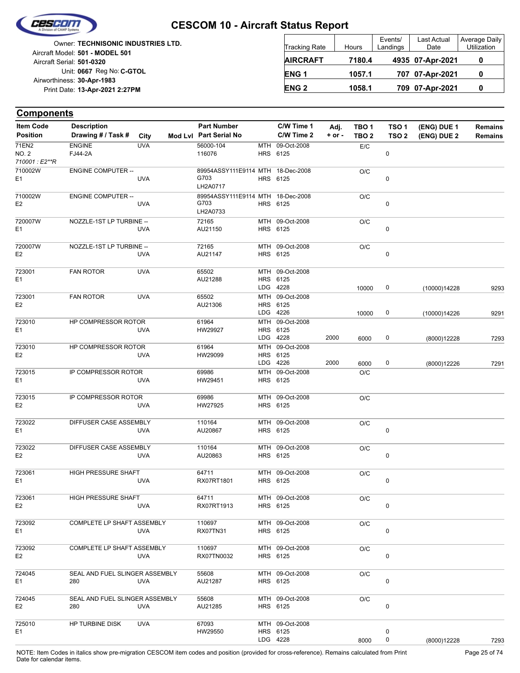

Unit: 0667 Reg No: C-GTOL **13-Apr-2021 2:27PM** Print Date: **30-Apr-1983** Airworthiness: Owner: **TECHNISONIC INDUSTRIES LTD.** Aircraft Serial: **501-0320** Aircraft Model: **501 - MODEL 501**

| <b>Tracking Rate</b> | Hours  | Events/<br>Landings | Last Actual<br>Date | Average Daily<br>Utilization |
|----------------------|--------|---------------------|---------------------|------------------------------|
| <b>AIRCRAFT</b>      | 7180.4 |                     | 4935 07-Apr-2021    |                              |
| ENG <sub>1</sub>     | 1057.1 |                     | 707 07-Apr-2021     |                              |
| <b>ENG 2</b>         | 1058.1 |                     | 709 07-Apr-2021     |                              |

#### **(ENG) DUE 2 (ENG) DUE 1 Components** City **Mod Lvl Part Serial No Part Number C/W Time 1 C/W Time 2 + or - Adj. TBO 1 TBO 2 TSO 2 TSO 1 Remains** Description Part Number C/W Time 1 Adj. TBO 1 TSO 1 (ENG) DUE 1 Remains **Position Drawing # / Task # Item Code** HRS 6125 MTH 09-Oct-2008 0 E/C 116076 56000-104 *710001 : E2\*\*R* NO. 2 71EN2 FJ44-2A ENGINE UVA **HRS** 89954ASSY111E9114 MTH 6125 18-Dec-2008  $\Omega$ O/C LH2A0717 E1 G703 710002W UVA ENGINE COMPUTER -- HRS 89954ASSY111E9114 MTH 6125 18-Dec-2008 0 O/C LH2A0733 E2 G703 710002W UVA ENGINE COMPUTER -- HRS MTH 09-Oct-2008 6125  $\Omega$ O/C AU21150 72165 E1 720007W UVA NOZZLE-1ST LP TURBINE -- HRS 6125 MTH 09-Oct-2008  $\Omega$ O/C AU21147 72165 E2 720007W UVA NOZZLE-1ST LP TURBINE -- LDG HRS 6125 MTH 09-Oct-2008 4228 10000 0 AU21288 65502 (10000)14228 9293 E1 723001 FAN ROTOR UVA LDG HRS MTH 4226 6125 09-Oct-2008 10000 0 AU21306 65502 (10000)14226 9291 E2 723001 FAN ROTOR UVA LDG **HRS** MTH 4228 6125 09-Oct-2008 6000 0 HW29927 61964 (8000)12228 7293 E1 723010 UVA 2000 HP COMPRESSOR ROTOR LDG HRS MTH 4226 6125 09-Oct-2008 6000 0 HW29099 61964 (8000)12226 7291 E2 723010 UVA 2000 HP COMPRESSOR ROTOR HRS 6125 MTH 09-Oct-2008 O/C HW29451 69986  $F<sub>1</sub>$ 723015 UVA IP COMPRESSOR ROTOR HRS 6125 MTH 09-Oct-2008 O/C HW27925 69986 E2 723015 UVA IP COMPRESSOR ROTOR HRS 6125 MTH 09-Oct-2008 0  $O/C$ AU20867 110164 E1 723022 UVA DIFFUSER CASE ASSEMBLY HRS 6125 MTH 09-Oct-2008  $\overline{0}$ O/C AU20863 110164 E2 723022 UVA DIFFUSER CASE ASSEMBLY HRS MTH 6125 09-Oct-2008  $\Omega$ O/C RX07RT1801 64711 E1 723061 UVA HIGH PRESSURE SHAFT HRS 6125 MTH 09-Oct-2008  $\Omega$ O/C RX07RT1913 64711 E2 723061 UVA HIGH PRESSURE SHAFT HRS 6125 MTH 09-Oct-2008  $\Omega$  $\overline{OC}$ RX07TN31 110697 E1 723092 UVA COMPLETE LP SHAFT ASSEMBLY HRS MTH 09-Oct-2008 6125 0 O/C RX07TN0032 110697 E2 723092 UVA COMPLETE LP SHAFT ASSEMBLY HRS 6125 MTH 09-Oct-2008 0  $O/C$ AU21287 55608 E1 724045 280 UVA SEAL AND FUEL SLINGER ASSEMBLY

HRS MTH 6125 09-Oct-2008 0 O/C AU21285 55608 E2 724045 280 UVA SEAL AND FUEL SLINGER ASSEMBLY LDG 4228 HRS 6125 MTH 09-Oct-2008  $\Omega$  $\Omega$ 8000 HW29550 67093 (8000)12228 7293 E1 725010 HP TURBINE DISK UVA

NOTE: Item Codes in italics show pre-migration CESCOM item codes and position (provided for cross-reference). Remains calculated from Print Page 25 of 74 Date for calendar items.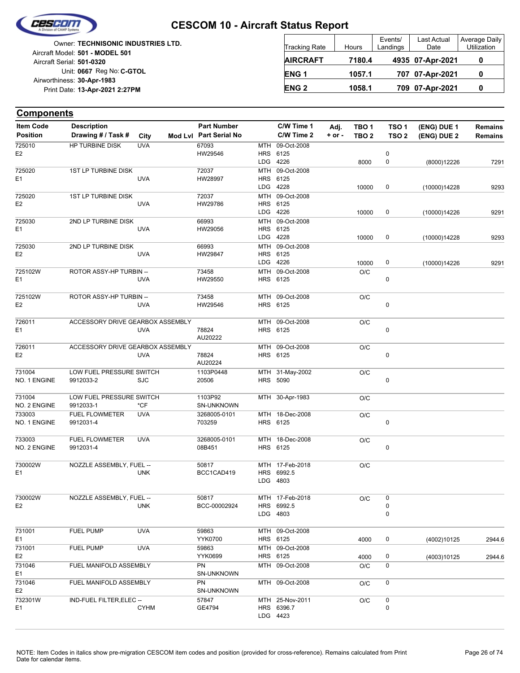

**Components**

#### **CESCOM 10 - Aircraft Status Report**

Unit: 0667 Reg No: C-GTOL **13-Apr-2021 2:27PM** Print Date: **30-Apr-1983** Airworthiness: Owner: **TECHNISONIC INDUSTRIES LTD.** Aircraft Serial: **501-0320** Aircraft Model: **501 - MODEL 501**

| <b>Tracking Rate</b> | Hours  | Events/<br>Landings | <b>Last Actual</b><br>Date | Average Daily<br>Utilization |
|----------------------|--------|---------------------|----------------------------|------------------------------|
| <b>AIRCRAFT</b>      | 7180.4 |                     | 4935 07-Apr-2021           |                              |
| <b>ENG1</b>          | 1057.1 |                     | 707 07-Apr-2021            |                              |
| <b>ENG 2</b>         | 1058.1 |                     | 709 07-Apr-2021            |                              |

#### **(ENG) DUE 2 (ENG) DUE 1** City **Mod Lvl Part Serial No Part Number C/W Time 1 C/W Time 2 + or - Adj. TBO 1 TBO 2 TSO 2 TSO 1** Description Part Number C/W Time 1 Adj. TBO 1 TSO 1 (ENG) DUE 1 Remains **Position Drawing # / Task # Item Code** LDG **HRS** MTH 4226 6125 09-Oct-2008 0  $\Omega$ 8000 HW29546 67093 E2 725010 HP TURBINE DISK UVA LDG **HRS** MTH 4228 6125 09-Oct-2008 10000 0 HW28997 72037  $F<sub>1</sub>$ 725020 UVA 1ST LP TURBINE DISK LDG HRS MTH 4226 6125 09-Oct-2008 10000 0 HW29786 72037 E2 725020 UVA 1ST LP TURBINE DISK LDG HRS MTH 4228 6125 09-Oct-2008 10000 0 HW29056 66993 E1 725030 UVA 2ND LP TURBINE DISK LDG HRS 6125 MTH 4226 09-Oct-2008 10000 0 HW29847 66993 E2 725030 UVA 2ND LP TURBINE DISK HRS 6125 MTH 09-Oct-2008  $\Omega$ O/C HW29550 73458 E1 725102W UVA ROTOR ASSY-HP TURBIN -- HRS 6125 MTH 09-Oct-2008 0 O/C HW29546 73458 E2 725102W UVA ROTOR ASSY-HP TURBIN -- HRS 6125 MTH 09-Oct-2008 0 O/C AU20222 E1 78824 726011 UVA ACCESSORY DRIVE GEARBOX ASSEMBLY **HRS** MTH 09-Oct-2008 6125  $\overline{0}$ O/C AU20224 E2 78824 726011 UVA ACCESSORY DRIVE GEARBOX ASSEMBLY HRS 5090 MTH 31-May-2002  $\Omega$ O/C 20506 1103P0448 NO. 1 ENGINE 731004 9912033-2 SJC LOW FUEL PRESSURE SWITCH MTH 30-Apr-1983 O/C SN-UNKNOWN 1103P92 NO. 2 ENGINE 731004 9912033-1 \*CF LOW FUEL PRESSURE SWITCH HRS MTH 18-Dec-2008 6125 0 O/C 703259 3268005-0101 NO. 1 ENGINE 733003 9912031-4 FUEL FLOWMETER UVA HRS 6125 MTH 18-Dec-2008  $\Omega$  $\overline{O/C}$ 08B451 3268005-0101 NO. 2 ENGINE 733003 9912031-4 FUEL FLOWMETER UVA LDG **HRS** MTH 4803 6992.5 17-Feb-2018 O/C BCC1CAD419 50817 E1 730002W UNK NOZZLE ASSEMBLY, FUEL -- LDG HRS 6992.5 MTH 4803 17-Feb-2018 0  $\Omega$  $O/C$  0 BCC-00002924 50817 E2 730002W **LINK** NOZZLE ASSEMBLY, FUEL --

| 731001         | FUEL PUMP                | <b>UVA</b>  | 59863      | MTH        | 09-Oct-2008     |      |   |             |        |
|----------------|--------------------------|-------------|------------|------------|-----------------|------|---|-------------|--------|
| E <sub>1</sub> |                          |             | YYK0700    |            | HRS 6125        | 4000 | 0 | (4002)10125 | 2944.6 |
| 731001         | <b>FUEL PUMP</b>         | <b>UVA</b>  | 59863      | MTH        | 09-Oct-2008     |      |   |             |        |
| E <sub>2</sub> |                          |             | YYK0699    |            | HRS 6125        | 4000 | 0 | (4003)10125 | 2944.6 |
| 731046         | FUEL MANIFOLD ASSEMBLY   |             | <b>PN</b>  | мтн        | 09-Oct-2008     | O/C  | 0 |             |        |
| E <sub>1</sub> |                          |             | SN-UNKNOWN |            |                 |      |   |             |        |
| 731046         | FUEL MANIFOLD ASSEMBLY   |             | <b>PN</b>  | MTH        | 09-Oct-2008     | O/C  | 0 |             |        |
| E <sub>2</sub> |                          |             | SN-UNKNOWN |            |                 |      |   |             |        |
| 732301W        | IND-FUEL FILTER, ELEC -- |             | 57847      |            | MTH 25-Nov-2011 | O/C  | 0 |             |        |
| E <sub>1</sub> |                          | <b>CYHM</b> | GE4794     | <b>HRS</b> | 6396.7          |      | 0 |             |        |
|                |                          |             |            | LDG.       | 4423            |      |   |             |        |
|                |                          |             |            |            |                 |      |   |             |        |

**Remains**

(8000)12226 7291

(10000)14228 9293

(10000)14226 9291

(10000)14228 9293

(10000)14226 9291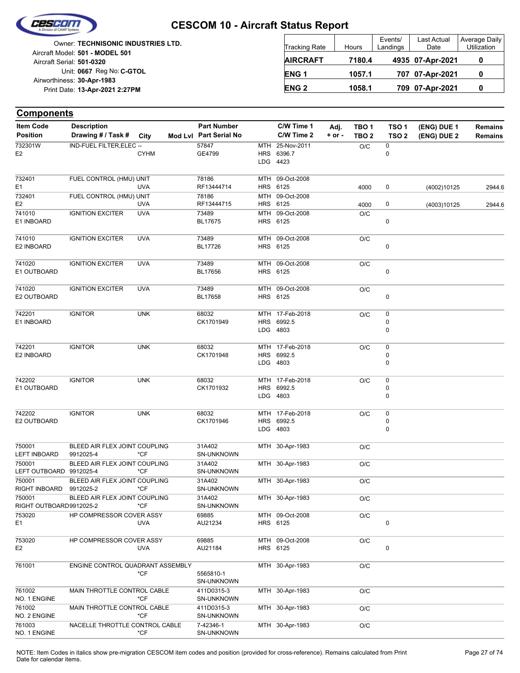

|                            | <b>Owner: TECHNISONIC INDUSTRIES LTD.</b> |
|----------------------------|-------------------------------------------|
|                            | Aircraft Model: 501 - MODEL 501           |
| Aircraft Serial: 501-0320  |                                           |
|                            | Unit: 0667 Reg No: C-GTOL                 |
| Airworthiness: 30-Apr-1983 |                                           |
|                            | Print Date: 13-Apr-2021 2:27PM            |
|                            |                                           |

| <b>Tracking Rate</b> | Hours  | Events/<br>Landings | Last Actual<br>Date | Average Daily<br>Utilization |
|----------------------|--------|---------------------|---------------------|------------------------------|
| <b>AIRCRAFT</b>      | 7180.4 |                     | 4935 07-Apr-2021    |                              |
| ENG <sub>1</sub>     | 1057.1 |                     | 707 07-Apr-2021     | 0                            |
| <b>ENG 2</b>         | 1058.1 |                     | 709 07-Apr-2021     |                              |

| <b>Item Code</b>        | <b>Description</b>                         |               | <b>Part Number</b>          |            | C/W Time 1                    | Adj.       | TBO 1            | TSO <sub>1</sub> | (ENG) DUE 1 | <b>Remains</b> |
|-------------------------|--------------------------------------------|---------------|-----------------------------|------------|-------------------------------|------------|------------------|------------------|-------------|----------------|
| <b>Position</b>         | Drawing # / Task # City                    |               | Mod Lvl Part Serial No      |            | C/W Time 2                    | $+$ or $-$ | TBO <sub>2</sub> | TSO <sub>2</sub> | (ENG) DUE 2 | <b>Remains</b> |
| 732301W                 | IND-FUEL FILTER, ELEC --                   |               | 57847                       | <b>MTH</b> | 25-Nov-2011                   |            | O/C              | 0                |             |                |
| E <sub>2</sub>          |                                            | <b>CYHM</b>   | GE4799                      |            | HRS 6396.7                    |            |                  | 0                |             |                |
|                         |                                            |               |                             |            | LDG 4423                      |            |                  |                  |             |                |
| 732401                  | FUEL CONTROL (HMU) UNIT                    |               | 78186                       |            | MTH 09-Oct-2008               |            |                  |                  |             |                |
| E1                      |                                            | <b>UVA</b>    | RF13444714                  |            | HRS 6125                      |            | 4000             | 0                | (4002)10125 | 2944.6         |
| 732401                  | FUEL CONTROL (HMU) UNIT                    |               | 78186                       |            | MTH 09-Oct-2008               |            |                  |                  |             |                |
| E <sub>2</sub>          |                                            | <b>UVA</b>    | RF13444715                  |            | HRS 6125                      |            | 4000             | 0                | (4003)10125 | 2944.6         |
| 741010                  | <b>IGNITION EXCITER</b>                    | <b>UVA</b>    | 73489                       |            | MTH 09-Oct-2008               |            | O/C              |                  |             |                |
| E1 INBOARD              |                                            |               | BL17675                     |            | HRS 6125                      |            |                  | 0                |             |                |
| 741010                  | <b>IGNITION EXCITER</b>                    | <b>UVA</b>    | 73489                       |            | MTH 09-Oct-2008               |            |                  |                  |             |                |
| E2 INBOARD              |                                            |               | <b>BL17726</b>              |            | HRS 6125                      |            | O/C              | 0                |             |                |
|                         |                                            |               |                             |            |                               |            |                  |                  |             |                |
| 741020                  | <b>IGNITION EXCITER</b>                    | <b>UVA</b>    | 73489                       |            | MTH 09-Oct-2008               |            | O/C              |                  |             |                |
| E1 OUTBOARD             |                                            |               | BL17656                     |            | HRS 6125                      |            |                  | 0                |             |                |
|                         |                                            |               |                             |            |                               |            |                  |                  |             |                |
| 741020                  | <b>IGNITION EXCITER</b>                    | <b>UVA</b>    | 73489                       |            | MTH 09-Oct-2008               |            | O/C              |                  |             |                |
| E2 OUTBOARD             |                                            |               | BL17658                     |            | HRS 6125                      |            |                  | 0                |             |                |
|                         |                                            |               |                             |            |                               |            |                  |                  |             |                |
| 742201<br>E1 INBOARD    | <b>IGNITOR</b>                             | <b>UNK</b>    | 68032<br>CK1701949          |            | MTH 17-Feb-2018<br>HRS 6992.5 |            | O/C              | 0<br>0           |             |                |
|                         |                                            |               |                             |            | LDG 4803                      |            |                  | 0                |             |                |
|                         |                                            |               |                             |            |                               |            |                  |                  |             |                |
| 742201                  | <b>IGNITOR</b>                             | <b>UNK</b>    | 68032                       |            | MTH 17-Feb-2018               |            | O/C              | 0                |             |                |
| E2 INBOARD              |                                            |               | CK1701948                   |            | HRS 6992.5                    |            |                  | 0                |             |                |
|                         |                                            |               |                             |            | LDG 4803                      |            |                  | 0                |             |                |
|                         |                                            |               |                             |            |                               |            |                  |                  |             |                |
| 742202                  | <b>IGNITOR</b>                             | <b>UNK</b>    | 68032                       |            | MTH 17-Feb-2018               |            | O/C              | 0                |             |                |
| E1 OUTBOARD             |                                            |               | CK1701932                   |            | HRS 6992.5                    |            |                  | 0                |             |                |
|                         |                                            |               |                             |            | LDG 4803                      |            |                  | 0                |             |                |
| 742202                  | <b>IGNITOR</b>                             | <b>UNK</b>    | 68032                       |            | MTH 17-Feb-2018               |            | O/C              | 0                |             |                |
| E2 OUTBOARD             |                                            |               | CK1701946                   |            | HRS 6992.5                    |            |                  | 0                |             |                |
|                         |                                            |               |                             |            | LDG 4803                      |            |                  | 0                |             |                |
|                         |                                            |               |                             |            |                               |            |                  |                  |             |                |
| 750001                  | BLEED AIR FLEX JOINT COUPLING              |               | 31A402                      |            | MTH 30-Apr-1983               |            | O/C              |                  |             |                |
| <b>LEFT INBOARD</b>     | 9912025-4                                  | *CF           | SN-UNKNOWN                  |            |                               |            |                  |                  |             |                |
| 750001                  | BLEED AIR FLEX JOINT COUPLING              |               | 31A402                      |            | MTH 30-Apr-1983               |            | O/C              |                  |             |                |
| LEFT OUTBOARD 9912025-4 |                                            | *CF           | SN-UNKNOWN                  |            |                               |            |                  |                  |             |                |
| 750001<br>RIGHT INBOARD | BLEED AIR FLEX JOINT COUPLING<br>9912025-2 | *CF           | 31A402<br><b>SN-UNKNOWN</b> |            | MTH 30-Apr-1983               |            | O/C              |                  |             |                |
| 750001                  | BLEED AIR FLEX JOINT COUPLING              |               | 31A402                      |            | MTH 30-Apr-1983               |            | O/C              |                  |             |                |
| RIGHT OUTBOARD9912025-2 |                                            | *CF           | SN-UNKNOWN                  |            |                               |            |                  |                  |             |                |
| 753020                  | HP COMPRESSOR COVER ASSY                   |               | 69885                       |            | MTH 09-Oct-2008               |            | O/C              |                  |             |                |
| E <sub>1</sub>          |                                            | <b>UVA</b>    | AU21234                     |            | HRS 6125                      |            |                  | 0                |             |                |
|                         |                                            |               |                             |            |                               |            |                  |                  |             |                |
| 753020                  | HP COMPRESSOR COVER ASSY                   |               | 69885                       |            | MTH 09-Oct-2008               |            | O/C              |                  |             |                |
| E <sub>2</sub>          |                                            | <b>UVA</b>    | AU21184                     |            | HRS 6125                      |            |                  | 0                |             |                |
|                         |                                            |               |                             |            |                               |            |                  |                  |             |                |
| 761001                  | ENGINE CONTROL QUADRANT ASSEMBLY           |               |                             |            | MTH 30-Apr-1983               |            | O/C              |                  |             |                |
|                         |                                            | $*$ CF        | 5565810-1<br>SN-UNKNOWN     |            |                               |            |                  |                  |             |                |
| 761002                  | MAIN THROTTLE CONTROL CABLE                |               |                             |            | MTH 30-Apr-1983               |            |                  |                  |             |                |
| NO. 1 ENGINE            |                                            | $*$ CF        | 411D0315-3<br>SN-UNKNOWN    |            |                               |            | O/C              |                  |             |                |
| 761002                  | MAIN THROTTLE CONTROL CABLE                |               | 411D0315-3                  |            | MTH 30-Apr-1983               |            | O/C              |                  |             |                |
| NO. 2 ENGINE            |                                            | $*$ CF        | SN-UNKNOWN                  |            |                               |            |                  |                  |             |                |
| 761003                  | NACELLE THROTTLE CONTROL CABLE             |               | 7-42346-1                   |            | MTH 30-Apr-1983               |            | O/C              |                  |             |                |
| NO. 1 ENGINE            |                                            | $^{\star}$ CF | SN-UNKNOWN                  |            |                               |            |                  |                  |             |                |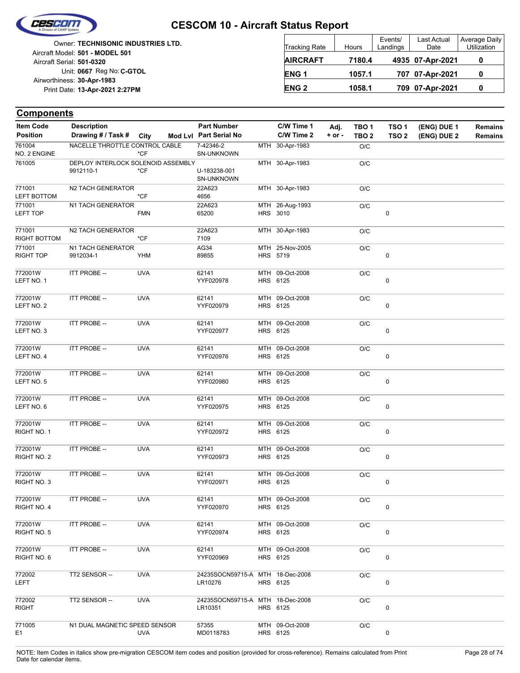

Unit: 0667 Reg No: C-GTOL **13-Apr-2021 2:27PM** Print Date: **30-Apr-1983** Airworthiness: Owner: **TECHNISONIC INDUSTRIES LTD.** Aircraft Serial: **501-0320** Aircraft Model: **501 - MODEL 501**

| <b>Tracking Rate</b> | Hours  | Events/<br>Landings | Last Actual<br>Date | Average Daily<br>Utilization |
|----------------------|--------|---------------------|---------------------|------------------------------|
| <b>AIRCRAFT</b>      | 7180.4 |                     | 4935 07-Apr-2021    |                              |
| ENG <sub>1</sub>     | 1057.1 |                     | 707 07-Apr-2021     |                              |
| <b>ENG 2</b>         | 1058.1 |                     | 709 07-Apr-2021     |                              |

| <b>Item Code</b>             | <b>Description</b>                 |            | <b>Part Number</b>                          | C/W Time 1                  | Adj.   | TBO <sub>1</sub> | TSO <sub>1</sub> | (ENG) DUE 1 | Remains        |
|------------------------------|------------------------------------|------------|---------------------------------------------|-----------------------------|--------|------------------|------------------|-------------|----------------|
| <b>Position</b>              | Drawing # / Task # City            |            | Mod Lvl Part Serial No                      | C/W Time 2                  | + or - | TBO <sub>2</sub> | TSO <sub>2</sub> | (ENG) DUE 2 | <b>Remains</b> |
| 761004<br>NO. 2 ENGINE       | NACELLE THROTTLE CONTROL CABLE     | $*$ CF     | 7-42346-2<br>SN-UNKNOWN                     | MTH 30-Apr-1983             |        | O/C              |                  |             |                |
| 761005                       | DEPLOY INTERLOCK SOLENOID ASSEMBLY |            |                                             | MTH 30-Apr-1983             |        | O/C              |                  |             |                |
|                              | 9912110-1                          | $*$ CF     | U-183238-001<br>SN-UNKNOWN                  |                             |        |                  |                  |             |                |
| 771001<br><b>LEFT BOTTOM</b> | N2 TACH GENERATOR                  | $*$ CF     | 22A623<br>4656                              | MTH 30-Apr-1983             |        | O/C              |                  |             |                |
| 771001<br>LEFT TOP           | N1 TACH GENERATOR                  | <b>FMN</b> | 22A623<br>65200                             | MTH 26-Aug-1993<br>HRS 3010 |        | O/C              | $\pmb{0}$        |             |                |
| 771001<br>RIGHT BOTTOM       | N2 TACH GENERATOR                  | $*$ CF     | 22A623<br>7109                              | MTH 30-Apr-1983             |        | O/C              |                  |             |                |
| 771001                       | N1 TACH GENERATOR                  |            | AG34                                        | MTH 25-Nov-2005             |        | O/C              |                  |             |                |
| <b>RIGHT TOP</b>             | 9912034-1                          | YHM        | 89855                                       | HRS 5719                    |        |                  | 0                |             |                |
| 772001W<br>LEFT NO. 1        | ITT PROBE --                       | <b>UVA</b> | 62141<br>YYF020978                          | MTH 09-Oct-2008<br>HRS 6125 |        | O/C              | 0                |             |                |
| 772001W<br>LEFT NO. 2        | ITT PROBE --                       | <b>UVA</b> | 62141<br>YYF020979                          | MTH 09-Oct-2008<br>HRS 6125 |        | O/C              | 0                |             |                |
| 772001W<br>LEFT NO. 3        | ITT PROBE --                       | <b>UVA</b> | 62141<br>YYF020977                          | MTH 09-Oct-2008<br>HRS 6125 |        | O/C              | $\pmb{0}$        |             |                |
| 772001W<br>LEFT NO. 4        | ITT PROBE --                       | <b>UVA</b> | 62141<br>YYF020976                          | MTH 09-Oct-2008<br>HRS 6125 |        | O/C              | 0                |             |                |
| 772001W<br>LEFT NO. 5        | ITT PROBE --                       | <b>UVA</b> | 62141<br>YYF020980                          | MTH 09-Oct-2008<br>HRS 6125 |        | O/C              | $\pmb{0}$        |             |                |
| 772001W<br>LEFT NO. 6        | ITT PROBE --                       | <b>UVA</b> | 62141<br>YYF020975                          | MTH 09-Oct-2008<br>HRS 6125 |        | O/C              | 0                |             |                |
| 772001W<br>RIGHT NO. 1       | ITT PROBE --                       | <b>UVA</b> | 62141<br>YYF020972                          | MTH 09-Oct-2008<br>HRS 6125 |        | O/C              | $\pmb{0}$        |             |                |
| 772001W<br>RIGHT NO. 2       | ITT PROBE --                       | <b>UVA</b> | 62141<br>YYF020973                          | MTH 09-Oct-2008<br>HRS 6125 |        | O/C              | 0                |             |                |
| 772001W<br>RIGHT NO. 3       | ITT PROBE --                       | <b>UVA</b> | 62141<br>YYF020971                          | MTH 09-Oct-2008<br>HRS 6125 |        | O/C              | 0                |             |                |
| 772001W<br>RIGHT NO. 4       | <b>ITT PROBE --</b>                | <b>UVA</b> | 62141<br>YYF020970                          | MTH 09-Oct-2008<br>HRS 6125 |        | O/C              | 0                |             |                |
| 772001W<br>RIGHT NO. 5       | ITT PROBE --                       | <b>UVA</b> | 62141<br>YYF020974                          | MTH 09-Oct-2008<br>HRS 6125 |        | O/C              | 0                |             |                |
| 772001W<br>RIGHT NO. 6       | <b>ITT PROBE --</b>                | <b>UVA</b> | 62141<br>YYF020969                          | MTH 09-Oct-2008<br>HRS 6125 |        | O/C              | 0                |             |                |
| 772002<br>LEFT               | TT2 SENSOR --                      | <b>UVA</b> | 24235SOCN59715-A MTH 18-Dec-2008<br>LR10276 | HRS 6125                    |        | O/C              | 0                |             |                |
| 772002<br><b>RIGHT</b>       | TT2 SENSOR --                      | <b>UVA</b> | 24235SOCN59715-A MTH 18-Dec-2008<br>LR10351 | HRS 6125                    |        | O/C              | 0                |             |                |
| 771005<br>E <sub>1</sub>     | N1 DUAL MAGNETIC SPEED SENSOR      | UVA        | 57355<br>MD0118783                          | MTH 09-Oct-2008<br>HRS 6125 |        | O/C              | 0                |             |                |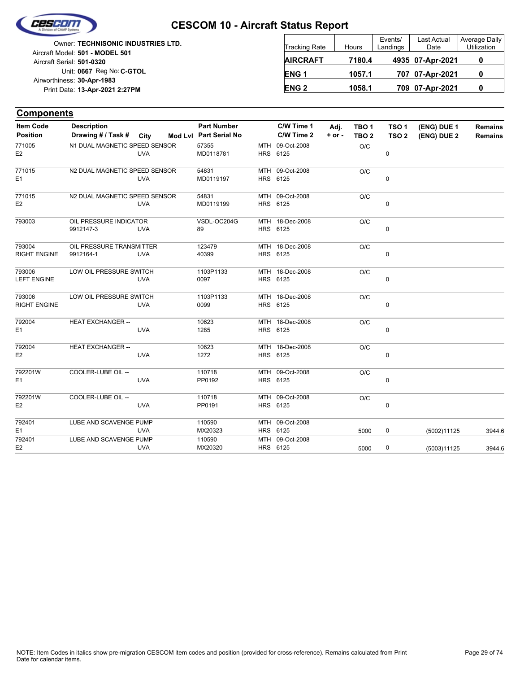

Unit: 0667 Reg No: C-GTOL **13-Apr-2021 2:27PM** Print Date: **30-Apr-1983** Airworthiness: Owner: **TECHNISONIC INDUSTRIES LTD.** Aircraft Serial: **501-0320** Aircraft Model: **501 - MODEL 501**

| <b>Tracking Rate</b> | Hours  | Events/<br>Landings | Last Actual<br>Date | Average Daily<br>Utilization |
|----------------------|--------|---------------------|---------------------|------------------------------|
| <b>AIRCRAFT</b>      | 7180.4 |                     | 4935 07-Apr-2021    |                              |
| ENG <sub>1</sub>     | 1057.1 |                     | 707 07-Apr-2021     |                              |
| <b>ENG 2</b>         | 1058.1 |                     | 709 07-Apr-2021     |                              |

| <b>Components</b>   |                               |            |                        |            |                 |            |                  |                  |             |                |
|---------------------|-------------------------------|------------|------------------------|------------|-----------------|------------|------------------|------------------|-------------|----------------|
| <b>Item Code</b>    | <b>Description</b>            |            | <b>Part Number</b>     |            | C/W Time 1      | Adj.       | TBO <sub>1</sub> | TSO <sub>1</sub> | (ENG) DUE 1 | <b>Remains</b> |
| <b>Position</b>     | Drawing # / Task #            | City       | Mod Lvl Part Serial No |            | C/W Time 2      | $+$ or $-$ | TBO <sub>2</sub> | TSO <sub>2</sub> | (ENG) DUE 2 | <b>Remains</b> |
| 771005              | N1 DUAL MAGNETIC SPEED SENSOR |            | 57355                  | <b>MTH</b> | 09-Oct-2008     |            | O/C              |                  |             |                |
| E <sub>2</sub>      |                               | <b>UVA</b> | MD0118781              |            | HRS 6125        |            |                  | 0                |             |                |
| 771015              | N2 DUAL MAGNETIC SPEED SENSOR |            | 54831                  |            | MTH 09-Oct-2008 |            | O/C              |                  |             |                |
| E <sub>1</sub>      |                               | <b>UVA</b> | MD0119197              |            | HRS 6125        |            |                  | 0                |             |                |
| 771015              | N2 DUAL MAGNETIC SPEED SENSOR |            | 54831                  |            | MTH 09-Oct-2008 |            | O/C              |                  |             |                |
| E <sub>2</sub>      |                               | <b>UVA</b> | MD0119199              |            | HRS 6125        |            |                  | 0                |             |                |
| 793003              | OIL PRESSURE INDICATOR        |            | VSDL-OC204G            |            | MTH 18-Dec-2008 |            | O/C              |                  |             |                |
|                     | 9912147-3                     | <b>UVA</b> | 89                     |            | HRS 6125        |            |                  | $\pmb{0}$        |             |                |
| 793004              | OIL PRESSURE TRANSMITTER      |            | 123479                 |            | MTH 18-Dec-2008 |            | O/C              |                  |             |                |
| <b>RIGHT ENGINE</b> | 9912164-1                     | <b>UVA</b> | 40399                  |            | HRS 6125        |            |                  | 0                |             |                |
| 793006              | LOW OIL PRESSURE SWITCH       |            | 1103P1133              |            | MTH 18-Dec-2008 |            | O/C              |                  |             |                |
| <b>LEFT ENGINE</b>  |                               | <b>UVA</b> | 0097                   |            | HRS 6125        |            |                  | 0                |             |                |
| 793006              | LOW OIL PRESSURE SWITCH       |            | 1103P1133              |            | MTH 18-Dec-2008 |            | O/C              |                  |             |                |
| <b>RIGHT ENGINE</b> |                               | <b>UVA</b> | 0099                   |            | HRS 6125        |            |                  | 0                |             |                |
| 792004              | <b>HEAT EXCHANGER --</b>      |            | 10623                  |            | MTH 18-Dec-2008 |            | O/C              |                  |             |                |
| E1                  |                               | <b>UVA</b> | 1285                   |            | HRS 6125        |            |                  | 0                |             |                |
| 792004              | <b>HEAT EXCHANGER --</b>      |            | 10623                  |            | MTH 18-Dec-2008 |            | O/C              |                  |             |                |
| E <sub>2</sub>      |                               | <b>UVA</b> | 1272                   |            | HRS 6125        |            |                  | 0                |             |                |
| 792201W             | COOLER-LUBE OIL --            |            | 110718                 |            | MTH 09-Oct-2008 |            | O/C              |                  |             |                |
| E <sub>1</sub>      |                               | <b>UVA</b> | PP0192                 |            | HRS 6125        |            |                  | 0                |             |                |
| 792201W             | COOLER-LUBE OIL --            |            | 110718                 |            | MTH 09-Oct-2008 |            | O/C              |                  |             |                |
| E <sub>2</sub>      |                               | <b>UVA</b> | PP0191                 |            | HRS 6125        |            |                  | $\mathbf 0$      |             |                |
| 792401              | LUBE AND SCAVENGE PUMP        |            | 110590                 |            | MTH 09-Oct-2008 |            |                  |                  |             |                |
| E <sub>1</sub>      |                               | <b>UVA</b> | MX20323                |            | HRS 6125        |            | 5000             | 0                | (5002)11125 | 3944.6         |
| 792401              | LUBE AND SCAVENGE PUMP        |            | 110590                 | MTH        | 09-Oct-2008     |            |                  |                  |             |                |
| E <sub>2</sub>      |                               | <b>UVA</b> | MX20320                |            | HRS 6125        |            | 5000             | 0                | (5003)11125 | 3944.6         |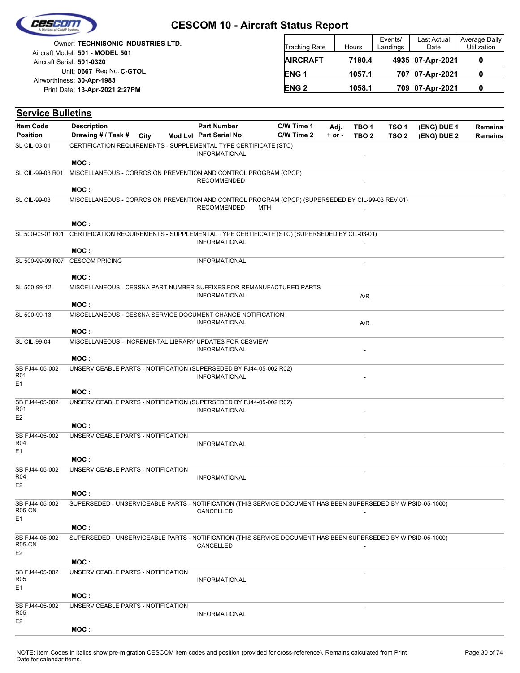| Cescom |                  |  |
|--------|------------------|--|
|        |                  |  |
|        | sion of CAMP Sus |  |

| <b>Owner: TECHNISONIC INDUSTRIES LTD.</b><br>Aircraft Model: 501 - MODEL 501 | <b>Tracking Rate</b> | Hours  | Events/<br>Landings | Last Actual<br>Date | Average Daily<br><b>Utilization</b> |
|------------------------------------------------------------------------------|----------------------|--------|---------------------|---------------------|-------------------------------------|
| Aircraft Serial: 501-0320                                                    | <b>AIRCRAFT</b>      | 7180.4 |                     | 4935 07-Apr-2021    |                                     |
| Unit: 0667 Reg No: C-GTOL<br>Airworthiness: 30-Apr-1983                      | ENG <sub>1</sub>     | 1057.1 |                     | 707 07-Apr-2021     |                                     |
| Print Date: 13-Apr-2021 2:27PM                                               | <b>ENG2</b>          | 1058.1 |                     | 709 07-Apr-2021     |                                     |

| <b>Service Bulletins</b>                            |                                                                                                               |                        |            |            |                          |                  |             |                |
|-----------------------------------------------------|---------------------------------------------------------------------------------------------------------------|------------------------|------------|------------|--------------------------|------------------|-------------|----------------|
| <b>Item Code</b>                                    | <b>Description</b>                                                                                            | <b>Part Number</b>     | C/W Time 1 | Adj.       | TBO <sub>1</sub>         | TSO <sub>1</sub> | (ENG) DUE 1 | <b>Remains</b> |
| <b>Position</b>                                     | Drawing # / Task #<br>City                                                                                    | Mod Lvl Part Serial No | C/W Time 2 | $+$ or $-$ | TBO <sub>2</sub>         | TSO <sub>2</sub> | (ENG) DUE 2 | <b>Remains</b> |
| <b>SL CIL-03-01</b>                                 | CERTIFICATION REQUIREMENTS - SUPPLEMENTAL TYPE CERTIFICATE (STC)                                              | <b>INFORMATIONAL</b>   |            |            |                          |                  |             |                |
|                                                     | MOC:                                                                                                          |                        |            |            |                          |                  |             |                |
| SL CIL-99-03 R01                                    | MISCELLANEOUS - CORROSION PREVENTION AND CONTROL PROGRAM (CPCP)                                               | <b>RECOMMENDED</b>     |            |            |                          |                  |             |                |
|                                                     | MOC:                                                                                                          |                        |            |            |                          |                  |             |                |
| <b>SL CIL-99-03</b>                                 | MISCELLANEOUS - CORROSION PREVENTION AND CONTROL PROGRAM (CPCP) (SUPERSEDED BY CIL-99-03 REV 01)              | <b>RECOMMENDED</b>     | <b>MTH</b> |            |                          |                  |             |                |
|                                                     | MOC:                                                                                                          |                        |            |            |                          |                  |             |                |
| SL 500-03-01 R01                                    | CERTIFICATION REQUIREMENTS - SUPPLEMENTAL TYPE CERTIFICATE (STC) (SUPERSEDED BY CIL-03-01)                    | <b>INFORMATIONAL</b>   |            |            |                          |                  |             |                |
|                                                     | MOC:                                                                                                          |                        |            |            |                          |                  |             |                |
| SL 500-99-09 R07                                    | <b>CESCOM PRICING</b>                                                                                         | <b>INFORMATIONAL</b>   |            |            | $\overline{\phantom{a}}$ |                  |             |                |
|                                                     | MOC:                                                                                                          |                        |            |            |                          |                  |             |                |
| SL 500-99-12                                        | MISCELLANEOUS - CESSNA PART NUMBER SUFFIXES FOR REMANUFACTURED PARTS                                          | <b>INFORMATIONAL</b>   |            |            | A/R                      |                  |             |                |
|                                                     | MOC:                                                                                                          |                        |            |            |                          |                  |             |                |
| SL 500-99-13                                        | MISCELLANEOUS - CESSNA SERVICE DOCUMENT CHANGE NOTIFICATION                                                   | INFORMATIONAL          |            |            | A/R                      |                  |             |                |
|                                                     | MOC:                                                                                                          |                        |            |            |                          |                  |             |                |
| <b>SL CIL-99-04</b>                                 | MISCELLANEOUS - INCREMENTAL LIBRARY UPDATES FOR CESVIEW                                                       | <b>INFORMATIONAL</b>   |            |            |                          |                  |             |                |
|                                                     | MOC:                                                                                                          |                        |            |            |                          |                  |             |                |
| SB FJ44-05-002<br>R01<br>E <sub>1</sub>             | UNSERVICEABLE PARTS - NOTIFICATION (SUPERSEDED BY FJ44-05-002 R02)                                            | <b>INFORMATIONAL</b>   |            |            |                          |                  |             |                |
|                                                     | MOC:                                                                                                          |                        |            |            |                          |                  |             |                |
| SB FJ44-05-002<br>R <sub>01</sub><br>E <sub>2</sub> | UNSERVICEABLE PARTS - NOTIFICATION (SUPERSEDED BY FJ44-05-002 R02)                                            | <b>INFORMATIONAL</b>   |            |            |                          |                  |             |                |
|                                                     | MOC:                                                                                                          |                        |            |            |                          |                  |             |                |
| SB FJ44-05-002<br>R <sub>04</sub><br>E <sub>1</sub> | UNSERVICEABLE PARTS - NOTIFICATION                                                                            | <b>INFORMATIONAL</b>   |            |            |                          |                  |             |                |
|                                                     | MOC:                                                                                                          |                        |            |            |                          |                  |             |                |
| SB FJ44-05-002<br>R04                               | UNSERVICEABLE PARTS - NOTIFICATION                                                                            | <b>INFORMATIONAL</b>   |            |            |                          |                  |             |                |
| E <sub>2</sub>                                      | MOC :                                                                                                         |                        |            |            |                          |                  |             |                |
| SB FJ44-05-002<br><b>R05-CN</b>                     | SUPERSEDED - UNSERVICEABLE PARTS - NOTIFICATION (THIS SERVICE DOCUMENT HAS BEEN SUPERSEDED BY WIPSID-05-1000) | CANCELLED              |            |            |                          |                  |             |                |
| E1                                                  |                                                                                                               |                        |            |            |                          |                  |             |                |
|                                                     | MOC:                                                                                                          |                        |            |            |                          |                  |             |                |
| SB FJ44-05-002<br><b>R05-CN</b><br>E <sub>2</sub>   | SUPERSEDED - UNSERVICEABLE PARTS - NOTIFICATION (THIS SERVICE DOCUMENT HAS BEEN SUPERSEDED BY WIPSID-05-1000) | CANCELLED              |            |            |                          |                  |             |                |
|                                                     | MOC:                                                                                                          |                        |            |            |                          |                  |             |                |
| SB FJ44-05-002<br>R <sub>05</sub>                   | UNSERVICEABLE PARTS - NOTIFICATION                                                                            | <b>INFORMATIONAL</b>   |            |            | $\overline{\phantom{a}}$ |                  |             |                |
| E <sub>1</sub>                                      |                                                                                                               |                        |            |            |                          |                  |             |                |
|                                                     | MOC:                                                                                                          |                        |            |            |                          |                  |             |                |
| SB FJ44-05-002<br><b>R05</b><br>E <sub>2</sub>      | UNSERVICEABLE PARTS - NOTIFICATION                                                                            | <b>INFORMATIONAL</b>   |            |            |                          |                  |             |                |
|                                                     | MOC:                                                                                                          |                        |            |            |                          |                  |             |                |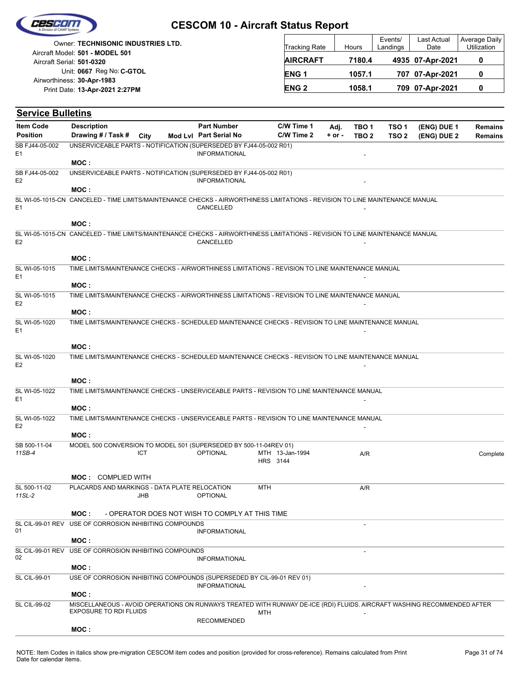|  | Cescom             |  |
|--|--------------------|--|
|  |                    |  |
|  | vision of CAMP Sys |  |

|                            | Owner: TECHNISONIC INDUSTRIES LTD. |
|----------------------------|------------------------------------|
|                            | Aircraft Model: 501 - MODEL 501    |
| Aircraft Serial: 501-0320  |                                    |
|                            | Unit: 0667 Reg No: C-GTOL          |
| Airworthiness: 30-Apr-1983 |                                    |
|                            | Print Date: 13-Apr-2021 2:27PM     |
|                            |                                    |

| <b>Tracking Rate</b> | Hours  | Events/<br>Landings | Last Actual<br>Date | Average Daily<br>Utilization |
|----------------------|--------|---------------------|---------------------|------------------------------|
| <b>AIRCRAFT</b>      | 7180.4 |                     | 4935 07-Apr-2021    |                              |
| ENG <sub>1</sub>     | 1057.1 |                     | 707 07-Apr-2021     |                              |
| <b>ENG 2</b>         | 1058.1 |                     | 709 07-Apr-2021     |                              |

| <b>Service Bulletins</b>         |                                                                                                                                 |            |                                                 |                             |            |                  |                  |             |                |
|----------------------------------|---------------------------------------------------------------------------------------------------------------------------------|------------|-------------------------------------------------|-----------------------------|------------|------------------|------------------|-------------|----------------|
| <b>Item Code</b>                 | <b>Description</b>                                                                                                              |            | <b>Part Number</b>                              | C/W Time 1                  | Adj.       | TBO <sub>1</sub> | TSO <sub>1</sub> | (ENG) DUE 1 | <b>Remains</b> |
| <b>Position</b>                  | Drawing # / Task #                                                                                                              | City       | Mod Lvl Part Serial No                          | C/W Time 2                  | $+$ or $-$ | TBO <sub>2</sub> | TSO <sub>2</sub> | (ENG) DUE 2 | <b>Remains</b> |
| SB FJ44-05-002<br>E <sub>1</sub> | UNSERVICEABLE PARTS - NOTIFICATION (SUPERSEDED BY FJ44-05-002 R01)                                                              |            | <b>INFORMATIONAL</b>                            |                             |            |                  |                  |             |                |
|                                  | MOC:                                                                                                                            |            |                                                 |                             |            |                  |                  |             |                |
| SB FJ44-05-002<br>E <sub>2</sub> | UNSERVICEABLE PARTS - NOTIFICATION (SUPERSEDED BY FJ44-05-002 R01)                                                              |            | <b>INFORMATIONAL</b>                            |                             |            |                  |                  |             |                |
|                                  | MOC:                                                                                                                            |            |                                                 |                             |            |                  |                  |             |                |
| E <sub>1</sub>                   | SL WI-05-1015-CN CANCELED - TIME LIMITS/MAINTENANCE CHECKS - AIRWORTHINESS LIMITATIONS - REVISION TO LINE MAINTENANCE MANUAL    |            | CANCELLED                                       |                             |            |                  |                  |             |                |
|                                  | MOC:                                                                                                                            |            |                                                 |                             |            |                  |                  |             |                |
| E <sub>2</sub>                   | SL WI-05-1015-CN CANCELED - TIME LIMITS/MAINTENANCE CHECKS - AIRWORTHINESS LIMITATIONS - REVISION TO LINE MAINTENANCE MANUAL    |            | CANCELLED                                       |                             |            |                  |                  |             |                |
|                                  | MOC:                                                                                                                            |            |                                                 |                             |            |                  |                  |             |                |
| SL WI-05-1015                    | TIME LIMITS/MAINTENANCE CHECKS - AIRWORTHINESS LIMITATIONS - REVISION TO LINE MAINTENANCE MANUAL                                |            |                                                 |                             |            |                  |                  |             |                |
| E <sub>1</sub>                   | MOC:                                                                                                                            |            |                                                 |                             |            |                  |                  |             |                |
| SL WI-05-1015                    | TIME LIMITS/MAINTENANCE CHECKS - AIRWORTHINESS LIMITATIONS - REVISION TO LINE MAINTENANCE MANUAL                                |            |                                                 |                             |            |                  |                  |             |                |
| E <sub>2</sub>                   | MOC:                                                                                                                            |            |                                                 |                             |            |                  |                  |             |                |
| SL WI-05-1020<br>E <sub>1</sub>  | TIME LIMITS/MAINTENANCE CHECKS - SCHEDULED MAINTENANCE CHECKS - REVISION TO LINE MAINTENANCE MANUAL                             |            |                                                 |                             |            |                  |                  |             |                |
|                                  |                                                                                                                                 |            |                                                 |                             |            |                  |                  |             |                |
| SL WI-05-1020                    | MOC:<br>TIME LIMITS/MAINTENANCE CHECKS - SCHEDULED MAINTENANCE CHECKS - REVISION TO LINE MAINTENANCE MANUAL                     |            |                                                 |                             |            |                  |                  |             |                |
| E <sub>2</sub>                   |                                                                                                                                 |            |                                                 |                             |            |                  |                  |             |                |
|                                  | MOC:                                                                                                                            |            |                                                 |                             |            |                  |                  |             |                |
| SL WI-05-1022<br>E <sub>1</sub>  | TIME LIMITS/MAINTENANCE CHECKS - UNSERVICEABLE PARTS - REVISION TO LINE MAINTENANCE MANUAL                                      |            |                                                 |                             |            |                  |                  |             |                |
|                                  | MOC:                                                                                                                            |            |                                                 |                             |            |                  |                  |             |                |
| SL WI-05-1022<br>E <sub>2</sub>  | TIME LIMITS/MAINTENANCE CHECKS - UNSERVICEABLE PARTS - REVISION TO LINE MAINTENANCE MANUAL                                      |            |                                                 |                             |            |                  |                  |             |                |
|                                  | MOC:                                                                                                                            |            |                                                 |                             |            |                  |                  |             |                |
| SB 500-11-04<br>11SB-4           | MODEL 500 CONVERSION TO MODEL 501 (SUPERSEDED BY 500-11-04REV 01)                                                               | ICT        | <b>OPTIONAL</b>                                 | MTH 13-Jan-1994<br>HRS 3144 |            | A/R              |                  |             | Complete       |
|                                  | <b>MOC: COMPLIED WITH</b>                                                                                                       |            |                                                 |                             |            |                  |                  |             |                |
| SL 500-11-02<br>11SL-2           | PLACARDS AND MARKINGS - DATA PLATE RELOCATION                                                                                   | <b>JHB</b> | <b>OPTIONAL</b>                                 | <b>MTH</b>                  |            | A/R              |                  |             |                |
|                                  | MOC:                                                                                                                            |            | - OPERATOR DOES NOT WISH TO COMPLY AT THIS TIME |                             |            |                  |                  |             |                |
| 01                               | SL CIL-99-01 REV USE OF CORROSION INHIBITING COMPOUNDS                                                                          |            |                                                 |                             |            |                  |                  |             |                |
|                                  | MOC:                                                                                                                            |            | <b>INFORMATIONAL</b>                            |                             |            |                  |                  |             |                |
|                                  | SL CIL-99-01 REV USE OF CORROSION INHIBITING COMPOUNDS                                                                          |            |                                                 |                             |            |                  |                  |             |                |
| 02                               |                                                                                                                                 |            | <b>INFORMATIONAL</b>                            |                             |            |                  |                  |             |                |
|                                  | MOC:                                                                                                                            |            |                                                 |                             |            |                  |                  |             |                |
| SL CIL-99-01                     | USE OF CORROSION INHIBITING COMPOUNDS (SUPERSEDED BY CIL-99-01 REV 01)                                                          |            | <b>INFORMATIONAL</b>                            |                             |            |                  |                  |             |                |
| <b>SL CIL-99-02</b>              | MOC:<br>MISCELLANEOUS - AVOID OPERATIONS ON RUNWAYS TREATED WITH RUNWAY DE-ICE (RDI) FLUIDS. AIRCRAFT WASHING RECOMMENDED AFTER |            |                                                 |                             |            |                  |                  |             |                |
|                                  | <b>EXPOSURE TO RDI FLUIDS</b>                                                                                                   |            |                                                 | <b>MTH</b>                  |            |                  |                  |             |                |
|                                  | MOC:                                                                                                                            |            | <b>RECOMMENDED</b>                              |                             |            |                  |                  |             |                |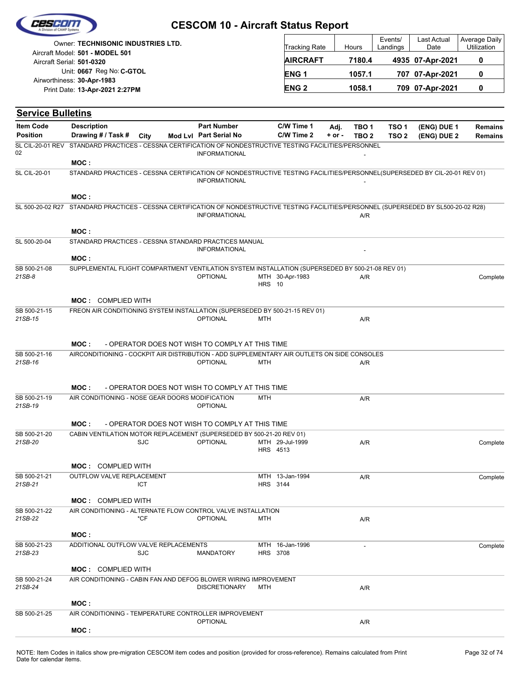|                                                              | Owner: TECHNISONIC INDUSTRIES LTD. |              | Tracking Rate |                    | <b>Hours</b>    | Events/<br>Landings | Last Actual<br>Date | Average Daily<br>Utilization |                  |                |
|--------------------------------------------------------------|------------------------------------|--------------|---------------|--------------------|-----------------|---------------------|---------------------|------------------------------|------------------|----------------|
| Aircraft Model: 501 - MODEL 501<br>Aircraft Serial: 501-0320 |                                    |              |               |                    | <b>AIRCRAFT</b> |                     | 7180.4              |                              | 4935 07-Apr-2021 | 0              |
| Unit: 0667 Reg No: C-GTOL                                    |                                    |              |               | <b>ENG1</b>        |                 | 1057.1              |                     | 707 07-Apr-2021              | 0                |                |
| Airworthiness: 30-Apr-1983<br>Print Date: 13-Apr-2021 2:27PM |                                    | <b>ENG 2</b> |               | 1058.1             |                 | 709 07-Apr-2021     | 0                   |                              |                  |                |
|                                                              | <b>Service Bulletins</b>           |              |               |                    |                 |                     |                     |                              |                  |                |
|                                                              |                                    |              |               |                    | C/W Time 1      | Adj.                | TBO <sub>1</sub>    | TSO <sub>1</sub>             | (ENG) DUE 1      | <b>Remains</b> |
| <b>Item Code</b>                                             | <b>Description</b>                 |              |               | <b>Part Number</b> |                 |                     |                     |                              |                  |                |

SL CIL-20-01 STANDARD PRACTICES - CESSNA CERTIFICATION OF NONDESTRUCTIVE TESTING FACILITIES/PERSONNEL(SUPERSEDED BY CIL-20-01 REV 01)

INFORMATIONAL -

|                         | MOC:                                                                                                                     |                      |               |                                    |     |          |
|-------------------------|--------------------------------------------------------------------------------------------------------------------------|----------------------|---------------|------------------------------------|-----|----------|
| SL 500-20-02 R27        | STANDARD PRACTICES - CESSNA CERTIFICATION OF NONDESTRUCTIVE TESTING FACILITIES/PERSONNEL (SUPERSEDED BY SL500-20-02 R28) | <b>INFORMATIONAL</b> |               |                                    | A/R |          |
|                         | MOC:                                                                                                                     |                      |               |                                    |     |          |
| SL 500-20-04            | STANDARD PRACTICES - CESSNA STANDARD PRACTICES MANUAL                                                                    | <b>INFORMATIONAL</b> |               |                                    |     |          |
|                         | MOC:                                                                                                                     |                      |               |                                    |     |          |
| SB 500-21-08            | SUPPLEMENTAL FLIGHT COMPARTMENT VENTILATION SYSTEM INSTALLATION (SUPERSEDED BY 500-21-08 REV 01)                         |                      |               |                                    |     |          |
| $21SB-8$                |                                                                                                                          | <b>OPTIONAL</b>      | <b>HRS</b> 10 | MTH 30-Apr-1983                    | A/R | Complete |
|                         | <b>MOC: COMPLIED WITH</b>                                                                                                |                      |               |                                    |     |          |
| SB 500-21-15<br>21SB-15 | FREON AIR CONDITIONING SYSTEM INSTALLATION (SUPERSEDED BY 500-21-15 REV 01)                                              | <b>OPTIONAL</b>      | <b>MTH</b>    |                                    | A/R |          |
|                         | MOC:<br>- OPERATOR DOES NOT WISH TO COMPLY AT THIS TIME                                                                  |                      |               |                                    |     |          |
| SB 500-21-16            | AIRCONDITIONING - COCKPIT AIR DISTRIBUTION - ADD SUPPLEMENTARY AIR OUTLETS ON SIDE CONSOLES                              |                      |               |                                    |     |          |
| 21SB-16                 |                                                                                                                          | <b>OPTIONAL</b>      | <b>MTH</b>    |                                    | A/R |          |
|                         | MOC:<br>- OPERATOR DOES NOT WISH TO COMPLY AT THIS TIME                                                                  |                      |               |                                    |     |          |
| SB 500-21-19<br>21SB-19 | AIR CONDITIONING - NOSE GEAR DOORS MODIFICATION                                                                          | <b>OPTIONAL</b>      | <b>MTH</b>    |                                    | A/R |          |
|                         | MOC:<br>- OPERATOR DOES NOT WISH TO COMPLY AT THIS TIME                                                                  |                      |               |                                    |     |          |
| SB 500-21-20            | CABIN VENTILATION MOTOR REPLACEMENT (SUPERSEDED BY 500-21-20 REV 01)                                                     |                      |               |                                    |     |          |
| 21SB-20                 | <b>SJC</b>                                                                                                               | <b>OPTIONAL</b>      |               | MTH 29-Jul-1999<br>HRS 4513        | A/R | Complete |
|                         | <b>MOC: COMPLIED WITH</b>                                                                                                |                      |               |                                    |     |          |
| SB 500-21-21<br>21SB-21 | OUTFLOW VALVE REPLACEMENT<br><b>ICT</b>                                                                                  |                      |               | MTH 13-Jan-1994<br><b>HRS</b> 3144 | A/R | Complete |
|                         | <b>MOC: COMPLIED WITH</b>                                                                                                |                      |               |                                    |     |          |
| SB 500-21-22            | AIR CONDITIONING - ALTERNATE FLOW CONTROL VALVE INSTALLATION                                                             |                      |               |                                    |     |          |
| 21SB-22                 | *CF                                                                                                                      | <b>OPTIONAL</b>      | <b>MTH</b>    |                                    | A/R |          |
|                         | MOC:                                                                                                                     |                      |               |                                    |     |          |
| SB 500-21-23<br>21SB-23 | ADDITIONAL OUTFLOW VALVE REPLACEMENTS<br><b>SJC</b>                                                                      | <b>MANDATORY</b>     |               | MTH 16-Jan-1996<br><b>HRS 3708</b> |     | Complete |
|                         | <b>MOC: COMPLIED WITH</b>                                                                                                |                      |               |                                    |     |          |
| SB 500-21-24<br>21SB-24 | AIR CONDITIONING - CABIN FAN AND DEFOG BLOWER WIRING IMPROVEMENT                                                         | <b>DISCRETIONARY</b> | <b>MTH</b>    |                                    | A/R |          |
|                         | MOC:                                                                                                                     |                      |               |                                    |     |          |
| SB 500-21-25            | AIR CONDITIONING - TEMPERATURE CONTROLLER IMPROVEMENT                                                                    | <b>OPTIONAL</b>      |               |                                    | A/R |          |
|                         | MOC:                                                                                                                     |                      |               |                                    |     |          |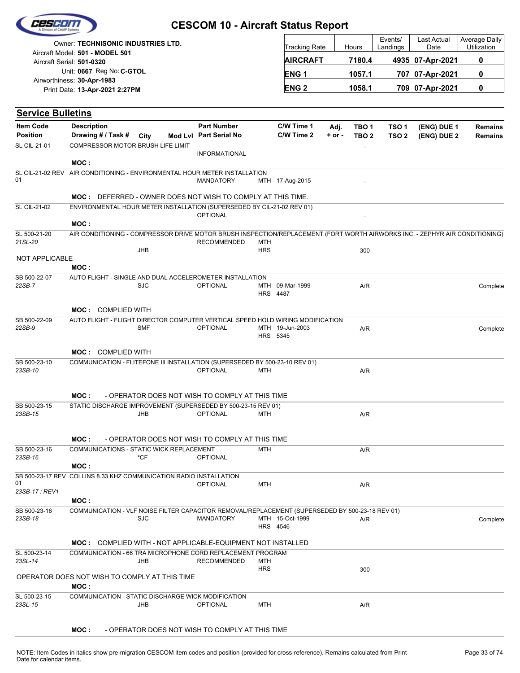|                          |                                                                                                                                     |            | <b>CESCOM 10 - Aircraft Status Report</b>       |                   |                                    |            |                  | Events/          | Last Actual      | Average Daily  |
|--------------------------|-------------------------------------------------------------------------------------------------------------------------------------|------------|-------------------------------------------------|-------------------|------------------------------------|------------|------------------|------------------|------------------|----------------|
|                          | Owner: TECHNISONIC INDUSTRIES LTD.<br>Aircraft Model: 501 - MODEL 501                                                               |            |                                                 |                   | Tracking Rate                      |            | Hours            | Landings         | Date             | Utilization    |
|                          | Aircraft Serial: 501-0320                                                                                                           |            |                                                 |                   | <b>AIRCRAFT</b>                    |            | 7180.4           |                  | 4935 07-Apr-2021 | 0              |
|                          | Unit: 0667 Reg No: C-GTOL                                                                                                           |            |                                                 |                   | <b>ENG1</b>                        |            | 1057.1           |                  | 707 07-Apr-2021  | 0              |
|                          | Airworthiness: 30-Apr-1983<br>Print Date: 13-Apr-2021 2:27PM                                                                        |            |                                                 |                   | <b>ENG2</b>                        |            | 1058.1           |                  | 709 07-Apr-2021  | 0              |
|                          |                                                                                                                                     |            |                                                 |                   |                                    |            |                  |                  |                  |                |
| <b>Service Bulletins</b> |                                                                                                                                     |            |                                                 |                   |                                    |            |                  |                  |                  |                |
| <b>Item Code</b>         | <b>Description</b>                                                                                                                  |            | <b>Part Number</b>                              |                   | C/W Time 1                         | Adj.       | TBO <sub>1</sub> | TSO <sub>1</sub> | (ENG) DUE 1      | <b>Remains</b> |
| <b>Position</b>          | Drawing # / Task #                                                                                                                  | City       | Mod Lvl Part Serial No                          |                   | C/W Time 2                         | $+$ or $-$ | TBO <sub>2</sub> | TSO <sub>2</sub> | (ENG) DUE 2      | Remains        |
| <b>SL CIL-21-01</b>      | COMPRESSOR MOTOR BRUSH LIFE LIMIT                                                                                                   |            | <b>INFORMATIONAL</b>                            |                   |                                    |            | $\overline{a}$   |                  |                  |                |
| <b>SL CIL-21-02 REV</b>  | MOC:<br>AIR CONDITIONING - ENVIRONMENTAL HOUR METER INSTALLATION                                                                    |            |                                                 |                   |                                    |            |                  |                  |                  |                |
| 01                       |                                                                                                                                     |            | <b>MANDATORY</b>                                |                   | MTH 17-Aug-2015                    |            |                  |                  |                  |                |
|                          | <b>MOC: DEFERRED - OWNER DOES NOT WISH TO COMPLY AT THIS TIME.</b>                                                                  |            |                                                 |                   |                                    |            |                  |                  |                  |                |
| <b>SL CIL-21-02</b>      | ENVIRONMENTAL HOUR METER INSTALLATION (SUPERSEDED BY CIL-21-02 REV 01)                                                              |            | <b>OPTIONAL</b>                                 |                   |                                    |            |                  |                  |                  |                |
| SL 500-21-20             | MOC:<br>AIR CONDITIONING - COMPRESSOR DRIVE MOTOR BRUSH INSPECTION/REPLACEMENT (FORT WORTH AIRWORKS INC. - ZEPHYR AIR CONDITIONING) |            |                                                 |                   |                                    |            |                  |                  |                  |                |
| 21SL-20                  |                                                                                                                                     |            | <b>RECOMMENDED</b>                              | <b>MTH</b>        |                                    |            |                  |                  |                  |                |
| NOT APPLICABLE           |                                                                                                                                     | <b>JHB</b> |                                                 | <b>HRS</b>        |                                    |            | 300              |                  |                  |                |
|                          | MOC:                                                                                                                                |            |                                                 |                   |                                    |            |                  |                  |                  |                |
| SB 500-22-07             | AUTO FLIGHT - SINGLE AND DUAL ACCELEROMETER INSTALLATION                                                                            |            |                                                 |                   |                                    |            |                  |                  |                  |                |
| 22SB-7                   |                                                                                                                                     | <b>SJC</b> | <b>OPTIONAL</b>                                 |                   | MTH 09-Mar-1999<br><b>HRS</b> 4487 |            | A/R              |                  |                  | Complete       |
|                          | <b>MOC: COMPLIED WITH</b>                                                                                                           |            |                                                 |                   |                                    |            |                  |                  |                  |                |
| SB 500-22-09<br>22SB-9   | AUTO FLIGHT - FLIGHT DIRECTOR COMPUTER VERTICAL SPEED HOLD WIRING MODIFICATION                                                      | <b>SMF</b> | <b>OPTIONAL</b>                                 |                   | MTH 19-Jun-2003                    |            |                  |                  |                  |                |
|                          |                                                                                                                                     |            |                                                 |                   | HRS 5345                           |            | A/R              |                  |                  | Complete       |
|                          | <b>MOC: COMPLIED WITH</b>                                                                                                           |            |                                                 |                   |                                    |            |                  |                  |                  |                |
| SB 500-23-10             | COMMUNICATION - FLITEFONE III INSTALLATION (SUPERSEDED BY 500-23-10 REV 01)                                                         |            |                                                 |                   |                                    |            |                  |                  |                  |                |
| 23SB-10                  |                                                                                                                                     |            | <b>OPTIONAL</b>                                 | MTH               |                                    |            | A/R              |                  |                  |                |
|                          | MOC :                                                                                                                               |            | - OPERATOR DOES NOT WISH TO COMPLY AT THIS TIME |                   |                                    |            |                  |                  |                  |                |
| SB 500-23-15             | STATIC DISCHARGE IMPROVEMENT (SUPERSEDED BY 500-23-15 REV 01)                                                                       |            |                                                 |                   |                                    |            |                  |                  |                  |                |
| 23SB-15                  |                                                                                                                                     | <b>JHB</b> | <b>OPTIONAL</b>                                 | MTH               |                                    |            | A/R              |                  |                  |                |
|                          | MOC :                                                                                                                               |            | - OPERATOR DOES NOT WISH TO COMPLY AT THIS TIME |                   |                                    |            |                  |                  |                  |                |
| SB 500-23-16             | COMMUNICATIONS - STATIC WICK REPLACEMENT                                                                                            |            |                                                 | <b>MTH</b>        |                                    |            | A/R              |                  |                  |                |
| 23SB-16                  | MOC:                                                                                                                                | *CF        | <b>OPTIONAL</b>                                 |                   |                                    |            |                  |                  |                  |                |
|                          | SB 500-23-17 REV COLLINS 8.33 KHZ COMMUNICATION RADIO INSTALLATION                                                                  |            |                                                 |                   |                                    |            |                  |                  |                  |                |
| 01                       |                                                                                                                                     |            | <b>OPTIONAL</b>                                 | <b>MTH</b>        |                                    |            | A/R              |                  |                  |                |
| 23SB-17: REV1            | MOC:                                                                                                                                |            |                                                 |                   |                                    |            |                  |                  |                  |                |
| SB 500-23-18             | COMMUNICATION - VLF NOISE FILTER CAPACITOR REMOVAL/REPLACEMENT (SUPERSEDED BY 500-23-18 REV 01)                                     |            |                                                 |                   |                                    |            |                  |                  |                  |                |
| 23SB-18                  |                                                                                                                                     | <b>SJC</b> | <b>MANDATORY</b>                                |                   | MTH 15-Oct-1999<br>HRS 4546        |            | A/R              |                  |                  | Complete       |
|                          | <b>MOC: COMPLIED WITH - NOT APPLICABLE-EQUIPMENT NOT INSTALLED</b>                                                                  |            |                                                 |                   |                                    |            |                  |                  |                  |                |
| SL 500-23-14             | COMMUNICATION - 66 TRA MICROPHONE CORD REPLACEMENT PROGRAM                                                                          |            |                                                 |                   |                                    |            |                  |                  |                  |                |
| 23SL-14                  |                                                                                                                                     | JHB        | <b>RECOMMENDED</b>                              | MTH<br><b>HRS</b> |                                    |            | 300              |                  |                  |                |
|                          | OPERATOR DOES NOT WISH TO COMPLY AT THIS TIME                                                                                       |            |                                                 |                   |                                    |            |                  |                  |                  |                |
|                          | MOC:                                                                                                                                |            |                                                 |                   |                                    |            |                  |                  |                  |                |

CRECCAR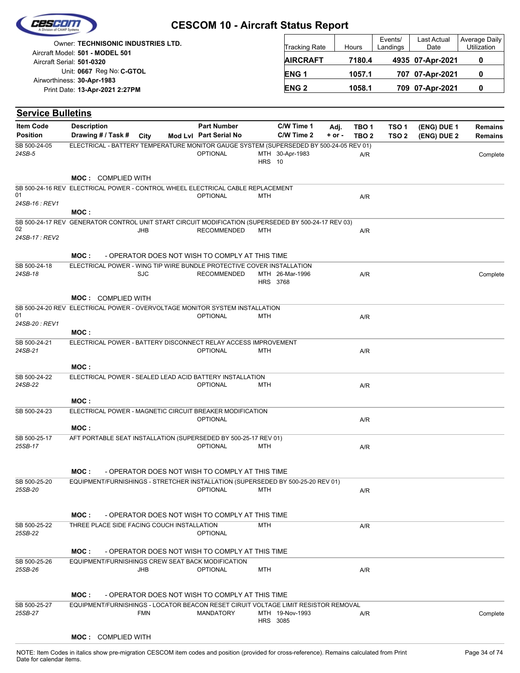| Cescom |  |
|--------|--|
|        |  |
|        |  |

| Owner: <b>TECHNISONIC INDUSTRIES LTD.</b>                    | <b>Tracking Rate</b> | Hours  | Events/<br>Landings | Last Actual<br>Date | Average Daily<br>Utilization |
|--------------------------------------------------------------|----------------------|--------|---------------------|---------------------|------------------------------|
| Aircraft Model: 501 - MODEL 501<br>Aircraft Serial: 501-0320 | <b>AIRCRAFT</b>      | 7180.4 |                     | 4935 07-Apr-2021    |                              |
| Unit: 0667 Reg No: C-GTOL<br>Airworthiness: 30-Apr-1983      | <b>ENG1</b>          | 1057.1 |                     | 707 07-Apr-2021     |                              |
| Print Date: 13-Apr-2021 2:27PM                               | <b>ENG 2</b>         | 1058.1 |                     | 709 07-Apr-2021     |                              |

| <b>Service Bulletins</b>                                                                            |                                            |            |                                                                                                           |               |                 |            |                  |                  |             |                |
|-----------------------------------------------------------------------------------------------------|--------------------------------------------|------------|-----------------------------------------------------------------------------------------------------------|---------------|-----------------|------------|------------------|------------------|-------------|----------------|
| <b>Item Code</b>                                                                                    | <b>Description</b>                         |            | <b>Part Number</b>                                                                                        |               | C/W Time 1      | Adj.       | TBO 1            | TSO 1            | (ENG) DUE 1 | <b>Remains</b> |
| <b>Position</b>                                                                                     | Drawing # / Task # City                    |            | Mod Lvl Part Serial No                                                                                    |               | C/W Time 2      | $+$ or $-$ | TBO <sub>2</sub> | TSO <sub>2</sub> | (ENG) DUE 2 | Remains        |
| SB 500-24-05<br>24SB-5                                                                              |                                            |            | ELECTRICAL - BATTERY TEMPERATURE MONITOR GAUGE SYSTEM (SUPERSEDED BY 500-24-05 REV 01)<br><b>OPTIONAL</b> |               | MTH 30-Apr-1983 |            | A/R              |                  |             | Complete       |
|                                                                                                     |                                            |            |                                                                                                           | <b>HRS</b> 10 |                 |            |                  |                  |             |                |
|                                                                                                     | <b>MOC: COMPLIED WITH</b>                  |            |                                                                                                           |               |                 |            |                  |                  |             |                |
| SB 500-24-16 REV ELECTRICAL POWER - CONTROL WHEEL ELECTRICAL CABLE REPLACEMENT<br>01                |                                            |            | OPTIONAL                                                                                                  | MTH           |                 |            | A/R              |                  |             |                |
| 24SB-16 : REV1                                                                                      | MOC :                                      |            |                                                                                                           |               |                 |            |                  |                  |             |                |
| SB 500-24-17 REV GENERATOR CONTROL UNIT START CIRCUIT MODIFICATION (SUPERSEDED BY 500-24-17 REV 03) |                                            |            |                                                                                                           |               |                 |            |                  |                  |             |                |
| 02<br>24SB-17: REV2                                                                                 |                                            | JHB        | <b>RECOMMENDED</b>                                                                                        | MTH           |                 |            | A/R              |                  |             |                |
|                                                                                                     | MOC:                                       |            | - OPERATOR DOES NOT WISH TO COMPLY AT THIS TIME                                                           |               |                 |            |                  |                  |             |                |
| SB 500-24-18                                                                                        |                                            |            | ELECTRICAL POWER - WING TIP WIRE BUNDLE PROTECTIVE COVER INSTALLATION                                     |               |                 |            |                  |                  |             |                |
| 24SB-18                                                                                             |                                            | <b>SJC</b> | <b>RECOMMENDED</b>                                                                                        | HRS 3768      | MTH 26-Mar-1996 |            | A/R              |                  |             | Complete       |
|                                                                                                     | <b>MOC: COMPLIED WITH</b>                  |            |                                                                                                           |               |                 |            |                  |                  |             |                |
| SB 500-24-20 REV ELECTRICAL POWER - OVERVOLTAGE MONITOR SYSTEM INSTALLATION                         |                                            |            |                                                                                                           |               |                 |            |                  |                  |             |                |
| 01<br>24SB-20: REV1                                                                                 |                                            |            | <b>OPTIONAL</b>                                                                                           | <b>MTH</b>    |                 |            | A/R              |                  |             |                |
|                                                                                                     | MOC:                                       |            |                                                                                                           |               |                 |            |                  |                  |             |                |
| SB 500-24-21                                                                                        |                                            |            | ELECTRICAL POWER - BATTERY DISCONNECT RELAY ACCESS IMPROVEMENT                                            |               |                 |            |                  |                  |             |                |
| 24SB-21                                                                                             |                                            |            | <b>OPTIONAL</b>                                                                                           | MTH           |                 |            | A/R              |                  |             |                |
|                                                                                                     | MOC:                                       |            |                                                                                                           |               |                 |            |                  |                  |             |                |
| SB 500-24-22                                                                                        |                                            |            | ELECTRICAL POWER - SEALED LEAD ACID BATTERY INSTALLATION                                                  |               |                 |            |                  |                  |             |                |
| 24SB-22                                                                                             |                                            |            | <b>OPTIONAL</b>                                                                                           | MTH           |                 |            | A/R              |                  |             |                |
|                                                                                                     | MOC:                                       |            |                                                                                                           |               |                 |            |                  |                  |             |                |
| SB 500-24-23                                                                                        |                                            |            | ELECTRICAL POWER - MAGNETIC CIRCUIT BREAKER MODIFICATION                                                  |               |                 |            |                  |                  |             |                |
|                                                                                                     |                                            |            | <b>OPTIONAL</b>                                                                                           |               |                 |            | A/R              |                  |             |                |
|                                                                                                     | MOC:                                       |            |                                                                                                           |               |                 |            |                  |                  |             |                |
| SB 500-25-17<br>25SB-17                                                                             |                                            |            | AFT PORTABLE SEAT INSTALLATION (SUPERSEDED BY 500-25-17 REV 01)<br><b>OPTIONAL</b>                        | MTH           |                 |            | A/R              |                  |             |                |
|                                                                                                     |                                            |            |                                                                                                           |               |                 |            |                  |                  |             |                |
|                                                                                                     | MOC :                                      |            | - OPERATOR DOES NOT WISH TO COMPLY AT THIS TIME                                                           |               |                 |            |                  |                  |             |                |
| SB 500-25-20                                                                                        |                                            |            | EQUIPMENT/FURNISHINGS - STRETCHER INSTALLATION (SUPERSEDED BY 500-25-20 REV 01)                           |               |                 |            |                  |                  |             |                |
| 25SB-20                                                                                             |                                            |            | OPTIONAL MTH                                                                                              |               |                 |            | A/R              |                  |             |                |
|                                                                                                     |                                            |            |                                                                                                           |               |                 |            |                  |                  |             |                |
|                                                                                                     | MOC :                                      |            | - OPERATOR DOES NOT WISH TO COMPLY AT THIS TIME                                                           |               |                 |            |                  |                  |             |                |
| SB 500-25-22                                                                                        | THREE PLACE SIDE FACING COUCH INSTALLATION |            |                                                                                                           | <b>MTH</b>    |                 |            | A/R              |                  |             |                |
| 25SB-22                                                                                             |                                            |            | <b>OPTIONAL</b>                                                                                           |               |                 |            |                  |                  |             |                |
|                                                                                                     | MOC:                                       |            | - OPERATOR DOES NOT WISH TO COMPLY AT THIS TIME                                                           |               |                 |            |                  |                  |             |                |
| SB 500-25-26                                                                                        |                                            |            | EQUIPMENT/FURNISHINGS CREW SEAT BACK MODIFICATION                                                         |               |                 |            |                  |                  |             |                |
| 25SB-26                                                                                             |                                            | JHB        | <b>OPTIONAL</b>                                                                                           | <b>MTH</b>    |                 |            | A/R              |                  |             |                |
|                                                                                                     |                                            |            |                                                                                                           |               |                 |            |                  |                  |             |                |
|                                                                                                     | MOC :                                      |            | - OPERATOR DOES NOT WISH TO COMPLY AT THIS TIME                                                           |               |                 |            |                  |                  |             |                |
| SB 500-25-27<br>25SB-27                                                                             |                                            | <b>FMN</b> | EQUIPMENT/FURNISHINGS - LOCATOR BEACON RESET CIRUIT VOLTAGE LIMIT RESISTOR REMOVAL<br>MANDATORY           |               | MTH 19-Nov-1993 |            | A/R              |                  |             | Complete       |
|                                                                                                     |                                            |            |                                                                                                           |               | HRS 3085        |            |                  |                  |             |                |

#### **MOC :** COMPLIED WITH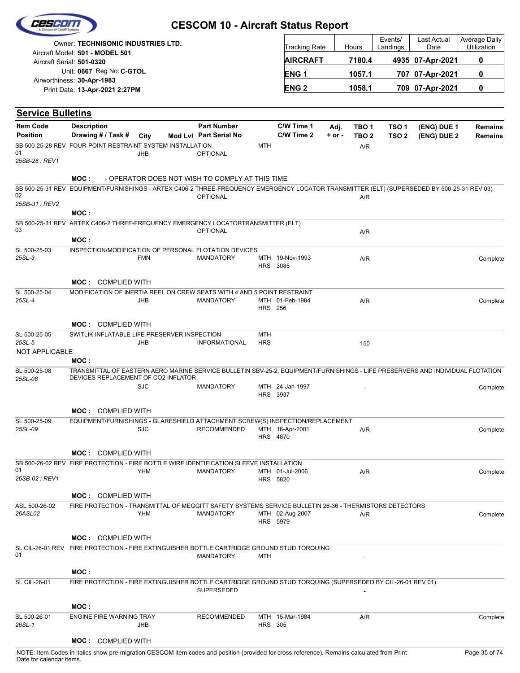|                          |                                                                                                                                                                       | <b>CESCOM 10 - Aircraft Status Report</b>       |                          |                             |            |                  |                     |                     |                              |
|--------------------------|-----------------------------------------------------------------------------------------------------------------------------------------------------------------------|-------------------------------------------------|--------------------------|-----------------------------|------------|------------------|---------------------|---------------------|------------------------------|
|                          | <b>Owner: TECHNISONIC INDUSTRIES LTD.</b>                                                                                                                             |                                                 |                          | Tracking Rate               |            | Hours            | Events/<br>Landings | Last Actual<br>Date | Average Daily<br>Utilization |
|                          | Aircraft Model: 501 - MODEL 501<br>Aircraft Serial: 501-0320                                                                                                          |                                                 |                          | <b>AIRCRAFT</b>             |            | 7180.4           |                     | 4935 07-Apr-2021    | 0                            |
|                          | Unit: 0667 Reg No: C-GTOL                                                                                                                                             |                                                 |                          | ENG <sub>1</sub>            |            | 1057.1           |                     | 707 07-Apr-2021     | 0                            |
|                          | Airworthiness: 30-Apr-1983                                                                                                                                            |                                                 |                          |                             |            |                  |                     |                     |                              |
|                          | Print Date: 13-Apr-2021 2:27PM                                                                                                                                        |                                                 |                          | <b>ENG2</b>                 |            | 1058.1           |                     | 709 07-Apr-2021     | 0                            |
| <b>Service Bulletins</b> |                                                                                                                                                                       |                                                 |                          |                             |            |                  |                     |                     |                              |
| <b>Item Code</b>         | <b>Description</b>                                                                                                                                                    | <b>Part Number</b>                              |                          | C/W Time 1                  | Adj.       | TBO <sub>1</sub> | TSO <sub>1</sub>    | (ENG) DUE 1         | <b>Remains</b>               |
| <b>Position</b>          | Drawing # / Task #<br>City                                                                                                                                            | Mod Lvl Part Serial No                          |                          | C/W Time 2                  | $+$ or $-$ | TBO <sub>2</sub> | TSO <sub>2</sub>    | (ENG) DUE 2         | <b>Remains</b>               |
| 01                       | SB 500-25-28 REV FOUR-POINT RESTRAINT SYSTEM INSTALLATION<br><b>JHB</b>                                                                                               | <b>OPTIONAL</b>                                 | <b>MTH</b>               |                             |            | A/R              |                     |                     |                              |
| 25SB-28 : REV1           |                                                                                                                                                                       |                                                 |                          |                             |            |                  |                     |                     |                              |
|                          | MOC :                                                                                                                                                                 | - OPERATOR DOES NOT WISH TO COMPLY AT THIS TIME |                          |                             |            |                  |                     |                     |                              |
|                          | SB 500-25-31 REV EQUIPMENT/FURNISHINGS - ARTEX C406-2 THREE-FREQUENCY EMERGENCY LOCATOR TRANSMITTER (ELT) (SUPERSEDED BY 500-25-31 REV 03)                            |                                                 |                          |                             |            |                  |                     |                     |                              |
| 02<br>25SB-31 : REV2     |                                                                                                                                                                       | <b>OPTIONAL</b>                                 |                          |                             |            | A/R              |                     |                     |                              |
|                          | MOC:                                                                                                                                                                  |                                                 |                          |                             |            |                  |                     |                     |                              |
|                          | SB 500-25-31 REV ARTEX C406-2 THREE-FREQUENCY EMERGENCY LOCATORTRANSMITTER (ELT)                                                                                      |                                                 |                          |                             |            |                  |                     |                     |                              |
| 03                       | MOC:                                                                                                                                                                  | OPTIONAL                                        |                          |                             |            | A/R              |                     |                     |                              |
| SL 500-25-03             | INSPECTION/MODIFICATION OF PERSONAL FLOTATION DEVICES                                                                                                                 |                                                 |                          |                             |            |                  |                     |                     |                              |
| 25SL-3                   | <b>FMN</b>                                                                                                                                                            | <b>MANDATORY</b>                                |                          | MTH 19-Nov-1993             |            | A/R              |                     |                     | Complete                     |
|                          |                                                                                                                                                                       |                                                 |                          | <b>HRS 3085</b>             |            |                  |                     |                     |                              |
|                          | <b>MOC: COMPLIED WITH</b>                                                                                                                                             |                                                 |                          |                             |            |                  |                     |                     |                              |
| SL 500-25-04             | MODIFICATION OF INERTIA REEL ON CREW SEATS WITH 4 AND 5 POINT RESTRAINT                                                                                               |                                                 |                          |                             |            |                  |                     |                     |                              |
| 25SL-4                   | JHB                                                                                                                                                                   | <b>MANDATORY</b>                                | <b>HRS</b> 256           | MTH 01-Feb-1984             |            | A/R              |                     |                     | Complete                     |
|                          |                                                                                                                                                                       |                                                 |                          |                             |            |                  |                     |                     |                              |
|                          | <b>MOC: COMPLIED WITH</b>                                                                                                                                             |                                                 |                          |                             |            |                  |                     |                     |                              |
| SL 500-25-05<br>25SL-5   | SWITLIK INFLATABLE LIFE PRESERVER INSPECTION<br><b>JHB</b>                                                                                                            | <b>INFORMATIONAL</b>                            | <b>MTH</b><br><b>HRS</b> |                             |            | 150              |                     |                     |                              |
| NOT APPLICABLE           |                                                                                                                                                                       |                                                 |                          |                             |            |                  |                     |                     |                              |
|                          | MOC:                                                                                                                                                                  |                                                 |                          |                             |            |                  |                     |                     |                              |
| SL 500-25-08<br>25SL-08  | TRANSMITTAL OF EASTERN AERO MARINE SERVICE BULLETIN SBV-25-2, EQUIPMENT/FURNISHINGS - LIFE PRESERVERS AND INDIVIDUAL FLOTATION<br>DEVICES REPLACEMENT OF CO2 INFLATOR |                                                 |                          |                             |            |                  |                     |                     |                              |
|                          | <b>SJC</b>                                                                                                                                                            | <b>MANDATORY</b>                                |                          | MTH 24-Jan-1997             |            |                  |                     |                     | Complete                     |
|                          |                                                                                                                                                                       |                                                 |                          | HRS 3937                    |            |                  |                     |                     |                              |
|                          | <b>MOC: COMPLIED WITH</b>                                                                                                                                             |                                                 |                          |                             |            |                  |                     |                     |                              |
| SL 500-25-09             | EQUIPMENT/FURNISHINGS - GLARESHIELD ATTACHMENT SCREW(S) INSPECTION/REPLACEMENT                                                                                        |                                                 |                          |                             |            |                  |                     |                     |                              |
| 25SL-09                  | <b>SJC</b>                                                                                                                                                            | <b>RECOMMENDED</b>                              |                          | MTH 16-Apr-2001<br>HRS 4870 |            | A/R              |                     |                     | Complete                     |
|                          |                                                                                                                                                                       |                                                 |                          |                             |            |                  |                     |                     |                              |
|                          | <b>MOC: COMPLIED WITH</b>                                                                                                                                             |                                                 |                          |                             |            |                  |                     |                     |                              |
| 01                       | SB 500-26-02 REV FIRE PROTECTION - FIRE BOTTLE WIRE IDENTIFICATION SLEEVE INSTALLATION<br><b>YHM</b>                                                                  | <b>MANDATORY</b>                                |                          | MTH 01-Jul-2006             |            | A/R              |                     |                     | Complete                     |
| 26SB-02 : REV1           |                                                                                                                                                                       |                                                 |                          | HRS 5820                    |            |                  |                     |                     |                              |
|                          | <b>MOC: COMPLIED WITH</b>                                                                                                                                             |                                                 |                          |                             |            |                  |                     |                     |                              |
| ASL 500-26-02            | FIRE PROTECTION - TRANSMITTAL OF MEGGITT SAFETY SYSTEMS SERVICE BULLETIN 26-36 - THERMISTORS DETECTORS                                                                |                                                 |                          |                             |            |                  |                     |                     |                              |
| 26ASL02                  | YHM                                                                                                                                                                   | MANDATORY                                       |                          | MTH 02-Aug-2007             |            | A/R              |                     |                     | Complete                     |
|                          |                                                                                                                                                                       |                                                 |                          | HRS 5979                    |            |                  |                     |                     |                              |
|                          | <b>MOC: COMPLIED WITH</b>                                                                                                                                             |                                                 |                          |                             |            |                  |                     |                     |                              |
|                          | SL CIL-26-01 REV FIRE PROTECTION - FIRE EXTINGUISHER BOTTLE CARTRIDGE GROUND STUD TORQUING                                                                            |                                                 |                          |                             |            |                  |                     |                     |                              |
| 01                       |                                                                                                                                                                       | <b>MANDATORY</b>                                | MTH                      |                             |            |                  |                     |                     |                              |
|                          | MOC:                                                                                                                                                                  |                                                 |                          |                             |            |                  |                     |                     |                              |
| <b>SL CIL-26-01</b>      | FIRE PROTECTION - FIRE EXTINGUISHER BOTTLE CARTRIDGE GROUND STUD TORQUING (SUPERSEDED BY CIL-26-01 REV 01)                                                            |                                                 |                          |                             |            |                  |                     |                     |                              |
|                          |                                                                                                                                                                       | SUPERSEDED                                      |                          |                             |            |                  |                     |                     |                              |
|                          | MOC:                                                                                                                                                                  |                                                 |                          |                             |            |                  |                     |                     |                              |
| SL 500-26-01             | <b>ENGINE FIRE WARNING TRAY</b>                                                                                                                                       | <b>RECOMMENDED</b>                              |                          | MTH 15-Mar-1984             |            | A/R              |                     |                     | Complete                     |
| 26SL-1                   | JHB                                                                                                                                                                   |                                                 | <b>HRS 305</b>           |                             |            |                  |                     |                     |                              |
|                          | <b>MOC: COMPLIED WITH</b>                                                                                                                                             |                                                 |                          |                             |            |                  |                     |                     |                              |
|                          |                                                                                                                                                                       |                                                 |                          |                             |            |                  |                     |                     |                              |

Cescam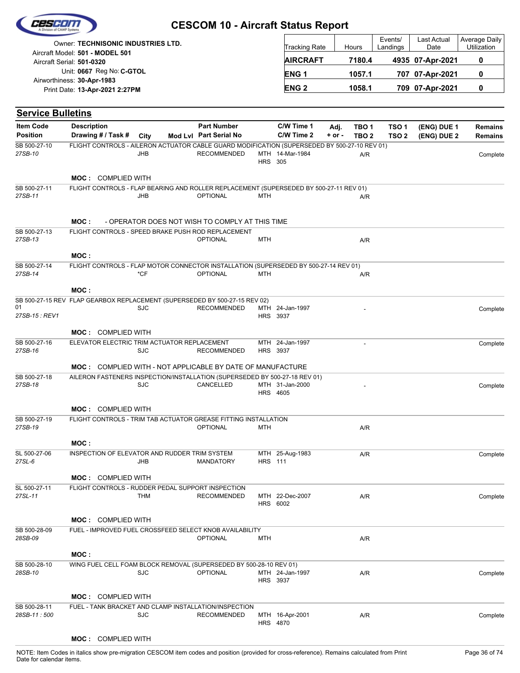| 725600                                                                | <b>CESCOM 10 - Aircraft Status Report</b> |                      |        |                     |                     |                                     |
|-----------------------------------------------------------------------|-------------------------------------------|----------------------|--------|---------------------|---------------------|-------------------------------------|
| Owner: TECHNISONIC INDUSTRIES LTD.<br>Aircraft Model: 501 - MODEL 501 |                                           | <b>Tracking Rate</b> | Hours  | Events/<br>Landings | Last Actual<br>Date | Average Daily<br><b>Utilization</b> |
| Aircraft Serial: 501-0320                                             |                                           | <b>AIRCRAFT</b>      | 7180.4 |                     | 4935 07-Apr-2021    | 0                                   |
| Unit: 0667 Reg No: C-GTOL<br>Airworthiness: 30-Apr-1983               |                                           | ENG <sub>1</sub>     | 1057.1 |                     | 707 07-Apr-2021     | 0                                   |
| Print Date: 13-Apr-2021 2:27PM                                        |                                           | <b>ENG 2</b>         | 1058.1 |                     | 709 07-Apr-2021     | 0                                   |

| <b>Service Bulletins</b>                |                                                                                              |            |  |                        |                |                                    |            |                  |                  |             |                |
|-----------------------------------------|----------------------------------------------------------------------------------------------|------------|--|------------------------|----------------|------------------------------------|------------|------------------|------------------|-------------|----------------|
| <b>Item Code</b>                        | <b>Description</b>                                                                           |            |  | <b>Part Number</b>     |                | C/W Time 1                         | Adj.       | TBO <sub>1</sub> | TSO <sub>1</sub> | (ENG) DUE 1 | <b>Remains</b> |
| <b>Position</b>                         | Drawing # / Task # City                                                                      |            |  | Mod Lvl Part Serial No |                | C/W Time 2                         | $+$ or $-$ | TBO <sub>2</sub> | TSO <sub>2</sub> | (ENG) DUE 2 | <b>Remains</b> |
| SB 500-27-10<br>27SB-10                 | FLIGHT CONTROLS - AILERON ACTUATOR CABLE GUARD MODIFICATION (SUPERSEDED BY 500-27-10 REV 01) | <b>JHB</b> |  | <b>RECOMMENDED</b>     | <b>HRS 305</b> | MTH 14-Mar-1984                    |            | A/R              |                  |             | Complete       |
|                                         | <b>MOC: COMPLIED WITH</b>                                                                    |            |  |                        |                |                                    |            |                  |                  |             |                |
| SB 500-27-11<br>27SB-11                 | FLIGHT CONTROLS - FLAP BEARING AND ROLLER REPLACEMENT (SUPERSEDED BY 500-27-11 REV 01)       |            |  |                        |                |                                    |            |                  |                  |             |                |
|                                         |                                                                                              | <b>JHB</b> |  | <b>OPTIONAL</b>        | MTH            |                                    |            | A/R              |                  |             |                |
|                                         | MOC :<br>- OPERATOR DOES NOT WISH TO COMPLY AT THIS TIME                                     |            |  |                        |                |                                    |            |                  |                  |             |                |
| SB 500-27-13<br>27SB-13                 | FLIGHT CONTROLS - SPEED BRAKE PUSH ROD REPLACEMENT                                           |            |  | <b>OPTIONAL</b>        | <b>MTH</b>     |                                    |            | A/R              |                  |             |                |
|                                         | MOC:                                                                                         |            |  |                        |                |                                    |            |                  |                  |             |                |
| SB 500-27-14<br>27SB-14                 | FLIGHT CONTROLS - FLAP MOTOR CONNECTOR INSTALLATION (SUPERSEDED BY 500-27-14 REV 01)         |            |  |                        |                |                                    |            |                  |                  |             |                |
|                                         |                                                                                              | *CF        |  | <b>OPTIONAL</b>        | <b>MTH</b>     |                                    |            | A/R              |                  |             |                |
|                                         | MOC:                                                                                         |            |  |                        |                |                                    |            |                  |                  |             |                |
| 01                                      | SB 500-27-15 REV FLAP GEARBOX REPLACEMENT (SUPERSEDED BY 500-27-15 REV 02)                   |            |  |                        |                |                                    |            |                  |                  |             |                |
| 27SB-15 : REV1                          |                                                                                              | <b>SJC</b> |  | <b>RECOMMENDED</b>     |                | MTH 24-Jan-1997<br>HRS 3937        |            |                  |                  |             | Complete       |
|                                         |                                                                                              |            |  |                        |                |                                    |            |                  |                  |             |                |
| SB 500-27-16                            | <b>MOC: COMPLIED WITH</b><br>ELEVATOR ELECTRIC TRIM ACTUATOR REPLACEMENT                     |            |  |                        |                | MTH 24-Jan-1997                    |            | ÷,               |                  |             | Complete       |
| 27SB-16                                 |                                                                                              | <b>SJC</b> |  | <b>RECOMMENDED</b>     |                | HRS 3937                           |            |                  |                  |             |                |
|                                         | <b>MOC: COMPLIED WITH - NOT APPLICABLE BY DATE OF MANUFACTURE</b>                            |            |  |                        |                |                                    |            |                  |                  |             |                |
| SB 500-27-18                            | AILERON FASTENERS INSPECTION/INSTALLATION (SUPERSEDED BY 500-27-18 REV 01)                   |            |  |                        |                |                                    |            |                  |                  |             |                |
| 27SB-18                                 |                                                                                              | <b>SJC</b> |  | CANCELLED              |                | MTH 31-Jan-2000<br><b>HRS</b> 4605 |            |                  |                  |             | Complete       |
|                                         | <b>MOC: COMPLIED WITH</b>                                                                    |            |  |                        |                |                                    |            |                  |                  |             |                |
| SB 500-27-19<br>27SB-19                 | FLIGHT CONTROLS - TRIM TAB ACTUATOR GREASE FITTING INSTALLATION                              |            |  |                        |                |                                    |            |                  |                  |             |                |
|                                         |                                                                                              |            |  | <b>OPTIONAL</b>        | <b>MTH</b>     |                                    |            | A/R              |                  |             |                |
|                                         | MOC:                                                                                         |            |  |                        |                |                                    |            |                  |                  |             |                |
| SL 500-27-06<br>27SL-6                  | INSPECTION OF ELEVATOR AND RUDDER TRIM SYSTEM                                                | <b>JHB</b> |  | <b>MANDATORY</b>       | <b>HRS</b> 111 | MTH 25-Aug-1983                    |            | A/R              |                  |             | Complete       |
|                                         |                                                                                              |            |  |                        |                |                                    |            |                  |                  |             |                |
|                                         | <b>MOC: COMPLIED WITH</b>                                                                    |            |  |                        |                |                                    |            |                  |                  |             |                |
| SL 500-27-11<br>27SL-11                 | FLIGHT CONTROLS - RUDDER PEDAL SUPPORT INSPECTION                                            | THM        |  | <b>RECOMMENDED</b>     |                | MTH 22-Dec-2007                    |            | A/R              |                  |             | Complete       |
|                                         |                                                                                              |            |  |                        |                | HRS 6002                           |            |                  |                  |             |                |
|                                         | <b>MOC: COMPLIED WITH</b>                                                                    |            |  |                        |                |                                    |            |                  |                  |             |                |
| SB 500-28-09                            | FUEL - IMPROVED FUEL CROSSFEED SELECT KNOB AVAILABILITY                                      |            |  |                        |                |                                    |            |                  |                  |             |                |
| 28SB-09                                 |                                                                                              |            |  | <b>OPTIONAL</b>        | <b>MTH</b>     |                                    |            | A/R              |                  |             |                |
|                                         | MOC:                                                                                         |            |  |                        |                |                                    |            |                  |                  |             |                |
| SB 500-28-10<br>28SB-10<br>SB 500-28-11 | WING FUEL CELL FOAM BLOCK REMOVAL (SUPERSEDED BY 500-28-10 REV 01)                           |            |  |                        |                |                                    |            |                  |                  |             |                |
|                                         |                                                                                              | <b>SJC</b> |  | <b>OPTIONAL</b>        |                | MTH 24-Jan-1997<br>HRS 3937        |            | A/R              |                  |             | Complete       |
|                                         |                                                                                              |            |  |                        |                |                                    |            |                  |                  |             |                |
|                                         | <b>MOC: COMPLIED WITH</b><br>FUEL - TANK BRACKET AND CLAMP INSTALLATION/INSPECTION           |            |  |                        |                |                                    |            |                  |                  |             |                |
| 28SB-11:500                             |                                                                                              | <b>SJC</b> |  | <b>RECOMMENDED</b>     |                | MTH 16-Apr-2001<br>HRS 4870        |            | A/R              |                  |             | Complete       |

#### **MOC :** COMPLIED WITH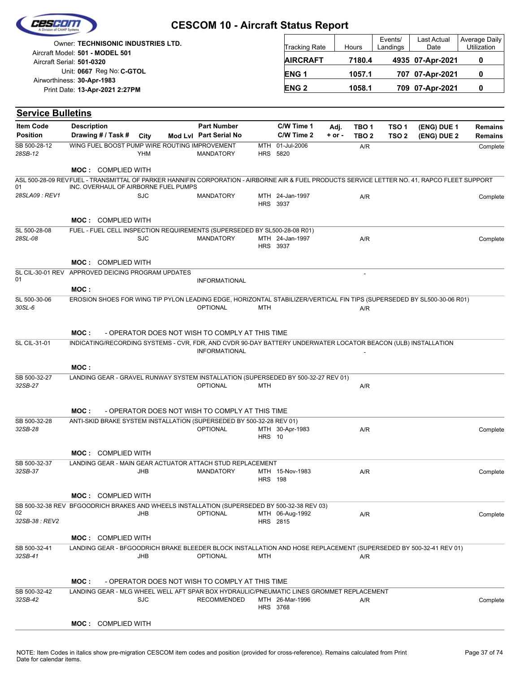

| <b>Owner: TECHNISONIC INDUSTRIES LTD.</b>                    | <b>Tracking Rate</b> | Hours  | Events/<br>Landings | Last Actual<br>Date | Average Daily<br><b>Utilization</b> |
|--------------------------------------------------------------|----------------------|--------|---------------------|---------------------|-------------------------------------|
| Aircraft Model: 501 - MODEL 501<br>Aircraft Serial: 501-0320 | <b>AIRCRAFT</b>      | 7180.4 |                     | 4935 07-Apr-2021    |                                     |
| Unit: 0667 Reg No: C-GTOL<br>Airworthiness: 30-Apr-1983      | ENG <sub>1</sub>     | 1057.1 |                     | 707 07-Apr-2021     |                                     |
| Print Date: 13-Apr-2021 2:27PM                               | <b>ENG 2</b>         | 1058.1 |                     | 709 07-Apr-2021     |                                     |

| <b>Service Bulletins</b> |                                                                                                                                              |            |                                                 |                |                                    |            |                  |                  |             |                |
|--------------------------|----------------------------------------------------------------------------------------------------------------------------------------------|------------|-------------------------------------------------|----------------|------------------------------------|------------|------------------|------------------|-------------|----------------|
| <b>Item Code</b>         | <b>Description</b>                                                                                                                           |            | <b>Part Number</b>                              |                | C/W Time 1                         | Adj.       | TBO <sub>1</sub> | TSO <sub>1</sub> | (ENG) DUE 1 | Remains        |
| <b>Position</b>          | Drawing # / Task # City                                                                                                                      |            | Mod Lvl Part Serial No                          |                | C/W Time 2                         | $+$ or $-$ | TBO <sub>2</sub> | TSO <sub>2</sub> | (ENG) DUE 2 | <b>Remains</b> |
| SB 500-28-12             | WING FUEL BOOST PUMP WIRE ROUTING IMPROVEMENT                                                                                                |            |                                                 | MTH            | 01-Jul-2006                        |            | A/R              |                  |             | Complete       |
| 28SB-12                  |                                                                                                                                              | YHM        | <b>MANDATORY</b>                                |                | HRS 5820                           |            |                  |                  |             |                |
|                          | <b>MOC: COMPLIED WITH</b>                                                                                                                    |            |                                                 |                |                                    |            |                  |                  |             |                |
|                          | ASL 500-28-09 REVFUEL - TRANSMITTAL OF PARKER HANNIFIN CORPORATION - AIRBORNE AIR & FUEL PRODUCTS SERVICE LETTER NO. 41, RAPCO FLEET SUPPORT |            |                                                 |                |                                    |            |                  |                  |             |                |
| 01                       | INC. OVERHAUL OF AIRBORNE FUEL PUMPS                                                                                                         |            |                                                 |                |                                    |            |                  |                  |             |                |
| 28SLA09: REV1            |                                                                                                                                              | <b>SJC</b> | <b>MANDATORY</b>                                |                | MTH 24-Jan-1997<br><b>HRS 3937</b> |            | A/R              |                  |             | Complete       |
|                          |                                                                                                                                              |            |                                                 |                |                                    |            |                  |                  |             |                |
|                          | <b>MOC: COMPLIED WITH</b>                                                                                                                    |            |                                                 |                |                                    |            |                  |                  |             |                |
| SL 500-28-08             | FUEL - FUEL CELL INSPECTION REQUIREMENTS (SUPERSEDED BY SL500-28-08 R01)                                                                     |            |                                                 |                |                                    |            |                  |                  |             |                |
| 28SL-08                  |                                                                                                                                              | <b>SJC</b> | <b>MANDATORY</b>                                |                | MTH 24-Jan-1997                    |            | A/R              |                  |             | Complete       |
|                          |                                                                                                                                              |            |                                                 |                | HRS 3937                           |            |                  |                  |             |                |
|                          | <b>MOC: COMPLIED WITH</b>                                                                                                                    |            |                                                 |                |                                    |            |                  |                  |             |                |
|                          | SL CIL-30-01 REV APPROVED DEICING PROGRAM UPDATES                                                                                            |            |                                                 |                |                                    |            |                  |                  |             |                |
| 01                       |                                                                                                                                              |            | <b>INFORMATIONAL</b>                            |                |                                    |            |                  |                  |             |                |
|                          | MOC:                                                                                                                                         |            |                                                 |                |                                    |            |                  |                  |             |                |
| SL 500-30-06<br>30SL-6   | EROSION SHOES FOR WING TIP PYLON LEADING EDGE, HORIZONTAL STABILIZER/VERTICAL FIN TIPS (SUPERSEDED BY SL500-30-06 R01)                       |            | <b>OPTIONAL</b>                                 | <b>MTH</b>     |                                    |            | A/R              |                  |             |                |
|                          |                                                                                                                                              |            |                                                 |                |                                    |            |                  |                  |             |                |
|                          |                                                                                                                                              |            |                                                 |                |                                    |            |                  |                  |             |                |
|                          | MOC:                                                                                                                                         |            | - OPERATOR DOES NOT WISH TO COMPLY AT THIS TIME |                |                                    |            |                  |                  |             |                |
| SL CIL-31-01             | INDICATING/RECORDING SYSTEMS - CVR, FDR, AND CVDR 90-DAY BATTERY UNDERWATER LOCATOR BEACON (ULB) INSTALLATION                                |            |                                                 |                |                                    |            |                  |                  |             |                |
|                          |                                                                                                                                              |            | <b>INFORMATIONAL</b>                            |                |                                    |            |                  |                  |             |                |
|                          | MOC:                                                                                                                                         |            |                                                 |                |                                    |            |                  |                  |             |                |
| SB 500-32-27             | LANDING GEAR - GRAVEL RUNWAY SYSTEM INSTALLATION (SUPERSEDED BY 500-32-27 REV 01)                                                            |            |                                                 |                |                                    |            |                  |                  |             |                |
| 32SB-27                  |                                                                                                                                              |            | <b>OPTIONAL</b>                                 | MTH            |                                    |            | A/R              |                  |             |                |
|                          |                                                                                                                                              |            |                                                 |                |                                    |            |                  |                  |             |                |
|                          | MOC:                                                                                                                                         |            | - OPERATOR DOES NOT WISH TO COMPLY AT THIS TIME |                |                                    |            |                  |                  |             |                |
| SB 500-32-28             | ANTI-SKID BRAKE SYSTEM INSTALLATION (SUPERSEDED BY 500-32-28 REV 01)                                                                         |            |                                                 |                |                                    |            |                  |                  |             |                |
| 32SB-28                  |                                                                                                                                              |            | <b>OPTIONAL</b>                                 |                | MTH 30-Apr-1983                    |            | A/R              |                  |             | Complete       |
|                          |                                                                                                                                              |            |                                                 | <b>HRS</b> 10  |                                    |            |                  |                  |             |                |
|                          | <b>MOC: COMPLIED WITH</b>                                                                                                                    |            |                                                 |                |                                    |            |                  |                  |             |                |
| SB 500-32-37             | LANDING GEAR - MAIN GEAR ACTUATOR ATTACH STUD REPLACEMENT                                                                                    |            |                                                 |                |                                    |            |                  |                  |             |                |
| 32SB-37                  |                                                                                                                                              | JHB        | <b>MANDATORY</b>                                |                | MTH 15-Nov-1983                    |            | A/R              |                  |             | Complete       |
|                          |                                                                                                                                              |            |                                                 | <b>HRS</b> 198 |                                    |            |                  |                  |             |                |
|                          | <b>MOC: COMPLIED WITH</b>                                                                                                                    |            |                                                 |                |                                    |            |                  |                  |             |                |
|                          | SB 500-32-38 REV BFGOODRICH BRAKES AND WHEELS INSTALLATION (SUPERSEDED BY 500-32-38 REV 03)                                                  |            |                                                 |                |                                    |            |                  |                  |             |                |
| 02                       |                                                                                                                                              | JHB        | <b>OPTIONAL</b>                                 |                | MTH 06-Aug-1992                    |            | A/R              |                  |             | Complete       |
| 32SB-38 : REV2           |                                                                                                                                              |            |                                                 |                | HRS 2815                           |            |                  |                  |             |                |
|                          | <b>MOC: COMPLIED WITH</b>                                                                                                                    |            |                                                 |                |                                    |            |                  |                  |             |                |
| SB 500-32-41             | LANDING GEAR - BFGOODRICH BRAKE BLEEDER BLOCK INSTALLATION AND HOSE REPLACEMENT (SUPERSEDED BY 500-32-41 REV 01)                             |            |                                                 |                |                                    |            |                  |                  |             |                |
| 32SB-41                  |                                                                                                                                              | <b>JHB</b> | <b>OPTIONAL</b>                                 | MTH            |                                    |            | A/R              |                  |             |                |
|                          |                                                                                                                                              |            |                                                 |                |                                    |            |                  |                  |             |                |
|                          | MOC :                                                                                                                                        |            | - OPERATOR DOES NOT WISH TO COMPLY AT THIS TIME |                |                                    |            |                  |                  |             |                |
| SB 500-32-42             | LANDING GEAR - MLG WHEEL WELL AFT SPAR BOX HYDRAULIC/PNEUMATIC LINES GROMMET REPLACEMENT                                                     |            |                                                 |                |                                    |            |                  |                  |             |                |
| 32SB-42                  |                                                                                                                                              | <b>SJC</b> | <b>RECOMMENDED</b>                              |                | MTH 26-Mar-1996                    |            | A/R              |                  |             | Complete       |
|                          |                                                                                                                                              |            |                                                 |                | HRS 3768                           |            |                  |                  |             |                |
|                          | <b>MOC: COMPLIED WITH</b>                                                                                                                    |            |                                                 |                |                                    |            |                  |                  |             |                |
|                          |                                                                                                                                              |            |                                                 |                |                                    |            |                  |                  |             |                |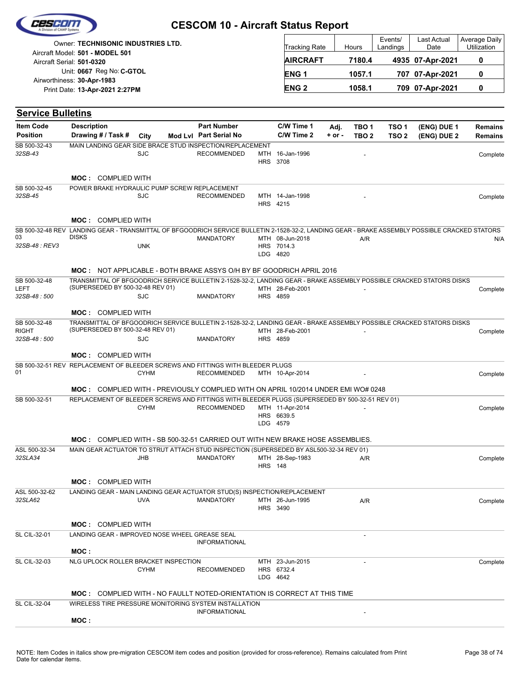| Cesedin           |  |
|-------------------|--|
|                   |  |
| ision of CAMP Sus |  |

| Owner: T <b>ECHNISONIC INDUSTRIES LTD.</b>                   | Tracking Rate   | Hours  | Events/<br>Landings | <b>Last Actual</b><br>Date | Average Daily<br>Utilization |
|--------------------------------------------------------------|-----------------|--------|---------------------|----------------------------|------------------------------|
| Aircraft Model: 501 - MODEL 501<br>Aircraft Serial: 501-0320 | <b>AIRCRAFT</b> | 7180.4 |                     | 4935 07-Apr-2021           |                              |
| Unit: 0667 Reg No: C-GTOL<br>Airworthiness: 30-Apr-1983      | <b>ENG1</b>     | 1057.1 |                     | 707 07-Apr-2021            |                              |
| Print Date: 13-Apr-2021 2:27PM                               | <b>ENG 2</b>    | 1058.1 |                     | 709 07-Apr-2021            |                              |

| <b>Service Bulletins</b>     |                                                                                                                                                          |             |  |                        |                |                                           |            |                  |                  |             |          |
|------------------------------|----------------------------------------------------------------------------------------------------------------------------------------------------------|-------------|--|------------------------|----------------|-------------------------------------------|------------|------------------|------------------|-------------|----------|
| <b>Item Code</b>             | <b>Description</b>                                                                                                                                       |             |  | <b>Part Number</b>     |                | C/W Time 1                                | Adj.       | TBO <sub>1</sub> | TSO <sub>1</sub> | (ENG) DUE 1 | Remains  |
| <b>Position</b>              | Drawing # / Task #                                                                                                                                       | City        |  | Mod Lvl Part Serial No |                | C/W Time 2                                | $+$ or $-$ | TBO <sub>2</sub> | TSO <sub>2</sub> | (ENG) DUE 2 | Remains  |
| SB 500-32-43<br>32SB-43      | MAIN LANDING GEAR SIDE BRACE STUD INSPECTION/REPLACEMENT                                                                                                 | SJC         |  | <b>RECOMMENDED</b>     |                | MTH 16-Jan-1996<br>HRS 3708               |            |                  |                  |             | Complete |
|                              | <b>MOC: COMPLIED WITH</b>                                                                                                                                |             |  |                        |                |                                           |            |                  |                  |             |          |
| SB 500-32-45                 | POWER BRAKE HYDRAULIC PUMP SCREW REPLACEMENT                                                                                                             |             |  |                        |                |                                           |            |                  |                  |             |          |
| 32SB-45                      |                                                                                                                                                          | <b>SJC</b>  |  | <b>RECOMMENDED</b>     |                | MTH 14-Jan-1998<br>HRS 4215               |            |                  |                  |             | Complete |
|                              | <b>MOC: COMPLIED WITH</b>                                                                                                                                |             |  |                        |                |                                           |            |                  |                  |             |          |
|                              | SB 500-32-48 REV LANDING GEAR - TRANSMITTAL OF BFGOODRICH SERVICE BULLETIN 2-1528-32-2, LANDING GEAR - BRAKE ASSEMBLY POSSIBLE CRACKED STATORS           |             |  |                        |                |                                           |            |                  |                  |             |          |
| 03<br>32SB-48 : REV3         | <b>DISKS</b>                                                                                                                                             | <b>UNK</b>  |  | <b>MANDATORY</b>       |                | MTH 08-Jun-2018<br>HRS 7014.3<br>LDG 4820 |            | A/R              |                  |             | N/A      |
|                              | <b>MOC:</b> NOT APPLICABLE - BOTH BRAKE ASSYS O/H BY BF GOODRICH APRIL 2016                                                                              |             |  |                        |                |                                           |            |                  |                  |             |          |
| SB 500-32-48<br>LEFT         | TRANSMITTAL OF BFGOODRICH SERVICE BULLETIN 2-1528-32-2, LANDING GEAR - BRAKE ASSEMBLY POSSIBLE CRACKED STATORS DISKS<br>(SUPERSEDED BY 500-32-48 REV 01) |             |  |                        |                | MTH 28-Feb-2001                           |            |                  |                  |             | Complete |
| 32SB-48:500                  |                                                                                                                                                          | <b>SJC</b>  |  | <b>MANDATORY</b>       |                | HRS 4859                                  |            |                  |                  |             |          |
|                              | <b>MOC: COMPLIED WITH</b>                                                                                                                                |             |  |                        |                |                                           |            |                  |                  |             |          |
| SB 500-32-48<br><b>RIGHT</b> | TRANSMITTAL OF BFGOODRICH SERVICE BULLETIN 2-1528-32-2, LANDING GEAR - BRAKE ASSEMBLY POSSIBLE CRACKED STATORS DISKS<br>(SUPERSEDED BY 500-32-48 REV 01) |             |  |                        |                | MTH 28-Feb-2001                           |            |                  |                  |             | Complete |
| 32SB-48:500                  |                                                                                                                                                          | <b>SJC</b>  |  | <b>MANDATORY</b>       |                | HRS 4859                                  |            |                  |                  |             |          |
|                              | <b>MOC: COMPLIED WITH</b>                                                                                                                                |             |  |                        |                |                                           |            |                  |                  |             |          |
| 01                           | SB 500-32-51 REV REPLACEMENT OF BLEEDER SCREWS AND FITTINGS WITH BLEEDER PLUGS                                                                           | <b>CYHM</b> |  | <b>RECOMMENDED</b>     |                | MTH 10-Apr-2014                           |            |                  |                  |             | Complete |
|                              | <b>MOC:</b> COMPLIED WITH - PREVIOUSLY COMPLIED WITH ON APRIL 10/2014 UNDER EMI WO# 0248                                                                 |             |  |                        |                |                                           |            |                  |                  |             |          |
| SB 500-32-51                 | REPLACEMENT OF BLEEDER SCREWS AND FITTINGS WITH BLEEDER PLUGS (SUPERSEDED BY 500-32-51 REV 01)                                                           | <b>CYHM</b> |  | <b>RECOMMENDED</b>     |                | MTH 11-Apr-2014<br>HRS 6639.5<br>LDG 4579 |            |                  |                  |             | Complete |
|                              | <b>MOC:</b> COMPLIED WITH - SB 500-32-51 CARRIED OUT WITH NEW BRAKE HOSE ASSEMBLIES.                                                                     |             |  |                        |                |                                           |            |                  |                  |             |          |
| ASL 500-32-34                | MAIN GEAR ACTUATOR TO STRUT ATTACH STUD INSPECTION (SUPERSEDED BY ASL500-32-34 REV 01)                                                                   |             |  |                        |                |                                           |            |                  |                  |             |          |
| 32SLA34                      |                                                                                                                                                          | JHB         |  | <b>MANDATORY</b>       | <b>HRS</b> 148 | MTH 28-Sep-1983                           |            | A/R              |                  |             | Complete |
|                              | <b>MOC: COMPLIED WITH</b>                                                                                                                                |             |  |                        |                |                                           |            |                  |                  |             |          |
| ASL 500-32-62<br>32SLA62     | LANDING GEAR - MAIN LANDING GEAR ACTUATOR STUD(S) INSPECTION/REPLACEMENT                                                                                 | <b>UVA</b>  |  | <b>MANDATORY</b>       |                | MTH 26-Jun-1995<br>HRS 3490               |            | A/R              |                  |             | Complete |
|                              | <b>MOC: COMPLIED WITH</b>                                                                                                                                |             |  |                        |                |                                           |            |                  |                  |             |          |
| SL CIL-32-01                 | LANDING GEAR - IMPROVED NOSE WHEEL GREASE SEAL                                                                                                           |             |  |                        |                |                                           |            |                  |                  |             |          |
|                              |                                                                                                                                                          |             |  | <b>INFORMATIONAL</b>   |                |                                           |            |                  |                  |             |          |
|                              | MOC:<br>NLG UPLOCK ROLLER BRACKET INSPECTION                                                                                                             |             |  |                        |                |                                           |            |                  |                  |             |          |
| SL CIL-32-03                 |                                                                                                                                                          | <b>CYHM</b> |  | <b>RECOMMENDED</b>     |                | MTH 23-Jun-2015<br>HRS 6732.4<br>LDG 4642 |            |                  |                  |             | Complete |
|                              | <b>MOC:</b> COMPLIED WITH - NO FAULLT NOTED-ORIENTATION IS CORRECT AT THIS TIME                                                                          |             |  |                        |                |                                           |            |                  |                  |             |          |
| SL CIL-32-04                 | WIRELESS TIRE PRESSURE MONITORING SYSTEM INSTALLATION                                                                                                    |             |  | <b>INFORMATIONAL</b>   |                |                                           |            |                  |                  |             |          |
|                              | MOC:                                                                                                                                                     |             |  |                        |                |                                           |            |                  |                  |             |          |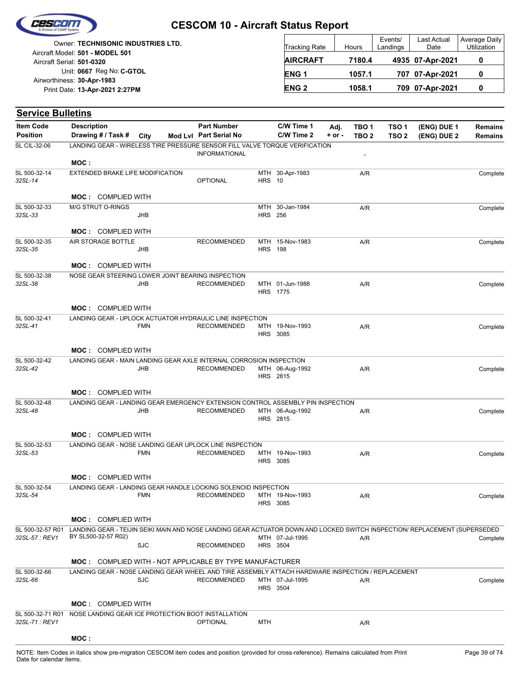

| <b>Owner: TECHNISONIC INDUSTRIES LTD.</b>                    | <b>Tracking Rate</b> | Hours  | Events/<br>Landings | <b>Last Actual</b><br>Date | Average Daily<br>Utilization |
|--------------------------------------------------------------|----------------------|--------|---------------------|----------------------------|------------------------------|
| Aircraft Model: 501 - MODEL 501<br>Aircraft Serial: 501-0320 | <b>AIRCRAFT</b>      | 7180.4 |                     | 4935 07-Apr-2021           |                              |
| Unit: 0667 Reg No: C-GTOL                                    | <b>ENG1</b>          | 1057.1 |                     | 707 07-Apr-2021            |                              |
| Airworthiness: 30-Apr-1983<br>Print Date: 13-Apr-2021 2:27PM | <b>ENG 2</b>         | 1058.1 |                     | 709 07-Apr-2021            |                              |

| <b>Service Bulletins</b>            |                    |                                  |            |                                                                                                                            |                |                                    |                |                           |                           |                            |                                  |
|-------------------------------------|--------------------|----------------------------------|------------|----------------------------------------------------------------------------------------------------------------------------|----------------|------------------------------------|----------------|---------------------------|---------------------------|----------------------------|----------------------------------|
| <b>Item Code</b><br><b>Position</b> | <b>Description</b> | Drawing # / Task #               | City       | <b>Part Number</b><br>Mod Lvl Part Serial No                                                                               |                | C/W Time 1<br>C/W Time 2           | Adj.<br>+ or - | TBO 1<br>TBO <sub>2</sub> | TSO 1<br>TSO <sub>2</sub> | (ENG) DUE 1<br>(ENG) DUE 2 | <b>Remains</b><br><b>Remains</b> |
| SL CIL-32-06                        |                    |                                  |            | LANDING GEAR - WIRELESS TIRE PRESSURE SENSOR FILL VALVE TORQUE VERIFICATION                                                |                |                                    |                |                           |                           |                            |                                  |
|                                     |                    |                                  |            | <b>INFORMATIONAL</b>                                                                                                       |                |                                    |                |                           |                           |                            |                                  |
|                                     | MOC:               |                                  |            |                                                                                                                            |                |                                    |                |                           |                           |                            |                                  |
| SL 500-32-14<br>32SL-14             |                    | EXTENDED BRAKE LIFE MODIFICATION |            | <b>OPTIONAL</b>                                                                                                            | <b>HRS</b> 10  | MTH 30-Apr-1983                    |                | A/R                       |                           |                            | Complete                         |
|                                     |                    |                                  |            |                                                                                                                            |                |                                    |                |                           |                           |                            |                                  |
|                                     |                    | <b>MOC: COMPLIED WITH</b>        |            |                                                                                                                            |                |                                    |                |                           |                           |                            |                                  |
| SL 500-32-33                        |                    | M/G STRUT O-RINGS                |            |                                                                                                                            | <b>HRS 256</b> | MTH 30-Jan-1984                    |                | A/R                       |                           |                            | Complete                         |
| 32SL-33                             |                    |                                  | JHB        |                                                                                                                            |                |                                    |                |                           |                           |                            |                                  |
|                                     |                    | <b>MOC: COMPLIED WITH</b>        |            |                                                                                                                            |                |                                    |                |                           |                           |                            |                                  |
| SL 500-32-35                        |                    | AIR STORAGE BOTTLE               |            | <b>RECOMMENDED</b>                                                                                                         |                | MTH 15-Nov-1983                    |                | A/R                       |                           |                            | Complete                         |
| 32SL-35                             |                    |                                  | JHB        |                                                                                                                            | <b>HRS</b> 198 |                                    |                |                           |                           |                            |                                  |
|                                     |                    | <b>MOC: COMPLIED WITH</b>        |            |                                                                                                                            |                |                                    |                |                           |                           |                            |                                  |
| SL 500-32-38                        |                    |                                  |            | NOSE GEAR STEERING LOWER JOINT BEARING INSPECTION                                                                          |                |                                    |                |                           |                           |                            |                                  |
| 32SL-38                             |                    |                                  | JHB        | <b>RECOMMENDED</b>                                                                                                         |                | MTH 01-Jun-1988                    |                | A/R                       |                           |                            | Complete                         |
|                                     |                    |                                  |            |                                                                                                                            |                | HRS 1775                           |                |                           |                           |                            |                                  |
|                                     |                    | <b>MOC: COMPLIED WITH</b>        |            |                                                                                                                            |                |                                    |                |                           |                           |                            |                                  |
| SL 500-32-41                        |                    |                                  |            | LANDING GEAR - UPLOCK ACTUATOR HYDRAULIC LINE INSPECTION                                                                   |                |                                    |                |                           |                           |                            |                                  |
| 32SL-41                             |                    |                                  | <b>FMN</b> | <b>RECOMMENDED</b>                                                                                                         |                | MTH 19-Nov-1993                    |                | A/R                       |                           |                            | Complete                         |
|                                     |                    |                                  |            |                                                                                                                            |                | <b>HRS 3085</b>                    |                |                           |                           |                            |                                  |
|                                     |                    | <b>MOC: COMPLIED WITH</b>        |            |                                                                                                                            |                |                                    |                |                           |                           |                            |                                  |
| SL 500-32-42                        |                    |                                  |            | LANDING GEAR - MAIN LANDING GEAR AXLE INTERNAL CORROSION INSPECTION                                                        |                |                                    |                |                           |                           |                            |                                  |
| 32SL-42                             |                    |                                  | <b>JHB</b> | <b>RECOMMENDED</b>                                                                                                         |                | MTH 06-Aug-1992                    |                | A/R                       |                           |                            | Complete                         |
|                                     |                    |                                  |            |                                                                                                                            |                | <b>HRS</b> 2815                    |                |                           |                           |                            |                                  |
|                                     |                    | <b>MOC: COMPLIED WITH</b>        |            |                                                                                                                            |                |                                    |                |                           |                           |                            |                                  |
| SL 500-32-48                        |                    |                                  |            | LANDING GEAR - LANDING GEAR EMERGENCY EXTENSION CONTROL ASSEMBLY PIN INSPECTION                                            |                |                                    |                |                           |                           |                            |                                  |
| 32SL-48                             |                    |                                  | JHB        | <b>RECOMMENDED</b>                                                                                                         |                | MTH 06-Aug-1992                    |                | A/R                       |                           |                            | Complete                         |
|                                     |                    |                                  |            |                                                                                                                            |                | HRS 2815                           |                |                           |                           |                            |                                  |
|                                     |                    | <b>MOC: COMPLIED WITH</b>        |            |                                                                                                                            |                |                                    |                |                           |                           |                            |                                  |
| SL 500-32-53                        |                    |                                  |            | LANDING GEAR - NOSE LANDING GEAR UPLOCK LINE INSPECTION                                                                    |                |                                    |                |                           |                           |                            |                                  |
| 32SL-53                             |                    |                                  | <b>FMN</b> | <b>RECOMMENDED</b>                                                                                                         |                | MTH 19-Nov-1993                    |                | A/R                       |                           |                            | Complete                         |
|                                     |                    |                                  |            |                                                                                                                            |                | HRS 3085                           |                |                           |                           |                            |                                  |
|                                     |                    | <b>MOC: COMPLIED WITH</b>        |            |                                                                                                                            |                |                                    |                |                           |                           |                            |                                  |
| SL 500-32-54                        |                    |                                  |            | LANDING GEAR - LANDING GEAR HANDLE LOCKING SOLENOID INSPECTION                                                             |                |                                    |                |                           |                           |                            |                                  |
| 32SL-54                             |                    |                                  | <b>FMN</b> | <b>RECOMMENDED</b>                                                                                                         |                | MTH 19-Nov-1993<br><b>HRS 3085</b> |                | A/R                       |                           |                            | Complete                         |
|                                     |                    |                                  |            |                                                                                                                            |                |                                    |                |                           |                           |                            |                                  |
|                                     |                    | <b>MOC: COMPLIED WITH</b>        |            |                                                                                                                            |                |                                    |                |                           |                           |                            |                                  |
| SL 500-32-57 R01                    |                    |                                  |            | LANDING GEAR - TEIJIN SEIKI MAIN AND NOSE LANDING GEAR ACTUATOR DOWN AND LOCKED SWITCH INSPECTION/ REPLACEMENT (SUPERSEDED |                |                                    |                |                           |                           |                            |                                  |
| 32SL-57 : REV1                      |                    | BY SL500-32-57 R02)              | <b>SJC</b> | <b>RECOMMENDED</b>                                                                                                         |                | MTH 07-Jul-1995<br><b>HRS</b> 3504 |                | A/R                       |                           |                            | Complete                         |
|                                     |                    |                                  |            |                                                                                                                            |                |                                    |                |                           |                           |                            |                                  |
|                                     |                    |                                  |            | <b>MOC:</b> COMPLIED WITH - NOT APPLICABLE BY TYPE MANUFACTURER                                                            |                |                                    |                |                           |                           |                            |                                  |
| SL 500-32-66                        |                    |                                  |            | LANDING GEAR - NOSE LANDING GEAR WHEEL AND TIRE ASSEMBLY ATTACH HARDWARE INSPECTION / REPLACEMENT                          |                |                                    |                |                           |                           |                            |                                  |
| 32SL-66                             |                    |                                  | <b>SJC</b> | <b>RECOMMENDED</b>                                                                                                         |                | MTH 07-Jul-1995<br>HRS 3504        |                | A/R                       |                           |                            | Complete                         |
|                                     |                    |                                  |            |                                                                                                                            |                |                                    |                |                           |                           |                            |                                  |
|                                     |                    | <b>MOC: COMPLIED WITH</b>        |            |                                                                                                                            |                |                                    |                |                           |                           |                            |                                  |
|                                     |                    |                                  |            | SL 500-32-71 R01 NOSE LANDING GEAR ICE PROTECTION BOOT INSTALLATION                                                        |                |                                    |                |                           |                           |                            |                                  |
| 32SL-71 : REV1                      |                    |                                  |            | <b>OPTIONAL</b>                                                                                                            | <b>MTH</b>     |                                    |                | A/R                       |                           |                            |                                  |

#### **MOC :**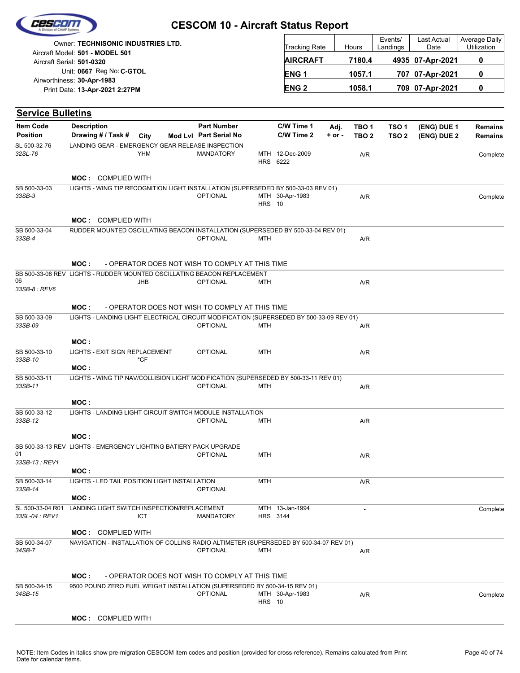| Cescom |  |
|--------|--|
|        |  |
|        |  |

| Owner: TECHNISONIC INDUSTRIES LTD.<br>Aircraft Model: 501 - MODEL 501 | <b>Tracking Rate</b> | Hours  | Events/<br>Landings | <b>Last Actual</b><br>Date | Average Daily<br><b>Utilization</b> |
|-----------------------------------------------------------------------|----------------------|--------|---------------------|----------------------------|-------------------------------------|
| Aircraft Serial: 501-0320                                             | <b>AIRCRAFT</b>      | 7180.4 |                     | 4935 07-Apr-2021           |                                     |
| Unit: 0667 Reg No: C-GTOL<br>Airworthiness: 30-Apr-1983               | ENG <sub>1</sub>     | 1057.1 |                     | 707 07-Apr-2021            |                                     |
| Print Date: 13-Apr-2021 2:27PM                                        | <b>ENG2</b>          | 1058.1 |                     | 709 07-Apr-2021            |                                     |

| <b>Service Bulletins</b>            |                                                                                         |                                                 |  |                                                 |               |                             |                    |                                      |                           |                            |                                  |  |  |
|-------------------------------------|-----------------------------------------------------------------------------------------|-------------------------------------------------|--|-------------------------------------------------|---------------|-----------------------------|--------------------|--------------------------------------|---------------------------|----------------------------|----------------------------------|--|--|
| <b>Item Code</b><br><b>Position</b> | <b>Description</b><br>Drawing # / Task #                                                | City                                            |  | <b>Part Number</b><br>Mod Lvl Part Serial No    |               | C/W Time 1<br>C/W Time 2    | Adj.<br>$+$ or $-$ | TBO <sub>1</sub><br>TBO <sub>2</sub> | TSO 1<br>TSO <sub>2</sub> | (ENG) DUE 1<br>(ENG) DUE 2 | <b>Remains</b><br><b>Remains</b> |  |  |
| SL 500-32-76                        | LANDING GEAR - EMERGENCY GEAR RELEASE INSPECTION                                        |                                                 |  |                                                 |               |                             |                    |                                      |                           |                            |                                  |  |  |
| 32SL-76                             |                                                                                         | YHM                                             |  | <b>MANDATORY</b>                                |               | MTH 12-Dec-2009<br>HRS 6222 |                    | A/R                                  |                           |                            | Complete                         |  |  |
|                                     | <b>MOC: COMPLIED WITH</b>                                                               |                                                 |  |                                                 |               |                             |                    |                                      |                           |                            |                                  |  |  |
| SB 500-33-03                        | LIGHTS - WING TIP RECOGNITION LIGHT INSTALLATION (SUPERSEDED BY 500-33-03 REV 01)       |                                                 |  |                                                 |               |                             |                    |                                      |                           |                            |                                  |  |  |
| 33SB-3                              |                                                                                         |                                                 |  | <b>OPTIONAL</b>                                 | <b>HRS 10</b> | MTH 30-Apr-1983             |                    | A/R                                  |                           |                            | Complete                         |  |  |
|                                     | <b>MOC: COMPLIED WITH</b>                                                               |                                                 |  |                                                 |               |                             |                    |                                      |                           |                            |                                  |  |  |
| SB 500-33-04                        | RUDDER MOUNTED OSCILLATING BEACON INSTALLATION (SUPERSEDED BY 500-33-04 REV 01)         |                                                 |  |                                                 |               |                             |                    |                                      |                           |                            |                                  |  |  |
| 33SB-4                              |                                                                                         |                                                 |  | <b>OPTIONAL</b>                                 | MTH           |                             |                    | A/R                                  |                           |                            |                                  |  |  |
|                                     | MOC:                                                                                    | - OPERATOR DOES NOT WISH TO COMPLY AT THIS TIME |  |                                                 |               |                             |                    |                                      |                           |                            |                                  |  |  |
|                                     | SB 500-33-08 REV LIGHTS - RUDDER MOUNTED OSCILLATING BEACON REPLACEMENT                 |                                                 |  |                                                 |               |                             |                    |                                      |                           |                            |                                  |  |  |
| 06<br>33SB-8 : REV6                 |                                                                                         | JHB                                             |  | <b>OPTIONAL</b>                                 | MTH           |                             |                    | A/R                                  |                           |                            |                                  |  |  |
|                                     | MOC:                                                                                    |                                                 |  | - OPERATOR DOES NOT WISH TO COMPLY AT THIS TIME |               |                             |                    |                                      |                           |                            |                                  |  |  |
| SB 500-33-09                        | LIGHTS - LANDING LIGHT ELECTRICAL CIRCUIT MODIFICATION (SUPERSEDED BY 500-33-09 REV 01) |                                                 |  |                                                 |               |                             |                    |                                      |                           |                            |                                  |  |  |
| 33SB-09                             |                                                                                         |                                                 |  | <b>OPTIONAL</b>                                 | <b>MTH</b>    |                             |                    | A/R                                  |                           |                            |                                  |  |  |
|                                     | MOC:                                                                                    |                                                 |  |                                                 |               |                             |                    |                                      |                           |                            |                                  |  |  |
| SB 500-33-10<br>33SB-10             | LIGHTS - EXIT SIGN REPLACEMENT<br>MOC:                                                  | *CF                                             |  | <b>OPTIONAL</b>                                 | <b>MTH</b>    |                             |                    | A/R                                  |                           |                            |                                  |  |  |
| SB 500-33-11<br>33SB-11             | LIGHTS - WING TIP NAV/COLLISION LIGHT MODIFICATION (SUPERSEDED BY 500-33-11 REV 01)     |                                                 |  | <b>OPTIONAL</b>                                 | MTH           |                             |                    | A/R                                  |                           |                            |                                  |  |  |
|                                     | MOC:                                                                                    |                                                 |  |                                                 |               |                             |                    |                                      |                           |                            |                                  |  |  |
| SB 500-33-12                        | LIGHTS - LANDING LIGHT CIRCUIT SWITCH MODULE INSTALLATION                               |                                                 |  |                                                 |               |                             |                    |                                      |                           |                            |                                  |  |  |
| 33SB-12                             |                                                                                         |                                                 |  | <b>OPTIONAL</b>                                 | MTH           |                             |                    | A/R                                  |                           |                            |                                  |  |  |
|                                     | MOC:                                                                                    |                                                 |  |                                                 |               |                             |                    |                                      |                           |                            |                                  |  |  |
| 01<br>33SB-13 : REV1                | SB 500-33-13 REV LIGHTS - EMERGENCY LIGHTING BATIERY PACK UPGRADE                       |                                                 |  | <b>OPTIONAL</b>                                 | <b>MTH</b>    |                             |                    | A/R                                  |                           |                            |                                  |  |  |
|                                     | MOC :                                                                                   |                                                 |  |                                                 |               |                             |                    |                                      |                           |                            |                                  |  |  |
| SB 500-33-14<br>33SB-14             | LIGHTS - LED TAIL POSITION LIGHT INSTALLATION                                           |                                                 |  | OPTIONAL                                        | MTH           |                             |                    | A/R                                  |                           |                            |                                  |  |  |
|                                     | MOC:                                                                                    |                                                 |  |                                                 |               |                             |                    |                                      |                           |                            |                                  |  |  |
| SL 500-33-04 R01<br>33SL-04 : REV1  | LANDING LIGHT SWITCH INSPECTION/REPLACEMENT                                             | <b>ICT</b>                                      |  | <b>MANDATORY</b>                                |               | MTH 13-Jan-1994<br>HRS 3144 |                    |                                      |                           |                            | Complete                         |  |  |
|                                     | <b>MOC: COMPLIED WITH</b>                                                               |                                                 |  |                                                 |               |                             |                    |                                      |                           |                            |                                  |  |  |
| SB 500-34-07                        | NAVIGATION - INSTALLATION OF COLLINS RADIO ALTIMETER (SUPERSEDED BY 500-34-07 REV 01)   |                                                 |  |                                                 |               |                             |                    |                                      |                           |                            |                                  |  |  |
| 34SB-7                              |                                                                                         |                                                 |  | <b>OPTIONAL</b>                                 | MTH           |                             |                    | A/R                                  |                           |                            |                                  |  |  |
|                                     | MOC:                                                                                    |                                                 |  | - OPERATOR DOES NOT WISH TO COMPLY AT THIS TIME |               |                             |                    |                                      |                           |                            |                                  |  |  |
| SB 500-34-15                        | 9500 POUND ZERO FUEL WEIGHT INSTALLATION (SUPERSEDED BY 500-34-15 REV 01)               |                                                 |  |                                                 |               |                             |                    |                                      |                           |                            |                                  |  |  |
| 34SB-15                             |                                                                                         |                                                 |  | <b>OPTIONAL</b>                                 | <b>HRS</b> 10 | MTH 30-Apr-1983             |                    | A/R                                  |                           |                            | Complete                         |  |  |
|                                     | <b>MOC: COMPLIED WITH</b>                                                               |                                                 |  |                                                 |               |                             |                    |                                      |                           |                            |                                  |  |  |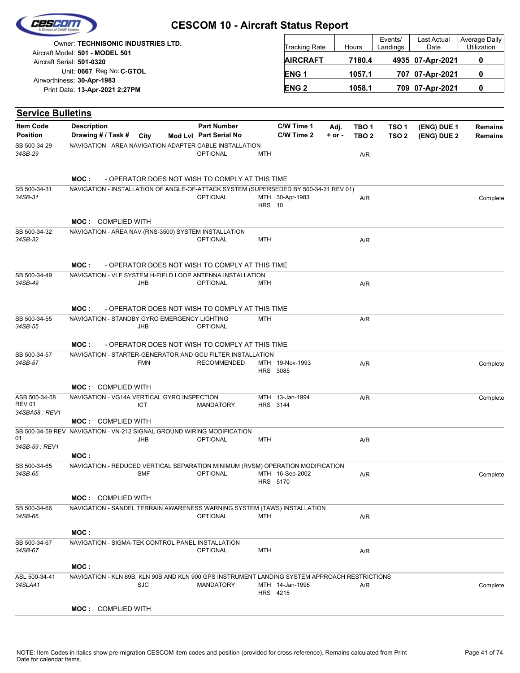| Cescom |  |
|--------|--|
|        |  |
|        |  |

| Owner: TECHNISONIC INDUSTRIES LTD.<br>Aircraft Model: 501 - MODEL 501 | <b>Tracking Rate</b>   | Hours  | Events/<br>Landings | Last Actual<br>Date | Average Daily<br>Utilization |
|-----------------------------------------------------------------------|------------------------|--------|---------------------|---------------------|------------------------------|
| Aircraft Serial: 501-0320                                             | <b>AIRCRAFT</b>        | 7180.4 |                     | 4935 07-Apr-2021    |                              |
| Unit: 0667 Reg No: C-GTOL                                             | <b>ENG1</b>            | 1057.1 |                     | 707 07-Apr-2021     |                              |
| Airworthiness: 30-Apr-1983<br>Print Date: 13-Apr-2021 2:27PM          | <b>ENG<sub>2</sub></b> | 1058.1 |                     | 709 07-Apr-2021     |                              |

| <b>Service Bulletins</b>                         |                                                                                               |            |                                                 |               |                                    |                    |                                      |                                      |                            |                                  |
|--------------------------------------------------|-----------------------------------------------------------------------------------------------|------------|-------------------------------------------------|---------------|------------------------------------|--------------------|--------------------------------------|--------------------------------------|----------------------------|----------------------------------|
| <b>Item Code</b><br><b>Position</b>              | <b>Description</b><br>Drawing # / Task #                                                      | City       | <b>Part Number</b><br>Mod Lvl Part Serial No    |               | C/W Time 1<br>C/W Time 2           | Adj.<br>$+$ or $-$ | TBO <sub>1</sub><br>TBO <sub>2</sub> | TSO <sub>1</sub><br>TSO <sub>2</sub> | (ENG) DUE 1<br>(ENG) DUE 2 | <b>Remains</b><br><b>Remains</b> |
| SB 500-34-29<br>34SB-29                          | NAVIGATION - AREA NAVIGATION ADAPTER CABLE INSTALLATION                                       |            | <b>OPTIONAL</b>                                 | <b>MTH</b>    |                                    |                    | A/R                                  |                                      |                            |                                  |
|                                                  | MOC:                                                                                          |            | - OPERATOR DOES NOT WISH TO COMPLY AT THIS TIME |               |                                    |                    |                                      |                                      |                            |                                  |
| SB 500-34-31<br>34SB-31                          | NAVIGATION - INSTALLATION OF ANGLE-OF-ATTACK SYSTEM (SUPERSEDED BY 500-34-31 REV 01)          |            | <b>OPTIONAL</b>                                 | <b>HRS</b> 10 | MTH 30-Apr-1983                    |                    | A/R                                  |                                      |                            | Complete                         |
|                                                  | <b>MOC: COMPLIED WITH</b>                                                                     |            |                                                 |               |                                    |                    |                                      |                                      |                            |                                  |
| SB 500-34-32<br>34SB-32                          | NAVIGATION - AREA NAV (RNS-3500) SYSTEM INSTALLATION                                          |            | <b>OPTIONAL</b>                                 | <b>MTH</b>    |                                    |                    | A/R                                  |                                      |                            |                                  |
|                                                  | MOC:                                                                                          |            | - OPERATOR DOES NOT WISH TO COMPLY AT THIS TIME |               |                                    |                    |                                      |                                      |                            |                                  |
| SB 500-34-49<br>34SB-49                          | NAVIGATION - VLF SYSTEM H-FIELD LOOP ANTENNA INSTALLATION                                     | <b>JHB</b> | <b>OPTIONAL</b>                                 | <b>MTH</b>    |                                    |                    | A/R                                  |                                      |                            |                                  |
|                                                  | MOC:                                                                                          |            | - OPERATOR DOES NOT WISH TO COMPLY AT THIS TIME |               |                                    |                    |                                      |                                      |                            |                                  |
| SB 500-34-55<br>34SB-55                          | NAVIGATION - STANDBY GYRO EMERGENCY LIGHTING                                                  | JHB        | <b>OPTIONAL</b>                                 | <b>MTH</b>    |                                    |                    | A/R                                  |                                      |                            |                                  |
|                                                  | MOC:                                                                                          |            | - OPERATOR DOES NOT WISH TO COMPLY AT THIS TIME |               |                                    |                    |                                      |                                      |                            |                                  |
| SB 500-34-57<br>34SB-57                          | NAVIGATION - STARTER-GENERATOR AND GCU FILTER INSTALLATION                                    | <b>FMN</b> | <b>RECOMMENDED</b>                              |               | MTH 19-Nov-1993<br><b>HRS 3085</b> |                    | A/R                                  |                                      |                            | Complete                         |
|                                                  | <b>MOC: COMPLIED WITH</b>                                                                     |            |                                                 |               |                                    |                    |                                      |                                      |                            |                                  |
| ASB 500-34-58<br><b>REV 01</b><br>34SBA58 : REV1 | NAVIGATION - VG14A VERTICAL GYRO INSPECTION                                                   | ICT        | <b>MANDATORY</b>                                |               | MTH 13-Jan-1994<br>HRS 3144        |                    | A/R                                  |                                      |                            | Complete                         |
|                                                  | <b>MOC: COMPLIED WITH</b>                                                                     |            |                                                 |               |                                    |                    |                                      |                                      |                            |                                  |
| 01<br>34SB-59 : REV1                             | SB 500-34-59 REV NAVIGATION - VN-212 SIGNAL GROUND WIRING MODIFICATION                        | JHB        | <b>OPTIONAL</b>                                 | <b>MTH</b>    |                                    |                    | A/R                                  |                                      |                            |                                  |
|                                                  | MOC:                                                                                          |            |                                                 |               |                                    |                    |                                      |                                      |                            |                                  |
| SB 500-34-65<br>34SB-65                          | NAVIGATION - REDUCED VERTICAL SEPARATION MINIMUM (RVSM) OPERATION MODIFICATION                | <b>SMF</b> | <b>OPTIONAL</b>                                 |               | MTH 16-Sep-2002<br>HRS 5170        |                    | A/R                                  |                                      |                            | Complete                         |
|                                                  | <b>MOC: COMPLIED WITH</b>                                                                     |            |                                                 |               |                                    |                    |                                      |                                      |                            |                                  |
| SB 500-34-66<br>34SB-66                          | NAVIGATION - SANDEL TERRAIN AWARENESS WARNING SYSTEM (TAWS) INSTALLATION                      |            | <b>OPTIONAL</b>                                 | <b>MTH</b>    |                                    |                    | $\mathsf{A}\!/\mathsf{R}$            |                                      |                            |                                  |
|                                                  | MOC:                                                                                          |            |                                                 |               |                                    |                    |                                      |                                      |                            |                                  |
| SB 500-34-67<br>34SB-67                          | NAVIGATION - SIGMA-TEK CONTROL PANEL INSTALLATION                                             |            | <b>OPTIONAL</b>                                 | MTH           |                                    |                    | A/R                                  |                                      |                            |                                  |
|                                                  | MOC:                                                                                          |            |                                                 |               |                                    |                    |                                      |                                      |                            |                                  |
| ASL 500-34-41<br>34SLA41                         | NAVIGATION - KLN 89B, KLN 90B AND KLN 900 GPS INSTRUMENT LANDING SYSTEM APPROACH RESTRICTIONS | <b>SJC</b> | MANDATORY                                       |               | MTH 14-Jan-1998<br>HRS 4215        |                    | A/R                                  |                                      |                            | Complete                         |
|                                                  | <b>MOC: COMPLIED WITH</b>                                                                     |            |                                                 |               |                                    |                    |                                      |                                      |                            |                                  |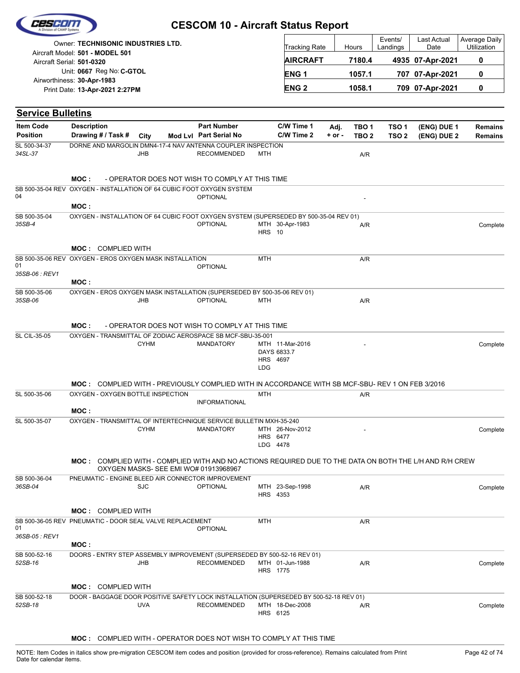| <b>Owner: TECHNISONIC INDUSTRIES LTD.</b> | Tracking Rate    | Hours  | Events/<br>Landings | Last Actual<br>Date | Average Daily<br><b>Utilization</b> |
|-------------------------------------------|------------------|--------|---------------------|---------------------|-------------------------------------|
| Aircraft Model: 501 - MODEL 501           |                  |        |                     |                     |                                     |
| Aircraft Serial: 501-0320                 | <b>AIRCRAFT</b>  | 7180.4 |                     | 4935 07-Apr-2021    | 0                                   |
| Unit: 0667 Reg No: C-GTOL                 | ENG <sub>1</sub> | 1057.1 |                     | 707 07-Apr-2021     | 0                                   |
| Airworthiness: 30-Apr-1983                |                  |        |                     |                     |                                     |
| Print Date: 13-Apr-2021 2:27PM            | <b>ENG 2</b>     | 1058.1 |                     | 709 07-Apr-2021     | 0                                   |

| <b>Item Code</b><br><b>Position</b> | <b>Description</b><br>Drawing # / Task # City                                                                  |                                       | <b>Part Number</b><br>Mod Lvl Part Serial No    |               | C/W Time 1<br>C/W Time 2       | Adj.<br>$+$ or $-$ | TBO 1<br>TBO <sub>2</sub> | TSO <sub>1</sub><br>TSO <sub>2</sub> | (ENG) DUE 1<br>(ENG) DUE 2 | Remains<br><b>Remains</b> |
|-------------------------------------|----------------------------------------------------------------------------------------------------------------|---------------------------------------|-------------------------------------------------|---------------|--------------------------------|--------------------|---------------------------|--------------------------------------|----------------------------|---------------------------|
| SL 500-34-37<br>34SL-37             | DORNE AND MARGOLIN DMN4-17-4 NAV ANTENNA COUPLER INSPECTION<br><b>JHB</b>                                      |                                       | <b>RECOMMENDED</b>                              | MTH           |                                |                    | A/R                       |                                      |                            |                           |
|                                     | MOC :                                                                                                          |                                       | - OPERATOR DOES NOT WISH TO COMPLY AT THIS TIME |               |                                |                    |                           |                                      |                            |                           |
| 04                                  | SB 500-35-04 REV OXYGEN - INSTALLATION OF 64 CUBIC FOOT OXYGEN SYSTEM                                          |                                       | <b>OPTIONAL</b>                                 |               |                                |                    |                           |                                      |                            |                           |
|                                     | MOC:                                                                                                           |                                       |                                                 |               |                                |                    |                           |                                      |                            |                           |
| SB 500-35-04<br>35SB-4              | OXYGEN - INSTALLATION OF 64 CUBIC FOOT OXYGEN SYSTEM (SUPERSEDED BY 500-35-04 REV 01)                          |                                       | <b>OPTIONAL</b>                                 | <b>HRS</b> 10 | MTH 30-Apr-1983                |                    | A/R                       |                                      |                            | Complete                  |
|                                     | <b>MOC: COMPLIED WITH</b>                                                                                      |                                       |                                                 |               |                                |                    |                           |                                      |                            |                           |
| 01                                  | SB 500-35-06 REV OXYGEN - EROS OXYGEN MASK INSTALLATION                                                        |                                       | <b>OPTIONAL</b>                                 | MTH           |                                |                    | A/R                       |                                      |                            |                           |
| 35SB-06 : REV1                      | MOC:                                                                                                           |                                       |                                                 |               |                                |                    |                           |                                      |                            |                           |
| SB 500-35-06                        | OXYGEN - EROS OXYGEN MASK INSTALLATION (SUPERSEDED BY 500-35-06 REV 01)                                        |                                       |                                                 |               |                                |                    |                           |                                      |                            |                           |
| 35SB-06                             | JHB                                                                                                            |                                       | <b>OPTIONAL</b>                                 | MTH           |                                |                    | A/R                       |                                      |                            |                           |
|                                     | MOC :                                                                                                          |                                       | - OPERATOR DOES NOT WISH TO COMPLY AT THIS TIME |               |                                |                    |                           |                                      |                            |                           |
| SL CIL-35-05                        | OXYGEN - TRANSMITTAL OF ZODIAC AEROSPACE SB MCF-SBU-35-001                                                     |                                       |                                                 |               |                                |                    |                           |                                      |                            |                           |
|                                     |                                                                                                                | <b>CYHM</b>                           | <b>MANDATORY</b>                                |               | MTH 11-Mar-2016<br>DAYS 6833.7 |                    |                           |                                      |                            | Complete                  |
|                                     |                                                                                                                |                                       |                                                 |               | HRS 4697                       |                    |                           |                                      |                            |                           |
|                                     |                                                                                                                |                                       |                                                 | LDG           |                                |                    |                           |                                      |                            |                           |
|                                     | MOC: COMPLIED WITH - PREVIOUSLY COMPLIED WITH IN ACCORDANCE WITH SB MCF-SBU- REV 1 ON FEB 3/2016               |                                       |                                                 |               |                                |                    |                           |                                      |                            |                           |
| SL 500-35-06                        | OXYGEN - OXYGEN BOTTLE INSPECTION                                                                              |                                       |                                                 | <b>MTH</b>    |                                |                    | A/R                       |                                      |                            |                           |
|                                     |                                                                                                                |                                       | <b>INFORMATIONAL</b>                            |               |                                |                    |                           |                                      |                            |                           |
|                                     | MOC:                                                                                                           |                                       |                                                 |               |                                |                    |                           |                                      |                            |                           |
| SL 500-35-07                        | OXYGEN - TRANSMITTAL OF INTERTECHNIQUE SERVICE BULLETIN MXH-35-240                                             |                                       |                                                 |               |                                |                    |                           |                                      |                            |                           |
|                                     |                                                                                                                | <b>CYHM</b>                           | <b>MANDATORY</b>                                |               | MTH 26-Nov-2012<br>HRS 6477    |                    |                           |                                      |                            | Complete                  |
|                                     |                                                                                                                |                                       |                                                 |               | LDG 4478                       |                    |                           |                                      |                            |                           |
|                                     |                                                                                                                |                                       |                                                 |               |                                |                    |                           |                                      |                            |                           |
|                                     | <b>MOC:</b> COMPLIED WITH - COMPLIED WITH AND NO ACTIONS REQUIRED DUE TO THE DATA ON BOTH THE L/H AND R/H CREW | OXYGEN MASKS- SEE EMI WO# 01913968967 |                                                 |               |                                |                    |                           |                                      |                            |                           |
| SB 500-36-04<br>36SB-04             | PNEUMATIC - ENGINE BLEED AIR CONNECTOR IMPROVEMENT<br><b>SJC</b>                                               |                                       | <b>OPTIONAL</b>                                 |               | MTH 23-Sep-1998                |                    | A/R                       |                                      |                            | Complete                  |
|                                     |                                                                                                                |                                       |                                                 |               | HRS 4353                       |                    |                           |                                      |                            |                           |
|                                     | <b>MOC: COMPLIED WITH</b>                                                                                      |                                       |                                                 |               |                                |                    |                           |                                      |                            |                           |
|                                     | SB 500-36-05 REV PNEUMATIC - DOOR SEAL VALVE REPLACEMENT                                                       |                                       |                                                 | MTH           |                                |                    | A/R                       |                                      |                            |                           |
| 01<br>36SB-05 : REV1                |                                                                                                                |                                       | <b>OPTIONAL</b>                                 |               |                                |                    |                           |                                      |                            |                           |
|                                     | MOC:                                                                                                           |                                       |                                                 |               |                                |                    |                           |                                      |                            |                           |
| SB 500-52-16                        | DOORS - ENTRY STEP ASSEMBLY IMPROVEMENT (SUPERSEDED BY 500-52-16 REV 01)                                       |                                       |                                                 |               |                                |                    |                           |                                      |                            |                           |
| 52SB-16                             | <b>JHB</b>                                                                                                     |                                       | <b>RECOMMENDED</b>                              |               | MTH 01-Jun-1988                |                    | A/R                       |                                      |                            | Complete                  |
|                                     |                                                                                                                |                                       |                                                 |               | HRS 1775                       |                    |                           |                                      |                            |                           |
|                                     | <b>MOC: COMPLIED WITH</b>                                                                                      |                                       |                                                 |               |                                |                    |                           |                                      |                            |                           |
| SB 500-52-18                        | DOOR - BAGGAGE DOOR POSITIVE SAFETY LOCK INSTALLATION (SUPERSEDED BY 500-52-18 REV 01)                         |                                       |                                                 |               |                                |                    |                           |                                      |                            |                           |
| 52SB-18                             | <b>UVA</b>                                                                                                     |                                       | <b>RECOMMENDED</b>                              |               | MTH 18-Dec-2008                |                    | A/R                       |                                      |                            | Complete                  |
|                                     |                                                                                                                |                                       |                                                 |               | HRS 6125                       |                    |                           |                                      |                            |                           |

**MOC :** COMPLIED WITH - OPERATOR DOES NOT WISH TO COMPLY AT THIS TIME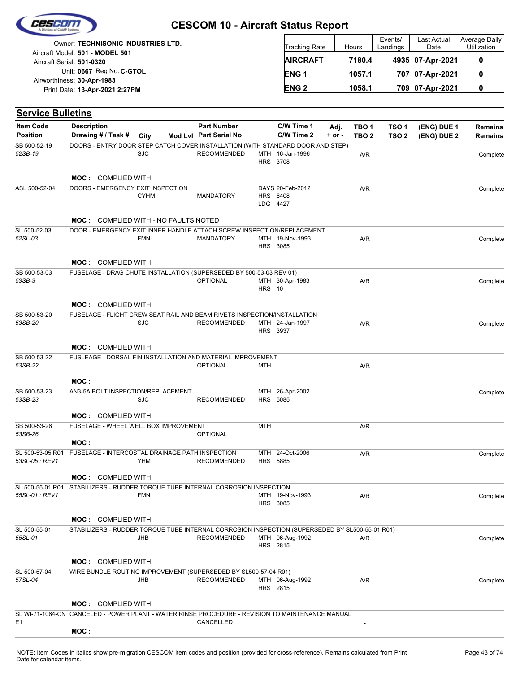|  | Cescom             |  |
|--|--------------------|--|
|  |                    |  |
|  | vision of CAMP Sus |  |

| Owner: TECHNISONIC INDUSTRIES LTD.                           | <b>Tracking Rate</b>   | Hours  | Events/<br>Landings | Last Actual<br>Date | Average Daily<br><b>Utilization</b> |
|--------------------------------------------------------------|------------------------|--------|---------------------|---------------------|-------------------------------------|
| Aircraft Model: 501 - MODEL 501<br>Aircraft Serial: 501-0320 | <b>AIRCRAFT</b>        | 7180.4 |                     | 4935 07-Apr-2021    |                                     |
| Unit: 0667 Reg No: C-GTOL                                    | ENG <sub>1</sub>       | 1057.1 |                     | 707 07-Apr-2021     |                                     |
| Airworthiness: 30-Apr-1983<br>Print Date: 13-Apr-2021 2:27PM | <b>ENG<sub>2</sub></b> | 1058.1 |                     | 709 07-Apr-2021     |                                     |

| <b>Service Bulletins</b> |                                                                                                  |             |                        |               |                                    |            |                  |                  |             |                |
|--------------------------|--------------------------------------------------------------------------------------------------|-------------|------------------------|---------------|------------------------------------|------------|------------------|------------------|-------------|----------------|
| <b>Item Code</b>         | <b>Description</b>                                                                               |             | <b>Part Number</b>     |               | C/W Time 1                         | Adj.       | TBO <sub>1</sub> | TSO <sub>1</sub> | (ENG) DUE 1 | <b>Remains</b> |
| <b>Position</b>          | Drawing # / Task #                                                                               | City        | Mod Lvl Part Serial No |               | C/W Time 2                         | $+$ or $-$ | TBO <sub>2</sub> | TSO <sub>2</sub> | (ENG) DUE 2 | Remains        |
| SB 500-52-19<br>52SB-19  | DOORS - ENTRY DOOR STEP CATCH COVER INSTALLATION (WITH STANDARD DOOR AND STEP)                   | <b>SJC</b>  | <b>RECOMMENDED</b>     |               | MTH 16-Jan-1996<br>HRS 3708        |            | A/R              |                  |             | Complete       |
|                          | <b>MOC: COMPLIED WITH</b>                                                                        |             |                        |               |                                    |            |                  |                  |             |                |
| ASL 500-52-04            | DOORS - EMERGENCY EXIT INSPECTION                                                                |             |                        |               | DAYS 20-Feb-2012                   |            | A/R              |                  |             | Complete       |
|                          |                                                                                                  | <b>CYHM</b> | <b>MANDATORY</b>       |               | HRS 6408<br>LDG 4427               |            |                  |                  |             |                |
|                          | <b>MOC: COMPLIED WITH - NO FAULTS NOTED</b>                                                      |             |                        |               |                                    |            |                  |                  |             |                |
| SL 500-52-03<br>52SL-03  | DOOR - EMERGENCY EXIT INNER HANDLE ATTACH SCREW INSPECTION/REPLACEMENT                           | <b>FMN</b>  | MANDATORY              |               | MTH 19-Nov-1993<br><b>HRS 3085</b> |            | A/R              |                  |             | Complete       |
|                          | <b>MOC: COMPLIED WITH</b>                                                                        |             |                        |               |                                    |            |                  |                  |             |                |
| SB 500-53-03<br>53SB-3   | FUSELAGE - DRAG CHUTE INSTALLATION (SUPERSEDED BY 500-53-03 REV 01)                              |             | <b>OPTIONAL</b>        | <b>HRS</b> 10 | MTH 30-Apr-1983                    |            | A/R              |                  |             | Complete       |
|                          | <b>MOC: COMPLIED WITH</b>                                                                        |             |                        |               |                                    |            |                  |                  |             |                |
| SB 500-53-20<br>53SB-20  | FUSELAGE - FLIGHT CREW SEAT RAIL AND BEAM RIVETS INSPECTION/INSTALLATION                         | <b>SJC</b>  | <b>RECOMMENDED</b>     |               | MTH 24-Jan-1997<br>HRS 3937        |            | A/R              |                  |             | Complete       |
|                          | <b>MOC: COMPLIED WITH</b>                                                                        |             |                        |               |                                    |            |                  |                  |             |                |
| SB 500-53-22<br>53SB-22  | FUSLEAGE - DORSAL FIN INSTALLATION AND MATERIAL IMPROVEMENT                                      |             | <b>OPTIONAL</b>        | MTH           |                                    |            | A/R              |                  |             |                |
|                          | MOC:                                                                                             |             |                        |               |                                    |            |                  |                  |             |                |
| SB 500-53-23<br>53SB-23  | AN3-5A BOLT INSPECTION/REPLACEMENT                                                               | <b>SJC</b>  | <b>RECOMMENDED</b>     |               | MTH 26-Apr-2002<br><b>HRS 5085</b> |            | $\blacksquare$   |                  |             | Complete       |
|                          | <b>MOC: COMPLIED WITH</b>                                                                        |             |                        |               |                                    |            |                  |                  |             |                |
| SB 500-53-26<br>53SB-26  | FUSELAGE - WHEEL WELL BOX IMPROVEMENT                                                            |             | <b>OPTIONAL</b>        | <b>MTH</b>    |                                    |            | A/R              |                  |             |                |
| SL 500-53-05 R01         | MOC:<br>FUSELAGE - INTERCOSTAL DRAINAGE PATH INSPECTION                                          |             |                        |               | MTH 24-Oct-2006                    |            |                  |                  |             |                |
| 53SL-05 : REV1           |                                                                                                  | YHM         | <b>RECOMMENDED</b>     |               | HRS 5885                           |            | A/R              |                  |             | Complete       |
|                          | <b>MOC: COMPLIED WITH</b>                                                                        |             |                        |               |                                    |            |                  |                  |             |                |
| 55SL-01 : REV1           | SL 500-55-01 R01 STABILIZERS - RUDDER TORQUE TUBE INTERNAL CORROSION INSPECTION                  | <b>FMN</b>  |                        |               | MTH 19-Nov-1993<br><b>HRS 3085</b> |            | A/R              |                  |             | Complete       |
|                          | <b>MOC: COMPLIED WITH</b>                                                                        |             |                        |               |                                    |            |                  |                  |             |                |
| SL 500-55-01             | STABILIZERS - RUDDER TORQUE TUBE INTERNAL CORROSION INSPECTION (SUPERSEDED BY SL500-55-01 R01)   |             |                        |               |                                    |            |                  |                  |             |                |
| 55SL-01                  |                                                                                                  | JHB         | <b>RECOMMENDED</b>     |               | MTH 06-Aug-1992<br>HRS 2815        |            | A/R              |                  |             | Complete       |
|                          | <b>MOC: COMPLIED WITH</b>                                                                        |             |                        |               |                                    |            |                  |                  |             |                |
| SL 500-57-04<br>57SL-04  | WIRE BUNDLE ROUTING IMPROVEMENT (SUPERSEDED BY SL500-57-04 R01)                                  | JHB         | <b>RECOMMENDED</b>     |               | MTH 06-Aug-1992<br>HRS 2815        |            | A/R              |                  |             | Complete       |
|                          | <b>MOC: COMPLIED WITH</b>                                                                        |             |                        |               |                                    |            |                  |                  |             |                |
| E1                       | SL WI-71-1064-CN CANCELED - POWER PLANT - WATER RINSE PROCEDURE - REVISION TO MAINTENANCE MANUAL |             | CANCELLED              |               |                                    |            |                  |                  |             |                |
|                          | MOC:                                                                                             |             |                        |               |                                    |            |                  |                  |             |                |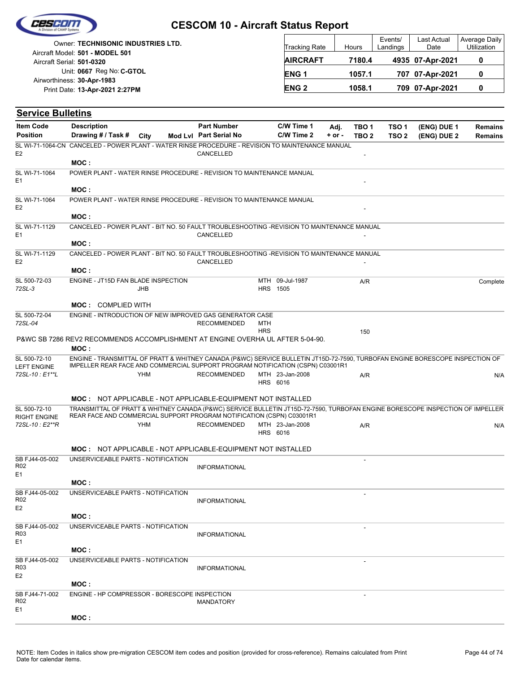

| Owner: TECHNISONIC INDUSTRIES LTD.<br>Aircraft Model: 501 - MODEL 501 | <b>Tracking Rate</b> | Hours  | Events/<br>Landings | Last Actual<br>Date | Average Daily<br><b>Utilization</b> |
|-----------------------------------------------------------------------|----------------------|--------|---------------------|---------------------|-------------------------------------|
| Aircraft Serial: 501-0320                                             | <b>AIRCRAFT</b>      | 7180.4 |                     | 4935 07-Apr-2021    |                                     |
| Unit: 0667 Reg No: C-GTOL<br>Airworthiness: 30-Apr-1983               | ENG <sub>1</sub>     | 1057.1 |                     | 707 07-Apr-2021     |                                     |
| Print Date: 13-Apr-2021 2:27PM                                        | <b>ENG2</b>          | 1058.1 |                     | 709 07-Apr-2021     |                                     |

| <b>Service Bulletins</b>                            |                                                                                                                                                                                                                 |            |                                              |            |                                    |                    |                                      |                                      |                            |                                  |
|-----------------------------------------------------|-----------------------------------------------------------------------------------------------------------------------------------------------------------------------------------------------------------------|------------|----------------------------------------------|------------|------------------------------------|--------------------|--------------------------------------|--------------------------------------|----------------------------|----------------------------------|
| <b>Item Code</b><br><b>Position</b>                 | <b>Description</b><br>Drawing # / Task #                                                                                                                                                                        | City       | <b>Part Number</b><br>Mod Lvl Part Serial No |            | C/W Time 1<br>C/W Time 2           | Adj.<br>$+$ or $-$ | TBO <sub>1</sub><br>TBO <sub>2</sub> | TSO <sub>1</sub><br>TSO <sub>2</sub> | (ENG) DUE 1<br>(ENG) DUE 2 | <b>Remains</b><br><b>Remains</b> |
| E <sub>2</sub>                                      | SL WI-71-1064-CN CANCELED - POWER PLANT - WATER RINSE PROCEDURE - REVISION TO MAINTENANCE MANUAL<br>MOC:                                                                                                        |            | CANCELLED                                    |            |                                    |                    |                                      |                                      |                            |                                  |
| SL WI-71-1064<br>E <sub>1</sub>                     | POWER PLANT - WATER RINSE PROCEDURE - REVISION TO MAINTENANCE MANUAL                                                                                                                                            |            |                                              |            |                                    |                    |                                      |                                      |                            |                                  |
|                                                     | MOC :                                                                                                                                                                                                           |            |                                              |            |                                    |                    |                                      |                                      |                            |                                  |
| SL WI-71-1064<br>E <sub>2</sub>                     | POWER PLANT - WATER RINSE PROCEDURE - REVISION TO MAINTENANCE MANUAL                                                                                                                                            |            |                                              |            |                                    |                    |                                      |                                      |                            |                                  |
| SL WI-71-1129                                       | MOC:<br>CANCELED - POWER PLANT - BIT NO. 50 FAULT TROUBLESHOOTING -REVISION TO MAINTENANCE MANUAL                                                                                                               |            |                                              |            |                                    |                    |                                      |                                      |                            |                                  |
| E <sub>1</sub>                                      | MOC:                                                                                                                                                                                                            |            | CANCELLED                                    |            |                                    |                    |                                      |                                      |                            |                                  |
| SL WI-71-1129<br>E <sub>2</sub>                     | CANCELED - POWER PLANT - BIT NO. 50 FAULT TROUBLESHOOTING -REVISION TO MAINTENANCE MANUAL                                                                                                                       |            | CANCELLED                                    |            |                                    |                    |                                      |                                      |                            |                                  |
|                                                     | MOC:                                                                                                                                                                                                            |            |                                              |            |                                    |                    |                                      |                                      |                            |                                  |
| SL 500-72-03<br>72SL-3                              | ENGINE - JT15D FAN BLADE INSPECTION                                                                                                                                                                             | <b>JHB</b> |                                              |            | MTH 09-Jul-1987<br><b>HRS</b> 1505 |                    | A/R                                  |                                      |                            | Complete                         |
|                                                     | <b>MOC: COMPLIED WITH</b>                                                                                                                                                                                       |            |                                              |            |                                    |                    |                                      |                                      |                            |                                  |
| SL 500-72-04<br>72SL-04                             | ENGINE - INTRODUCTION OF NEW IMPROVED GAS GENERATOR CASE                                                                                                                                                        |            | <b>RECOMMENDED</b>                           | MTH        |                                    |                    |                                      |                                      |                            |                                  |
|                                                     |                                                                                                                                                                                                                 |            |                                              | <b>HRS</b> |                                    |                    | 150                                  |                                      |                            |                                  |
|                                                     | P&WC SB 7286 REV2 RECOMMENDS ACCOMPLISHMENT AT ENGINE OVERHA UL AFTER 5-04-90.<br>MOC:                                                                                                                          |            |                                              |            |                                    |                    |                                      |                                      |                            |                                  |
| SL 500-72-10                                        | ENGINE - TRANSMITTAL OF PRATT & WHITNEY CANADA (P&WC) SERVICE BULLETIN JT15D-72-7590, TURBOFAN ENGINE BORESCOPE INSPECTION OF<br>IMPELLER REAR FACE AND COMMERCIAL SUPPORT PROGRAM NOTIFICATION (CSPN) C03001R1 |            |                                              |            |                                    |                    |                                      |                                      |                            |                                  |
| <b>LEFT ENGINE</b><br>72SL-10: E1**L                |                                                                                                                                                                                                                 | <b>YHM</b> | <b>RECOMMENDED</b>                           |            | MTH 23-Jan-2008<br>HRS 6016        |                    | A/R                                  |                                      |                            | N/A                              |
|                                                     | <b>MOC: NOT APPLICABLE - NOT APPLICABLE-EQUIPMENT NOT INSTALLED</b>                                                                                                                                             |            |                                              |            |                                    |                    |                                      |                                      |                            |                                  |
| SL 500-72-10<br><b>RIGHT ENGINE</b>                 | TRANSMITTAL OF PRATT & WHITNEY CANADA (P&WC) SERVICE BULLETIN JT15D-72-7590, TURBOFAN ENGINE BORESCOPE INSPECTION OF IMPELLER<br>REAR FACE AND COMMERCIAL SUPPORT PROGRAM NOTIFICATION (CSPN) C03001R1          |            |                                              |            |                                    |                    |                                      |                                      |                            |                                  |
| 72SL-10 : E2**R                                     |                                                                                                                                                                                                                 | <b>YHM</b> | <b>RECOMMENDED</b>                           |            | MTH 23-Jan-2008<br>HRS 6016        |                    | A/R                                  |                                      |                            | N/A                              |
|                                                     | <b>MOC: NOT APPLICABLE - NOT APPLICABLE-EQUIPMENT NOT INSTALLED</b>                                                                                                                                             |            |                                              |            |                                    |                    |                                      |                                      |                            |                                  |
| SB FJ44-05-002<br>R <sub>02</sub><br>E <sub>1</sub> | UNSERVICEABLE PARTS - NOTIFICATION                                                                                                                                                                              |            | <b>INFORMATIONAL</b>                         |            |                                    |                    | L.                                   |                                      |                            |                                  |
|                                                     | MOC:                                                                                                                                                                                                            |            |                                              |            |                                    |                    |                                      |                                      |                            |                                  |
| SB FJ44-05-002<br>R02<br>E <sub>2</sub>             | UNSERVICEABLE PARTS - NOTIFICATION                                                                                                                                                                              |            | <b>INFORMATIONAL</b>                         |            |                                    |                    |                                      |                                      |                            |                                  |
|                                                     | MOC:                                                                                                                                                                                                            |            |                                              |            |                                    |                    |                                      |                                      |                            |                                  |
| SB FJ44-05-002<br>R <sub>03</sub><br>E1             | UNSERVICEABLE PARTS - NOTIFICATION                                                                                                                                                                              |            | <b>INFORMATIONAL</b>                         |            |                                    |                    |                                      |                                      |                            |                                  |
|                                                     | MOC :                                                                                                                                                                                                           |            |                                              |            |                                    |                    |                                      |                                      |                            |                                  |
| SB FJ44-05-002<br>R <sub>03</sub>                   | UNSERVICEABLE PARTS - NOTIFICATION                                                                                                                                                                              |            | <b>INFORMATIONAL</b>                         |            |                                    |                    |                                      |                                      |                            |                                  |
| E <sub>2</sub>                                      | MOC:                                                                                                                                                                                                            |            |                                              |            |                                    |                    |                                      |                                      |                            |                                  |
| SB FJ44-71-002<br>R02                               | ENGINE - HP COMPRESSOR - BORESCOPE INSPECTION                                                                                                                                                                   |            | <b>MANDATORY</b>                             |            |                                    |                    |                                      |                                      |                            |                                  |
| E1                                                  | MOC:                                                                                                                                                                                                            |            |                                              |            |                                    |                    |                                      |                                      |                            |                                  |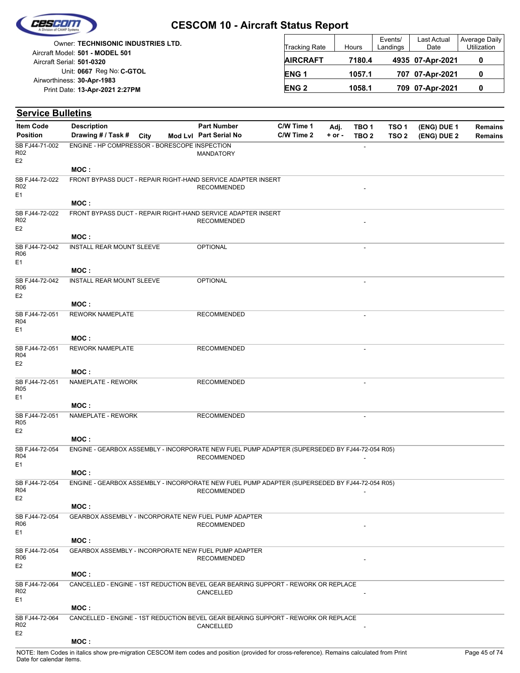

|                            | <b>Owner: TECHNISONIC INDUSTRIES LTD.</b> |
|----------------------------|-------------------------------------------|
|                            | Aircraft Model: 501 - MODEL 501           |
| Aircraft Serial: 501-0320  |                                           |
|                            | Unit: 0667 Reg No: C-GTOL                 |
| Airworthiness: 30-Apr-1983 |                                           |
|                            | Print Date: 13-Apr-2021 2:27PM            |
|                            |                                           |

| <b>Tracking Rate</b> | Hours  | Events/<br>Landings | Last Actual<br>Date | Average Daily<br>Utilization |
|----------------------|--------|---------------------|---------------------|------------------------------|
| <b>AIRCRAFT</b>      | 7180.4 |                     | 4935 07-Apr-2021    |                              |
| ENG <sub>1</sub>     | 1057.1 |                     | 707 07-Apr-2021     |                              |
| <b>ENG 2</b>         | 1058.1 |                     | 709 07-Apr-2021     |                              |

| <b>Service Bulletins</b>                            |                                               |      |                                                                                                                     |            |            |                          |                  |             |                |
|-----------------------------------------------------|-----------------------------------------------|------|---------------------------------------------------------------------------------------------------------------------|------------|------------|--------------------------|------------------|-------------|----------------|
| <b>Item Code</b>                                    | <b>Description</b>                            |      | <b>Part Number</b>                                                                                                  | C/W Time 1 | Adj.       | TBO <sub>1</sub>         | TSO <sub>1</sub> | (ENG) DUE 1 | <b>Remains</b> |
| <b>Position</b>                                     | Drawing # / Task #                            | City | Mod Lvl Part Serial No                                                                                              | C/W Time 2 | $+$ or $-$ | TBO <sub>2</sub>         | TSO <sub>2</sub> | (ENG) DUE 2 | <b>Remains</b> |
| SB FJ44-71-002<br>R <sub>02</sub><br>E <sub>2</sub> | ENGINE - HP COMPRESSOR - BORESCOPE INSPECTION |      | MANDATORY                                                                                                           |            |            |                          |                  |             |                |
|                                                     | MOC:                                          |      |                                                                                                                     |            |            |                          |                  |             |                |
| SB FJ44-72-022<br>R02<br>E1                         |                                               |      | FRONT BYPASS DUCT - REPAIR RIGHT-HAND SERVICE ADAPTER INSERT<br><b>RECOMMENDED</b>                                  |            |            |                          |                  |             |                |
|                                                     | MOC:                                          |      |                                                                                                                     |            |            |                          |                  |             |                |
| SB FJ44-72-022<br>R02<br>E <sub>2</sub>             |                                               |      | FRONT BYPASS DUCT - REPAIR RIGHT-HAND SERVICE ADAPTER INSERT<br><b>RECOMMENDED</b>                                  |            |            |                          |                  |             |                |
|                                                     | MOC:                                          |      |                                                                                                                     |            |            |                          |                  |             |                |
| SB FJ44-72-042<br>R06<br>E <sub>1</sub>             | INSTALL REAR MOUNT SLEEVE                     |      | <b>OPTIONAL</b>                                                                                                     |            |            |                          |                  |             |                |
|                                                     | MOC:                                          |      |                                                                                                                     |            |            |                          |                  |             |                |
| SB FJ44-72-042<br>R06<br>E <sub>2</sub>             | INSTALL REAR MOUNT SLEEVE                     |      | <b>OPTIONAL</b>                                                                                                     |            |            | $\overline{\phantom{a}}$ |                  |             |                |
|                                                     | MOC:                                          |      |                                                                                                                     |            |            |                          |                  |             |                |
| SB FJ44-72-051<br>R04<br>E1                         | <b>REWORK NAMEPLATE</b>                       |      | <b>RECOMMENDED</b>                                                                                                  |            |            |                          |                  |             |                |
|                                                     | MOC:                                          |      |                                                                                                                     |            |            |                          |                  |             |                |
| SB FJ44-72-051<br>R04<br>E <sub>2</sub>             | <b>REWORK NAMEPLATE</b>                       |      | <b>RECOMMENDED</b>                                                                                                  |            |            |                          |                  |             |                |
|                                                     | MOC:                                          |      |                                                                                                                     |            |            |                          |                  |             |                |
| SB FJ44-72-051<br>R <sub>05</sub><br>E1             | NAMEPLATE - REWORK                            |      | <b>RECOMMENDED</b>                                                                                                  |            |            | $\blacksquare$           |                  |             |                |
|                                                     | MOC:                                          |      |                                                                                                                     |            |            |                          |                  |             |                |
| SB FJ44-72-051<br>R <sub>05</sub><br>E <sub>2</sub> | NAMEPLATE - REWORK                            |      | <b>RECOMMENDED</b>                                                                                                  |            |            |                          |                  |             |                |
|                                                     | MOC:                                          |      |                                                                                                                     |            |            |                          |                  |             |                |
| SB FJ44-72-054<br>R <sub>04</sub>                   |                                               |      | ENGINE - GEARBOX ASSEMBLY - INCORPORATE NEW FUEL PUMP ADAPTER (SUPERSEDED BY FJ44-72-054 R05)<br><b>RECOMMENDED</b> |            |            |                          |                  |             |                |
| E1                                                  |                                               |      |                                                                                                                     |            |            |                          |                  |             |                |
|                                                     | MOC:                                          |      |                                                                                                                     |            |            |                          |                  |             |                |
| SB FJ44-72-054<br>R <sub>04</sub><br>E <sub>2</sub> |                                               |      | ENGINE - GEARBOX ASSEMBLY - INCORPORATE NEW FUEL PUMP ADAPTER (SUPERSEDED BY FJ44-72-054 R05)<br><b>RECOMMENDED</b> |            |            |                          |                  |             |                |
|                                                     | MOC:                                          |      |                                                                                                                     |            |            |                          |                  |             |                |
| SB FJ44-72-054<br>R06<br>E <sub>1</sub>             |                                               |      | GEARBOX ASSEMBLY - INCORPORATE NEW FUEL PUMP ADAPTER<br><b>RECOMMENDED</b>                                          |            |            |                          |                  |             |                |
|                                                     | MOC:                                          |      |                                                                                                                     |            |            |                          |                  |             |                |
| SB FJ44-72-054<br>R <sub>06</sub><br>E <sub>2</sub> |                                               |      | <b>GEARBOX ASSEMBLY - INCORPORATE NEW FUEL PUMP ADAPTER</b><br><b>RECOMMENDED</b>                                   |            |            |                          |                  |             |                |
|                                                     | MOC:                                          |      |                                                                                                                     |            |            |                          |                  |             |                |
| SB FJ44-72-064<br>R02<br>E <sub>1</sub>             |                                               |      | CANCELLED - ENGINE - 1ST REDUCTION BEVEL GEAR BEARING SUPPORT - REWORK OR REPLACE<br>CANCELLED                      |            |            |                          |                  |             |                |
|                                                     | MOC:                                          |      |                                                                                                                     |            |            |                          |                  |             |                |
| SB FJ44-72-064<br>R02<br>E <sub>2</sub>             |                                               |      | CANCELLED - ENGINE - 1ST REDUCTION BEVEL GEAR BEARING SUPPORT - REWORK OR REPLACE<br>CANCELLED                      |            |            |                          |                  |             |                |
|                                                     | MOC:                                          |      |                                                                                                                     |            |            |                          |                  |             |                |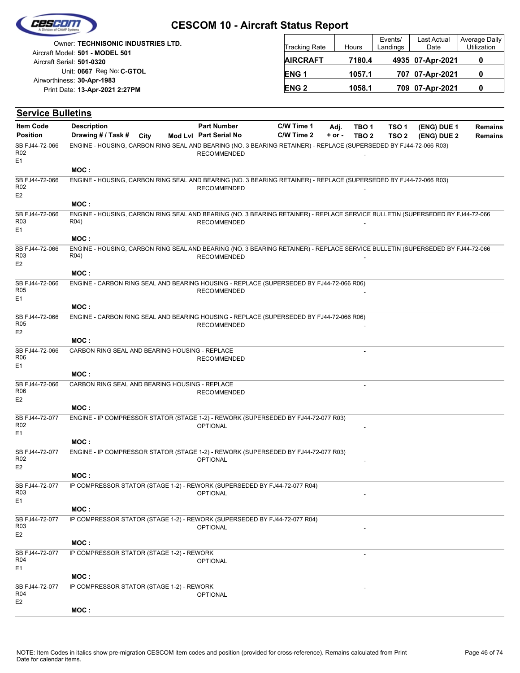|  | Cescom             |  |
|--|--------------------|--|
|  |                    |  |
|  | vision of CAMP Sus |  |

| <b>Owner: TECHNISONIC INDUSTRIES LTD.</b>                    | Tracking Rate   | Hours  | Events/<br>Landings | Last Actual<br>Date | <b>Average Daily</b><br>Utilization |
|--------------------------------------------------------------|-----------------|--------|---------------------|---------------------|-------------------------------------|
| Aircraft Model: 501 - MODEL 501<br>Aircraft Serial: 501-0320 | <b>AIRCRAFT</b> | 7180.4 |                     | 4935 07-Apr-2021    | 0                                   |
| Unit: 0667 Reg No: C-GTOL                                    | <b>ENG1</b>     | 1057.1 |                     | 707 07-Apr-2021     | 0                                   |
| Airworthiness: 30-Apr-1983<br>Print Date: 13-Apr-2021 2:27PM | <b>ENG 2</b>    | 1058.1 |                     | 709 07-Apr-2021     | 0                                   |
|                                                              |                 |        |                     |                     |                                     |

| <b>Service Bulletins</b>                            |                                                                                                                                                    |      |                        |            |            |                  |                  |             |         |
|-----------------------------------------------------|----------------------------------------------------------------------------------------------------------------------------------------------------|------|------------------------|------------|------------|------------------|------------------|-------------|---------|
| <b>Item Code</b>                                    | <b>Description</b>                                                                                                                                 |      | <b>Part Number</b>     | C/W Time 1 | Adj.       | TBO <sub>1</sub> | TSO <sub>1</sub> | (ENG) DUE 1 | Remains |
| <b>Position</b>                                     | Drawing # / Task #                                                                                                                                 | City | Mod Lvl Part Serial No | C/W Time 2 | $+$ or $-$ | TBO <sub>2</sub> | TSO <sub>2</sub> | (ENG) DUE 2 | Remains |
| SB FJ44-72-066<br>R <sub>02</sub><br>E <sub>1</sub> | ENGINE - HOUSING, CARBON RING SEAL AND BEARING (NO. 3 BEARING RETAINER) - REPLACE (SUPERSEDED BY FJ44-72-066 R03)                                  |      | <b>RECOMMENDED</b>     |            |            |                  |                  |             |         |
|                                                     | MOC:                                                                                                                                               |      |                        |            |            |                  |                  |             |         |
| SB FJ44-72-066<br>R <sub>02</sub><br>E <sub>2</sub> | ENGINE - HOUSING, CARBON RING SEAL AND BEARING (NO. 3 BEARING RETAINER) - REPLACE (SUPERSEDED BY FJ44-72-066 R03)                                  |      | <b>RECOMMENDED</b>     |            |            |                  |                  |             |         |
|                                                     | MOC:                                                                                                                                               |      |                        |            |            |                  |                  |             |         |
| SB FJ44-72-066<br>R <sub>03</sub><br>E <sub>1</sub> | ENGINE - HOUSING, CARBON RING SEAL AND BEARING (NO. 3 BEARING RETAINER) - REPLACE SERVICE BULLETIN (SUPERSEDED BY FJ44-72-066<br>R <sub>04</sub> ) |      | <b>RECOMMENDED</b>     |            |            |                  |                  |             |         |
|                                                     | MOC:                                                                                                                                               |      |                        |            |            |                  |                  |             |         |
| SB FJ44-72-066<br>R <sub>03</sub><br>E <sub>2</sub> | ENGINE - HOUSING, CARBON RING SEAL AND BEARING (NO. 3 BEARING RETAINER) - REPLACE SERVICE BULLETIN (SUPERSEDED BY FJ44-72-066<br>R <sub>04</sub> ) |      | <b>RECOMMENDED</b>     |            |            |                  |                  |             |         |
|                                                     | MOC:                                                                                                                                               |      |                        |            |            |                  |                  |             |         |
| SB FJ44-72-066<br><b>R05</b><br>E <sub>1</sub>      | ENGINE - CARBON RING SEAL AND BEARING HOUSING - REPLACE (SUPERSEDED BY FJ44-72-066 R06)                                                            |      | <b>RECOMMENDED</b>     |            |            |                  |                  |             |         |
|                                                     | MOC:                                                                                                                                               |      |                        |            |            |                  |                  |             |         |
| SB FJ44-72-066<br><b>R05</b><br>E <sub>2</sub>      | ENGINE - CARBON RING SEAL AND BEARING HOUSING - REPLACE (SUPERSEDED BY FJ44-72-066 R06)                                                            |      | <b>RECOMMENDED</b>     |            |            |                  |                  |             |         |
|                                                     | MOC:                                                                                                                                               |      |                        |            |            |                  |                  |             |         |
| SB FJ44-72-066<br><b>R06</b><br>E <sub>1</sub>      | CARBON RING SEAL AND BEARING HOUSING - REPLACE                                                                                                     |      | <b>RECOMMENDED</b>     |            |            |                  |                  |             |         |
|                                                     | MOC:                                                                                                                                               |      |                        |            |            |                  |                  |             |         |
| SB FJ44-72-066<br><b>R06</b><br>E <sub>2</sub>      | CARBON RING SEAL AND BEARING HOUSING - REPLACE                                                                                                     |      | <b>RECOMMENDED</b>     |            |            |                  |                  |             |         |
|                                                     | MOC:                                                                                                                                               |      |                        |            |            |                  |                  |             |         |
| SB FJ44-72-077<br>R <sub>02</sub><br>E <sub>1</sub> | ENGINE - IP COMPRESSOR STATOR (STAGE 1-2) - REWORK (SUPERSEDED BY FJ44-72-077 R03)                                                                 |      | <b>OPTIONAL</b>        |            |            |                  |                  |             |         |
|                                                     | MOC:                                                                                                                                               |      |                        |            |            |                  |                  |             |         |
| SB FJ44-72-077<br>R <sub>02</sub><br>E <sub>2</sub> | ENGINE - IP COMPRESSOR STATOR (STAGE 1-2) - REWORK (SUPERSEDED BY FJ44-72-077 R03)                                                                 |      | <b>OPTIONAL</b>        |            |            |                  |                  |             |         |
|                                                     | MOC:                                                                                                                                               |      |                        |            |            |                  |                  |             |         |
| SB FJ44-72-077<br>R <sub>03</sub><br>E <sub>1</sub> | IP COMPRESSOR STATOR (STAGE 1-2) - REWORK (SUPERSEDED BY FJ44-72-077 R04)                                                                          |      | <b>OPTIONAL</b>        |            |            |                  |                  |             |         |
|                                                     | MOC:                                                                                                                                               |      |                        |            |            |                  |                  |             |         |
| SB FJ44-72-077<br>R <sub>03</sub><br>E <sub>2</sub> | IP COMPRESSOR STATOR (STAGE 1-2) - REWORK (SUPERSEDED BY FJ44-72-077 R04)                                                                          |      | <b>OPTIONAL</b>        |            |            |                  |                  |             |         |
|                                                     | MOC:                                                                                                                                               |      |                        |            |            |                  |                  |             |         |
| SB FJ44-72-077<br>R04<br>E <sub>1</sub>             | IP COMPRESSOR STATOR (STAGE 1-2) - REWORK                                                                                                          |      | <b>OPTIONAL</b>        |            |            |                  |                  |             |         |
|                                                     | MOC:                                                                                                                                               |      |                        |            |            |                  |                  |             |         |
| SB FJ44-72-077<br><b>R04</b><br>E <sub>2</sub>      | IP COMPRESSOR STATOR (STAGE 1-2) - REWORK                                                                                                          |      | <b>OPTIONAL</b>        |            |            |                  |                  |             |         |
|                                                     | MOC:                                                                                                                                               |      |                        |            |            |                  |                  |             |         |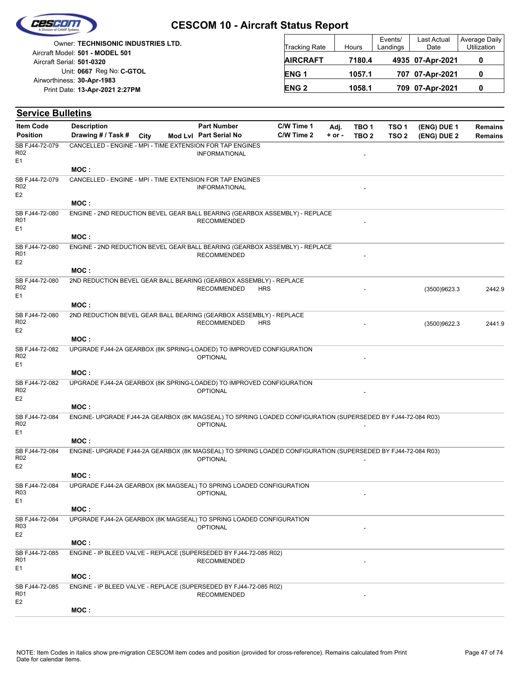

|                            | <b>Owner: TECHNISONIC INDUSTRIES LTD.</b> |
|----------------------------|-------------------------------------------|
|                            | Aircraft Model: 501 - MODEL 501           |
| Aircraft Serial: 501-0320  |                                           |
|                            | Unit: 0667 Reg No: C-GTOL                 |
| Airworthiness: 30-Apr-1983 |                                           |
|                            | Print Date: 13-Apr-2021 2:27PM            |
|                            |                                           |

| <b>Tracking Rate</b> | Hours  | Events/<br>Landings | Last Actual<br>Date | Average Daily<br>Utilization |
|----------------------|--------|---------------------|---------------------|------------------------------|
| <b>AIRCRAFT</b>      | 7180.4 |                     | 4935 07-Apr-2021    |                              |
| ENG <sub>1</sub>     | 1057.1 |                     | 707 07-Apr-2021     |                              |
| <b>ENG 2</b>         | 1058.1 |                     | 709 07-Apr-2021     |                              |

| <b>Service Bulletins</b>                            |                                                                                                             |      |                        |            |            |            |                  |                  |              |                |
|-----------------------------------------------------|-------------------------------------------------------------------------------------------------------------|------|------------------------|------------|------------|------------|------------------|------------------|--------------|----------------|
| <b>Item Code</b>                                    | <b>Description</b>                                                                                          |      | <b>Part Number</b>     |            | C/W Time 1 | Adj.       | TBO <sub>1</sub> | TSO <sub>1</sub> | (ENG) DUE 1  | <b>Remains</b> |
| <b>Position</b>                                     | Drawing # / Task #                                                                                          | City | Mod Lvl Part Serial No |            | C/W Time 2 | $+$ or $-$ | TBO <sub>2</sub> | TSO <sub>2</sub> | (ENG) DUE 2  | <b>Remains</b> |
| SB FJ44-72-079<br>R02<br>E1                         | CANCELLED - ENGINE - MPI - TIME EXTENSION FOR TAP ENGINES                                                   |      | <b>INFORMATIONAL</b>   |            |            |            |                  |                  |              |                |
|                                                     | MOC:                                                                                                        |      |                        |            |            |            |                  |                  |              |                |
| SB FJ44-72-079<br>R02<br>E <sub>2</sub>             | CANCELLED - ENGINE - MPI - TIME EXTENSION FOR TAP ENGINES                                                   |      | <b>INFORMATIONAL</b>   |            |            |            |                  |                  |              |                |
|                                                     | MOC:                                                                                                        |      |                        |            |            |            |                  |                  |              |                |
| SB FJ44-72-080<br>R <sub>01</sub><br>E1             | ENGINE - 2ND REDUCTION BEVEL GEAR BALL BEARING (GEARBOX ASSEMBLY) - REPLACE                                 |      | <b>RECOMMENDED</b>     |            |            |            |                  |                  |              |                |
|                                                     | MOC:                                                                                                        |      |                        |            |            |            |                  |                  |              |                |
| SB FJ44-72-080<br>R01<br>E <sub>2</sub>             | ENGINE - 2ND REDUCTION BEVEL GEAR BALL BEARING (GEARBOX ASSEMBLY) - REPLACE                                 |      | <b>RECOMMENDED</b>     |            |            |            |                  |                  |              |                |
|                                                     | MOC:                                                                                                        |      |                        |            |            |            |                  |                  |              |                |
| SB FJ44-72-080<br>R <sub>02</sub><br>E1             | 2ND REDUCTION BEVEL GEAR BALL BEARING (GEARBOX ASSEMBLY) - REPLACE                                          |      | <b>RECOMMENDED</b>     | <b>HRS</b> |            |            |                  |                  | (3500)9623.3 | 2442.9         |
|                                                     | MOC:                                                                                                        |      |                        |            |            |            |                  |                  |              |                |
| SB FJ44-72-080<br>R <sub>02</sub><br>E <sub>2</sub> | 2ND REDUCTION BEVEL GEAR BALL BEARING (GEARBOX ASSEMBLY) - REPLACE                                          |      | <b>RECOMMENDED</b>     | <b>HRS</b> |            |            |                  |                  | (3500)9622.3 | 2441.9         |
|                                                     | MOC:                                                                                                        |      |                        |            |            |            |                  |                  |              |                |
| SB FJ44-72-082<br>R <sub>02</sub><br>E1             | UPGRADE FJ44-2A GEARBOX (8K SPRING-LOADED) TO IMPROVED CONFIGURATION                                        |      | <b>OPTIONAL</b>        |            |            |            |                  |                  |              |                |
|                                                     | MOC:                                                                                                        |      |                        |            |            |            |                  |                  |              |                |
| SB FJ44-72-082<br>R02                               | UPGRADE FJ44-2A GEARBOX (8K SPRING-LOADED) TO IMPROVED CONFIGURATION                                        |      | <b>OPTIONAL</b>        |            |            |            |                  |                  |              |                |
| E <sub>2</sub>                                      | MOC:                                                                                                        |      |                        |            |            |            |                  |                  |              |                |
| SB FJ44-72-084<br>R <sub>02</sub><br>E1             | ENGINE- UPGRADE FJ44-2A GEARBOX (8K MAGSEAL) TO SPRING LOADED CONFIGURATION (SUPERSEDED BY FJ44-72-084 R03) |      | <b>OPTIONAL</b>        |            |            |            |                  |                  |              |                |
|                                                     | MOC:                                                                                                        |      |                        |            |            |            |                  |                  |              |                |
| SB FJ44-72-084<br>R02<br>E2                         | ENGINE- UPGRADE FJ44-2A GEARBOX (8K MAGSEAL) TO SPRING LOADED CONFIGURATION (SUPERSEDED BY FJ44-72-084 R03) |      | <b>OPTIONAL</b>        |            |            |            |                  |                  |              |                |
|                                                     | MOC:                                                                                                        |      |                        |            |            |            |                  |                  |              |                |
| SB FJ44-72-084<br>R03<br>E1                         | UPGRADE FJ44-2A GEARBOX (8K MAGSEAL) TO SPRING LOADED CONFIGURATION                                         |      | <b>OPTIONAL</b>        |            |            |            |                  |                  |              |                |
|                                                     | MOC:                                                                                                        |      |                        |            |            |            |                  |                  |              |                |
| SB FJ44-72-084<br>R <sub>03</sub><br>E <sub>2</sub> | UPGRADE FJ44-2A GEARBOX (8K MAGSEAL) TO SPRING LOADED CONFIGURATION                                         |      | <b>OPTIONAL</b>        |            |            |            |                  |                  |              |                |
|                                                     | MOC:                                                                                                        |      |                        |            |            |            |                  |                  |              |                |
| SB FJ44-72-085<br>R01                               | ENGINE - IP BLEED VALVE - REPLACE (SUPERSEDED BY FJ44-72-085 R02)                                           |      | <b>RECOMMENDED</b>     |            |            |            |                  |                  |              |                |
| E1                                                  | MOC:                                                                                                        |      |                        |            |            |            |                  |                  |              |                |
| SB FJ44-72-085                                      | ENGINE - IP BLEED VALVE - REPLACE (SUPERSEDED BY FJ44-72-085 R02)                                           |      |                        |            |            |            |                  |                  |              |                |
| R <sub>01</sub><br>E <sub>2</sub>                   |                                                                                                             |      | <b>RECOMMENDED</b>     |            |            |            |                  |                  |              |                |
|                                                     | MOC:                                                                                                        |      |                        |            |            |            |                  |                  |              |                |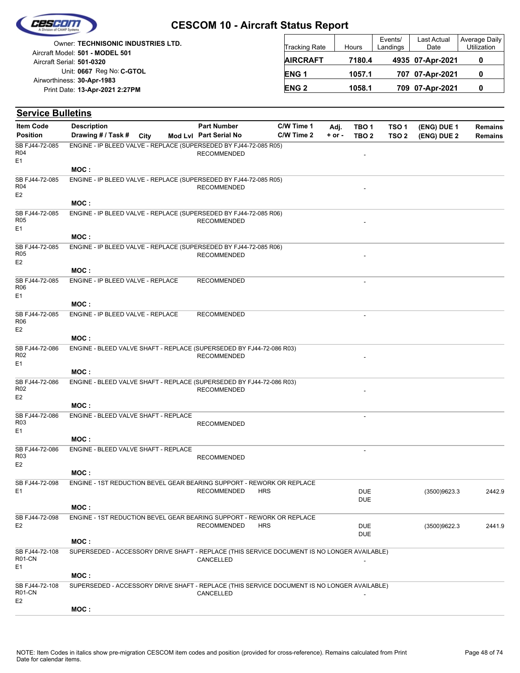

|                            | <b>Owner: TECHNISONIC INDUSTRIES LTD.</b> |
|----------------------------|-------------------------------------------|
|                            | Aircraft Model: 501 - MODEL 501           |
| Aircraft Serial: 501-0320  |                                           |
|                            | Unit: 0667 Reg No: C-GTOL                 |
| Airworthiness: 30-Apr-1983 |                                           |
|                            | Print Date: 13-Apr-2021 2:27PM            |
|                            |                                           |

| <b>Tracking Rate</b> | Hours  | Events/<br>Landings | Last Actual<br>Date | Average Daily<br>Utilization |
|----------------------|--------|---------------------|---------------------|------------------------------|
| <b>AIRCRAFT</b>      | 7180.4 |                     | 4935 07-Apr-2021    |                              |
| ENG <sub>1</sub>     | 1057.1 |                     | 707 07-Apr-2021     |                              |
| <b>ENG 2</b>         | 1058.1 |                     | 709 07-Apr-2021     |                              |

| <b>Service Bulletins</b>                            |                                                                                             |  |                                              |            |                          |                  |                                      |                           |                            |                           |
|-----------------------------------------------------|---------------------------------------------------------------------------------------------|--|----------------------------------------------|------------|--------------------------|------------------|--------------------------------------|---------------------------|----------------------------|---------------------------|
| <b>Item Code</b><br><b>Position</b>                 | <b>Description</b><br>Drawing # / Task # City                                               |  | <b>Part Number</b><br>Mod Lvl Part Serial No |            | C/W Time 1<br>C/W Time 2 | Adj.<br>$+ or -$ | TBO <sub>1</sub><br>TBO <sub>2</sub> | TSO 1<br>TSO <sub>2</sub> | (ENG) DUE 1<br>(ENG) DUE 2 | <b>Remains</b><br>Remains |
| SB FJ44-72-085<br>R04<br>E1                         | ENGINE - IP BLEED VALVE - REPLACE (SUPERSEDED BY FJ44-72-085 R05)                           |  | <b>RECOMMENDED</b>                           |            |                          |                  | $\overline{a}$                       |                           |                            |                           |
|                                                     | MOC:                                                                                        |  |                                              |            |                          |                  |                                      |                           |                            |                           |
| SB FJ44-72-085<br>R04<br>E <sub>2</sub>             | ENGINE - IP BLEED VALVE - REPLACE (SUPERSEDED BY FJ44-72-085 R05)                           |  | <b>RECOMMENDED</b>                           |            |                          |                  |                                      |                           |                            |                           |
|                                                     | MOC:                                                                                        |  |                                              |            |                          |                  |                                      |                           |                            |                           |
| SB FJ44-72-085<br>R <sub>05</sub><br>E1             | ENGINE - IP BLEED VALVE - REPLACE (SUPERSEDED BY FJ44-72-085 R06)                           |  | <b>RECOMMENDED</b>                           |            |                          |                  |                                      |                           |                            |                           |
|                                                     | MOC:                                                                                        |  |                                              |            |                          |                  |                                      |                           |                            |                           |
| SB FJ44-72-085<br>R05<br>E <sub>2</sub>             | ENGINE - IP BLEED VALVE - REPLACE (SUPERSEDED BY FJ44-72-085 R06)                           |  | <b>RECOMMENDED</b>                           |            |                          |                  |                                      |                           |                            |                           |
|                                                     | MOC :                                                                                       |  |                                              |            |                          |                  |                                      |                           |                            |                           |
| SB FJ44-72-085<br>R06<br>E1                         | ENGINE - IP BLEED VALVE - REPLACE                                                           |  | <b>RECOMMENDED</b>                           |            |                          |                  | $\overline{a}$                       |                           |                            |                           |
|                                                     | MOC:                                                                                        |  |                                              |            |                          |                  |                                      |                           |                            |                           |
| SB FJ44-72-085<br>R <sub>06</sub><br>E <sub>2</sub> | ENGINE - IP BLEED VALVE - REPLACE                                                           |  | <b>RECOMMENDED</b>                           |            |                          |                  |                                      |                           |                            |                           |
|                                                     | MOC :                                                                                       |  |                                              |            |                          |                  |                                      |                           |                            |                           |
| SB FJ44-72-086<br>R <sub>02</sub><br>E1             | ENGINE - BLEED VALVE SHAFT - REPLACE (SUPERSEDED BY FJ44-72-086 R03)                        |  | <b>RECOMMENDED</b>                           |            |                          |                  |                                      |                           |                            |                           |
|                                                     | MOC:                                                                                        |  |                                              |            |                          |                  |                                      |                           |                            |                           |
| SB FJ44-72-086<br>R <sub>02</sub><br>E <sub>2</sub> | ENGINE - BLEED VALVE SHAFT - REPLACE (SUPERSEDED BY FJ44-72-086 R03)                        |  | <b>RECOMMENDED</b>                           |            |                          |                  |                                      |                           |                            |                           |
|                                                     | MOC:                                                                                        |  |                                              |            |                          |                  |                                      |                           |                            |                           |
| SB FJ44-72-086<br>R <sub>03</sub><br>E1             | ENGINE - BLEED VALVE SHAFT - REPLACE                                                        |  | <b>RECOMMENDED</b>                           |            |                          |                  |                                      |                           |                            |                           |
|                                                     | MOC :                                                                                       |  |                                              |            |                          |                  |                                      |                           |                            |                           |
| SB FJ44-72-086<br>R <sub>03</sub><br>E <sub>2</sub> | ENGINE - BLEED VALVE SHAFT - REPLACE                                                        |  | <b>RECOMMENDED</b>                           |            |                          |                  | $\overline{\phantom{a}}$             |                           |                            |                           |
|                                                     | MOC:                                                                                        |  |                                              |            |                          |                  |                                      |                           |                            |                           |
| SB FJ44-72-098                                      | ENGINE - 1ST REDUCTION BEVEL GEAR BEARING SUPPORT - REWORK OR REPLACE                       |  |                                              |            |                          |                  |                                      |                           |                            |                           |
| E1                                                  | MOC:                                                                                        |  | <b>RECOMMENDED</b>                           | <b>HRS</b> |                          |                  | <b>DUE</b><br><b>DUE</b>             |                           | (3500)9623.3               | 2442.9                    |
|                                                     |                                                                                             |  |                                              |            |                          |                  |                                      |                           |                            |                           |
| SB FJ44-72-098<br>E <sub>2</sub>                    | ENGINE - 1ST REDUCTION BEVEL GEAR BEARING SUPPORT - REWORK OR REPLACE                       |  | <b>RECOMMENDED</b>                           | <b>HRS</b> |                          |                  | <b>DUE</b><br><b>DUE</b>             |                           | (3500)9622.3               | 2441.9                    |
|                                                     | MOC:                                                                                        |  |                                              |            |                          |                  |                                      |                           |                            |                           |
| SB FJ44-72-108<br>R01-CN<br>E1                      | SUPERSEDED - ACCESSORY DRIVE SHAFT - REPLACE (THIS SERVICE DOCUMENT IS NO LONGER AVAILABLE) |  | CANCELLED                                    |            |                          |                  |                                      |                           |                            |                           |
|                                                     | MOC:                                                                                        |  |                                              |            |                          |                  |                                      |                           |                            |                           |
| SB FJ44-72-108<br>R01-CN<br>E <sub>2</sub>          | SUPERSEDED - ACCESSORY DRIVE SHAFT - REPLACE (THIS SERVICE DOCUMENT IS NO LONGER AVAILABLE) |  | CANCELLED                                    |            |                          |                  |                                      |                           |                            |                           |
|                                                     | MOC:                                                                                        |  |                                              |            |                          |                  |                                      |                           |                            |                           |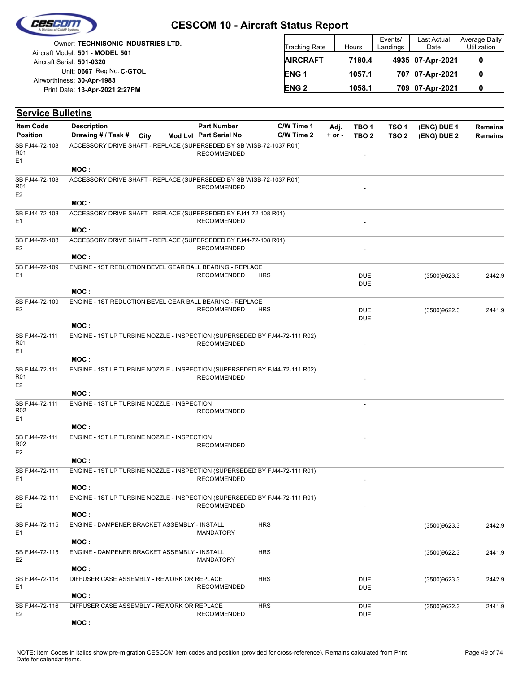

| <b>Owner: TECHNISONIC INDUSTRIES LTD.</b> | <b>Tracking Rate</b> | Hours |
|-------------------------------------------|----------------------|-------|
| Aircraft Model: 501 - MODEL 501           |                      |       |
| Aircraft Serial: 501-0320                 | <b>AIRCRAFT</b>      | 7180  |
| Unit: 0667 Reg No: C-GTOL                 | <b>ENG1</b>          | 1057  |
| Airworthiness: 30-Apr-1983                |                      |       |
| Print Date: 13-Apr-2021 2:27PM            | <b>ENG 2</b>         | 1058  |
|                                           |                      |       |

| <b>Tracking Rate</b> | Hours  | Events/<br>Landings | <b>Last Actual</b><br>Date | Average Daily<br>Utilization |
|----------------------|--------|---------------------|----------------------------|------------------------------|
| <b>AIRCRAFT</b>      | 7180.4 |                     | 4935 07-Apr-2021           | o                            |
| <b>ENG1</b>          | 1057.1 |                     | 707 07-Apr-2021            | O                            |
| <b>ENG2</b>          | 1058.1 |                     | 709 07-Apr-2021            | O                            |

| <b>Service Bulletins</b>                |                                                                                     |             |                        |            |          |                          |                  |              |                |
|-----------------------------------------|-------------------------------------------------------------------------------------|-------------|------------------------|------------|----------|--------------------------|------------------|--------------|----------------|
| <b>Item Code</b>                        | <b>Description</b>                                                                  |             | <b>Part Number</b>     | C/W Time 1 | Adj.     | TBO <sub>1</sub>         | TSO <sub>1</sub> | (ENG) DUE 1  | <b>Remains</b> |
| <b>Position</b>                         | Drawing # / Task #                                                                  | <b>City</b> | Mod Lvl Part Serial No | C/W Time 2 | $+ or -$ | TBO <sub>2</sub>         | TSO <sub>2</sub> | (ENG) DUE 2  | Remains        |
| SB FJ44-72-108<br>R01<br>E1             | ACCESSORY DRIVE SHAFT - REPLACE (SUPERSEDED BY SB WISB-72-1037 R01)                 |             | <b>RECOMMENDED</b>     |            |          | L,                       |                  |              |                |
|                                         | MOC:                                                                                |             |                        |            |          |                          |                  |              |                |
| SB FJ44-72-108<br>R01<br>E <sub>2</sub> | ACCESSORY DRIVE SHAFT - REPLACE (SUPERSEDED BY SB WISB-72-1037 R01)                 |             | <b>RECOMMENDED</b>     |            |          |                          |                  |              |                |
|                                         | MOC:                                                                                |             |                        |            |          |                          |                  |              |                |
| SB FJ44-72-108<br>E1                    | ACCESSORY DRIVE SHAFT - REPLACE (SUPERSEDED BY FJ44-72-108 R01)<br>MOC:             |             | <b>RECOMMENDED</b>     |            |          |                          |                  |              |                |
| SB FJ44-72-108                          | ACCESSORY DRIVE SHAFT - REPLACE (SUPERSEDED BY FJ44-72-108 R01)                     |             |                        |            |          |                          |                  |              |                |
| E <sub>2</sub>                          | MOC:                                                                                |             | <b>RECOMMENDED</b>     |            |          |                          |                  |              |                |
| SB FJ44-72-109                          | ENGINE - 1ST REDUCTION BEVEL GEAR BALL BEARING - REPLACE                            |             |                        |            |          |                          |                  |              |                |
| E1                                      |                                                                                     |             | <b>RECOMMENDED</b>     | <b>HRS</b> |          | <b>DUE</b><br><b>DUE</b> |                  | (3500)9623.3 | 2442.9         |
|                                         | MOC:                                                                                |             |                        |            |          |                          |                  |              |                |
| SB FJ44-72-109<br>E <sub>2</sub>        | ENGINE - 1ST REDUCTION BEVEL GEAR BALL BEARING - REPLACE                            |             | <b>RECOMMENDED</b>     | <b>HRS</b> |          | <b>DUE</b><br><b>DUE</b> |                  | (3500)9622.3 | 2441.9         |
|                                         | MOC:                                                                                |             |                        |            |          |                          |                  |              |                |
| SB FJ44-72-111<br>R01<br>E1             | ENGINE - 1ST LP TURBINE NOZZLE - INSPECTION (SUPERSEDED BY FJ44-72-111 R02)         |             | <b>RECOMMENDED</b>     |            |          |                          |                  |              |                |
|                                         | MOC:                                                                                |             |                        |            |          |                          |                  |              |                |
| SB FJ44-72-111<br>R01<br>E <sub>2</sub> | ENGINE - 1ST LP TURBINE NOZZLE - INSPECTION (SUPERSEDED BY FJ44-72-111 R02)         |             | <b>RECOMMENDED</b>     |            |          |                          |                  |              |                |
|                                         | MOC:                                                                                |             |                        |            |          |                          |                  |              |                |
| SB FJ44-72-111<br>R <sub>02</sub>       | ENGINE - 1ST LP TURBINE NOZZLE - INSPECTION                                         |             | <b>RECOMMENDED</b>     |            |          | $\overline{\phantom{a}}$ |                  |              |                |
| E1                                      | MOC:                                                                                |             |                        |            |          |                          |                  |              |                |
| SB FJ44-72-111                          | ENGINE - 1ST LP TURBINE NOZZLE - INSPECTION                                         |             |                        |            |          |                          |                  |              |                |
| R <sub>02</sub><br>E <sub>2</sub>       |                                                                                     |             | <b>RECOMMENDED</b>     |            |          |                          |                  |              |                |
|                                         | MOC:                                                                                |             |                        |            |          |                          |                  |              |                |
| SB FJ44-72-111<br>E1                    | ENGINE - 1ST LP TURBINE NOZZLE - INSPECTION (SUPERSEDED BY FJ44-72-111 R01)<br>MOC: |             | <b>RECOMMENDED</b>     |            |          |                          |                  |              |                |
| SB FJ44-72-111<br>E <sub>2</sub>        | ENGINE - 1ST LP TURBINE NOZZLE - INSPECTION (SUPERSEDED BY FJ44-72-111 R01)         |             | <b>RECOMMENDED</b>     |            |          |                          |                  |              |                |
|                                         | MOC:                                                                                |             |                        |            |          |                          |                  |              |                |
| SB FJ44-72-115<br>E1                    | ENGINE - DAMPENER BRACKET ASSEMBLY - INSTALL                                        |             | MANDATORY              | <b>HRS</b> |          |                          |                  | (3500)9623.3 | 2442.9         |
|                                         | MOC:                                                                                |             |                        |            |          |                          |                  |              |                |
| SB FJ44-72-115<br>E <sub>2</sub>        | ENGINE - DAMPENER BRACKET ASSEMBLY - INSTALL                                        |             | <b>MANDATORY</b>       | <b>HRS</b> |          |                          |                  | (3500)9622.3 | 2441.9         |
|                                         | MOC:                                                                                |             |                        |            |          |                          |                  |              |                |
| SB FJ44-72-116<br>E1                    | DIFFUSER CASE ASSEMBLY - REWORK OR REPLACE<br>MOC:                                  |             | <b>RECOMMENDED</b>     | <b>HRS</b> |          | <b>DUE</b><br><b>DUE</b> |                  | (3500)9623.3 | 2442.9         |
| SB FJ44-72-116<br>E <sub>2</sub>        | DIFFUSER CASE ASSEMBLY - REWORK OR REPLACE                                          |             | <b>RECOMMENDED</b>     | <b>HRS</b> |          | <b>DUE</b><br><b>DUE</b> |                  | (3500)9622.3 | 2441.9         |
|                                         | MOC:                                                                                |             |                        |            |          |                          |                  |              |                |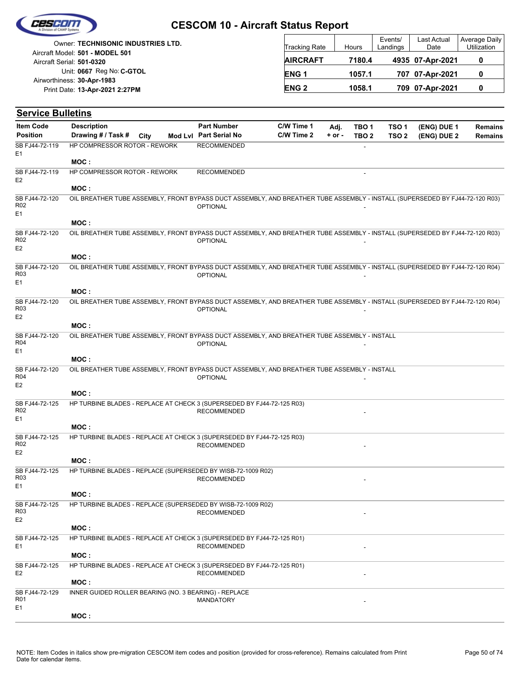

|                            | Owner: TECHNISONIC INDUSTRIES LTD. |
|----------------------------|------------------------------------|
|                            | Aircraft Model: 501 - MODEL 501    |
| Aircraft Serial: 501-0320  |                                    |
|                            | Unit: 0667 Reg No: C-GTOL          |
| Airworthiness: 30-Apr-1983 |                                    |
|                            | Print Date: 13-Apr-2021 2:27PM     |
|                            |                                    |

| <b>Tracking Rate</b> | Hours  | Events/<br>Landings | Last Actual<br>Date | Average Daily<br><b>Utilization</b> |
|----------------------|--------|---------------------|---------------------|-------------------------------------|
| <b>AIRCRAFT</b>      | 7180.4 |                     | 4935 07-Apr-2021    |                                     |
| <b>ENG1</b>          | 1057.1 |                     | 707 07-Apr-2021     | O                                   |
| <b>ENG 2</b>         | 1058.1 |                     | 709 07-Apr-2021     |                                     |

| <b>Service Bulletins</b>                            |                                                       |      |                                                                                                                                                 |            |          |                  |                  |             |                |
|-----------------------------------------------------|-------------------------------------------------------|------|-------------------------------------------------------------------------------------------------------------------------------------------------|------------|----------|------------------|------------------|-------------|----------------|
| <b>Item Code</b>                                    | <b>Description</b>                                    |      | <b>Part Number</b>                                                                                                                              | C/W Time 1 | Adj.     | TBO <sub>1</sub> | TSO <sub>1</sub> | (ENG) DUE 1 | <b>Remains</b> |
| <b>Position</b>                                     | Drawing # / Task #                                    | City | Mod Lvl Part Serial No                                                                                                                          | C/W Time 2 | $+ or -$ | TBO <sub>2</sub> | TSO <sub>2</sub> | (ENG) DUE 2 | <b>Remains</b> |
| SB FJ44-72-119                                      | HP COMPRESSOR ROTOR - REWORK                          |      | <b>RECOMMENDED</b>                                                                                                                              |            |          |                  |                  |             |                |
| E1                                                  | MOC:                                                  |      |                                                                                                                                                 |            |          |                  |                  |             |                |
| SB FJ44-72-119                                      | <b>HP COMPRESSOR ROTOR - REWORK</b>                   |      | <b>RECOMMENDED</b>                                                                                                                              |            |          |                  |                  |             |                |
| E <sub>2</sub>                                      | MOC:                                                  |      |                                                                                                                                                 |            |          |                  |                  |             |                |
| SB FJ44-72-120<br>R <sub>02</sub>                   |                                                       |      | OIL BREATHER TUBE ASSEMBLY, FRONT BYPASS DUCT ASSEMBLY, AND BREATHER TUBE ASSEMBLY - INSTALL (SUPERSEDED BY FJ44-72-120 R03)<br><b>OPTIONAL</b> |            |          |                  |                  |             |                |
| E <sub>1</sub>                                      | MOC:                                                  |      |                                                                                                                                                 |            |          |                  |                  |             |                |
|                                                     |                                                       |      |                                                                                                                                                 |            |          |                  |                  |             |                |
| SB FJ44-72-120<br>R02<br>E <sub>2</sub>             |                                                       |      | OIL BREATHER TUBE ASSEMBLY, FRONT BYPASS DUCT ASSEMBLY, AND BREATHER TUBE ASSEMBLY - INSTALL (SUPERSEDED BY FJ44-72-120 R03)<br><b>OPTIONAL</b> |            |          |                  |                  |             |                |
|                                                     | MOC:                                                  |      |                                                                                                                                                 |            |          |                  |                  |             |                |
| SB FJ44-72-120<br>R <sub>03</sub><br>E <sub>1</sub> |                                                       |      | OIL BREATHER TUBE ASSEMBLY, FRONT BYPASS DUCT ASSEMBLY, AND BREATHER TUBE ASSEMBLY - INSTALL (SUPERSEDED BY FJ44-72-120 R04)<br><b>OPTIONAL</b> |            |          |                  |                  |             |                |
|                                                     | MOC:                                                  |      |                                                                                                                                                 |            |          |                  |                  |             |                |
| SB FJ44-72-120<br>R <sub>03</sub>                   |                                                       |      | OIL BREATHER TUBE ASSEMBLY, FRONT BYPASS DUCT ASSEMBLY, AND BREATHER TUBE ASSEMBLY - INSTALL (SUPERSEDED BY FJ44-72-120 R04)<br><b>OPTIONAL</b> |            |          |                  |                  |             |                |
| E <sub>2</sub>                                      |                                                       |      |                                                                                                                                                 |            |          |                  |                  |             |                |
|                                                     | MOC:                                                  |      |                                                                                                                                                 |            |          |                  |                  |             |                |
| SB FJ44-72-120<br>R04<br>E1                         |                                                       |      | OIL BREATHER TUBE ASSEMBLY, FRONT BYPASS DUCT ASSEMBLY, AND BREATHER TUBE ASSEMBLY - INSTALL<br><b>OPTIONAL</b>                                 |            |          |                  |                  |             |                |
|                                                     | MOC:                                                  |      |                                                                                                                                                 |            |          |                  |                  |             |                |
| SB FJ44-72-120<br>R04                               |                                                       |      | OIL BREATHER TUBE ASSEMBLY, FRONT BYPASS DUCT ASSEMBLY, AND BREATHER TUBE ASSEMBLY - INSTALL<br><b>OPTIONAL</b>                                 |            |          |                  |                  |             |                |
| E <sub>2</sub>                                      |                                                       |      |                                                                                                                                                 |            |          |                  |                  |             |                |
|                                                     | MOC:                                                  |      |                                                                                                                                                 |            |          |                  |                  |             |                |
| SB FJ44-72-125<br>R <sub>02</sub><br>E1             |                                                       |      | HP TURBINE BLADES - REPLACE AT CHECK 3 (SUPERSEDED BY FJ44-72-125 R03)<br><b>RECOMMENDED</b>                                                    |            |          |                  |                  |             |                |
|                                                     | MOC:                                                  |      |                                                                                                                                                 |            |          |                  |                  |             |                |
| SB FJ44-72-125<br>R <sub>02</sub><br>E <sub>2</sub> |                                                       |      | HP TURBINE BLADES - REPLACE AT CHECK 3 (SUPERSEDED BY FJ44-72-125 R03)<br><b>RECOMMENDED</b>                                                    |            |          |                  |                  |             |                |
|                                                     | MOC:                                                  |      |                                                                                                                                                 |            |          |                  |                  |             |                |
| SB FJ44-72-125<br>R <sub>03</sub>                   |                                                       |      | HP TURBINE BLADES - REPLACE (SUPERSEDED BY WISB-72-1009 R02)<br><b>RECOMMENDED</b>                                                              |            |          |                  |                  |             |                |
| E <sub>1</sub>                                      | MOC:                                                  |      |                                                                                                                                                 |            |          |                  |                  |             |                |
| SB FJ44-72-125<br>R03                               |                                                       |      | HP TURBINE BLADES - REPLACE (SUPERSEDED BY WISB-72-1009 R02)<br><b>RECOMMENDED</b>                                                              |            |          |                  |                  |             |                |
| E <sub>2</sub>                                      | MOC:                                                  |      |                                                                                                                                                 |            |          |                  |                  |             |                |
| SB FJ44-72-125                                      |                                                       |      | HP TURBINE BLADES - REPLACE AT CHECK 3 (SUPERSEDED BY FJ44-72-125 R01)                                                                          |            |          |                  |                  |             |                |
| E1                                                  | MOC:                                                  |      | <b>RECOMMENDED</b>                                                                                                                              |            |          |                  |                  |             |                |
| SB FJ44-72-125                                      |                                                       |      | HP TURBINE BLADES - REPLACE AT CHECK 3 (SUPERSEDED BY FJ44-72-125 R01)                                                                          |            |          |                  |                  |             |                |
| E <sub>2</sub>                                      | MOC:                                                  |      | <b>RECOMMENDED</b>                                                                                                                              |            |          |                  |                  |             |                |
| SB FJ44-72-129                                      | INNER GUIDED ROLLER BEARING (NO. 3 BEARING) - REPLACE |      |                                                                                                                                                 |            |          |                  |                  |             |                |
| R01<br>E1                                           |                                                       |      | <b>MANDATORY</b>                                                                                                                                |            |          |                  |                  |             |                |
|                                                     | MOC:                                                  |      |                                                                                                                                                 |            |          |                  |                  |             |                |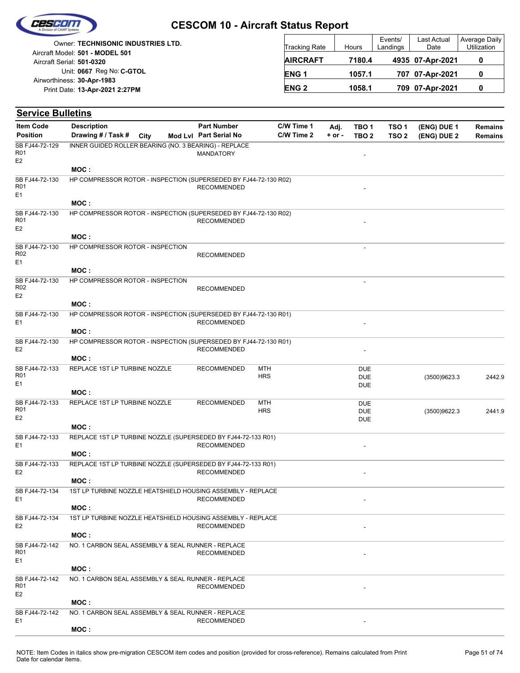

|                            | Owner: TECHNISONIC INDUSTRIES LTD. |
|----------------------------|------------------------------------|
|                            | Aircraft Model: 501 - MODEL 501    |
| Aircraft Serial: 501-0320  |                                    |
|                            | Unit: 0667 Reg No: C-GTOL          |
| Airworthiness: 30-Apr-1983 |                                    |
|                            | Print Date: 13-Apr-2021 2:27PM     |
|                            |                                    |

| <b>Tracking Rate</b> | Hours  | Events/<br>Landings | Last Actual<br>Date | Average Daily<br>Utilization |
|----------------------|--------|---------------------|---------------------|------------------------------|
| <b>AIRCRAFT</b>      | 7180.4 |                     | 4935 07-Apr-2021    |                              |
| ENG <sub>1</sub>     | 1057.1 |                     | 707 07-Apr-2021     |                              |
| <b>ENG 2</b>         | 1058.1 |                     | 709 07-Apr-2021     |                              |

| <b>Service Bulletins</b>                            |                                                                          |      |                                              |                          |                          |                  |                                      |                                      |                            |                                  |
|-----------------------------------------------------|--------------------------------------------------------------------------|------|----------------------------------------------|--------------------------|--------------------------|------------------|--------------------------------------|--------------------------------------|----------------------------|----------------------------------|
| <b>Item Code</b><br><b>Position</b>                 | <b>Description</b><br>Drawing # / Task #                                 | City | <b>Part Number</b><br>Mod Lvl Part Serial No |                          | C/W Time 1<br>C/W Time 2 | Adj.<br>$+ or -$ | TBO <sub>1</sub><br>TBO <sub>2</sub> | TSO <sub>1</sub><br>TSO <sub>2</sub> | (ENG) DUE 1<br>(ENG) DUE 2 | <b>Remains</b><br><b>Remains</b> |
| SB FJ44-72-129<br>R <sub>01</sub><br>E <sub>2</sub> | INNER GUIDED ROLLER BEARING (NO. 3 BEARING) - REPLACE                    |      | <b>MANDATORY</b>                             |                          |                          |                  |                                      |                                      |                            |                                  |
|                                                     | MOC:                                                                     |      |                                              |                          |                          |                  |                                      |                                      |                            |                                  |
| SB FJ44-72-130<br>R <sub>01</sub><br>E1             | HP COMPRESSOR ROTOR - INSPECTION (SUPERSEDED BY FJ44-72-130 R02)         |      | <b>RECOMMENDED</b>                           |                          |                          |                  |                                      |                                      |                            |                                  |
|                                                     | MOC:                                                                     |      |                                              |                          |                          |                  |                                      |                                      |                            |                                  |
| SB FJ44-72-130<br>R <sub>01</sub><br>E <sub>2</sub> | HP COMPRESSOR ROTOR - INSPECTION (SUPERSEDED BY FJ44-72-130 R02)         |      | <b>RECOMMENDED</b>                           |                          |                          |                  |                                      |                                      |                            |                                  |
|                                                     | MOC:                                                                     |      |                                              |                          |                          |                  |                                      |                                      |                            |                                  |
| SB FJ44-72-130<br>R02<br>E1                         | HP COMPRESSOR ROTOR - INSPECTION                                         |      | <b>RECOMMENDED</b>                           |                          |                          |                  | $\overline{a}$                       |                                      |                            |                                  |
|                                                     | MOC:                                                                     |      |                                              |                          |                          |                  |                                      |                                      |                            |                                  |
| SB FJ44-72-130<br>R <sub>02</sub><br>E <sub>2</sub> | HP COMPRESSOR ROTOR - INSPECTION                                         |      | <b>RECOMMENDED</b>                           |                          |                          |                  | $\overline{\phantom{a}}$             |                                      |                            |                                  |
|                                                     | MOC:                                                                     |      |                                              |                          |                          |                  |                                      |                                      |                            |                                  |
| SB FJ44-72-130<br>E1                                | HP COMPRESSOR ROTOR - INSPECTION (SUPERSEDED BY FJ44-72-130 R01)<br>MOC: |      | <b>RECOMMENDED</b>                           |                          |                          |                  |                                      |                                      |                            |                                  |
| SB FJ44-72-130                                      | HP COMPRESSOR ROTOR - INSPECTION (SUPERSEDED BY FJ44-72-130 R01)         |      |                                              |                          |                          |                  |                                      |                                      |                            |                                  |
| E <sub>2</sub>                                      |                                                                          |      | <b>RECOMMENDED</b>                           |                          |                          |                  |                                      |                                      |                            |                                  |
| SB FJ44-72-133                                      | MOC:<br>REPLACE 1ST LP TURBINE NOZZLE                                    |      | <b>RECOMMENDED</b>                           | MTH                      |                          |                  | <b>DUE</b>                           |                                      |                            |                                  |
| R01<br>E1                                           |                                                                          |      |                                              | <b>HRS</b>               |                          |                  | <b>DUE</b><br><b>DUE</b>             |                                      | (3500)9623.3               | 2442.9                           |
|                                                     | MOC:                                                                     |      |                                              |                          |                          |                  |                                      |                                      |                            |                                  |
| SB FJ44-72-133<br>R <sub>01</sub><br>E <sub>2</sub> | REPLACE 1ST LP TURBINE NOZZLE                                            |      | <b>RECOMMENDED</b>                           | <b>MTH</b><br><b>HRS</b> |                          |                  | DUE<br><b>DUE</b><br><b>DUE</b>      |                                      | (3500)9622.3               | 2441.9                           |
|                                                     | MOC:                                                                     |      |                                              |                          |                          |                  |                                      |                                      |                            |                                  |
| SB FJ44-72-133<br>E1                                | REPLACE 1ST LP TURBINE NOZZLE (SUPERSEDED BY FJ44-72-133 R01)            |      | <b>RECOMMENDED</b>                           |                          |                          |                  |                                      |                                      |                            |                                  |
|                                                     | MOC:                                                                     |      |                                              |                          |                          |                  |                                      |                                      |                            |                                  |
| SB FJ44-72-133<br>E <sub>2</sub>                    | REPLACE 1ST LP TURBINE NOZZLE (SUPERSEDED BY FJ44-72-133 R01)<br>MOC:    |      | <b>RECOMMENDED</b>                           |                          |                          |                  |                                      |                                      |                            |                                  |
| SB FJ44-72-134                                      | 1ST LP TURBINE NOZZLE HEATSHIELD HOUSING ASSEMBLY - REPLACE              |      |                                              |                          |                          |                  |                                      |                                      |                            |                                  |
| E1                                                  | MOC:                                                                     |      | <b>RECOMMENDED</b>                           |                          |                          |                  |                                      |                                      |                            |                                  |
| SB FJ44-72-134                                      | 1ST LP TURBINE NOZZLE HEATSHIELD HOUSING ASSEMBLY - REPLACE              |      |                                              |                          |                          |                  |                                      |                                      |                            |                                  |
| E <sub>2</sub>                                      |                                                                          |      | <b>RECOMMENDED</b>                           |                          |                          |                  |                                      |                                      |                            |                                  |
| SB FJ44-72-142                                      | MOC:<br>NO. 1 CARBON SEAL ASSEMBLY & SEAL RUNNER - REPLACE               |      |                                              |                          |                          |                  |                                      |                                      |                            |                                  |
| R <sub>01</sub><br>E <sub>1</sub>                   |                                                                          |      | <b>RECOMMENDED</b>                           |                          |                          |                  |                                      |                                      |                            |                                  |
|                                                     | MOC:                                                                     |      |                                              |                          |                          |                  |                                      |                                      |                            |                                  |
| SB FJ44-72-142<br>R01<br>E <sub>2</sub>             | NO. 1 CARBON SEAL ASSEMBLY & SEAL RUNNER - REPLACE                       |      | <b>RECOMMENDED</b>                           |                          |                          |                  |                                      |                                      |                            |                                  |
|                                                     | MOC :                                                                    |      |                                              |                          |                          |                  |                                      |                                      |                            |                                  |
| SB FJ44-72-142<br>E1                                | NO. 1 CARBON SEAL ASSEMBLY & SEAL RUNNER - REPLACE                       |      | <b>RECOMMENDED</b>                           |                          |                          |                  |                                      |                                      |                            |                                  |
|                                                     | MOC:                                                                     |      |                                              |                          |                          |                  |                                      |                                      |                            |                                  |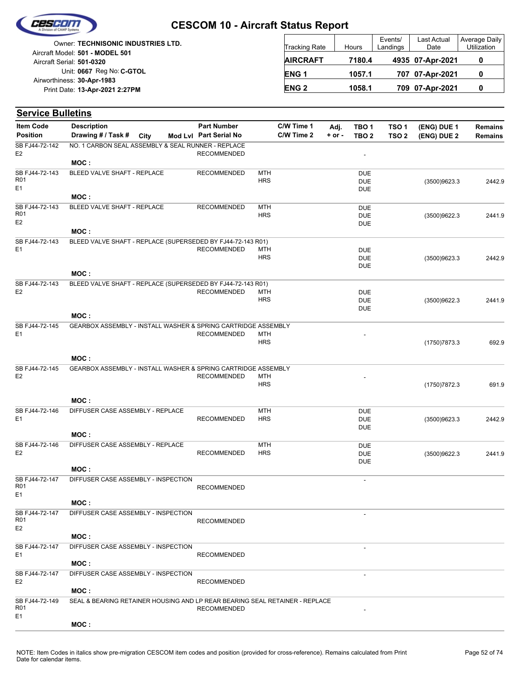

|                            | <b>Owner: TECHNISONIC INDUSTRIES LTD.</b> |
|----------------------------|-------------------------------------------|
|                            | Aircraft Model: 501 - MODEL 501           |
| Aircraft Serial: 501-0320  |                                           |
|                            | Unit: 0667 Reg No: C-GTOL                 |
| Airworthiness: 30-Apr-1983 |                                           |
|                            | Print Date: 13-Apr-2021 2:27PM            |
|                            |                                           |

| <b>Tracking Rate</b> | Hours  | Events/<br>Landings | Last Actual<br>Date | Average Daily<br>Utilization |
|----------------------|--------|---------------------|---------------------|------------------------------|
| <b>AIRCRAFT</b>      | 7180.4 |                     | 4935 07-Apr-2021    |                              |
| ENG <sub>1</sub>     | 1057.1 |                     | 707 07-Apr-2021     |                              |
| <b>ENG 2</b>         | 1058.1 |                     | 709 07-Apr-2021     |                              |

| <b>Service Bulletins</b>          |                                                                             |      |  |                        |                          |            |            |                          |                  |               |                |
|-----------------------------------|-----------------------------------------------------------------------------|------|--|------------------------|--------------------------|------------|------------|--------------------------|------------------|---------------|----------------|
| <b>Item Code</b>                  | <b>Description</b>                                                          |      |  | <b>Part Number</b>     |                          | C/W Time 1 | Adj.       | TBO <sub>1</sub>         | TSO <sub>1</sub> | (ENG) DUE 1   | <b>Remains</b> |
| <b>Position</b>                   | Drawing # / Task #                                                          | City |  | Mod Lvl Part Serial No |                          | C/W Time 2 | $+$ or $-$ | TBO <sub>2</sub>         | TSO <sub>2</sub> | (ENG) DUE 2   | <b>Remains</b> |
| SB FJ44-72-142<br>E <sub>2</sub>  | NO. 1 CARBON SEAL ASSEMBLY & SEAL RUNNER - REPLACE                          |      |  | <b>RECOMMENDED</b>     |                          |            |            | $\overline{\phantom{a}}$ |                  |               |                |
|                                   | MOC:                                                                        |      |  |                        |                          |            |            |                          |                  |               |                |
| SB FJ44-72-143<br>R01             | BLEED VALVE SHAFT - REPLACE                                                 |      |  | RECOMMENDED            | <b>MTH</b><br><b>HRS</b> |            |            | <b>DUE</b>               |                  |               |                |
| E <sub>1</sub>                    |                                                                             |      |  |                        |                          |            |            | <b>DUE</b><br><b>DUE</b> |                  | (3500)9623.3  | 2442.9         |
|                                   | MOC:                                                                        |      |  |                        |                          |            |            |                          |                  |               |                |
| SB FJ44-72-143                    | BLEED VALVE SHAFT - REPLACE                                                 |      |  | <b>RECOMMENDED</b>     | <b>MTH</b>               |            |            | <b>DUE</b>               |                  |               |                |
| R01                               |                                                                             |      |  |                        | <b>HRS</b>               |            |            | <b>DUE</b>               |                  | (3500)9622.3  | 2441.9         |
| E <sub>2</sub>                    | MOC:                                                                        |      |  |                        |                          |            |            | <b>DUE</b>               |                  |               |                |
| SB FJ44-72-143                    | BLEED VALVE SHAFT - REPLACE (SUPERSEDED BY FJ44-72-143 R01)                 |      |  |                        |                          |            |            |                          |                  |               |                |
| E <sub>1</sub>                    |                                                                             |      |  | <b>RECOMMENDED</b>     | <b>MTH</b>               |            |            | <b>DUE</b>               |                  |               |                |
|                                   |                                                                             |      |  |                        | <b>HRS</b>               |            |            | <b>DUE</b>               |                  | (3500)9623.3  | 2442.9         |
|                                   |                                                                             |      |  |                        |                          |            |            | <b>DUE</b>               |                  |               |                |
|                                   | MOC:                                                                        |      |  |                        |                          |            |            |                          |                  |               |                |
| SB FJ44-72-143<br>E <sub>2</sub>  | BLEED VALVE SHAFT - REPLACE (SUPERSEDED BY FJ44-72-143 R01)                 |      |  | <b>RECOMMENDED</b>     | <b>MTH</b>               |            |            | <b>DUE</b>               |                  |               |                |
|                                   |                                                                             |      |  |                        | <b>HRS</b>               |            |            | <b>DUE</b>               |                  | (3500)9622.3  | 2441.9         |
|                                   |                                                                             |      |  |                        |                          |            |            | <b>DUE</b>               |                  |               |                |
|                                   | MOC:                                                                        |      |  |                        |                          |            |            |                          |                  |               |                |
| SB FJ44-72-145<br>E1              | GEARBOX ASSEMBLY - INSTALL WASHER & SPRING CARTRIDGE ASSEMBLY               |      |  |                        | <b>MTH</b>               |            |            |                          |                  |               |                |
|                                   |                                                                             |      |  | <b>RECOMMENDED</b>     | <b>HRS</b>               |            |            |                          |                  | (1750) 7873.3 | 692.9          |
|                                   |                                                                             |      |  |                        |                          |            |            |                          |                  |               |                |
|                                   | MOC:                                                                        |      |  |                        |                          |            |            |                          |                  |               |                |
| SB FJ44-72-145<br>E <sub>2</sub>  | GEARBOX ASSEMBLY - INSTALL WASHER & SPRING CARTRIDGE ASSEMBLY               |      |  |                        |                          |            |            |                          |                  |               |                |
|                                   |                                                                             |      |  | <b>RECOMMENDED</b>     | <b>MTH</b><br><b>HRS</b> |            |            |                          |                  | (1750) 7872.3 | 691.9          |
|                                   |                                                                             |      |  |                        |                          |            |            |                          |                  |               |                |
|                                   | MOC:                                                                        |      |  |                        |                          |            |            |                          |                  |               |                |
| SB FJ44-72-146                    | DIFFUSER CASE ASSEMBLY - REPLACE                                            |      |  |                        | <b>MTH</b>               |            |            | <b>DUE</b>               |                  |               |                |
| E <sub>1</sub>                    |                                                                             |      |  | <b>RECOMMENDED</b>     | <b>HRS</b>               |            |            | <b>DUE</b>               |                  | (3500)9623.3  | 2442.9         |
|                                   | MOC:                                                                        |      |  |                        |                          |            |            | <b>DUE</b>               |                  |               |                |
| SB FJ44-72-146                    | DIFFUSER CASE ASSEMBLY - REPLACE                                            |      |  |                        | <b>MTH</b>               |            |            | <b>DUE</b>               |                  |               |                |
| E <sub>2</sub>                    |                                                                             |      |  | <b>RECOMMENDED</b>     | <b>HRS</b>               |            |            | <b>DUE</b>               |                  | (3500)9622.3  | 2441.9         |
|                                   |                                                                             |      |  |                        |                          |            |            | <b>DUE</b>               |                  |               |                |
| SB FJ44-72-147                    | MOC:<br>DIFFUSER CASE ASSEMBLY - INSPECTION                                 |      |  |                        |                          |            |            |                          |                  |               |                |
| R01                               |                                                                             |      |  | <b>RECOMMENDED</b>     |                          |            |            | $\overline{\phantom{a}}$ |                  |               |                |
| E <sub>1</sub>                    |                                                                             |      |  |                        |                          |            |            |                          |                  |               |                |
|                                   | MOC:                                                                        |      |  |                        |                          |            |            |                          |                  |               |                |
| SB FJ44-72-147                    | DIFFUSER CASE ASSEMBLY - INSPECTION                                         |      |  |                        |                          |            |            |                          |                  |               |                |
| R <sub>01</sub><br>E <sub>2</sub> |                                                                             |      |  | <b>RECOMMENDED</b>     |                          |            |            |                          |                  |               |                |
|                                   | MOC :                                                                       |      |  |                        |                          |            |            |                          |                  |               |                |
| SB FJ44-72-147                    | DIFFUSER CASE ASSEMBLY - INSPECTION                                         |      |  |                        |                          |            |            |                          |                  |               |                |
| E <sub>1</sub>                    |                                                                             |      |  | <b>RECOMMENDED</b>     |                          |            |            |                          |                  |               |                |
|                                   | MOC:                                                                        |      |  |                        |                          |            |            |                          |                  |               |                |
| SB FJ44-72-147                    | DIFFUSER CASE ASSEMBLY - INSPECTION                                         |      |  |                        |                          |            |            |                          |                  |               |                |
| E <sub>2</sub>                    | MOC :                                                                       |      |  | <b>RECOMMENDED</b>     |                          |            |            |                          |                  |               |                |
| SB FJ44-72-149                    | SEAL & BEARING RETAINER HOUSING AND LP REAR BEARING SEAL RETAINER - REPLACE |      |  |                        |                          |            |            |                          |                  |               |                |
| R <sub>01</sub>                   |                                                                             |      |  | <b>RECOMMENDED</b>     |                          |            |            |                          |                  |               |                |
| E <sub>1</sub>                    |                                                                             |      |  |                        |                          |            |            |                          |                  |               |                |
|                                   | MOC:                                                                        |      |  |                        |                          |            |            |                          |                  |               |                |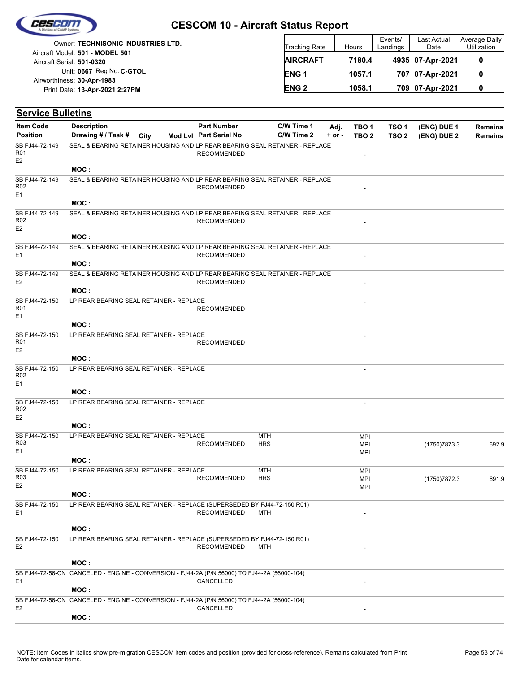

| <b>Owner: TECHNISONIC INDUSTRIES LTD.</b>                    | <b>Tracking Rate</b> | Hours  | Events/<br>Landings | Last Actual<br>Date | Average<br>Utiliza |
|--------------------------------------------------------------|----------------------|--------|---------------------|---------------------|--------------------|
| Aircraft Model: 501 - MODEL 501<br>Aircraft Serial: 501-0320 | <b>AIRCRAFT</b>      | 7180.4 |                     | 4935 07-Apr-2021    | 0                  |
| Unit: 0667 Reg No: C-GTOL                                    | <b>ENG1</b>          | 1057.1 |                     | 707 07-Apr-2021     | 0                  |
| Airworthiness: 30-Apr-1983<br>Print Date: 13-Apr-2021 2:27PM | <b>ENG 2</b>         | 1058.1 |                     | 709 07-Apr-2021     | 0                  |
|                                                              |                      |        |                     |                     |                    |

| <b>Service Bulletins</b>                            |                                                                                              |      |                        |                          |          |                                        |                  |               |                |
|-----------------------------------------------------|----------------------------------------------------------------------------------------------|------|------------------------|--------------------------|----------|----------------------------------------|------------------|---------------|----------------|
| <b>Item Code</b>                                    | <b>Description</b>                                                                           |      | <b>Part Number</b>     | C/W Time 1               | Adj.     | TBO <sub>1</sub>                       | TSO <sub>1</sub> | (ENG) DUE 1   | <b>Remains</b> |
| <b>Position</b>                                     | Drawing # / Task #                                                                           | City | Mod Lvl Part Serial No | C/W Time 2               | $+ or -$ | TBO <sub>2</sub>                       | TSO <sub>2</sub> | (ENG) DUE 2   | <b>Remains</b> |
| SB FJ44-72-149<br>R01<br>E2                         | SEAL & BEARING RETAINER HOUSING AND LP REAR BEARING SEAL RETAINER - REPLACE                  |      | <b>RECOMMENDED</b>     |                          |          |                                        |                  |               |                |
|                                                     | MOC:                                                                                         |      |                        |                          |          |                                        |                  |               |                |
| SB FJ44-72-149<br>R02<br>E1                         | SEAL & BEARING RETAINER HOUSING AND LP REAR BEARING SEAL RETAINER - REPLACE                  |      | <b>RECOMMENDED</b>     |                          |          |                                        |                  |               |                |
|                                                     | MOC:                                                                                         |      |                        |                          |          |                                        |                  |               |                |
| SB FJ44-72-149<br>R <sub>02</sub><br>E <sub>2</sub> | SEAL & BEARING RETAINER HOUSING AND LP REAR BEARING SEAL RETAINER - REPLACE                  |      | <b>RECOMMENDED</b>     |                          |          |                                        |                  |               |                |
|                                                     | MOC:                                                                                         |      |                        |                          |          |                                        |                  |               |                |
| SB FJ44-72-149<br>E1                                | SEAL & BEARING RETAINER HOUSING AND LP REAR BEARING SEAL RETAINER - REPLACE                  |      | <b>RECOMMENDED</b>     |                          |          |                                        |                  |               |                |
|                                                     | MOC:                                                                                         |      |                        |                          |          |                                        |                  |               |                |
| SB FJ44-72-149<br>E <sub>2</sub>                    | SEAL & BEARING RETAINER HOUSING AND LP REAR BEARING SEAL RETAINER - REPLACE<br>MOC:          |      | <b>RECOMMENDED</b>     |                          |          |                                        |                  |               |                |
| SB FJ44-72-150                                      | LP REAR BEARING SEAL RETAINER - REPLACE                                                      |      |                        |                          |          |                                        |                  |               |                |
| R <sub>01</sub><br>E1                               |                                                                                              |      | <b>RECOMMENDED</b>     |                          |          | $\overline{a}$                         |                  |               |                |
|                                                     | MOC:                                                                                         |      |                        |                          |          |                                        |                  |               |                |
| SB FJ44-72-150<br>R01<br>E <sub>2</sub>             | LP REAR BEARING SEAL RETAINER - REPLACE                                                      |      | <b>RECOMMENDED</b>     |                          |          |                                        |                  |               |                |
|                                                     | MOC:                                                                                         |      |                        |                          |          |                                        |                  |               |                |
| SB FJ44-72-150<br>R02<br>E1                         | LP REAR BEARING SEAL RETAINER - REPLACE                                                      |      |                        |                          |          | ٠                                      |                  |               |                |
|                                                     | MOC:                                                                                         |      |                        |                          |          |                                        |                  |               |                |
| SB FJ44-72-150<br>R <sub>02</sub><br>E <sub>2</sub> | LP REAR BEARING SEAL RETAINER - REPLACE                                                      |      |                        |                          |          | $\overline{a}$                         |                  |               |                |
|                                                     | MOC:                                                                                         |      |                        |                          |          |                                        |                  |               |                |
| SB FJ44-72-150<br>R <sub>03</sub><br>E <sub>1</sub> | LP REAR BEARING SEAL RETAINER - REPLACE                                                      |      | <b>RECOMMENDED</b>     | <b>MTH</b><br><b>HRS</b> |          | <b>MPI</b><br><b>MPI</b>               |                  | (1750) 7873.3 | 692.9          |
|                                                     | MOC :                                                                                        |      |                        |                          |          | <b>MPI</b>                             |                  |               |                |
| SB FJ44-72-150<br>R03<br>E2                         | LP REAR BEARING SEAL RETAINER - REPLACE                                                      |      | <b>RECOMMENDED</b>     | MTH<br><b>HRS</b>        |          | <b>MPI</b><br><b>MPI</b><br><b>MPI</b> |                  | (1750)7872.3  | 691.9          |
|                                                     | MOC:                                                                                         |      |                        |                          |          |                                        |                  |               |                |
| SB FJ44-72-150<br>E1                                | LP REAR BEARING SEAL RETAINER - REPLACE (SUPERSEDED BY FJ44-72-150 R01)                      |      | <b>RECOMMENDED</b>     | MTH                      |          |                                        |                  |               |                |
|                                                     | MOC:                                                                                         |      |                        |                          |          |                                        |                  |               |                |
| SB FJ44-72-150<br>E <sub>2</sub>                    | LP REAR BEARING SEAL RETAINER - REPLACE (SUPERSEDED BY FJ44-72-150 R01)                      |      | <b>RECOMMENDED</b>     | <b>MTH</b>               |          |                                        |                  |               |                |
|                                                     | MOC:                                                                                         |      |                        |                          |          |                                        |                  |               |                |
|                                                     | SB FJ44-72-56-CN CANCELED - ENGINE - CONVERSION - FJ44-2A (P/N 56000) TO FJ44-2A (56000-104) |      |                        |                          |          |                                        |                  |               |                |
| E1                                                  | MOC:                                                                                         |      | CANCELLED              |                          |          |                                        |                  |               |                |
|                                                     | SB FJ44-72-56-CN CANCELED - ENGINE - CONVERSION - FJ44-2A (P/N 56000) TO FJ44-2A (56000-104) |      |                        |                          |          |                                        |                  |               |                |
| E <sub>2</sub>                                      | MOC:                                                                                         |      | CANCELLED              |                          |          |                                        |                  |               |                |

Average Daily Utilization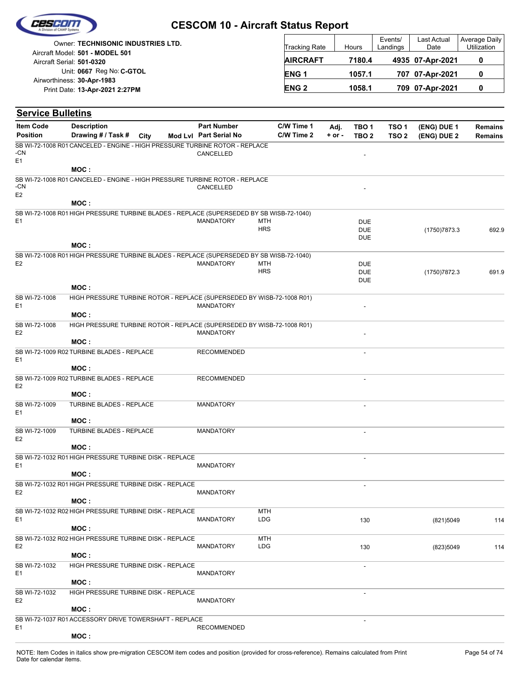|  | Cescon |  |
|--|--------|--|
|  |        |  |
|  |        |  |

| Owner: TECHNISONIC INDUSTRIES LTD.                           | <b>Tracking Rate</b> | Hours  | Events/<br>Landings | <b>Last Actual</b><br>Date | Average Daily<br>Utilization |
|--------------------------------------------------------------|----------------------|--------|---------------------|----------------------------|------------------------------|
| Aircraft Model: 501 - MODEL 501<br>Aircraft Serial: 501-0320 | <b>AIRCRAFT</b>      | 7180.4 |                     | 4935 07-Apr-2021           |                              |
| Unit: 0667 Reg No: C-GTOL                                    | <b>ENG1</b>          | 1057.1 |                     | 707 07-Apr-2021            |                              |
| Airworthiness: 30-Apr-1983<br>Print Date: 13-Apr-2021 2:27PM | <b>ENG 2</b>         | 1058.1 |                     | 709 07-Apr-2021            |                              |

| <b>Service Bulletins</b>        |                                                                                          |             |                        |             |            |          |                          |                  |               |                |
|---------------------------------|------------------------------------------------------------------------------------------|-------------|------------------------|-------------|------------|----------|--------------------------|------------------|---------------|----------------|
| <b>Item Code</b>                | <b>Description</b>                                                                       |             | <b>Part Number</b>     |             | C/W Time 1 | Adj.     | TBO <sub>1</sub>         | TSO <sub>1</sub> | (ENG) DUE 1   | <b>Remains</b> |
| <b>Position</b>                 | Drawing # / Task #                                                                       | <b>City</b> | Mod Lvl Part Serial No |             | C/W Time 2 | $+ or -$ | TBO <sub>2</sub>         | TSO <sub>2</sub> | (ENG) DUE 2   | <b>Remains</b> |
| -CN<br>E1                       | SB WI-72-1008 R01 CANCELED - ENGINE - HIGH PRESSURE TURBINE ROTOR - REPLACE              |             | CANCELLED              |             |            |          |                          |                  |               |                |
|                                 | MOC:                                                                                     |             |                        |             |            |          |                          |                  |               |                |
|                                 | SB WI-72-1008 R01 CANCELED - ENGINE - HIGH PRESSURE TURBINE ROTOR - REPLACE              |             |                        |             |            |          |                          |                  |               |                |
| -CN<br>E <sub>2</sub>           |                                                                                          |             | CANCELLED              |             |            |          |                          |                  |               |                |
|                                 | MOC:                                                                                     |             |                        |             |            |          |                          |                  |               |                |
| E <sub>1</sub>                  | SB WI-72-1008 R01 HIGH PRESSURE TURBINE BLADES - REPLACE (SUPERSEDED BY SB WISB-72-1040) |             | <b>MANDATORY</b>       | MTH         |            |          | <b>DUE</b>               |                  |               |                |
|                                 |                                                                                          |             |                        | <b>HRS</b>  |            |          | <b>DUE</b>               |                  | (1750) 7873.3 | 692.9          |
|                                 |                                                                                          |             |                        |             |            |          | <b>DUE</b>               |                  |               |                |
|                                 | MOC:                                                                                     |             |                        |             |            |          |                          |                  |               |                |
| E <sub>2</sub>                  | SB WI-72-1008 R01 HIGH PRESSURE TURBINE BLADES - REPLACE (SUPERSEDED BY SB WISB-72-1040) |             | <b>MANDATORY</b>       | <b>MTH</b>  |            |          | <b>DUE</b>               |                  |               |                |
|                                 |                                                                                          |             |                        | <b>HRS</b>  |            |          | <b>DUE</b>               |                  | (1750) 7872.3 | 691.9          |
|                                 |                                                                                          |             |                        |             |            |          | <b>DUE</b>               |                  |               |                |
|                                 | MOC:                                                                                     |             |                        |             |            |          |                          |                  |               |                |
| SB WI-72-1008<br>E1             | HIGH PRESSURE TURBINE ROTOR - REPLACE (SUPERSEDED BY WISB-72-1008 R01)                   |             | <b>MANDATORY</b>       |             |            |          |                          |                  |               |                |
|                                 | MOC:                                                                                     |             |                        |             |            |          |                          |                  |               |                |
| SB WI-72-1008                   | HIGH PRESSURE TURBINE ROTOR - REPLACE (SUPERSEDED BY WISB-72-1008 R01)                   |             |                        |             |            |          |                          |                  |               |                |
| E <sub>2</sub>                  |                                                                                          |             | <b>MANDATORY</b>       |             |            |          |                          |                  |               |                |
|                                 | MOC:                                                                                     |             |                        |             |            |          |                          |                  |               |                |
| E <sub>1</sub>                  | SB WI-72-1009 R02 TURBINE BLADES - REPLACE                                               |             | <b>RECOMMENDED</b>     |             |            |          | $\overline{\phantom{a}}$ |                  |               |                |
|                                 | MOC:                                                                                     |             |                        |             |            |          |                          |                  |               |                |
| E <sub>2</sub>                  | SB WI-72-1009 R02 TURBINE BLADES - REPLACE                                               |             | <b>RECOMMENDED</b>     |             |            |          | $\overline{\phantom{a}}$ |                  |               |                |
|                                 | MOC:                                                                                     |             |                        |             |            |          |                          |                  |               |                |
| SB WI-72-1009<br>E <sub>1</sub> | TURBINE BLADES - REPLACE                                                                 |             | <b>MANDATORY</b>       |             |            |          |                          |                  |               |                |
|                                 | MOC:                                                                                     |             |                        |             |            |          |                          |                  |               |                |
| SB WI-72-1009<br>E <sub>2</sub> | TURBINE BLADES - REPLACE                                                                 |             | <b>MANDATORY</b>       |             |            |          |                          |                  |               |                |
|                                 | MOC:                                                                                     |             |                        |             |            |          |                          |                  |               |                |
| E <sub>1</sub>                  | SB WI-72-1032 R01 HIGH PRESSURE TURBINE DISK - REPLACE                                   |             | <b>MANDATORY</b>       |             |            |          | $\sim$                   |                  |               |                |
|                                 | MOC:                                                                                     |             |                        |             |            |          |                          |                  |               |                |
|                                 | SB WI-72-1032 R01 HIGH PRESSURE TURBINE DISK - REPLACE                                   |             |                        |             |            |          |                          |                  |               |                |
| E <sub>2</sub>                  |                                                                                          |             | <b>MANDATORY</b>       |             |            |          |                          |                  |               |                |
|                                 | MOC:                                                                                     |             |                        |             |            |          |                          |                  |               |                |
| E1                              | SB WI-72-1032 R02 HIGH PRESSURE TURBINE DISK - REPLACE                                   |             | <b>MANDATORY</b>       | MTH<br>LDG. |            |          | 130                      |                  | (821)5049     | 114            |
|                                 | MOC:                                                                                     |             |                        |             |            |          |                          |                  |               |                |
|                                 | SB WI-72-1032 R02 HIGH PRESSURE TURBINE DISK - REPLACE                                   |             |                        | MTH         |            |          |                          |                  |               |                |
| E <sub>2</sub>                  |                                                                                          |             | <b>MANDATORY</b>       | <b>LDG</b>  |            |          | 130                      |                  | (823)5049     | 114            |
|                                 | MOC :                                                                                    |             |                        |             |            |          |                          |                  |               |                |
| SB WI-72-1032                   | HIGH PRESSURE TURBINE DISK - REPLACE                                                     |             |                        |             |            |          | $\overline{\phantom{a}}$ |                  |               |                |
| E <sub>1</sub>                  | MOC :                                                                                    |             | <b>MANDATORY</b>       |             |            |          |                          |                  |               |                |
| SB WI-72-1032                   | HIGH PRESSURE TURBINE DISK - REPLACE                                                     |             |                        |             |            |          |                          |                  |               |                |
| E <sub>2</sub>                  |                                                                                          |             | <b>MANDATORY</b>       |             |            |          |                          |                  |               |                |
|                                 | MOC:                                                                                     |             |                        |             |            |          |                          |                  |               |                |
| E <sub>1</sub>                  | SB WI-72-1037 R01 ACCESSORY DRIVE TOWERSHAFT - REPLACE                                   |             | <b>RECOMMENDED</b>     |             |            |          |                          |                  |               |                |
|                                 | MOC:                                                                                     |             |                        |             |            |          |                          |                  |               |                |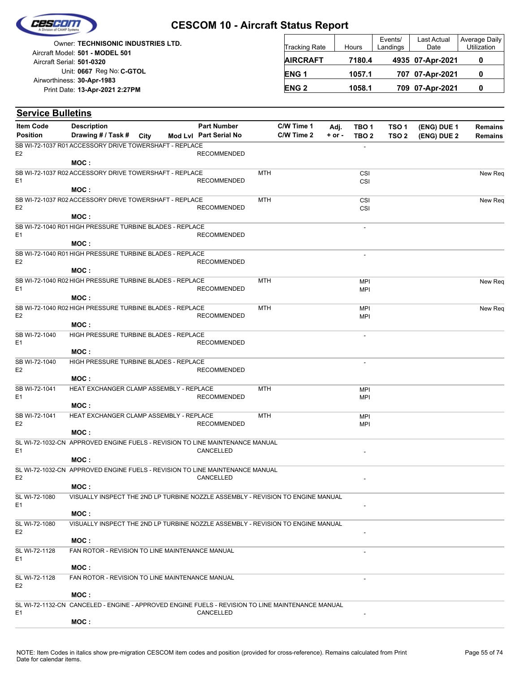

|                            | <b>Owner: TECHNISONIC INDUSTRIES LTD.</b> |
|----------------------------|-------------------------------------------|
|                            | Aircraft Model: 501 - MODEL 501           |
| Aircraft Serial: 501-0320  |                                           |
|                            | Unit: 0667 Reg No: C-GTOL                 |
| Airworthiness: 30-Apr-1983 |                                           |
|                            | Print Date: 13-Apr-2021 2:27PM            |
|                            |                                           |

| <b>Tracking Rate</b> | Hours  | Events/<br>Landings | Last Actual<br>Date | Average Daily<br>Utilization |
|----------------------|--------|---------------------|---------------------|------------------------------|
| <b>AIRCRAFT</b>      | 7180.4 |                     | 4935 07-Apr-2021    | O                            |
| ENG <sub>1</sub>     | 1057.1 |                     | 707 07-Apr-2021     | 0                            |
| <b>ENG 2</b>         | 1058.1 |                     | 709 07-Apr-2021     | O                            |

| <b>Service Bulletins</b>            |                                                                                                          |  |                                              |            |                          |                    |                                      |                                      |                            |                                  |
|-------------------------------------|----------------------------------------------------------------------------------------------------------|--|----------------------------------------------|------------|--------------------------|--------------------|--------------------------------------|--------------------------------------|----------------------------|----------------------------------|
| <b>Item Code</b><br><b>Position</b> | <b>Description</b><br>Drawing # / Task # City                                                            |  | <b>Part Number</b><br>Mod Lvl Part Serial No |            | C/W Time 1<br>C/W Time 2 | Adj.<br>$+$ or $-$ | TBO <sub>1</sub><br>TBO <sub>2</sub> | TSO <sub>1</sub><br>TSO <sub>2</sub> | (ENG) DUE 1<br>(ENG) DUE 2 | <b>Remains</b><br><b>Remains</b> |
|                                     | SB WI-72-1037 R01 ACCESSORY DRIVE TOWERSHAFT - REPLACE                                                   |  |                                              |            |                          |                    |                                      |                                      |                            |                                  |
| E <sub>2</sub>                      | MOC :                                                                                                    |  | <b>RECOMMENDED</b>                           |            |                          |                    |                                      |                                      |                            |                                  |
|                                     | SB WI-72-1037 R02 ACCESSORY DRIVE TOWERSHAFT - REPLACE                                                   |  |                                              | <b>MTH</b> |                          |                    | <b>CSI</b>                           |                                      |                            | New Req                          |
| E <sub>1</sub>                      | MOC:                                                                                                     |  | <b>RECOMMENDED</b>                           |            |                          |                    | CSI                                  |                                      |                            |                                  |
|                                     | SB WI-72-1037 R02 ACCESSORY DRIVE TOWERSHAFT - REPLACE                                                   |  |                                              | MTH        |                          |                    | CSI                                  |                                      |                            | New Req                          |
| E <sub>2</sub>                      | MOC:                                                                                                     |  | <b>RECOMMENDED</b>                           |            |                          |                    | CSI                                  |                                      |                            |                                  |
|                                     | SB WI-72-1040 R01 HIGH PRESSURE TURBINE BLADES - REPLACE                                                 |  |                                              |            |                          |                    |                                      |                                      |                            |                                  |
| E <sub>1</sub>                      |                                                                                                          |  | <b>RECOMMENDED</b>                           |            |                          |                    |                                      |                                      |                            |                                  |
|                                     | MOC :                                                                                                    |  |                                              |            |                          |                    |                                      |                                      |                            |                                  |
| E <sub>2</sub>                      | SB WI-72-1040 R01 HIGH PRESSURE TURBINE BLADES - REPLACE                                                 |  | <b>RECOMMENDED</b>                           |            |                          |                    | ÷,                                   |                                      |                            |                                  |
|                                     | MOC:                                                                                                     |  |                                              |            |                          |                    |                                      |                                      |                            |                                  |
|                                     | SB WI-72-1040 R02 HIGH PRESSURE TURBINE BLADES - REPLACE                                                 |  |                                              | <b>MTH</b> |                          |                    | <b>MPI</b>                           |                                      |                            | New Req                          |
| E <sub>1</sub>                      | MOC:                                                                                                     |  | <b>RECOMMENDED</b>                           |            |                          |                    | <b>MPI</b>                           |                                      |                            |                                  |
|                                     | SB WI-72-1040 R02 HIGH PRESSURE TURBINE BLADES - REPLACE                                                 |  |                                              | <b>MTH</b> |                          |                    | <b>MPI</b>                           |                                      |                            | New Req                          |
| E <sub>2</sub>                      | MOC:                                                                                                     |  | <b>RECOMMENDED</b>                           |            |                          |                    | <b>MPI</b>                           |                                      |                            |                                  |
| SB WI-72-1040                       | HIGH PRESSURE TURBINE BLADES - REPLACE                                                                   |  |                                              |            |                          |                    |                                      |                                      |                            |                                  |
| E <sub>1</sub>                      |                                                                                                          |  | <b>RECOMMENDED</b>                           |            |                          |                    |                                      |                                      |                            |                                  |
|                                     | MOC:                                                                                                     |  |                                              |            |                          |                    |                                      |                                      |                            |                                  |
| SB WI-72-1040                       | HIGH PRESSURE TURBINE BLADES - REPLACE                                                                   |  | <b>RECOMMENDED</b>                           |            |                          |                    | $\overline{a}$                       |                                      |                            |                                  |
| E <sub>2</sub>                      | MOC:                                                                                                     |  |                                              |            |                          |                    |                                      |                                      |                            |                                  |
| SB WI-72-1041                       | HEAT EXCHANGER CLAMP ASSEMBLY - REPLACE                                                                  |  |                                              | <b>MTH</b> |                          |                    | <b>MPI</b>                           |                                      |                            |                                  |
| E <sub>1</sub>                      |                                                                                                          |  | <b>RECOMMENDED</b>                           |            |                          |                    | <b>MPI</b>                           |                                      |                            |                                  |
| SB WI-72-1041                       | MOC:<br>HEAT EXCHANGER CLAMP ASSEMBLY - REPLACE                                                          |  |                                              | <b>MTH</b> |                          |                    |                                      |                                      |                            |                                  |
| E <sub>2</sub>                      |                                                                                                          |  | <b>RECOMMENDED</b>                           |            |                          |                    | <b>MPI</b><br><b>MPI</b>             |                                      |                            |                                  |
|                                     | MOC:                                                                                                     |  |                                              |            |                          |                    |                                      |                                      |                            |                                  |
|                                     | SL WI-72-1032-CN APPROVED ENGINE FUELS - REVISION TO LINE MAINTENANCE MANUAL                             |  |                                              |            |                          |                    |                                      |                                      |                            |                                  |
| E <sub>1</sub>                      | MOC:                                                                                                     |  | CANCELLED                                    |            |                          |                    |                                      |                                      |                            |                                  |
|                                     | SL WI-72-1032-CN APPROVED ENGINE FUELS - REVISION TO LINE MAINTENANCE MANUAL                             |  |                                              |            |                          |                    |                                      |                                      |                            |                                  |
| E <sub>2</sub>                      |                                                                                                          |  | CANCELLED                                    |            |                          |                    |                                      |                                      |                            |                                  |
|                                     | MOC:                                                                                                     |  |                                              |            |                          |                    |                                      |                                      |                            |                                  |
| SL WI-72-1080<br>E <sub>1</sub>     | VISUALLY INSPECT THE 2ND LP TURBINE NOZZLE ASSEMBLY - REVISION TO ENGINE MANUAL                          |  |                                              |            |                          |                    |                                      |                                      |                            |                                  |
|                                     | MOC:                                                                                                     |  |                                              |            |                          |                    |                                      |                                      |                            |                                  |
| SL WI-72-1080<br>E <sub>2</sub>     | VISUALLY INSPECT THE 2ND LP TURBINE NOZZLE ASSEMBLY - REVISION TO ENGINE MANUAL                          |  |                                              |            |                          |                    |                                      |                                      |                            |                                  |
|                                     | MOC:                                                                                                     |  |                                              |            |                          |                    |                                      |                                      |                            |                                  |
| SL WI-72-1128                       | FAN ROTOR - REVISION TO LINE MAINTENANCE MANUAL                                                          |  |                                              |            |                          |                    |                                      |                                      |                            |                                  |
| E <sub>1</sub>                      | MOC:                                                                                                     |  |                                              |            |                          |                    |                                      |                                      |                            |                                  |
| SL WI-72-1128                       | FAN ROTOR - REVISION TO LINE MAINTENANCE MANUAL                                                          |  |                                              |            |                          |                    |                                      |                                      |                            |                                  |
| E <sub>2</sub>                      |                                                                                                          |  |                                              |            |                          |                    |                                      |                                      |                            |                                  |
|                                     | MOC:<br>SL WI-72-1132-CN CANCELED - ENGINE - APPROVED ENGINE FUELS - REVISION TO LINE MAINTENANCE MANUAL |  |                                              |            |                          |                    |                                      |                                      |                            |                                  |
| E <sub>1</sub>                      |                                                                                                          |  | CANCELLED                                    |            |                          |                    |                                      |                                      |                            |                                  |
|                                     | MOC:                                                                                                     |  |                                              |            |                          |                    |                                      |                                      |                            |                                  |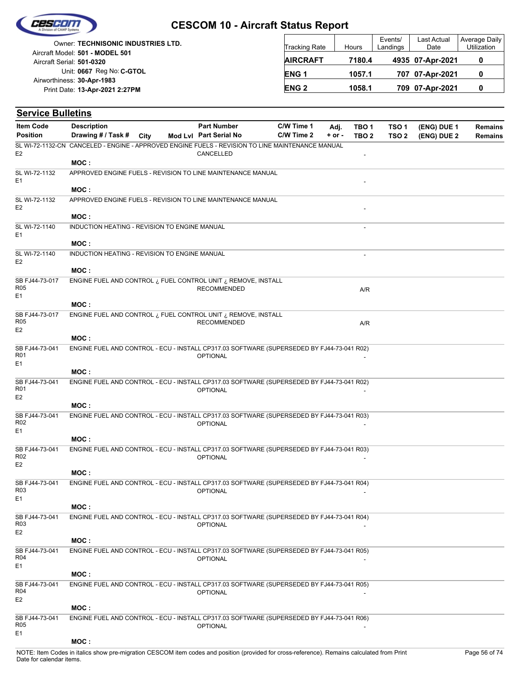

| <b>Owner: TECHNISONIC INDUSTRIES LTD.</b>                    | <b>Tracking Rate</b> | Hours  | Events/<br>Landings | Last Actual<br>Date | Average<br>Utiliza |
|--------------------------------------------------------------|----------------------|--------|---------------------|---------------------|--------------------|
| Aircraft Model: 501 - MODEL 501<br>Aircraft Serial: 501-0320 | <b>AIRCRAFT</b>      | 7180.4 |                     | 4935 07-Apr-2021    | 0                  |
| Unit: 0667 Reg No: C-GTOL<br>Airworthiness: 30-Apr-1983      | ENG <sub>1</sub>     | 1057.1 |                     | 707 07-Apr-2021     | 0                  |
| Print Date: 13-Apr-2021 2:27PM                               | <b>ENG 2</b>         | 1058.1 |                     | 709 07-Apr-2021     | 0                  |
|                                                              |                      |        |                     |                     |                    |

| <b>Service Bulletins</b>                            |                                                                                                  |      |                        |            |            |                  |                  |             |                |
|-----------------------------------------------------|--------------------------------------------------------------------------------------------------|------|------------------------|------------|------------|------------------|------------------|-------------|----------------|
| <b>Item Code</b>                                    | <b>Description</b>                                                                               |      | <b>Part Number</b>     | C/W Time 1 | Adj.       | TBO <sub>1</sub> | TSO <sub>1</sub> | (ENG) DUE 1 | <b>Remains</b> |
| <b>Position</b>                                     | Drawing # / Task #                                                                               | City | Mod Lvl Part Serial No | C/W Time 2 | $+$ or $-$ | TBO <sub>2</sub> | TSO <sub>2</sub> | (ENG) DUE 2 | <b>Remains</b> |
| E <sub>2</sub>                                      | SL WI-72-1132-CN CANCELED - ENGINE - APPROVED ENGINE FUELS - REVISION TO LINE MAINTENANCE MANUAL |      | CANCELLED              |            |            |                  |                  |             |                |
|                                                     | MOC:                                                                                             |      |                        |            |            |                  |                  |             |                |
| SL WI-72-1132<br>E <sub>1</sub>                     | APPROVED ENGINE FUELS - REVISION TO LINE MAINTENANCE MANUAL                                      |      |                        |            |            |                  |                  |             |                |
|                                                     | MOC:                                                                                             |      |                        |            |            |                  |                  |             |                |
| SL WI-72-1132<br>E <sub>2</sub>                     | APPROVED ENGINE FUELS - REVISION TO LINE MAINTENANCE MANUAL                                      |      |                        |            |            |                  |                  |             |                |
| SL WI-72-1140                                       | MOC:                                                                                             |      |                        |            |            |                  |                  |             |                |
| E <sub>1</sub>                                      | INDUCTION HEATING - REVISION TO ENGINE MANUAL<br>MOC:                                            |      |                        |            |            |                  |                  |             |                |
| SL WI-72-1140                                       | INDUCTION HEATING - REVISION TO ENGINE MANUAL                                                    |      |                        |            |            |                  |                  |             |                |
| E <sub>2</sub>                                      |                                                                                                  |      |                        |            |            |                  |                  |             |                |
|                                                     | MOC:<br>ENGINE FUEL AND CONTROL $\iota$ FUEL CONTROL UNIT $\iota$ REMOVE, INSTALL                |      |                        |            |            |                  |                  |             |                |
| SB FJ44-73-017<br><b>R05</b><br>E <sub>1</sub>      |                                                                                                  |      | <b>RECOMMENDED</b>     |            |            | A/R              |                  |             |                |
|                                                     | MOC:                                                                                             |      |                        |            |            |                  |                  |             |                |
| SB FJ44-73-017<br><b>R05</b><br>E <sub>2</sub>      | ENGINE FUEL AND CONTROL $\iota$ FUEL CONTROL UNIT $\iota$ REMOVE, INSTALL                        |      | <b>RECOMMENDED</b>     |            |            | A/R              |                  |             |                |
|                                                     | MOC:                                                                                             |      |                        |            |            |                  |                  |             |                |
| SB FJ44-73-041<br><b>R01</b>                        | ENGINE FUEL AND CONTROL - ECU - INSTALL CP317.03 SOFTWARE (SUPERSEDED BY FJ44-73-041 R02)        |      | <b>OPTIONAL</b>        |            |            |                  |                  |             |                |
| E <sub>1</sub>                                      | MOC:                                                                                             |      |                        |            |            |                  |                  |             |                |
| SB FJ44-73-041                                      | ENGINE FUEL AND CONTROL - ECU - INSTALL CP317.03 SOFTWARE (SUPERSEDED BY FJ44-73-041 R02)        |      |                        |            |            |                  |                  |             |                |
| R <sub>01</sub><br>E <sub>2</sub>                   |                                                                                                  |      | <b>OPTIONAL</b>        |            |            |                  |                  |             |                |
|                                                     | MOC:                                                                                             |      |                        |            |            |                  |                  |             |                |
| SB FJ44-73-041                                      | ENGINE FUEL AND CONTROL - ECU - INSTALL CP317.03 SOFTWARE (SUPERSEDED BY FJ44-73-041 R03)        |      |                        |            |            |                  |                  |             |                |
| R <sub>02</sub><br>E <sub>1</sub>                   |                                                                                                  |      | <b>OPTIONAL</b>        |            |            |                  |                  |             |                |
|                                                     | MOC:                                                                                             |      |                        |            |            |                  |                  |             |                |
| SB FJ44-73-041<br>R <sub>02</sub>                   | ENGINE FUEL AND CONTROL - ECU - INSTALL CP317.03 SOFTWARE (SUPERSEDED BY FJ44-73-041 R03)        |      | <b>OPTIONAL</b>        |            |            |                  |                  |             |                |
| E <sub>2</sub>                                      |                                                                                                  |      |                        |            |            |                  |                  |             |                |
|                                                     | MOC:                                                                                             |      |                        |            |            |                  |                  |             |                |
| SB FJ44-73-041<br>R <sub>03</sub><br>E <sub>1</sub> | ENGINE FUEL AND CONTROL - ECU - INSTALL CP317.03 SOFTWARE (SUPERSEDED BY FJ44-73-041 R04)        |      | <b>OPTIONAL</b>        |            |            |                  |                  |             |                |
|                                                     | MOC:                                                                                             |      |                        |            |            |                  |                  |             |                |
| SB FJ44-73-041<br>R03                               | ENGINE FUEL AND CONTROL - ECU - INSTALL CP317.03 SOFTWARE (SUPERSEDED BY FJ44-73-041 R04)        |      | <b>OPTIONAL</b>        |            |            |                  |                  |             |                |
| E <sub>2</sub>                                      | MOC:                                                                                             |      |                        |            |            |                  |                  |             |                |
| SB FJ44-73-041                                      | ENGINE FUEL AND CONTROL - ECU - INSTALL CP317.03 SOFTWARE (SUPERSEDED BY FJ44-73-041 R05)        |      |                        |            |            |                  |                  |             |                |
| R <sub>04</sub><br>E <sub>1</sub>                   |                                                                                                  |      | <b>OPTIONAL</b>        |            |            |                  |                  |             |                |
|                                                     | MOC:                                                                                             |      |                        |            |            |                  |                  |             |                |
| SB FJ44-73-041<br>R04<br>E <sub>2</sub>             | ENGINE FUEL AND CONTROL - ECU - INSTALL CP317.03 SOFTWARE (SUPERSEDED BY FJ44-73-041 R05)        |      | <b>OPTIONAL</b>        |            |            |                  |                  |             |                |
|                                                     | MOC:                                                                                             |      |                        |            |            |                  |                  |             |                |
| SB FJ44-73-041<br>R <sub>05</sub><br>E1             | ENGINE FUEL AND CONTROL - ECU - INSTALL CP317.03 SOFTWARE (SUPERSEDED BY FJ44-73-041 R06)        |      | <b>OPTIONAL</b>        |            |            |                  |                  |             |                |
|                                                     | MOC:                                                                                             |      |                        |            |            |                  |                  |             |                |

Average Daily Utilization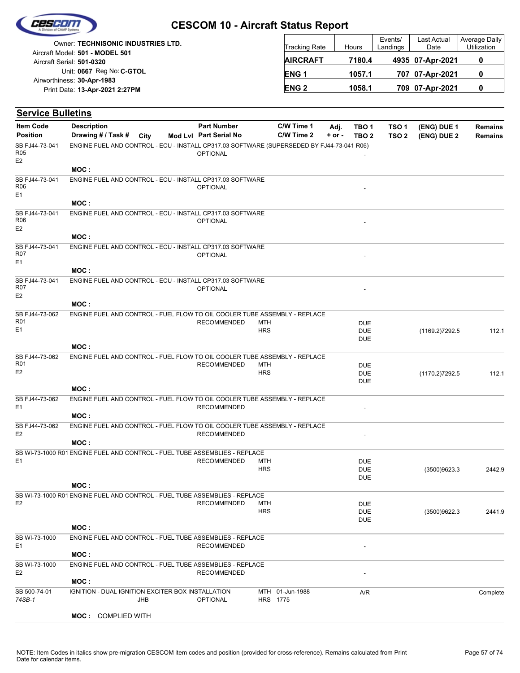

|                                 | <b>Owner: TECHNISONIC INDUSTRIES LTD.</b> |
|---------------------------------|-------------------------------------------|
| Aircraft Model: 501 - MODEL 501 |                                           |
| Aircraft Serial: 501-0320       |                                           |
|                                 | Unit: 0667 Reg No: C-GTOL                 |
| Airworthiness: 30-Apr-1983      |                                           |
|                                 | Print Date: 13-Apr-2021 2:27PM            |
|                                 |                                           |

| <b>Tracking Rate</b> | Hours  | Events/<br>Landings | Last Actual<br>Date | Average Daily<br>Utilization |  |
|----------------------|--------|---------------------|---------------------|------------------------------|--|
| <b>AIRCRAFT</b>      | 7180.4 |                     | 4935 07-Apr-2021    |                              |  |
| ENG <sub>1</sub>     | 1057.1 |                     | 707 07-Apr-2021     |                              |  |
| <b>ENG 2</b>         | 1058.1 |                     | 709 07-Apr-2021     |                              |  |

| <b>Service Bulletins</b>                       |                                                                                           |      |                        |            |                             |          |                          |                  |                |                |
|------------------------------------------------|-------------------------------------------------------------------------------------------|------|------------------------|------------|-----------------------------|----------|--------------------------|------------------|----------------|----------------|
| <b>Item Code</b>                               | <b>Description</b>                                                                        |      | <b>Part Number</b>     |            | C/W Time 1                  | Adj.     | TBO <sub>1</sub>         | TSO <sub>1</sub> | (ENG) DUE 1    | <b>Remains</b> |
| <b>Position</b>                                | Drawing # / Task #                                                                        | City | Mod Lvl Part Serial No |            | C/W Time 2                  | $+ or -$ | TBO <sub>2</sub>         | TSO <sub>2</sub> | (ENG) DUE 2    | <b>Remains</b> |
| SB FJ44-73-041<br>R05<br>E2                    | ENGINE FUEL AND CONTROL - ECU - INSTALL CP317.03 SOFTWARE (SUPERSEDED BY FJ44-73-041 R06) |      | <b>OPTIONAL</b>        |            |                             |          |                          |                  |                |                |
|                                                | MOC:                                                                                      |      |                        |            |                             |          |                          |                  |                |                |
| SB FJ44-73-041<br>R06<br>E1                    | ENGINE FUEL AND CONTROL - ECU - INSTALL CP317.03 SOFTWARE                                 |      | <b>OPTIONAL</b>        |            |                             |          |                          |                  |                |                |
|                                                | MOC:                                                                                      |      |                        |            |                             |          |                          |                  |                |                |
| SB FJ44-73-041<br>R06<br>E <sub>2</sub>        | ENGINE FUEL AND CONTROL - ECU - INSTALL CP317.03 SOFTWARE                                 |      | <b>OPTIONAL</b>        |            |                             |          |                          |                  |                |                |
|                                                | MOC:                                                                                      |      |                        |            |                             |          |                          |                  |                |                |
| SB FJ44-73-041<br>R07<br>E1                    | ENGINE FUEL AND CONTROL - ECU - INSTALL CP317.03 SOFTWARE                                 |      | <b>OPTIONAL</b>        |            |                             |          |                          |                  |                |                |
|                                                | MOC:                                                                                      |      |                        |            |                             |          |                          |                  |                |                |
| SB FJ44-73-041<br><b>R07</b><br>E <sub>2</sub> | ENGINE FUEL AND CONTROL - ECU - INSTALL CP317.03 SOFTWARE                                 |      | <b>OPTIONAL</b>        |            |                             |          |                          |                  |                |                |
|                                                | MOC:                                                                                      |      |                        |            |                             |          |                          |                  |                |                |
| SB FJ44-73-062                                 | ENGINE FUEL AND CONTROL - FUEL FLOW TO OIL COOLER TUBE ASSEMBLY - REPLACE                 |      |                        |            |                             |          |                          |                  |                |                |
| R01                                            |                                                                                           |      | <b>RECOMMENDED</b>     | <b>MTH</b> |                             |          | <b>DUE</b>               |                  |                |                |
| E1                                             |                                                                                           |      |                        | <b>HRS</b> |                             |          | <b>DUE</b>               |                  | (1169.2)7292.5 | 112.1          |
|                                                | MOC:                                                                                      |      |                        |            |                             |          | <b>DUE</b>               |                  |                |                |
| SB FJ44-73-062                                 | ENGINE FUEL AND CONTROL - FUEL FLOW TO OIL COOLER TUBE ASSEMBLY - REPLACE                 |      |                        |            |                             |          |                          |                  |                |                |
| R <sub>01</sub>                                |                                                                                           |      | <b>RECOMMENDED</b>     | <b>MTH</b> |                             |          | <b>DUE</b>               |                  |                |                |
| E <sub>2</sub>                                 |                                                                                           |      |                        | <b>HRS</b> |                             |          | <b>DUE</b>               |                  | (1170.2)7292.5 | 112.1          |
|                                                |                                                                                           |      |                        |            |                             |          | <b>DUE</b>               |                  |                |                |
|                                                | MOC:                                                                                      |      |                        |            |                             |          |                          |                  |                |                |
| SB FJ44-73-062<br>E1                           | ENGINE FUEL AND CONTROL - FUEL FLOW TO OIL COOLER TUBE ASSEMBLY - REPLACE                 |      | <b>RECOMMENDED</b>     |            |                             |          |                          |                  |                |                |
|                                                | MOC:                                                                                      |      |                        |            |                             |          |                          |                  |                |                |
| SB FJ44-73-062                                 | ENGINE FUEL AND CONTROL - FUEL FLOW TO OIL COOLER TUBE ASSEMBLY - REPLACE                 |      |                        |            |                             |          |                          |                  |                |                |
| E <sub>2</sub>                                 |                                                                                           |      | <b>RECOMMENDED</b>     |            |                             |          |                          |                  |                |                |
|                                                | MOC:                                                                                      |      |                        |            |                             |          |                          |                  |                |                |
|                                                | SB WI-73-1000 R01 ENGINE FUEL AND CONTROL - FUEL TUBE ASSEMBLIES - REPLACE                |      |                        |            |                             |          |                          |                  |                |                |
| E <sub>1</sub>                                 |                                                                                           |      | <b>RECOMMENDED</b>     | MTH        |                             |          | <b>DUE</b>               |                  |                |                |
|                                                |                                                                                           |      |                        | <b>HRS</b> |                             |          | <b>DUE</b><br><b>DUE</b> |                  | (3500)9623.3   | 2442.9         |
|                                                | MOC:                                                                                      |      |                        |            |                             |          |                          |                  |                |                |
|                                                | SB WI-73-1000 R01 ENGINE FUEL AND CONTROL - FUEL TUBE ASSEMBLIES - REPLACE                |      |                        |            |                             |          |                          |                  |                |                |
| E <sub>2</sub>                                 |                                                                                           |      | <b>RECOMMENDED</b>     | MTH        |                             |          | <b>DUE</b>               |                  |                |                |
|                                                |                                                                                           |      |                        | <b>HRS</b> |                             |          | <b>DUE</b>               |                  | (3500)9622.3   | 2441.9         |
|                                                | MOC:                                                                                      |      |                        |            |                             |          | <b>DUE</b>               |                  |                |                |
| SB WI-73-1000                                  | ENGINE FUEL AND CONTROL - FUEL TUBE ASSEMBLIES - REPLACE                                  |      |                        |            |                             |          |                          |                  |                |                |
| E1                                             |                                                                                           |      | <b>RECOMMENDED</b>     |            |                             |          |                          |                  |                |                |
|                                                | MOC:                                                                                      |      |                        |            |                             |          |                          |                  |                |                |
| SB WI-73-1000                                  | ENGINE FUEL AND CONTROL - FUEL TUBE ASSEMBLIES - REPLACE                                  |      |                        |            |                             |          |                          |                  |                |                |
| E <sub>2</sub>                                 |                                                                                           |      | <b>RECOMMENDED</b>     |            |                             |          |                          |                  |                |                |
|                                                | MOC:                                                                                      |      |                        |            |                             |          |                          |                  |                |                |
| SB 500-74-01<br>74SB-1                         | IGNITION - DUAL IGNITION EXCITER BOX INSTALLATION                                         | JHB  | <b>OPTIONAL</b>        |            | MTH 01-Jun-1988<br>HRS 1775 |          | A/R                      |                  |                | Complete       |
|                                                | <b>MOC: COMPLIED WITH</b>                                                                 |      |                        |            |                             |          |                          |                  |                |                |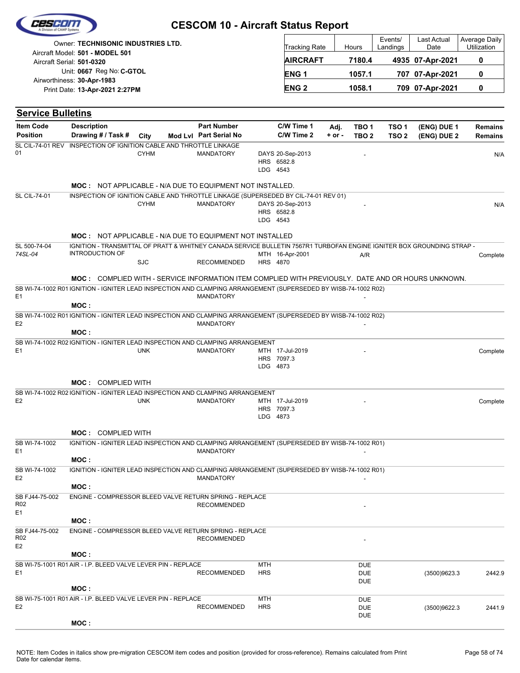| Cescom |  |
|--------|--|
|        |  |
|        |  |

| <b>Owner: TECHNISONIC INDUSTRIES LTD.</b><br>Aircraft Model: 501 - MODEL 501 | Tracking Rate          | Hours  | Events/<br>Landings | <b>Last Actual</b><br>Date | Average Daily<br><b>Utilization</b> |
|------------------------------------------------------------------------------|------------------------|--------|---------------------|----------------------------|-------------------------------------|
| Aircraft Serial: 501-0320                                                    | <b>AIRCRAFT</b>        | 7180.4 |                     | 4935 07-Apr-2021           |                                     |
| Unit: 0667 Reg No: C-GTOL                                                    | ENG <sub>1</sub>       | 1057.1 |                     | 707 07-Apr-2021            |                                     |
| Airworthiness: 30-Apr-1983<br>Print Date: 13-Apr-2021 2:27PM                 | <b>ENG<sub>2</sub></b> | 1058.1 |                     | 709 07-Apr-2021            |                                     |

| <b>Service Bulletins</b>                            |                                                                                                                                                  |             |                        |                          |                                            |            |                                        |                  |              |          |
|-----------------------------------------------------|--------------------------------------------------------------------------------------------------------------------------------------------------|-------------|------------------------|--------------------------|--------------------------------------------|------------|----------------------------------------|------------------|--------------|----------|
| <b>Item Code</b>                                    | <b>Description</b>                                                                                                                               |             | <b>Part Number</b>     |                          | C/W Time 1                                 | Adj.       | TBO <sub>1</sub>                       | TSO <sub>1</sub> | (ENG) DUE 1  | Remains  |
| <b>Position</b>                                     | Drawing # / Task #                                                                                                                               | City        | Mod Lvl Part Serial No |                          | C/W Time 2                                 | $+$ or $-$ | TBO <sub>2</sub>                       | TSO <sub>2</sub> | (ENG) DUE 2  | Remains  |
| <b>SL CIL-74-01 REV</b><br>01                       | INSPECTION OF IGNITION CABLE AND THROTTLE LINKAGE                                                                                                | <b>CYHM</b> | MANDATORY              |                          | DAYS 20-Sep-2013<br>HRS 6582.8<br>LDG 4543 |            |                                        |                  |              | N/A      |
|                                                     | <b>MOC: NOT APPLICABLE - N/A DUE TO EQUIPMENT NOT INSTALLED.</b>                                                                                 |             |                        |                          |                                            |            |                                        |                  |              |          |
| <b>SL CIL-74-01</b>                                 | INSPECTION OF IGNITION CABLE AND THROTTLE LINKAGE (SUPERSEDED BY CIL-74-01 REV 01)                                                               |             |                        |                          |                                            |            |                                        |                  |              |          |
|                                                     |                                                                                                                                                  | <b>CYHM</b> | <b>MANDATORY</b>       |                          | DAYS 20-Sep-2013<br>HRS 6582.8<br>LDG 4543 |            |                                        |                  |              | N/A      |
|                                                     | <b>MOC: NOT APPLICABLE - N/A DUE TO EQUIPMENT NOT INSTALLED</b>                                                                                  |             |                        |                          |                                            |            |                                        |                  |              |          |
| SL 500-74-04                                        | IGNITION - TRANSMITTAL OF PRATT & WHITNEY CANADA SERVICE BULLETIN 7567R1 TURBOFAN ENGINE IGNITER BOX GROUNDING STRAP -<br><b>INTRODUCTION OF</b> |             |                        |                          |                                            |            |                                        |                  |              |          |
| 74SL-04                                             |                                                                                                                                                  | <b>SJC</b>  | <b>RECOMMENDED</b>     |                          | MTH 16-Apr-2001<br>HRS 4870                |            | A/R                                    |                  |              | Complete |
|                                                     | <b>MOC:</b> COMPLIED WITH - SERVICE INFORMATION ITEM COMPLIED WITH PREVIOUSLY. DATE AND OR HOURS UNKNOWN.                                        |             |                        |                          |                                            |            |                                        |                  |              |          |
|                                                     | SB WI-74-1002 R01 IGNITION - IGNITER LEAD INSPECTION AND CLAMPING ARRANGEMENT (SUPERSEDED BY WISB-74-1002 R02)                                   |             |                        |                          |                                            |            |                                        |                  |              |          |
| E <sub>1</sub>                                      | MOC:                                                                                                                                             |             | <b>MANDATORY</b>       |                          |                                            |            |                                        |                  |              |          |
| E <sub>2</sub>                                      | SB WI-74-1002 R01 IGNITION - IGNITER LEAD INSPECTION AND CLAMPING ARRANGEMENT (SUPERSEDED BY WISB-74-1002 R02)                                   |             | <b>MANDATORY</b>       |                          |                                            |            |                                        |                  |              |          |
|                                                     | MOC:                                                                                                                                             |             |                        |                          |                                            |            |                                        |                  |              |          |
|                                                     | SB WI-74-1002 R02 IGNITION - IGNITER LEAD INSPECTION AND CLAMPING ARRANGEMENT                                                                    |             |                        |                          |                                            |            |                                        |                  |              |          |
| E <sub>1</sub>                                      |                                                                                                                                                  | <b>UNK</b>  | <b>MANDATORY</b>       |                          | MTH 17-Jul-2019<br>HRS 7097.3<br>LDG 4873  |            |                                        |                  |              | Complete |
|                                                     | <b>MOC: COMPLIED WITH</b>                                                                                                                        |             |                        |                          |                                            |            |                                        |                  |              |          |
|                                                     | SB WI-74-1002 R02 IGNITION - IGNITER LEAD INSPECTION AND CLAMPING ARRANGEMENT                                                                    |             |                        |                          |                                            |            |                                        |                  |              |          |
| E <sub>2</sub>                                      |                                                                                                                                                  | <b>UNK</b>  | <b>MANDATORY</b>       |                          | MTH 17-Jul-2019<br>HRS 7097.3<br>LDG 4873  |            |                                        |                  |              | Complete |
|                                                     | <b>MOC: COMPLIED WITH</b>                                                                                                                        |             |                        |                          |                                            |            |                                        |                  |              |          |
| SB WI-74-1002<br>E <sub>1</sub>                     | IGNITION - IGNITER LEAD INSPECTION AND CLAMPING ARRANGEMENT (SUPERSEDED BY WISB-74-1002 R01)                                                     |             | <b>MANDATORY</b>       |                          |                                            |            |                                        |                  |              |          |
|                                                     | MOC:                                                                                                                                             |             |                        |                          |                                            |            |                                        |                  |              |          |
| SB WI-74-1002<br>E <sub>2</sub>                     | IGNITION - IGNITER LEAD INSPECTION AND CLAMPING ARRANGEMENT (SUPERSEDED BY WISB-74-1002 R01)                                                     |             | <b>MANDATORY</b>       |                          |                                            |            |                                        |                  |              |          |
|                                                     | MOC:                                                                                                                                             |             |                        |                          |                                            |            |                                        |                  |              |          |
| SB FJ44-75-002<br>R <sub>02</sub><br>E1             | ENGINE - COMPRESSOR BLEED VALVE RETURN SPRING - REPLACE                                                                                          |             | <b>RECOMMENDED</b>     |                          |                                            |            |                                        |                  |              |          |
|                                                     | MOC:                                                                                                                                             |             |                        |                          |                                            |            |                                        |                  |              |          |
| SB FJ44-75-002<br>R <sub>02</sub><br>E <sub>2</sub> | ENGINE - COMPRESSOR BLEED VALVE RETURN SPRING - REPLACE                                                                                          |             | <b>RECOMMENDED</b>     |                          |                                            |            |                                        |                  |              |          |
|                                                     | MOC:                                                                                                                                             |             |                        |                          |                                            |            |                                        |                  |              |          |
| E <sub>1</sub>                                      | SB WI-75-1001 R01 AIR - I.P. BLEED VALVE LEVER PIN - REPLACE                                                                                     |             | <b>RECOMMENDED</b>     | <b>MTH</b><br><b>HRS</b> |                                            |            | <b>DUE</b><br><b>DUE</b><br><b>DUE</b> |                  | (3500)9623.3 | 2442.9   |
|                                                     | MOC:                                                                                                                                             |             |                        |                          |                                            |            |                                        |                  |              |          |
| E <sub>2</sub>                                      | SB WI-75-1001 R01 AIR - I.P. BLEED VALVE LEVER PIN - REPLACE                                                                                     |             | <b>RECOMMENDED</b>     | <b>MTH</b><br><b>HRS</b> |                                            |            | <b>DUE</b><br><b>DUE</b>               |                  | (3500)9622.3 | 2441.9   |
|                                                     | MOC:                                                                                                                                             |             |                        |                          |                                            |            | <b>DUE</b>                             |                  |              |          |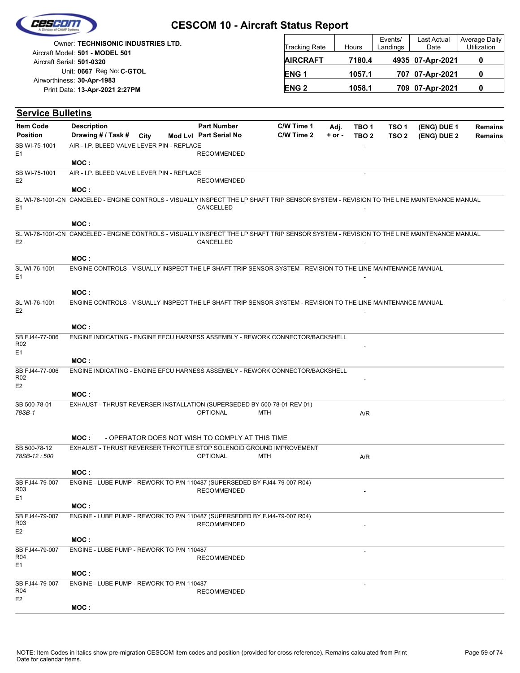

|                            | Owner: TECHNISONIC INDUSTRIES LTD. |
|----------------------------|------------------------------------|
|                            | Aircraft Model: 501 - MODEL 501    |
| Aircraft Serial: 501-0320  |                                    |
|                            | Unit: 0667 Reg No: C-GTOL          |
| Airworthiness: 30-Apr-1983 |                                    |
|                            | Print Date: 13-Apr-2021 2:27PM     |
|                            |                                    |

| <b>Tracking Rate</b> | Hours  | Events/<br>Landings | Last Actual<br>Date | Average Daily<br>Utilization |
|----------------------|--------|---------------------|---------------------|------------------------------|
| <b>AIRCRAFT</b>      | 7180.4 |                     | 4935 07-Apr-2021    |                              |
| <b>ENG1</b>          | 1057.1 |                     | 707 07-Apr-2021     |                              |
| <b>ENG 2</b>         | 1058.1 |                     | 709 07-Apr-2021     |                              |

| <b>Service Bulletins</b>                            |                                                                                                                                          |      |                                                 |            |                          |                    |                                      |                                      |                            |                                  |
|-----------------------------------------------------|------------------------------------------------------------------------------------------------------------------------------------------|------|-------------------------------------------------|------------|--------------------------|--------------------|--------------------------------------|--------------------------------------|----------------------------|----------------------------------|
| <b>Item Code</b><br><b>Position</b>                 | <b>Description</b><br>Drawing # / Task #                                                                                                 | City | <b>Part Number</b><br>Mod Lvl Part Serial No    |            | C/W Time 1<br>C/W Time 2 | Adj.<br>$+$ or $-$ | TBO <sub>1</sub><br>TBO <sub>2</sub> | TSO <sub>1</sub><br>TSO <sub>2</sub> | (ENG) DUE 1<br>(ENG) DUE 2 | <b>Remains</b><br><b>Remains</b> |
| SB WI-75-1001<br>E <sub>1</sub>                     | AIR - I.P. BLEED VALVE LEVER PIN - REPLACE<br>MOC:                                                                                       |      | <b>RECOMMENDED</b>                              |            |                          |                    |                                      |                                      |                            |                                  |
| SB WI-75-1001<br>E <sub>2</sub>                     | AIR - I.P. BLEED VALVE LEVER PIN - REPLACE<br>MOC:                                                                                       |      | <b>RECOMMENDED</b>                              |            |                          |                    |                                      |                                      |                            |                                  |
| E <sub>1</sub>                                      | SL WI-76-1001-CN CANCELED - ENGINE CONTROLS - VISUALLY INSPECT THE LP SHAFT TRIP SENSOR SYSTEM - REVISION TO THE LINE MAINTENANCE MANUAL |      | CANCELLED                                       |            |                          |                    |                                      |                                      |                            |                                  |
|                                                     | MOC:                                                                                                                                     |      |                                                 |            |                          |                    |                                      |                                      |                            |                                  |
| E <sub>2</sub>                                      | SL WI-76-1001-CN CANCELED - ENGINE CONTROLS - VISUALLY INSPECT THE LP SHAFT TRIP SENSOR SYSTEM - REVISION TO THE LINE MAINTENANCE MANUAL |      | CANCELLED                                       |            |                          |                    |                                      |                                      |                            |                                  |
|                                                     | MOC:                                                                                                                                     |      |                                                 |            |                          |                    |                                      |                                      |                            |                                  |
| SL WI-76-1001<br>E <sub>1</sub>                     | ENGINE CONTROLS - VISUALLY INSPECT THE LP SHAFT TRIP SENSOR SYSTEM - REVISION TO THE LINE MAINTENANCE MANUAL                             |      |                                                 |            |                          |                    |                                      |                                      |                            |                                  |
|                                                     | MOC:                                                                                                                                     |      |                                                 |            |                          |                    |                                      |                                      |                            |                                  |
| SL WI-76-1001<br>E <sub>2</sub>                     | ENGINE CONTROLS - VISUALLY INSPECT THE LP SHAFT TRIP SENSOR SYSTEM - REVISION TO THE LINE MAINTENANCE MANUAL                             |      |                                                 |            |                          |                    |                                      |                                      |                            |                                  |
|                                                     | MOC :                                                                                                                                    |      |                                                 |            |                          |                    |                                      |                                      |                            |                                  |
| SB FJ44-77-006<br>R <sub>02</sub><br>E1             | ENGINE INDICATING - ENGINE EFCU HARNESS ASSEMBLY - REWORK CONNECTOR/BACKSHELL<br>MOC:                                                    |      |                                                 |            |                          |                    |                                      |                                      |                            |                                  |
| SB FJ44-77-006<br>R <sub>02</sub><br>E <sub>2</sub> | ENGINE INDICATING - ENGINE EFCU HARNESS ASSEMBLY - REWORK CONNECTOR/BACKSHELL                                                            |      |                                                 |            |                          |                    |                                      |                                      |                            |                                  |
|                                                     | MOC:                                                                                                                                     |      |                                                 |            |                          |                    |                                      |                                      |                            |                                  |
| SB 500-78-01<br>78SB-1                              | EXHAUST - THRUST REVERSER INSTALLATION (SUPERSEDED BY 500-78-01 REV 01)                                                                  |      | <b>OPTIONAL</b>                                 | <b>MTH</b> |                          |                    | A/R                                  |                                      |                            |                                  |
|                                                     | MOC:                                                                                                                                     |      | - OPERATOR DOES NOT WISH TO COMPLY AT THIS TIME |            |                          |                    |                                      |                                      |                            |                                  |
| SB 500-78-12                                        | EXHAUST - THRUST REVERSER THROTTLE STOP SOLENOID GROUND IMPROVEMENT                                                                      |      |                                                 |            |                          |                    |                                      |                                      |                            |                                  |
| 78SB-12:500                                         |                                                                                                                                          |      | <b>OPTIONAL</b>                                 | <b>MTH</b> |                          |                    | A/R                                  |                                      |                            |                                  |
|                                                     | MOC:                                                                                                                                     |      |                                                 |            |                          |                    |                                      |                                      |                            |                                  |
| SB FJ44-79-007<br>R <sub>03</sub><br>E1             | ENGINE - LUBE PUMP - REWORK TO P/N 110487 (SUPERSEDED BY FJ44-79-007 R04)                                                                |      | <b>RECOMMENDED</b>                              |            |                          |                    |                                      |                                      |                            |                                  |
|                                                     | MOC:                                                                                                                                     |      |                                                 |            |                          |                    |                                      |                                      |                            |                                  |
| SB FJ44-79-007<br>R03<br>E <sub>2</sub>             | ENGINE - LUBE PUMP - REWORK TO P/N 110487 (SUPERSEDED BY FJ44-79-007 R04)                                                                |      | <b>RECOMMENDED</b>                              |            |                          |                    |                                      |                                      |                            |                                  |
|                                                     | MOC:                                                                                                                                     |      |                                                 |            |                          |                    |                                      |                                      |                            |                                  |
| SB FJ44-79-007<br>R04<br>E1                         | ENGINE - LUBE PUMP - REWORK TO P/N 110487                                                                                                |      | <b>RECOMMENDED</b>                              |            |                          |                    |                                      |                                      |                            |                                  |
|                                                     | MOC:                                                                                                                                     |      |                                                 |            |                          |                    |                                      |                                      |                            |                                  |
| SB FJ44-79-007<br>R04<br>E <sub>2</sub>             | ENGINE - LUBE PUMP - REWORK TO P/N 110487                                                                                                |      | <b>RECOMMENDED</b>                              |            |                          |                    |                                      |                                      |                            |                                  |
|                                                     | MOC:                                                                                                                                     |      |                                                 |            |                          |                    |                                      |                                      |                            |                                  |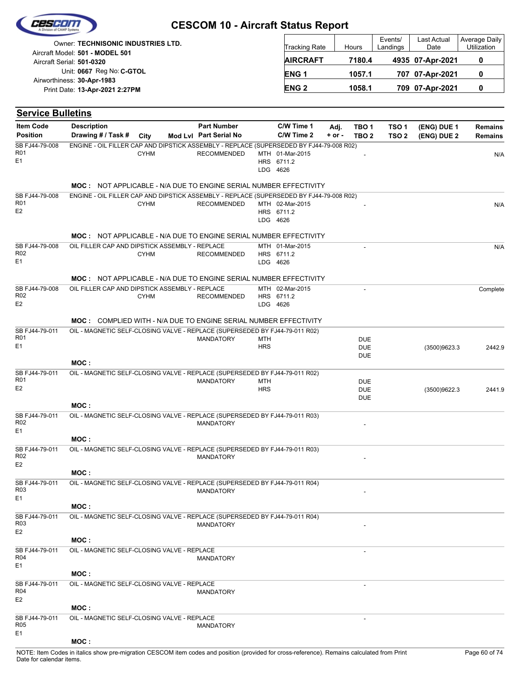| Ceseon |  |
|--------|--|
|        |  |

| Owner: TECHNISONIC INDUSTRIES LTD.                           | Tracking Rate   | Hours  | Events/<br>Landings | Last Actual<br>Date | Average Daily<br><b>Utilization</b> |
|--------------------------------------------------------------|-----------------|--------|---------------------|---------------------|-------------------------------------|
| Aircraft Model: 501 - MODEL 501<br>Aircraft Serial: 501-0320 | <b>AIRCRAFT</b> | 7180.4 |                     | 4935 07-Apr-2021    |                                     |
| Unit: 0667 Reg No: C-GTOL<br>Airworthiness: 30-Apr-1983      | <b>ENG1</b>     | 1057.1 |                     | 707 07-Apr-2021     |                                     |
| Print Date: 13-Apr-2021 2:27PM                               | <b>ENG 2</b>    | 1058.1 |                     | 709 07-Apr-2021     |                                     |

| <b>Service Bulletins</b>          |                                                                                         |             |                        |            |                 |            |                  |                  |              |                |
|-----------------------------------|-----------------------------------------------------------------------------------------|-------------|------------------------|------------|-----------------|------------|------------------|------------------|--------------|----------------|
| <b>Item Code</b>                  | <b>Description</b>                                                                      |             | <b>Part Number</b>     |            | C/W Time 1      | Adj.       | TBO <sub>1</sub> | TSO <sub>1</sub> | (ENG) DUE 1  | <b>Remains</b> |
| <b>Position</b>                   | Drawing # / Task # City                                                                 |             | Mod Lvl Part Serial No |            | C/W Time 2      | $+$ or $-$ | TBO <sub>2</sub> | TSO <sub>2</sub> | (ENG) DUE 2  | <b>Remains</b> |
| SB FJ44-79-008<br>R01             | ENGINE - OIL FILLER CAP AND DIPSTICK ASSEMBLY - REPLACE (SUPERSEDED BY FJ44-79-008 R02) | <b>CYHM</b> | <b>RECOMMENDED</b>     |            | MTH 01-Mar-2015 |            |                  |                  |              | N/A            |
| E <sub>1</sub>                    |                                                                                         |             |                        |            | HRS 6711.2      |            |                  |                  |              |                |
|                                   |                                                                                         |             |                        |            | LDG 4626        |            |                  |                  |              |                |
|                                   | <b>MOC: NOT APPLICABLE - N/A DUE TO ENGINE SERIAL NUMBER EFFECTIVITY</b>                |             |                        |            |                 |            |                  |                  |              |                |
| SB FJ44-79-008                    | ENGINE - OIL FILLER CAP AND DIPSTICK ASSEMBLY - REPLACE (SUPERSEDED BY FJ44-79-008 R02) |             |                        |            |                 |            |                  |                  |              |                |
| <b>R01</b>                        |                                                                                         | <b>CYHM</b> | <b>RECOMMENDED</b>     |            | MTH 02-Mar-2015 |            |                  |                  |              | N/A            |
| E <sub>2</sub>                    |                                                                                         |             |                        |            | HRS 6711.2      |            |                  |                  |              |                |
|                                   |                                                                                         |             |                        |            | LDG 4626        |            |                  |                  |              |                |
|                                   | <b>MOC: NOT APPLICABLE - N/A DUE TO ENGINE SERIAL NUMBER EFFECTIVITY</b>                |             |                        |            |                 |            |                  |                  |              |                |
| SB FJ44-79-008                    | OIL FILLER CAP AND DIPSTICK ASSEMBLY - REPLACE                                          |             |                        |            | MTH 01-Mar-2015 |            |                  |                  |              | N/A            |
| R <sub>02</sub><br>E <sub>1</sub> |                                                                                         | <b>CYHM</b> | <b>RECOMMENDED</b>     |            | HRS 6711.2      |            |                  |                  |              |                |
|                                   |                                                                                         |             |                        |            | LDG 4626        |            |                  |                  |              |                |
|                                   | <b>MOC: NOT APPLICABLE - N/A DUE TO ENGINE SERIAL NUMBER EFFECTIVITY</b>                |             |                        |            |                 |            |                  |                  |              |                |
| SB FJ44-79-008                    | OIL FILLER CAP AND DIPSTICK ASSEMBLY - REPLACE                                          |             |                        |            | MTH 02-Mar-2015 |            |                  |                  |              | Complete       |
| R02                               |                                                                                         | <b>CYHM</b> | <b>RECOMMENDED</b>     |            | HRS 6711.2      |            |                  |                  |              |                |
| E <sub>2</sub>                    |                                                                                         |             |                        |            | LDG 4626        |            |                  |                  |              |                |
|                                   | <b>MOC: COMPLIED WITH - N/A DUE TO ENGINE SERIAL NUMBER EFFECTIVITY</b>                 |             |                        |            |                 |            |                  |                  |              |                |
| SB FJ44-79-011                    | OIL - MAGNETIC SELF-CLOSING VALVE - REPLACE (SUPERSEDED BY FJ44-79-011 R02)             |             |                        |            |                 |            |                  |                  |              |                |
| R <sub>01</sub>                   |                                                                                         |             | <b>MANDATORY</b>       | MTH        |                 |            | <b>DUE</b>       |                  |              |                |
| E <sub>1</sub>                    |                                                                                         |             |                        | <b>HRS</b> |                 |            | <b>DUE</b>       |                  | (3500)9623.3 | 2442.9         |
|                                   | MOC:                                                                                    |             |                        |            |                 |            | <b>DUE</b>       |                  |              |                |
| SB FJ44-79-011                    | OIL - MAGNETIC SELF-CLOSING VALVE - REPLACE (SUPERSEDED BY FJ44-79-011 R02)             |             |                        |            |                 |            |                  |                  |              |                |
| R <sub>01</sub>                   |                                                                                         |             | <b>MANDATORY</b>       | MTH        |                 |            | <b>DUE</b>       |                  |              |                |
| E <sub>2</sub>                    |                                                                                         |             |                        | <b>HRS</b> |                 |            | <b>DUE</b>       |                  | (3500)9622.3 | 2441.9         |
|                                   | MOC:                                                                                    |             |                        |            |                 |            | <b>DUE</b>       |                  |              |                |
| SB FJ44-79-011                    | OIL - MAGNETIC SELF-CLOSING VALVE - REPLACE (SUPERSEDED BY FJ44-79-011 R03)             |             |                        |            |                 |            |                  |                  |              |                |
| R <sub>02</sub>                   |                                                                                         |             | <b>MANDATORY</b>       |            |                 |            |                  |                  |              |                |
| E <sub>1</sub>                    |                                                                                         |             |                        |            |                 |            |                  |                  |              |                |
|                                   | MOC:                                                                                    |             |                        |            |                 |            |                  |                  |              |                |
| SB FJ44-79-011<br>R <sub>02</sub> | OIL - MAGNETIC SELF-CLOSING VALVE - REPLACE (SUPERSEDED BY FJ44-79-011 R03)             |             |                        |            |                 |            |                  |                  |              |                |
| E <sub>2</sub>                    |                                                                                         |             | <b>MANDATORY</b>       |            |                 |            |                  |                  |              |                |
|                                   | MOC:                                                                                    |             |                        |            |                 |            |                  |                  |              |                |
| SB FJ44-79-011                    | OIL - MAGNETIC SELF-CLOSING VALVE - REPLACE (SUPERSEDED BY FJ44-79-011 R04)             |             |                        |            |                 |            |                  |                  |              |                |
| R03                               |                                                                                         |             | <b>MANDATORY</b>       |            |                 |            |                  |                  |              |                |
| E1                                | MOC:                                                                                    |             |                        |            |                 |            |                  |                  |              |                |
| SB FJ44-79-011                    | OIL - MAGNETIC SELF-CLOSING VALVE - REPLACE (SUPERSEDED BY FJ44-79-011 R04)             |             |                        |            |                 |            |                  |                  |              |                |
| R03                               |                                                                                         |             | <b>MANDATORY</b>       |            |                 |            |                  |                  |              |                |
| E <sub>2</sub>                    |                                                                                         |             |                        |            |                 |            |                  |                  |              |                |
|                                   | MOC:                                                                                    |             |                        |            |                 |            |                  |                  |              |                |
| SB FJ44-79-011<br>R04             | OIL - MAGNETIC SELF-CLOSING VALVE - REPLACE                                             |             | <b>MANDATORY</b>       |            |                 |            |                  |                  |              |                |
| E1                                |                                                                                         |             |                        |            |                 |            |                  |                  |              |                |
|                                   | MOC:                                                                                    |             |                        |            |                 |            |                  |                  |              |                |
| SB FJ44-79-011                    | OIL - MAGNETIC SELF-CLOSING VALVE - REPLACE                                             |             |                        |            |                 |            |                  |                  |              |                |
| R04<br>E <sub>2</sub>             |                                                                                         |             | <b>MANDATORY</b>       |            |                 |            |                  |                  |              |                |
|                                   | MOC:                                                                                    |             |                        |            |                 |            |                  |                  |              |                |
| SB FJ44-79-011                    | OIL - MAGNETIC SELF-CLOSING VALVE - REPLACE                                             |             |                        |            |                 |            |                  |                  |              |                |
| R <sub>05</sub>                   |                                                                                         |             | <b>MANDATORY</b>       |            |                 |            |                  |                  |              |                |
| E <sub>1</sub>                    |                                                                                         |             |                        |            |                 |            |                  |                  |              |                |
|                                   | MOC:                                                                                    |             |                        |            |                 |            |                  |                  |              |                |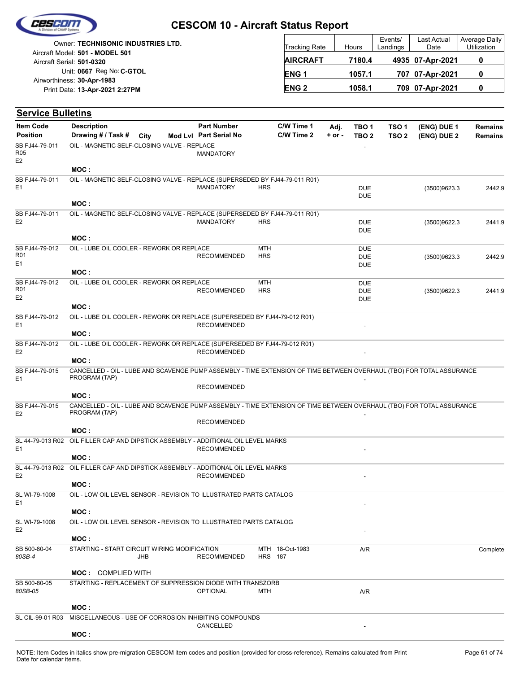

| <b>Owner: TECHNISONIC INDUSTRIES LTD.</b>                    | <b>Tracking Rate</b> | Hours  | Events/<br>Landings | Last Actual<br>Date | Average<br>Utiliza |
|--------------------------------------------------------------|----------------------|--------|---------------------|---------------------|--------------------|
| Aircraft Model: 501 - MODEL 501<br>Aircraft Serial: 501-0320 | <b>AIRCRAFT</b>      | 7180.4 |                     | 4935 07-Apr-2021    | 0                  |
| Unit: 0667 Reg No: C-GTOL<br>Airworthiness: 30-Apr-1983      | <b>ENG1</b>          | 1057.1 |                     | 707 07-Apr-2021     | 0                  |
| Print Date: 13-Apr-2021 2:27PM                               | <b>ENG 2</b>         | 1058.1 |                     | 709 07-Apr-2021     | 0                  |

| <b>Service Bulletins</b>                |                                                                                                                                                |            |                                              |                          |                          |                    |                                        |                                      |                            |                                  |
|-----------------------------------------|------------------------------------------------------------------------------------------------------------------------------------------------|------------|----------------------------------------------|--------------------------|--------------------------|--------------------|----------------------------------------|--------------------------------------|----------------------------|----------------------------------|
| <b>Item Code</b><br><b>Position</b>     | <b>Description</b><br>Drawing # / Task #                                                                                                       | City       | <b>Part Number</b><br>Mod Lvl Part Serial No |                          | C/W Time 1<br>C/W Time 2 | Adj.<br>$+$ or $-$ | TBO 1<br>TBO <sub>2</sub>              | TSO <sub>1</sub><br>TSO <sub>2</sub> | (ENG) DUE 1<br>(ENG) DUE 2 | <b>Remains</b><br><b>Remains</b> |
| SB FJ44-79-011<br>R05<br>E2             | OIL - MAGNETIC SELF-CLOSING VALVE - REPLACE                                                                                                    |            | <b>MANDATORY</b>                             |                          |                          |                    |                                        |                                      |                            |                                  |
|                                         | MOC:                                                                                                                                           |            |                                              |                          |                          |                    |                                        |                                      |                            |                                  |
| SB FJ44-79-011<br>E <sub>1</sub>        | OIL - MAGNETIC SELF-CLOSING VALVE - REPLACE (SUPERSEDED BY FJ44-79-011 R01)                                                                    |            | <b>MANDATORY</b>                             | <b>HRS</b>               |                          |                    | <b>DUE</b><br><b>DUE</b>               |                                      | (3500)9623.3               | 2442.9                           |
|                                         | MOC:                                                                                                                                           |            |                                              |                          |                          |                    |                                        |                                      |                            |                                  |
| SB FJ44-79-011<br>E <sub>2</sub>        | OIL - MAGNETIC SELF-CLOSING VALVE - REPLACE (SUPERSEDED BY FJ44-79-011 R01)                                                                    |            | <b>MANDATORY</b>                             | <b>HRS</b>               |                          |                    | <b>DUE</b><br><b>DUE</b>               |                                      | (3500)9622.3               | 2441.9                           |
|                                         | MOC:                                                                                                                                           |            |                                              |                          |                          |                    |                                        |                                      |                            |                                  |
| SB FJ44-79-012<br>R01<br>E <sub>1</sub> | OIL - LUBE OIL COOLER - REWORK OR REPLACE                                                                                                      |            | <b>RECOMMENDED</b>                           | <b>MTH</b><br><b>HRS</b> |                          |                    | DUE<br><b>DUE</b><br><b>DUE</b>        |                                      | (3500)9623.3               | 2442.9                           |
| SB FJ44-79-012                          | MOC:<br>OIL - LUBE OIL COOLER - REWORK OR REPLACE                                                                                              |            |                                              | <b>MTH</b>               |                          |                    |                                        |                                      |                            |                                  |
| R01<br>E <sub>2</sub>                   | MOC:                                                                                                                                           |            | <b>RECOMMENDED</b>                           | <b>HRS</b>               |                          |                    | <b>DUE</b><br><b>DUE</b><br><b>DUE</b> |                                      | (3500)9622.3               | 2441.9                           |
| SB FJ44-79-012<br>E <sub>1</sub>        | OIL - LUBE OIL COOLER - REWORK OR REPLACE (SUPERSEDED BY FJ44-79-012 R01)<br>MOC:                                                              |            | <b>RECOMMENDED</b>                           |                          |                          |                    |                                        |                                      |                            |                                  |
| SB FJ44-79-012                          | OIL - LUBE OIL COOLER - REWORK OR REPLACE (SUPERSEDED BY FJ44-79-012 R01)                                                                      |            |                                              |                          |                          |                    |                                        |                                      |                            |                                  |
| E2                                      |                                                                                                                                                |            | <b>RECOMMENDED</b>                           |                          |                          |                    |                                        |                                      |                            |                                  |
| SB FJ44-79-015<br>E <sub>1</sub>        | MOC:<br>CANCELLED - OIL - LUBE AND SCAVENGE PUMP ASSEMBLY - TIME EXTENSION OF TIME BETWEEN OVERHAUL (TBO) FOR TOTAL ASSURANCE<br>PROGRAM (TAP) |            |                                              |                          |                          |                    |                                        |                                      |                            |                                  |
|                                         | MOC:                                                                                                                                           |            | <b>RECOMMENDED</b>                           |                          |                          |                    |                                        |                                      |                            |                                  |
| SB FJ44-79-015<br>E <sub>2</sub>        | CANCELLED - OIL - LUBE AND SCAVENGE PUMP ASSEMBLY - TIME EXTENSION OF TIME BETWEEN OVERHAUL (TBO) FOR TOTAL ASSURANCE<br>PROGRAM (TAP)         |            |                                              |                          |                          |                    |                                        |                                      |                            |                                  |
|                                         |                                                                                                                                                |            | <b>RECOMMENDED</b>                           |                          |                          |                    |                                        |                                      |                            |                                  |
| SL 44-79-013 R02<br>E <sub>1</sub>      | MOC:<br>OIL FILLER CAP AND DIPSTICK ASSEMBLY - ADDITIONAL OIL LEVEL MARKS                                                                      |            | <b>RECOMMENDED</b>                           |                          |                          |                    |                                        |                                      |                            |                                  |
|                                         | MOC:                                                                                                                                           |            |                                              |                          |                          |                    |                                        |                                      |                            |                                  |
| E <sub>2</sub>                          | SL 44-79-013 R02 OIL FILLER CAP AND DIPSTICK ASSEMBLY - ADDITIONAL OIL LEVEL MARKS                                                             |            | <b>RECOMMENDED</b>                           |                          |                          |                    |                                        |                                      |                            |                                  |
| SL WI-79-1008                           | MOC:<br>OIL - LOW OIL LEVEL SENSOR - REVISION TO ILLUSTRATED PARTS CATALOG                                                                     |            |                                              |                          |                          |                    |                                        |                                      |                            |                                  |
| E <sub>1</sub>                          | MOC :                                                                                                                                          |            |                                              |                          |                          |                    |                                        |                                      |                            |                                  |
| SL WI-79-1008                           | OIL - LOW OIL LEVEL SENSOR - REVISION TO ILLUSTRATED PARTS CATALOG                                                                             |            |                                              |                          |                          |                    |                                        |                                      |                            |                                  |
| E <sub>2</sub>                          | MOC:                                                                                                                                           |            |                                              |                          |                          |                    |                                        |                                      |                            |                                  |
| SB 500-80-04<br>80SB-4                  | STARTING - START CIRCUIT WIRING MODIFICATION                                                                                                   | <b>JHB</b> | <b>RECOMMENDED</b>                           | <b>HRS</b> 187           | MTH 18-Oct-1983          |                    | A/R                                    |                                      |                            | Complete                         |
|                                         | <b>MOC: COMPLIED WITH</b>                                                                                                                      |            |                                              |                          |                          |                    |                                        |                                      |                            |                                  |
| SB 500-80-05<br>80SB-05                 | STARTING - REPLACEMENT OF SUPPRESSION DIODE WITH TRANSZORB                                                                                     |            | <b>OPTIONAL</b>                              | MTH                      |                          |                    | A/R                                    |                                      |                            |                                  |
|                                         | MOC:                                                                                                                                           |            |                                              |                          |                          |                    |                                        |                                      |                            |                                  |
| SL CIL-99-01 R03                        | MISCELLANEOUS - USE OF CORROSION INHIBITING COMPOUNDS                                                                                          |            | CANCELLED                                    |                          |                          |                    |                                        |                                      |                            |                                  |
|                                         | MOC:                                                                                                                                           |            |                                              |                          |                          |                    |                                        |                                      |                            |                                  |

Average Daily Utilization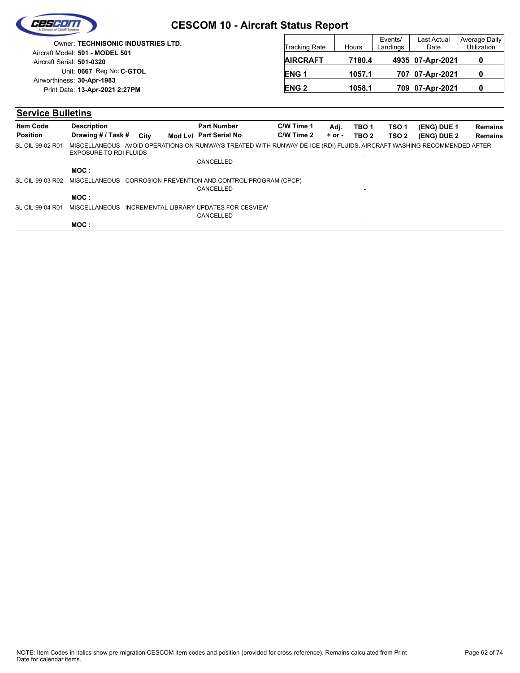|                                                              | <b>CESCOM 10 - Aircraft Status Report</b> |                      |        |                     |                     |                                     |
|--------------------------------------------------------------|-------------------------------------------|----------------------|--------|---------------------|---------------------|-------------------------------------|
| Owner: TECHNISONIC INDUSTRIES LTD.                           |                                           | <b>Tracking Rate</b> | Hours  | Events/<br>Landings | Last Actual<br>Date | Average Daily<br><b>Utilization</b> |
| Aircraft Model: 501 - MODEL 501<br>Aircraft Serial: 501-0320 |                                           | <b>AIRCRAFT</b>      | 7180.4 |                     | 4935 07-Apr-2021    | 0                                   |
| Unit: 0667 Reg No: C-GTOL<br>Airworthiness: 30-Apr-1983      |                                           | <b>ENG1</b>          | 1057.1 |                     | 707 07-Apr-2021     |                                     |
| Print Date: 13-Apr-2021 2:27PM                               |                                           | <b>ENG 2</b>         | 1058.1 |                     | 709 07-Apr-2021     |                                     |

#### **Service Bulletins**

| <b>Item Code</b> | <b>Description</b>                                                                                                                                |      | <b>Part Number</b>     | C/W Time 1 | Adj.       | TBO <sub>1</sub> | TSO 1            | (ENG) DUE 1 | <b>Remains</b> |
|------------------|---------------------------------------------------------------------------------------------------------------------------------------------------|------|------------------------|------------|------------|------------------|------------------|-------------|----------------|
| <b>Position</b>  | Drawing # / Task #                                                                                                                                | City | Mod Lvl Part Serial No | C/W Time 2 | $+$ or $-$ | TBO <sub>2</sub> | TSO <sub>2</sub> | (ENG) DUE 2 | <b>Remains</b> |
| SL CIL-99-02 R01 | MISCELLANEOUS - AVOID OPERATIONS ON RUNWAYS TREATED WITH RUNWAY DE-ICE (RDI) FLUIDS. AIRCRAFT WASHING RECOMMENDED AFTER<br>EXPOSURE TO RDI FLUIDS |      |                        |            |            | ۰                |                  |             |                |
|                  |                                                                                                                                                   |      | CANCELLED              |            |            |                  |                  |             |                |
|                  | MOC :                                                                                                                                             |      |                        |            |            |                  |                  |             |                |
| SL CIL-99-03 R02 | MISCELLANEOUS - CORROSION PREVENTION AND CONTROL PROGRAM (CPCP)                                                                                   |      |                        |            |            |                  |                  |             |                |
|                  |                                                                                                                                                   |      | CANCELLED              |            |            | -                |                  |             |                |
|                  | MOC :                                                                                                                                             |      |                        |            |            |                  |                  |             |                |
| SL CIL-99-04 R01 | MISCELLANEOUS - INCREMENTAL LIBRARY UPDATES FOR CESVIEW                                                                                           |      |                        |            |            |                  |                  |             |                |
|                  |                                                                                                                                                   |      | CANCELLED              |            |            | -                |                  |             |                |
|                  | MOC:                                                                                                                                              |      |                        |            |            |                  |                  |             |                |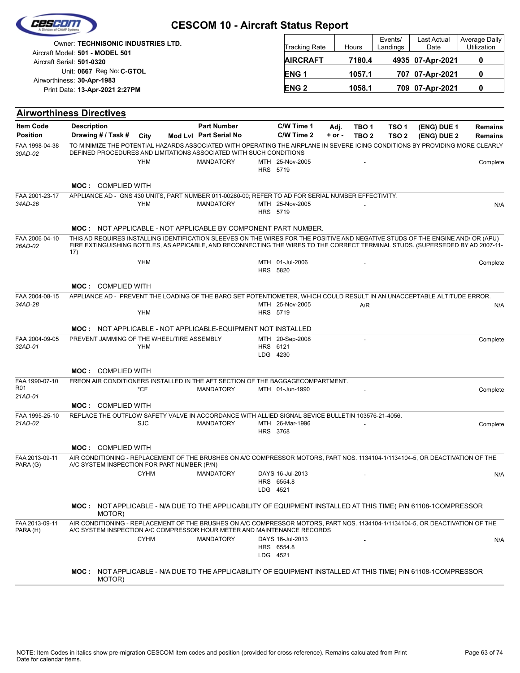|                                              |                                                                                                                                                                                                                                                                          | <b>CESCOM 10 - Aircraft Status Report</b>    |                      |                                |                    |                           |                           |                            |                                  |
|----------------------------------------------|--------------------------------------------------------------------------------------------------------------------------------------------------------------------------------------------------------------------------------------------------------------------------|----------------------------------------------|----------------------|--------------------------------|--------------------|---------------------------|---------------------------|----------------------------|----------------------------------|
|                                              | Owner: TECHNISONIC INDUSTRIES LTD.<br>Aircraft Model: 501 - MODEL 501                                                                                                                                                                                                    |                                              |                      | <b>Tracking Rate</b>           |                    | Hours                     | Events/<br>Landings       | Last Actual<br>Date        | Average Daily<br>Utilization     |
|                                              | Aircraft Serial: 501-0320                                                                                                                                                                                                                                                |                                              |                      | <b>AIRCRAFT</b>                |                    | 7180.4                    |                           | 4935 07-Apr-2021           | 0                                |
|                                              | Unit: 0667 Reg No: C-GTOL                                                                                                                                                                                                                                                |                                              |                      | <b>ENG1</b>                    |                    | 1057.1                    |                           | 707 07-Apr-2021            | 0                                |
|                                              | Airworthiness: 30-Apr-1983<br>Print Date: 13-Apr-2021 2:27PM                                                                                                                                                                                                             |                                              |                      | <b>ENG2</b>                    |                    | 1058.1                    |                           | 709 07-Apr-2021            | 0                                |
|                                              | <b>Airworthiness Directives</b>                                                                                                                                                                                                                                          |                                              |                      |                                |                    |                           |                           |                            |                                  |
| <b>Item Code</b><br><b>Position</b>          | <b>Description</b><br>Drawing # / Task #<br>City                                                                                                                                                                                                                         | <b>Part Number</b><br>Mod Lvl Part Serial No |                      | C/W Time 1<br>C/W Time 2       | Adj.<br>$+$ or $-$ | TBO 1<br>TBO <sub>2</sub> | TSO 1<br>TSO <sub>2</sub> | (ENG) DUE 1<br>(ENG) DUE 2 | <b>Remains</b><br><b>Remains</b> |
| FAA 1998-04-38<br>30AD-02                    | TO MINIMIZE THE POTENTIAL HAZARDS ASSOCIATED WITH OPERATING THE AIRPLANE IN SEVERE ICING CONDITIONS BY PROVIDING MORE CLEARLY<br>DEFINED PROCEDURES AND LIMITATIONS ASSOCIATED WITH SUCH CONDITIONS<br><b>YHM</b><br><b>MOC: COMPLIED WITH</b>                           | <b>MANDATORY</b>                             | HRS 5719             | MTH 25-Nov-2005                |                    |                           |                           |                            | Complete                         |
| FAA 2001-23-17<br>34AD-26                    | APPLIANCE AD - GNS 430 UNITS, PART NUMBER 011-00280-00; REFER TO AD FOR SERIAL NUMBER EFFECTIVITY.<br><b>YHM</b>                                                                                                                                                         | <b>MANDATORY</b>                             | HRS 5719             | MTH 25-Nov-2005                |                    |                           |                           |                            | N/A                              |
|                                              | <b>MOC: NOT APPLICABLE - NOT APPLICABLE BY COMPONENT PART NUMBER.</b>                                                                                                                                                                                                    |                                              |                      |                                |                    |                           |                           |                            |                                  |
| FAA 2006-04-10<br>26AD-02                    | THIS AD REQUIRES INSTALLING IDENTIFICATION SLEEVES ON THE WIRES FOR THE POSITIVE AND NEGATIVE STUDS OF THE ENGINE AND/ OR (APU)<br>FIRE EXTINGUISHING BOTTLES, AS APPICABLE, AND RECONNECTING THE WIRES TO THE CORRECT TERMINAL STUDS. (SUPERSEDED BY AD 2007-11-<br>17) |                                              |                      |                                |                    |                           |                           |                            |                                  |
|                                              | <b>YHM</b>                                                                                                                                                                                                                                                               |                                              | HRS 5820             | MTH 01-Jul-2006                |                    |                           |                           |                            | Complete                         |
|                                              | <b>MOC: COMPLIED WITH</b>                                                                                                                                                                                                                                                |                                              |                      |                                |                    |                           |                           |                            |                                  |
| FAA 2004-08-15<br>34AD-28                    | APPLIANCE AD - PREVENT THE LOADING OF THE BARO SET POTENTIOMETER, WHICH COULD RESULT IN AN UNACCEPTABLE ALTITUDE ERROR.                                                                                                                                                  |                                              |                      | MTH 25-Nov-2005                |                    | A/R                       |                           |                            | N/A                              |
|                                              | <b>YHM</b>                                                                                                                                                                                                                                                               |                                              | HRS 5719             |                                |                    |                           |                           |                            |                                  |
| FAA 2004-09-05<br>32AD-01                    | <b>MOC: NOT APPLICABLE - NOT APPLICABLE-EQUIPMENT NOT INSTALLED</b><br>PREVENT JAMMING OF THE WHEEL/TIRE ASSEMBLY<br><b>YHM</b>                                                                                                                                          |                                              | HRS 6121<br>LDG 4230 | MTH 20-Sep-2008                |                    |                           |                           |                            | Complete                         |
|                                              | <b>MOC: COMPLIED WITH</b>                                                                                                                                                                                                                                                |                                              |                      |                                |                    |                           |                           |                            |                                  |
| FAA 1990-07-10<br>R <sub>01</sub><br>21AD-01 | FREON AIR CONDITIONERS INSTALLED IN THE AFT SECTION OF THE BAGGAGECOMPARTMENT.<br>*CF                                                                                                                                                                                    | <b>MANDATORY</b>                             |                      | MTH 01-Jun-1990                |                    |                           |                           |                            | Complete                         |
|                                              | <b>MOC: COMPLIED WITH</b>                                                                                                                                                                                                                                                |                                              |                      |                                |                    |                           |                           |                            |                                  |
| FAA 1995-25-10<br>21AD-02                    | REPLACE THE OUTFLOW SAFETY VALVE IN ACCORDANCE WITH ALLIED SIGNAL SEVICE BULLETIN 103576-21-4056.<br><b>SJC</b>                                                                                                                                                          | <b>MANDATORY</b>                             | HRS 3768             | MTH 26-Mar-1996                |                    |                           |                           |                            | Complete                         |
|                                              | <b>MOC: COMPLIED WITH</b>                                                                                                                                                                                                                                                |                                              |                      |                                |                    |                           |                           |                            |                                  |
| FAA 2013-09-11<br>PARA (G)                   | AIR CONDITIONING - REPLACEMENT OF THE BRUSHES ON A/C COMPRESSOR MOTORS, PART NOS. 1134104-1/1134104-5, OR DEACTIVATION OF THE<br>A/C SYSTEM INSPECTION FOR PART NUMBER (P/N)                                                                                             |                                              |                      |                                |                    |                           |                           |                            |                                  |
|                                              | <b>CYHM</b>                                                                                                                                                                                                                                                              | <b>MANDATORY</b>                             | LDG 4521             | DAYS 16-Jul-2013<br>HRS 6554.8 |                    |                           |                           |                            | N/A                              |
|                                              | MOC: NOT APPLICABLE - N/A DUE TO THE APPLICABILITY OF EQUIPMENT INSTALLED AT THIS TIME( P/N 61108-1COMPRESSOR<br>MOTOR)                                                                                                                                                  |                                              |                      |                                |                    |                           |                           |                            |                                  |
| FAA 2013-09-11<br>PARA (H)                   | AIR CONDITIONING - REPLACEMENT OF THE BRUSHES ON A/C COMPRESSOR MOTORS, PART NOS. 1134104-1/1134104-5, OR DEACTIVATION OF THE<br>A/C SYSTEM INSPECTION A/C COMPRESSOR HOUR METER AND MAINTENANCE RECORDS<br><b>CYHM</b>                                                  | <b>MANDATORY</b>                             | LDG 4521             | DAYS 16-Jul-2013<br>HRS 6554.8 |                    |                           |                           |                            | N/A                              |
|                                              | MOC: NOT APPLICABLE - N/A DUE TO THE APPLICABILITY OF EQUIPMENT INSTALLED AT THIS TIME( P/N 61108-1COMPRESSOR<br>MOTOR)                                                                                                                                                  |                                              |                      |                                |                    |                           |                           |                            |                                  |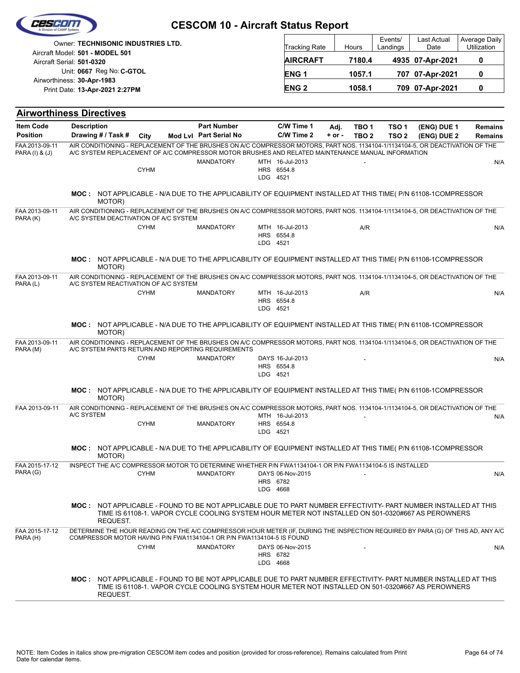| e/s/s/e                             |                                                                              |             | <b>CESCOM 10 - Aircraft Status Report</b>                                                                                                                                                                                          |                                            |                  |                           |                                      |                            |                                  |
|-------------------------------------|------------------------------------------------------------------------------|-------------|------------------------------------------------------------------------------------------------------------------------------------------------------------------------------------------------------------------------------------|--------------------------------------------|------------------|---------------------------|--------------------------------------|----------------------------|----------------------------------|
|                                     | <b>Owner: TECHNISONIC INDUSTRIES LTD.</b><br>Aircraft Model: 501 - MODEL 501 |             |                                                                                                                                                                                                                                    | Tracking Rate                              |                  | Hours                     | Events/<br>Landings                  | Last Actual<br>Date        | Average Daily<br>Utilization     |
|                                     | Aircraft Serial: 501-0320                                                    |             |                                                                                                                                                                                                                                    | <b>AIRCRAFT</b>                            |                  | 7180.4                    |                                      | 4935 07-Apr-2021           | 0                                |
|                                     | Unit: 0667 Reg No: C-GTOL                                                    |             |                                                                                                                                                                                                                                    | <b>ENG1</b>                                |                  | 1057.1                    |                                      | 707 07-Apr-2021            | 0                                |
|                                     | Airworthiness: 30-Apr-1983<br>Print Date: 13-Apr-2021 2:27PM                 |             |                                                                                                                                                                                                                                    | <b>ENG2</b>                                |                  | 1058.1                    |                                      | 709 07-Apr-2021            | 0                                |
|                                     |                                                                              |             |                                                                                                                                                                                                                                    |                                            |                  |                           |                                      |                            |                                  |
|                                     | <b>Airworthiness Directives</b>                                              |             |                                                                                                                                                                                                                                    |                                            |                  |                           |                                      |                            |                                  |
| <b>Item Code</b><br><b>Position</b> | <b>Description</b><br>Drawing # / Task #                                     | City        | <b>Part Number</b><br>Mod Lvl Part Serial No                                                                                                                                                                                       | C/W Time 1<br>C/W Time 2                   | Adj.<br>$+ or -$ | TBO 1<br>TBO <sub>2</sub> | TSO <sub>1</sub><br>TSO <sub>2</sub> | (ENG) DUE 1<br>(ENG) DUE 2 | <b>Remains</b><br><b>Remains</b> |
| FAA 2013-09-11<br>PARA (I) & (J)    |                                                                              |             | AIR CONDITIONING - REPLACEMENT OF THE BRUSHES ON A/C COMPRESSOR MOTORS, PART NOS. 1134104-1/1134104-5, OR DEACTIVATION OF THE<br>A/C SYSTEM REPLACEMENT OF A/C COMPRESSOR MOTOR BRUSHES AND RELATED MAINTENANCE MANUAL INFORMATION |                                            |                  |                           |                                      |                            |                                  |
|                                     |                                                                              | <b>CYHM</b> | <b>MANDATORY</b>                                                                                                                                                                                                                   | MTH 16-Jul-2013<br>HRS 6554.8              |                  |                           |                                      |                            | N/A                              |
|                                     |                                                                              |             |                                                                                                                                                                                                                                    | LDG 4521                                   |                  |                           |                                      |                            |                                  |
|                                     | MOTOR)                                                                       |             | MOC: NOT APPLICABLE - N/A DUE TO THE APPLICABILITY OF EQUIPMENT INSTALLED AT THIS TIME( P/N 61108-1COMPRESSOR                                                                                                                      |                                            |                  |                           |                                      |                            |                                  |
| FAA 2013-09-11<br>PARA (K)          | A/C SYSTEM DEACTIVATION OF A/C SYSTEM                                        |             | AIR CONDITIONING - REPLACEMENT OF THE BRUSHES ON A/C COMPRESSOR MOTORS, PART NOS. 1134104-1/1134104-5, OR DEACTIVATION OF THE                                                                                                      |                                            |                  |                           |                                      |                            |                                  |
|                                     |                                                                              | <b>CYHM</b> | <b>MANDATORY</b>                                                                                                                                                                                                                   | MTH 16-Jul-2013<br>HRS 6554.8              |                  | A/R                       |                                      |                            | N/A                              |
|                                     |                                                                              |             |                                                                                                                                                                                                                                    | LDG 4521                                   |                  |                           |                                      |                            |                                  |
|                                     | MOC :<br>MOTOR)                                                              |             | NOT APPLICABLE - N/A DUE TO THE APPLICABILITY OF EQUIPMENT INSTALLED AT THIS TIME( P/N 61108-1COMPRESSOR                                                                                                                           |                                            |                  |                           |                                      |                            |                                  |
| FAA 2013-09-11<br>PARA (L)          | A/C SYSTEM REACTIVATION OF A/C SYSTEM                                        |             | AIR CONDITIONING - REPLACEMENT OF THE BRUSHES ON A/C COMPRESSOR MOTORS, PART NOS. 1134104-1/1134104-5, OR DEACTIVATION OF THE                                                                                                      |                                            |                  |                           |                                      |                            |                                  |
|                                     |                                                                              | <b>CYHM</b> | <b>MANDATORY</b>                                                                                                                                                                                                                   | MTH 16-Jul-2013<br>HRS 6554.8              |                  | A/R                       |                                      |                            | N/A                              |
|                                     |                                                                              |             |                                                                                                                                                                                                                                    | LDG 4521                                   |                  |                           |                                      |                            |                                  |
|                                     | MOTOR)                                                                       |             | MOC: NOT APPLICABLE - N/A DUE TO THE APPLICABILITY OF EQUIPMENT INSTALLED AT THIS TIME( P/N 61108-1COMPRESSOR                                                                                                                      |                                            |                  |                           |                                      |                            |                                  |
| FAA 2013-09-11<br>PARA (M)          |                                                                              |             | AIR CONDITIONING - REPLACEMENT OF THE BRUSHES ON A/C COMPRESSOR MOTORS, PART NOS. 1134104-1/1134104-5, OR DEACTIVATION OF THE<br>A/C SYSTEM PARTS RETURN AND REPORTING REQUIREMENTS                                                |                                            |                  |                           |                                      |                            |                                  |
|                                     |                                                                              | <b>CYHM</b> | <b>MANDATORY</b>                                                                                                                                                                                                                   | DAYS 16-Jul-2013<br>HRS 6554.8<br>LDG 4521 |                  |                           |                                      |                            | N/A                              |
|                                     | MOTOR)                                                                       |             | MOC: NOT APPLICABLE - N/A DUE TO THE APPLICABILITY OF EQUIPMENT INSTALLED AT THIS TIME( P/N 61108-1COMPRESSOR                                                                                                                      |                                            |                  |                           |                                      |                            |                                  |
| FAA 2013-09-11                      | A/C SYSTEM                                                                   |             | AIR CONDITIONING - REPLACEMENT OF THE BRUSHES ON A/C COMPRESSOR MOTORS, PART NOS. 1134104-1/1134104-5, OR DEACTIVATION OF THE                                                                                                      | MTH 16-Jul-2013                            |                  |                           |                                      |                            | N/A                              |
|                                     |                                                                              | <b>CYHM</b> | <b>MANDATORY</b>                                                                                                                                                                                                                   | HRS 6554.8<br>LDG 4521                     |                  |                           |                                      |                            |                                  |
|                                     | MOTOR)                                                                       |             | MOC: NOT APPLICABLE - N/A DUE TO THE APPLICABILITY OF EQUIPMENT INSTALLED AT THIS TIME( P/N 61108-1COMPRESSOR                                                                                                                      |                                            |                  |                           |                                      |                            |                                  |
| FAA 2015-17-12<br>PARA (G)          |                                                                              | <b>CYHM</b> | INSPECT THE A/C COMPRESSOR MOTOR TO DETERMINE WHETHER P/N FWA1134104-1 OR P/N FWA1134104-5 IS INSTALLED<br><b>MANDATORY</b>                                                                                                        | DAYS 06-Nov-2015<br>HRS 6782<br>LDG 4668   |                  |                           |                                      |                            | N/A                              |
|                                     | REQUEST.                                                                     |             | MOC: NOT APPLICABLE - FOUND TO BE NOT APPLICABLE DUE TO PART NUMBER EFFECTIVITY- PART NUMBER INSTALLED AT THIS<br>TIME IS 61108-1. VAPOR CYCLE COOLING SYSTEM HOUR METER NOT INSTALLED ON 501-0320#667 AS PEROWNERS                |                                            |                  |                           |                                      |                            |                                  |
| FAA 2015-17-12<br>PARA (H)          |                                                                              |             | DETERMINE THE HOUR READING ON THE A/C COMPRESSOR HOUR METER (IF, DURING THE INSPECTION REQUIRED BY PARA (G) OF THIS AD, ANY A/C<br>COMPRESSOR MOTOR HAVING P/N FWA1134104-1 OR P/N FWA1134104-5 IS FOUND                           |                                            |                  |                           |                                      |                            |                                  |
|                                     |                                                                              | <b>CYHM</b> | <b>MANDATORY</b>                                                                                                                                                                                                                   | DAYS 06-Nov-2015                           |                  |                           |                                      |                            | N/A                              |
|                                     |                                                                              |             |                                                                                                                                                                                                                                    | HRS 6782<br>LDG 4668                       |                  |                           |                                      |                            |                                  |
|                                     | REQUEST.                                                                     |             | MOC: NOT APPLICABLE - FOUND TO BE NOT APPLICABLE DUE TO PART NUMBER EFFECTIVITY- PART NUMBER INSTALLED AT THIS<br>TIME IS 61108-1. VAPOR CYCLE COOLING SYSTEM HOUR METER NOT INSTALLED ON 501-0320#667 AS PEROWNERS                |                                            |                  |                           |                                      |                            |                                  |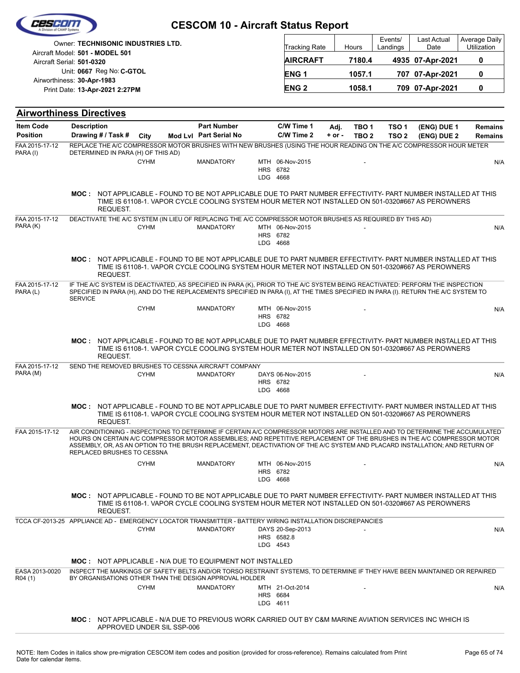|                                     |                    |                                                                                                                                                                                                                                                                                                                                                                                                                     | <b>CESCOM 10 - Aircraft Status Report</b>    |                        |                                            |                    |                                      |                                      |                            |                              |
|-------------------------------------|--------------------|---------------------------------------------------------------------------------------------------------------------------------------------------------------------------------------------------------------------------------------------------------------------------------------------------------------------------------------------------------------------------------------------------------------------|----------------------------------------------|------------------------|--------------------------------------------|--------------------|--------------------------------------|--------------------------------------|----------------------------|------------------------------|
|                                     |                    | Owner: TECHNISONIC INDUSTRIES LTD.<br>Aircraft Model: 501 - MODEL 501                                                                                                                                                                                                                                                                                                                                               |                                              |                        | Tracking Rate                              |                    | Hours                                | Events/<br>Landings                  | Last Actual<br>Date        | Average Daily<br>Utilization |
| Aircraft Serial: 501-0320           |                    |                                                                                                                                                                                                                                                                                                                                                                                                                     |                                              |                        | <b>AIRCRAFT</b>                            |                    | 7180.4                               |                                      | 4935 07-Apr-2021           | 0                            |
| Airworthiness: 30-Apr-1983          |                    | Unit: 0667 Reg No: C-GTOL                                                                                                                                                                                                                                                                                                                                                                                           |                                              |                        | ENG <sub>1</sub>                           |                    | 1057.1                               |                                      | 707 07-Apr-2021            | 0                            |
|                                     |                    | Print Date: 13-Apr-2021 2:27PM                                                                                                                                                                                                                                                                                                                                                                                      |                                              |                        | <b>ENG2</b>                                |                    | 1058.1                               |                                      | 709 07-Apr-2021            | 0                            |
| <b>Airworthiness Directives</b>     |                    |                                                                                                                                                                                                                                                                                                                                                                                                                     |                                              |                        |                                            |                    |                                      |                                      |                            |                              |
| <b>Item Code</b><br><b>Position</b> | <b>Description</b> | Drawing # / Task #<br>City                                                                                                                                                                                                                                                                                                                                                                                          | <b>Part Number</b><br>Mod Lvl Part Serial No |                        | C/W Time 1<br>C/W Time 2                   | Adj.<br>$+$ or $-$ | TBO <sub>1</sub><br>TBO <sub>2</sub> | TSO <sub>1</sub><br>TSO <sub>2</sub> | (ENG) DUE 1<br>(ENG) DUE 2 | <b>Remains</b><br>Remains    |
| FAA 2015-17-12                      |                    | REPLACE THE A/C COMPRESSOR MOTOR BRUSHES WITH NEW BRUSHES (USING THE HOUR READING ON THE A/C COMPRESSOR HOUR METER                                                                                                                                                                                                                                                                                                  |                                              |                        |                                            |                    |                                      |                                      |                            |                              |
| PARA (I)                            |                    | DETERMINED IN PARA (H) OF THIS AD)<br><b>CYHM</b>                                                                                                                                                                                                                                                                                                                                                                   | <b>MANDATORY</b>                             | <b>HRS</b><br>LDG 4668 | MTH 06-Nov-2015<br>6782                    |                    |                                      |                                      |                            | N/A                          |
|                                     |                    | MOC: NOT APPLICABLE - FOUND TO BE NOT APPLICABLE DUE TO PART NUMBER EFFECTIVITY- PART NUMBER INSTALLED AT THIS<br>TIME IS 61108-1. VAPOR CYCLE COOLING SYSTEM HOUR METER NOT INSTALLED ON 501-0320#667 AS PEROWNERS<br>REQUEST.                                                                                                                                                                                     |                                              |                        |                                            |                    |                                      |                                      |                            |                              |
| FAA 2015-17-12<br>PARA (K)          |                    | DEACTIVATE THE A/C SYSTEM (IN LIEU OF REPLACING THE A/C COMPRESSOR MOTOR BRUSHES AS REQUIRED BY THIS AD)<br><b>CYHM</b>                                                                                                                                                                                                                                                                                             | <b>MANDATORY</b>                             | LDG 4668               | MTH 06-Nov-2015<br>HRS 6782                |                    |                                      |                                      |                            | N/A                          |
|                                     |                    | MOC: NOT APPLICABLE - FOUND TO BE NOT APPLICABLE DUE TO PART NUMBER EFFECTIVITY- PART NUMBER INSTALLED AT THIS<br>TIME IS 61108-1. VAPOR CYCLE COOLING SYSTEM HOUR METER NOT INSTALLED ON 501-0320#667 AS PEROWNERS<br>REQUEST.                                                                                                                                                                                     |                                              |                        |                                            |                    |                                      |                                      |                            |                              |
| FAA 2015-17-12<br>PARA (L)          | <b>SERVICE</b>     | IF THE A/C SYSTEM IS DEACTIVATED, AS SPECIFIED IN PARA (K), PRIOR TO THE A/C SYSTEM BEING REACTIVATED: PERFORM THE INSPECTION<br>SPECIFIED IN PARA (H), AND DO THE REPLACEMENTS SPECIFIED IN PARA (I), AT THE TIMES SPECIFIED IN PARA (I). RETURN THE A/C SYSTEM TO                                                                                                                                                 |                                              |                        |                                            |                    |                                      |                                      |                            |                              |
|                                     |                    | <b>CYHM</b>                                                                                                                                                                                                                                                                                                                                                                                                         | <b>MANDATORY</b>                             | LDG 4668               | MTH 06-Nov-2015<br>HRS 6782                |                    |                                      |                                      |                            | N/A                          |
|                                     | MOC :              | NOT APPLICABLE - FOUND TO BE NOT APPLICABLE DUE TO PART NUMBER EFFECTIVITY- PART NUMBER INSTALLED AT THIS<br>TIME IS 61108-1. VAPOR CYCLE COOLING SYSTEM HOUR METER NOT INSTALLED ON 501-0320#667 AS PEROWNERS<br>REQUEST.                                                                                                                                                                                          |                                              |                        |                                            |                    |                                      |                                      |                            |                              |
| FAA 2015-17-12<br>PARA (M)          |                    | SEND THE REMOVED BRUSHES TO CESSNA AIRCRAFT COMPANY<br><b>CYHM</b>                                                                                                                                                                                                                                                                                                                                                  | <b>MANDATORY</b>                             | LDG 4668               | DAYS 06-Nov-2015<br>HRS 6782               |                    |                                      |                                      |                            | N/A                          |
|                                     |                    | MOC: NOT APPLICABLE - FOUND TO BE NOT APPLICABLE DUE TO PART NUMBER EFFECTIVITY- PART NUMBER INSTALLED AT THIS<br>TIME IS 61108-1. VAPOR CYCLE COOLING SYSTEM HOUR METER NOT INSTALLED ON 501-0320#667 AS PEROWNERS<br>REQUEST.                                                                                                                                                                                     |                                              |                        |                                            |                    |                                      |                                      |                            |                              |
| FAA 2015-17-12                      |                    | AIR CONDITIONING - INSPECTIONS TO DETERMINE IF CERTAIN A/C COMPRESSOR MOTORS ARE INSTALLED AND TO DETERMINE THE ACCUMULATED<br>HOURS ON CERTAIN A/C COMPRESSOR MOTOR ASSEMBLIES; AND REPETITIVE REPLACEMENT OF THE BRUSHES IN THE A/C COMPRESSOR MOTOR<br>ASSEMBLY, OR, AS AN OPTION TO THE BRUSH REPLACEMENT, DEACTIVATION OF THE A/C SYSTEM AND PLACARD INSTALLATION; AND RETURN OF<br>REPLACED BRUSHES TO CESSNA |                                              |                        |                                            |                    |                                      |                                      |                            |                              |
|                                     |                    | <b>CYHM</b>                                                                                                                                                                                                                                                                                                                                                                                                         | <b>MANDATORY</b>                             |                        | MTH 06-Nov-2015<br>HRS 6782<br>LDG 4668    |                    |                                      |                                      |                            | N/A                          |
|                                     |                    | MOC: NOT APPLICABLE - FOUND TO BE NOT APPLICABLE DUE TO PART NUMBER EFFECTIVITY- PART NUMBER INSTALLED AT THIS<br>TIME IS 61108-1. VAPOR CYCLE COOLING SYSTEM HOUR METER NOT INSTALLED ON 501-0320#667 AS PEROWNERS<br>REQUEST.                                                                                                                                                                                     |                                              |                        |                                            |                    |                                      |                                      |                            |                              |
|                                     |                    | TCCA CF-2013-25 APPLIANCE AD - EMERGENCY LOCATOR TRANSMITTER - BATTERY WIRING INSTALLATION DISCREPANCIES<br><b>CYHM</b>                                                                                                                                                                                                                                                                                             | <b>MANDATORY</b>                             |                        | DAYS 20-Sep-2013<br>HRS 6582.8<br>LDG 4543 |                    |                                      |                                      |                            | N/A                          |
| EASA 2013-0020<br>R04 (1)           |                    | <b>MOC:</b> NOT APPLICABLE - N/A DUE TO EQUIPMENT NOT INSTALLED<br>INSPECT THE MARKINGS OF SAFETY BELTS AND/OR TORSO RESTRAINT SYSTEMS, TO DETERMINE IF THEY HAVE BEEN MAINTAINED OR REPAIRED<br>BY ORGANISATIONS OTHER THAN THE DESIGN APPROVAL HOLDER<br><b>CYHM</b>                                                                                                                                              | <b>MANDATORY</b>                             | <b>HRS 6684</b>        | MTH 21-Oct-2014<br>LDG 4611                |                    |                                      |                                      |                            | N/A                          |
|                                     |                    | MOC: NOT APPLICABLE - N/A DUE TO PREVIOUS WORK CARRIED OUT BY C&M MARINE AVIATION SERVICES INC WHICH IS<br>APPROVED UNDER SIL SSP-006                                                                                                                                                                                                                                                                               |                                              |                        |                                            |                    |                                      |                                      |                            |                              |

and the contract of

 $\overline{\phantom{0}}$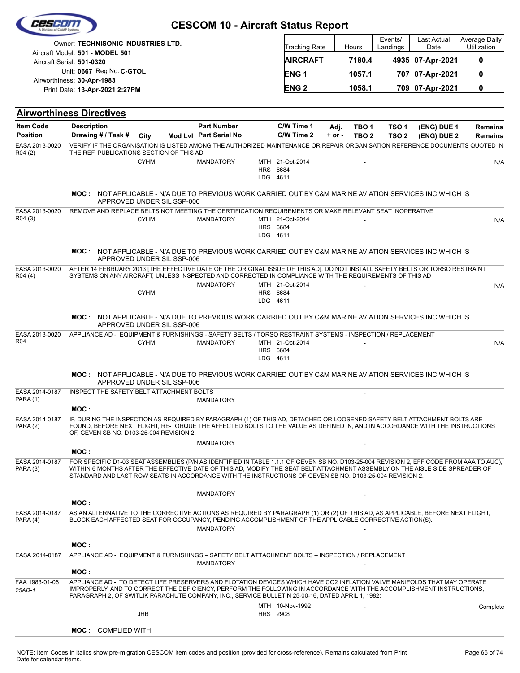| Last Actual<br>Events/<br>Owner: TECHNISONIC INDUSTRIES LTD.<br>Utilization<br>Landings<br>Date<br><b>Tracking Rate</b><br>Hours<br>Aircraft Model: 501 - MODEL 501<br><b>AIRCRAFT</b><br>7180.4<br>0<br>4935 07-Apr-2021<br>Aircraft Serial: 501-0320<br>Unit: 0667 Reg No: C-GTOL<br>ENG <sub>1</sub><br>1057.1<br>707 07-Apr-2021<br>0<br>Airworthiness: 30-Apr-1983<br>0<br><b>ENG2</b><br>1058.1<br>709 07-Apr-2021<br>Print Date: 13-Apr-2021 2:27PM<br><b>Airworthiness Directives</b><br><b>Item Code</b><br><b>Description</b><br><b>Part Number</b><br>C/W Time 1<br>TSO <sub>1</sub><br>TBO <sub>1</sub><br>(ENG) DUE 1<br>Adj.<br><b>Position</b><br>Mod Lvl Part Serial No<br>C/W Time 2<br>Drawing # / Task #<br>City<br>$+$ or $-$<br>TBO <sub>2</sub><br>TSO <sub>2</sub><br>(ENG) DUE 2<br>EASA 2013-0020<br>VERIFY IF THE ORGANISATION IS LISTED AMONG THE AUTHORIZED MAINTENANCE OR REPAIR ORGANISATION REFERENCE DOCUMENTS QUOTED IN<br>THE REF. PUBLICATIONS SECTION OF THIS AD<br>R04 (2)<br><b>CYHM</b><br><b>MANDATORY</b><br>MTH 21-Oct-2014<br>HRS 6684<br>LDG 4611<br><b>MOC: NOT APPLICABLE - N/A DUE TO PREVIOUS WORK CARRIED OUT BY C&amp;M MARINE AVIATION SERVICES INC WHICH IS</b><br>APPROVED UNDER SIL SSP-006<br>EASA 2013-0020<br>REMOVE AND REPLACE BELTS NOT MEETING THE CERTIFICATION REQUIREMENTS OR MAKE RELEVANT SEAT INOPERATIVE<br>R04 (3)<br>MTH 21-Oct-2014<br><b>CYHM</b><br><b>MANDATORY</b><br><b>HRS 6684</b><br>LDG 4611<br><b>MOC: NOT APPLICABLE - N/A DUE TO PREVIOUS WORK CARRIED OUT BY C&amp;M MARINE AVIATION SERVICES INC WHICH IS</b><br>APPROVED UNDER SIL SSP-006<br>AFTER 14 FEBRUARY 2013 [THE EFFECTIVE DATE OF THE ORIGINAL ISSUE OF THIS AD], DO NOT INSTALL SAFETY BELTS OR TORSO RESTRAINT<br>EASA 2013-0020<br>SYSTEMS ON ANY AIRCRAFT, UNLESS INSPECTED AND CORRECTED IN COMPLIANCE WITH THE REQUIREMENTS OF THIS AD<br>R04 (4)<br><b>MANDATORY</b><br>MTH 21-Oct-2014<br><b>CYHM</b><br><b>HRS 6684</b><br>LDG 4611<br>MOC: NOT APPLICABLE - N/A DUE TO PREVIOUS WORK CARRIED OUT BY C&M MARINE AVIATION SERVICES INC WHICH IS<br>APPROVED UNDER SIL SSP-006<br>EASA 2013-0020<br>APPLIANCE AD - EQUIPMENT & FURNISHINGS - SAFETY BELTS / TORSO RESTRAINT SYSTEMS - INSPECTION / REPLACEMENT<br>R04<br><b>CYHM</b><br><b>MANDATORY</b><br>MTH 21-Oct-2014<br>HRS 6684<br>LDG 4611<br>MOC: NOT APPLICABLE - N/A DUE TO PREVIOUS WORK CARRIED OUT BY C&M MARINE AVIATION SERVICES INC WHICH IS<br>APPROVED UNDER SIL SSP-006<br>INSPECT THE SAFETY BELT ATTACHMENT BOLTS<br>EASA 2014-0187<br><b>PARA (1)</b><br><b>MANDATORY</b><br>MOC:<br>EASA 2014-0187<br>IF, DURING THE INSPECTION AS REQUIRED BY PARAGRAPH (1) OF THIS AD, DETACHED OR LOOSENED SAFETY BELT ATTACHMENT BOLTS ARE<br>FOUND. BEFORE NEXT FLIGHT. RE-TORQUE THE AFFECTED BOLTS TO THE VALUE AS DEFINED IN. AND IN ACCORDANCE WITH THE INSTRUCTIONS<br>PARA(2)<br>OF, GEVEN SB NO. D103-25-004 REVISION 2.<br><b>MANDATORY</b><br>MOC:<br>FOR SPECIFIC D1-03 SEAT ASSEMBLIES (P/N AS IDENTIFIED IN TABLE 1.1.1 OF GEVEN SB NO. D103-25-004 REVISION 2, EFF CODE FROM AAA TO AUC),<br>EASA 2014-0187<br>PARA (3)<br>WITHIN 6 MONTHS AFTER THE EFFECTIVE DATE OF THIS AD, MODIFY THE SEAT BELT ATTACHMENT ASSEMBLY ON THE AISLE SIDE SPREADER OF<br>STANDARD AND LAST ROW SEATS IN ACCORDANCE WITH THE INSTRUCTIONS OF GEVEN SB NO. D103-25-004 REVISION 2.<br><b>MANDATORY</b><br>MOC:<br>EASA 2014-0187<br>AS AN ALTERNATIVE TO THE CORRECTIVE ACTIONS AS REQUIRED BY PARAGRAPH (1) OR (2) OF THIS AD, AS APPLICABLE, BEFORE NEXT FLIGHT,<br>BLOCK EACH AFFECTED SEAT FOR OCCUPANCY, PENDING ACCOMPLISHMENT OF THE APPLICABLE CORRECTIVE ACTION(S).<br>PARA (4)<br><b>MANDATORY</b><br>MOC :<br>APPLIANCE AD - EQUIPMENT & FURNISHINGS - SAFETY BELT ATTACHMENT BOLTS - INSPECTION / REPLACEMENT<br>EASA 2014-0187<br><b>MANDATORY</b><br>MOC:<br>FAA 1983-01-06<br>APPLIANCE AD - TO DETECT LIFE PRESERVERS AND FLOTATION DEVICES WHICH HAVE CO2 INFLATION VALVE MANIFOLDS THAT MAY OPERATE<br>IMPROPERLY, AND TO CORRECT THE DEFICIENCY, PERFORM THE FOLLOWING IN ACCORDANCE WITH THE ACCOMPLISHMENT INSTRUCTIONS,<br>25AD-1<br>PARAGRAPH 2, OF SWITLIK PARACHUTE COMPANY, INC., SERVICE BULLETIN 25-00-16, DATED APRIL 1, 1982:<br>MTH 10-Nov-1992<br>JHB<br><b>HRS</b> 2908<br><b>MOC: COMPLIED WITH</b> |  |  | <b>CESCOM 10 - Aircraft Status Report</b> |  |  |  |                |
|--------------------------------------------------------------------------------------------------------------------------------------------------------------------------------------------------------------------------------------------------------------------------------------------------------------------------------------------------------------------------------------------------------------------------------------------------------------------------------------------------------------------------------------------------------------------------------------------------------------------------------------------------------------------------------------------------------------------------------------------------------------------------------------------------------------------------------------------------------------------------------------------------------------------------------------------------------------------------------------------------------------------------------------------------------------------------------------------------------------------------------------------------------------------------------------------------------------------------------------------------------------------------------------------------------------------------------------------------------------------------------------------------------------------------------------------------------------------------------------------------------------------------------------------------------------------------------------------------------------------------------------------------------------------------------------------------------------------------------------------------------------------------------------------------------------------------------------------------------------------------------------------------------------------------------------------------------------------------------------------------------------------------------------------------------------------------------------------------------------------------------------------------------------------------------------------------------------------------------------------------------------------------------------------------------------------------------------------------------------------------------------------------------------------------------------------------------------------------------------------------------------------------------------------------------------------------------------------------------------------------------------------------------------------------------------------------------------------------------------------------------------------------------------------------------------------------------------------------------------------------------------------------------------------------------------------------------------------------------------------------------------------------------------------------------------------------------------------------------------------------------------------------------------------------------------------------------------------------------------------------------------------------------------------------------------------------------------------------------------------------------------------------------------------------------------------------------------------------------------------------------------------------------------------------------------------------------------------------------------------------------------------------------------------------------------------------------------------------------------------------------------------------------------------------------------------------------------------------------------------------------------------------------------------------------------------------------------------------------------------------------------------------------------------------------------------------------------------------------------------------------------------------------------------------------------------------------------------------------------------------------------------------------------------------------------------------------------------------------|--|--|-------------------------------------------|--|--|--|----------------|
|                                                                                                                                                                                                                                                                                                                                                                                                                                                                                                                                                                                                                                                                                                                                                                                                                                                                                                                                                                                                                                                                                                                                                                                                                                                                                                                                                                                                                                                                                                                                                                                                                                                                                                                                                                                                                                                                                                                                                                                                                                                                                                                                                                                                                                                                                                                                                                                                                                                                                                                                                                                                                                                                                                                                                                                                                                                                                                                                                                                                                                                                                                                                                                                                                                                                                                                                                                                                                                                                                                                                                                                                                                                                                                                                                                                                                                                                                                                                                                                                                                                                                                                                                                                                                                                                                                                                                        |  |  |                                           |  |  |  | Average Daily  |
|                                                                                                                                                                                                                                                                                                                                                                                                                                                                                                                                                                                                                                                                                                                                                                                                                                                                                                                                                                                                                                                                                                                                                                                                                                                                                                                                                                                                                                                                                                                                                                                                                                                                                                                                                                                                                                                                                                                                                                                                                                                                                                                                                                                                                                                                                                                                                                                                                                                                                                                                                                                                                                                                                                                                                                                                                                                                                                                                                                                                                                                                                                                                                                                                                                                                                                                                                                                                                                                                                                                                                                                                                                                                                                                                                                                                                                                                                                                                                                                                                                                                                                                                                                                                                                                                                                                                                        |  |  |                                           |  |  |  |                |
|                                                                                                                                                                                                                                                                                                                                                                                                                                                                                                                                                                                                                                                                                                                                                                                                                                                                                                                                                                                                                                                                                                                                                                                                                                                                                                                                                                                                                                                                                                                                                                                                                                                                                                                                                                                                                                                                                                                                                                                                                                                                                                                                                                                                                                                                                                                                                                                                                                                                                                                                                                                                                                                                                                                                                                                                                                                                                                                                                                                                                                                                                                                                                                                                                                                                                                                                                                                                                                                                                                                                                                                                                                                                                                                                                                                                                                                                                                                                                                                                                                                                                                                                                                                                                                                                                                                                                        |  |  |                                           |  |  |  |                |
|                                                                                                                                                                                                                                                                                                                                                                                                                                                                                                                                                                                                                                                                                                                                                                                                                                                                                                                                                                                                                                                                                                                                                                                                                                                                                                                                                                                                                                                                                                                                                                                                                                                                                                                                                                                                                                                                                                                                                                                                                                                                                                                                                                                                                                                                                                                                                                                                                                                                                                                                                                                                                                                                                                                                                                                                                                                                                                                                                                                                                                                                                                                                                                                                                                                                                                                                                                                                                                                                                                                                                                                                                                                                                                                                                                                                                                                                                                                                                                                                                                                                                                                                                                                                                                                                                                                                                        |  |  |                                           |  |  |  |                |
|                                                                                                                                                                                                                                                                                                                                                                                                                                                                                                                                                                                                                                                                                                                                                                                                                                                                                                                                                                                                                                                                                                                                                                                                                                                                                                                                                                                                                                                                                                                                                                                                                                                                                                                                                                                                                                                                                                                                                                                                                                                                                                                                                                                                                                                                                                                                                                                                                                                                                                                                                                                                                                                                                                                                                                                                                                                                                                                                                                                                                                                                                                                                                                                                                                                                                                                                                                                                                                                                                                                                                                                                                                                                                                                                                                                                                                                                                                                                                                                                                                                                                                                                                                                                                                                                                                                                                        |  |  |                                           |  |  |  |                |
|                                                                                                                                                                                                                                                                                                                                                                                                                                                                                                                                                                                                                                                                                                                                                                                                                                                                                                                                                                                                                                                                                                                                                                                                                                                                                                                                                                                                                                                                                                                                                                                                                                                                                                                                                                                                                                                                                                                                                                                                                                                                                                                                                                                                                                                                                                                                                                                                                                                                                                                                                                                                                                                                                                                                                                                                                                                                                                                                                                                                                                                                                                                                                                                                                                                                                                                                                                                                                                                                                                                                                                                                                                                                                                                                                                                                                                                                                                                                                                                                                                                                                                                                                                                                                                                                                                                                                        |  |  |                                           |  |  |  | <b>Remains</b> |
|                                                                                                                                                                                                                                                                                                                                                                                                                                                                                                                                                                                                                                                                                                                                                                                                                                                                                                                                                                                                                                                                                                                                                                                                                                                                                                                                                                                                                                                                                                                                                                                                                                                                                                                                                                                                                                                                                                                                                                                                                                                                                                                                                                                                                                                                                                                                                                                                                                                                                                                                                                                                                                                                                                                                                                                                                                                                                                                                                                                                                                                                                                                                                                                                                                                                                                                                                                                                                                                                                                                                                                                                                                                                                                                                                                                                                                                                                                                                                                                                                                                                                                                                                                                                                                                                                                                                                        |  |  |                                           |  |  |  | <b>Remains</b> |
|                                                                                                                                                                                                                                                                                                                                                                                                                                                                                                                                                                                                                                                                                                                                                                                                                                                                                                                                                                                                                                                                                                                                                                                                                                                                                                                                                                                                                                                                                                                                                                                                                                                                                                                                                                                                                                                                                                                                                                                                                                                                                                                                                                                                                                                                                                                                                                                                                                                                                                                                                                                                                                                                                                                                                                                                                                                                                                                                                                                                                                                                                                                                                                                                                                                                                                                                                                                                                                                                                                                                                                                                                                                                                                                                                                                                                                                                                                                                                                                                                                                                                                                                                                                                                                                                                                                                                        |  |  |                                           |  |  |  |                |
|                                                                                                                                                                                                                                                                                                                                                                                                                                                                                                                                                                                                                                                                                                                                                                                                                                                                                                                                                                                                                                                                                                                                                                                                                                                                                                                                                                                                                                                                                                                                                                                                                                                                                                                                                                                                                                                                                                                                                                                                                                                                                                                                                                                                                                                                                                                                                                                                                                                                                                                                                                                                                                                                                                                                                                                                                                                                                                                                                                                                                                                                                                                                                                                                                                                                                                                                                                                                                                                                                                                                                                                                                                                                                                                                                                                                                                                                                                                                                                                                                                                                                                                                                                                                                                                                                                                                                        |  |  |                                           |  |  |  | N/A            |
|                                                                                                                                                                                                                                                                                                                                                                                                                                                                                                                                                                                                                                                                                                                                                                                                                                                                                                                                                                                                                                                                                                                                                                                                                                                                                                                                                                                                                                                                                                                                                                                                                                                                                                                                                                                                                                                                                                                                                                                                                                                                                                                                                                                                                                                                                                                                                                                                                                                                                                                                                                                                                                                                                                                                                                                                                                                                                                                                                                                                                                                                                                                                                                                                                                                                                                                                                                                                                                                                                                                                                                                                                                                                                                                                                                                                                                                                                                                                                                                                                                                                                                                                                                                                                                                                                                                                                        |  |  |                                           |  |  |  |                |
|                                                                                                                                                                                                                                                                                                                                                                                                                                                                                                                                                                                                                                                                                                                                                                                                                                                                                                                                                                                                                                                                                                                                                                                                                                                                                                                                                                                                                                                                                                                                                                                                                                                                                                                                                                                                                                                                                                                                                                                                                                                                                                                                                                                                                                                                                                                                                                                                                                                                                                                                                                                                                                                                                                                                                                                                                                                                                                                                                                                                                                                                                                                                                                                                                                                                                                                                                                                                                                                                                                                                                                                                                                                                                                                                                                                                                                                                                                                                                                                                                                                                                                                                                                                                                                                                                                                                                        |  |  |                                           |  |  |  | N/A            |
|                                                                                                                                                                                                                                                                                                                                                                                                                                                                                                                                                                                                                                                                                                                                                                                                                                                                                                                                                                                                                                                                                                                                                                                                                                                                                                                                                                                                                                                                                                                                                                                                                                                                                                                                                                                                                                                                                                                                                                                                                                                                                                                                                                                                                                                                                                                                                                                                                                                                                                                                                                                                                                                                                                                                                                                                                                                                                                                                                                                                                                                                                                                                                                                                                                                                                                                                                                                                                                                                                                                                                                                                                                                                                                                                                                                                                                                                                                                                                                                                                                                                                                                                                                                                                                                                                                                                                        |  |  |                                           |  |  |  |                |
|                                                                                                                                                                                                                                                                                                                                                                                                                                                                                                                                                                                                                                                                                                                                                                                                                                                                                                                                                                                                                                                                                                                                                                                                                                                                                                                                                                                                                                                                                                                                                                                                                                                                                                                                                                                                                                                                                                                                                                                                                                                                                                                                                                                                                                                                                                                                                                                                                                                                                                                                                                                                                                                                                                                                                                                                                                                                                                                                                                                                                                                                                                                                                                                                                                                                                                                                                                                                                                                                                                                                                                                                                                                                                                                                                                                                                                                                                                                                                                                                                                                                                                                                                                                                                                                                                                                                                        |  |  |                                           |  |  |  | N/A            |
|                                                                                                                                                                                                                                                                                                                                                                                                                                                                                                                                                                                                                                                                                                                                                                                                                                                                                                                                                                                                                                                                                                                                                                                                                                                                                                                                                                                                                                                                                                                                                                                                                                                                                                                                                                                                                                                                                                                                                                                                                                                                                                                                                                                                                                                                                                                                                                                                                                                                                                                                                                                                                                                                                                                                                                                                                                                                                                                                                                                                                                                                                                                                                                                                                                                                                                                                                                                                                                                                                                                                                                                                                                                                                                                                                                                                                                                                                                                                                                                                                                                                                                                                                                                                                                                                                                                                                        |  |  |                                           |  |  |  |                |
|                                                                                                                                                                                                                                                                                                                                                                                                                                                                                                                                                                                                                                                                                                                                                                                                                                                                                                                                                                                                                                                                                                                                                                                                                                                                                                                                                                                                                                                                                                                                                                                                                                                                                                                                                                                                                                                                                                                                                                                                                                                                                                                                                                                                                                                                                                                                                                                                                                                                                                                                                                                                                                                                                                                                                                                                                                                                                                                                                                                                                                                                                                                                                                                                                                                                                                                                                                                                                                                                                                                                                                                                                                                                                                                                                                                                                                                                                                                                                                                                                                                                                                                                                                                                                                                                                                                                                        |  |  |                                           |  |  |  |                |
|                                                                                                                                                                                                                                                                                                                                                                                                                                                                                                                                                                                                                                                                                                                                                                                                                                                                                                                                                                                                                                                                                                                                                                                                                                                                                                                                                                                                                                                                                                                                                                                                                                                                                                                                                                                                                                                                                                                                                                                                                                                                                                                                                                                                                                                                                                                                                                                                                                                                                                                                                                                                                                                                                                                                                                                                                                                                                                                                                                                                                                                                                                                                                                                                                                                                                                                                                                                                                                                                                                                                                                                                                                                                                                                                                                                                                                                                                                                                                                                                                                                                                                                                                                                                                                                                                                                                                        |  |  |                                           |  |  |  | N/A            |
|                                                                                                                                                                                                                                                                                                                                                                                                                                                                                                                                                                                                                                                                                                                                                                                                                                                                                                                                                                                                                                                                                                                                                                                                                                                                                                                                                                                                                                                                                                                                                                                                                                                                                                                                                                                                                                                                                                                                                                                                                                                                                                                                                                                                                                                                                                                                                                                                                                                                                                                                                                                                                                                                                                                                                                                                                                                                                                                                                                                                                                                                                                                                                                                                                                                                                                                                                                                                                                                                                                                                                                                                                                                                                                                                                                                                                                                                                                                                                                                                                                                                                                                                                                                                                                                                                                                                                        |  |  |                                           |  |  |  |                |
|                                                                                                                                                                                                                                                                                                                                                                                                                                                                                                                                                                                                                                                                                                                                                                                                                                                                                                                                                                                                                                                                                                                                                                                                                                                                                                                                                                                                                                                                                                                                                                                                                                                                                                                                                                                                                                                                                                                                                                                                                                                                                                                                                                                                                                                                                                                                                                                                                                                                                                                                                                                                                                                                                                                                                                                                                                                                                                                                                                                                                                                                                                                                                                                                                                                                                                                                                                                                                                                                                                                                                                                                                                                                                                                                                                                                                                                                                                                                                                                                                                                                                                                                                                                                                                                                                                                                                        |  |  |                                           |  |  |  |                |
|                                                                                                                                                                                                                                                                                                                                                                                                                                                                                                                                                                                                                                                                                                                                                                                                                                                                                                                                                                                                                                                                                                                                                                                                                                                                                                                                                                                                                                                                                                                                                                                                                                                                                                                                                                                                                                                                                                                                                                                                                                                                                                                                                                                                                                                                                                                                                                                                                                                                                                                                                                                                                                                                                                                                                                                                                                                                                                                                                                                                                                                                                                                                                                                                                                                                                                                                                                                                                                                                                                                                                                                                                                                                                                                                                                                                                                                                                                                                                                                                                                                                                                                                                                                                                                                                                                                                                        |  |  |                                           |  |  |  |                |
|                                                                                                                                                                                                                                                                                                                                                                                                                                                                                                                                                                                                                                                                                                                                                                                                                                                                                                                                                                                                                                                                                                                                                                                                                                                                                                                                                                                                                                                                                                                                                                                                                                                                                                                                                                                                                                                                                                                                                                                                                                                                                                                                                                                                                                                                                                                                                                                                                                                                                                                                                                                                                                                                                                                                                                                                                                                                                                                                                                                                                                                                                                                                                                                                                                                                                                                                                                                                                                                                                                                                                                                                                                                                                                                                                                                                                                                                                                                                                                                                                                                                                                                                                                                                                                                                                                                                                        |  |  |                                           |  |  |  |                |
|                                                                                                                                                                                                                                                                                                                                                                                                                                                                                                                                                                                                                                                                                                                                                                                                                                                                                                                                                                                                                                                                                                                                                                                                                                                                                                                                                                                                                                                                                                                                                                                                                                                                                                                                                                                                                                                                                                                                                                                                                                                                                                                                                                                                                                                                                                                                                                                                                                                                                                                                                                                                                                                                                                                                                                                                                                                                                                                                                                                                                                                                                                                                                                                                                                                                                                                                                                                                                                                                                                                                                                                                                                                                                                                                                                                                                                                                                                                                                                                                                                                                                                                                                                                                                                                                                                                                                        |  |  |                                           |  |  |  |                |
|                                                                                                                                                                                                                                                                                                                                                                                                                                                                                                                                                                                                                                                                                                                                                                                                                                                                                                                                                                                                                                                                                                                                                                                                                                                                                                                                                                                                                                                                                                                                                                                                                                                                                                                                                                                                                                                                                                                                                                                                                                                                                                                                                                                                                                                                                                                                                                                                                                                                                                                                                                                                                                                                                                                                                                                                                                                                                                                                                                                                                                                                                                                                                                                                                                                                                                                                                                                                                                                                                                                                                                                                                                                                                                                                                                                                                                                                                                                                                                                                                                                                                                                                                                                                                                                                                                                                                        |  |  |                                           |  |  |  |                |
|                                                                                                                                                                                                                                                                                                                                                                                                                                                                                                                                                                                                                                                                                                                                                                                                                                                                                                                                                                                                                                                                                                                                                                                                                                                                                                                                                                                                                                                                                                                                                                                                                                                                                                                                                                                                                                                                                                                                                                                                                                                                                                                                                                                                                                                                                                                                                                                                                                                                                                                                                                                                                                                                                                                                                                                                                                                                                                                                                                                                                                                                                                                                                                                                                                                                                                                                                                                                                                                                                                                                                                                                                                                                                                                                                                                                                                                                                                                                                                                                                                                                                                                                                                                                                                                                                                                                                        |  |  |                                           |  |  |  |                |
|                                                                                                                                                                                                                                                                                                                                                                                                                                                                                                                                                                                                                                                                                                                                                                                                                                                                                                                                                                                                                                                                                                                                                                                                                                                                                                                                                                                                                                                                                                                                                                                                                                                                                                                                                                                                                                                                                                                                                                                                                                                                                                                                                                                                                                                                                                                                                                                                                                                                                                                                                                                                                                                                                                                                                                                                                                                                                                                                                                                                                                                                                                                                                                                                                                                                                                                                                                                                                                                                                                                                                                                                                                                                                                                                                                                                                                                                                                                                                                                                                                                                                                                                                                                                                                                                                                                                                        |  |  |                                           |  |  |  |                |
|                                                                                                                                                                                                                                                                                                                                                                                                                                                                                                                                                                                                                                                                                                                                                                                                                                                                                                                                                                                                                                                                                                                                                                                                                                                                                                                                                                                                                                                                                                                                                                                                                                                                                                                                                                                                                                                                                                                                                                                                                                                                                                                                                                                                                                                                                                                                                                                                                                                                                                                                                                                                                                                                                                                                                                                                                                                                                                                                                                                                                                                                                                                                                                                                                                                                                                                                                                                                                                                                                                                                                                                                                                                                                                                                                                                                                                                                                                                                                                                                                                                                                                                                                                                                                                                                                                                                                        |  |  |                                           |  |  |  |                |
|                                                                                                                                                                                                                                                                                                                                                                                                                                                                                                                                                                                                                                                                                                                                                                                                                                                                                                                                                                                                                                                                                                                                                                                                                                                                                                                                                                                                                                                                                                                                                                                                                                                                                                                                                                                                                                                                                                                                                                                                                                                                                                                                                                                                                                                                                                                                                                                                                                                                                                                                                                                                                                                                                                                                                                                                                                                                                                                                                                                                                                                                                                                                                                                                                                                                                                                                                                                                                                                                                                                                                                                                                                                                                                                                                                                                                                                                                                                                                                                                                                                                                                                                                                                                                                                                                                                                                        |  |  |                                           |  |  |  |                |
|                                                                                                                                                                                                                                                                                                                                                                                                                                                                                                                                                                                                                                                                                                                                                                                                                                                                                                                                                                                                                                                                                                                                                                                                                                                                                                                                                                                                                                                                                                                                                                                                                                                                                                                                                                                                                                                                                                                                                                                                                                                                                                                                                                                                                                                                                                                                                                                                                                                                                                                                                                                                                                                                                                                                                                                                                                                                                                                                                                                                                                                                                                                                                                                                                                                                                                                                                                                                                                                                                                                                                                                                                                                                                                                                                                                                                                                                                                                                                                                                                                                                                                                                                                                                                                                                                                                                                        |  |  |                                           |  |  |  | Complete       |
|                                                                                                                                                                                                                                                                                                                                                                                                                                                                                                                                                                                                                                                                                                                                                                                                                                                                                                                                                                                                                                                                                                                                                                                                                                                                                                                                                                                                                                                                                                                                                                                                                                                                                                                                                                                                                                                                                                                                                                                                                                                                                                                                                                                                                                                                                                                                                                                                                                                                                                                                                                                                                                                                                                                                                                                                                                                                                                                                                                                                                                                                                                                                                                                                                                                                                                                                                                                                                                                                                                                                                                                                                                                                                                                                                                                                                                                                                                                                                                                                                                                                                                                                                                                                                                                                                                                                                        |  |  |                                           |  |  |  |                |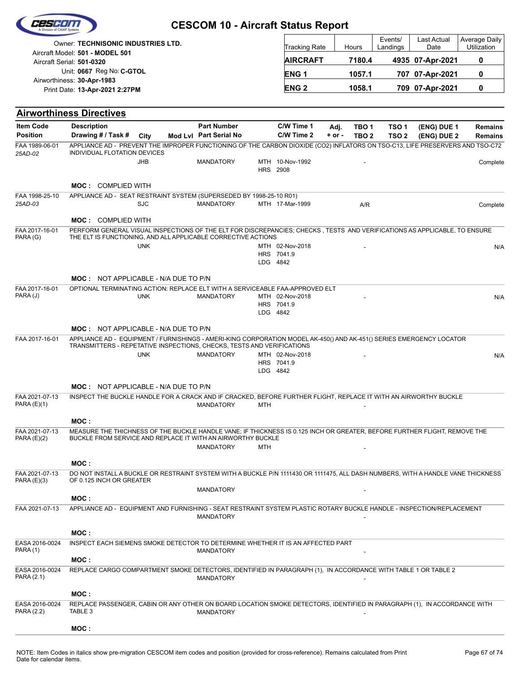|                                   | an mount abases<br>Owner: TECHNISONIC INDUSTRIES LTD.                                                                                                                                      |            |                        |     | Tracking Rate                      |            | Hours                    | Events/<br>Landings | Last Actual<br>Date | Average Daily<br>Utilization |
|-----------------------------------|--------------------------------------------------------------------------------------------------------------------------------------------------------------------------------------------|------------|------------------------|-----|------------------------------------|------------|--------------------------|---------------------|---------------------|------------------------------|
|                                   | Aircraft Model: 501 - MODEL 501<br>Aircraft Serial: 501-0320                                                                                                                               |            |                        |     | <b>AIRCRAFT</b>                    |            | 7180.4                   |                     | 4935 07-Apr-2021    | 0                            |
|                                   | Unit: 0667 Reg No: C-GTOL                                                                                                                                                                  |            |                        |     | ENG 1                              |            | 1057.1                   |                     | 707 07-Apr-2021     | 0                            |
|                                   | Airworthiness: 30-Apr-1983<br>Print Date: 13-Apr-2021 2:27PM                                                                                                                               |            |                        |     | <b>ENG2</b>                        |            | 1058.1                   |                     | 709 07-Apr-2021     | 0                            |
|                                   |                                                                                                                                                                                            |            |                        |     |                                    |            |                          |                     |                     |                              |
|                                   | <b>Airworthiness Directives</b>                                                                                                                                                            |            |                        |     |                                    |            |                          |                     |                     |                              |
| <b>Item Code</b>                  | <b>Description</b>                                                                                                                                                                         |            | <b>Part Number</b>     |     | C/W Time 1                         |            | TBO 1<br>Adj.            | TSO <sub>1</sub>    | (ENG) DUE 1         | <b>Remains</b>               |
| <b>Position</b><br>FAA 1989-06-01 | Drawing # / Task #<br>APPLIANCE AD - PREVENT THE IMPROPER FUNCTIONING OF THE CARBON DIOXIDE (CO2) INFLATORS ON TSO-C13, LIFE PRESERVERS AND TSO-C72                                        | City       | Mod Lvl Part Serial No |     | C/W Time 2                         | $+$ or $-$ | TBO <sub>2</sub>         | TSO <sub>2</sub>    | (ENG) DUE 2         | <b>Remains</b>               |
| 25AD-02                           | INDIVIDUAL FLOTATION DEVICES                                                                                                                                                               |            |                        |     |                                    |            |                          |                     |                     |                              |
|                                   |                                                                                                                                                                                            | JHB        | <b>MANDATORY</b>       |     | MTH 10-Nov-1992<br><b>HRS</b> 2908 |            |                          |                     |                     | Complete                     |
|                                   |                                                                                                                                                                                            |            |                        |     |                                    |            |                          |                     |                     |                              |
| FAA 1998-25-10                    | <b>MOC: COMPLIED WITH</b><br>APPLIANCE AD - SEAT RESTRAINT SYSTEM (SUPERSEDED BY 1998-25-10 R01)                                                                                           |            |                        |     |                                    |            |                          |                     |                     |                              |
| 25AD-03                           |                                                                                                                                                                                            | SJC        | <b>MANDATORY</b>       |     | MTH 17-Mar-1999                    |            | A/R                      |                     |                     | Complete                     |
|                                   | <b>MOC: COMPLIED WITH</b>                                                                                                                                                                  |            |                        |     |                                    |            |                          |                     |                     |                              |
| FAA 2017-16-01<br>PARA (G)        | PERFORM GENERAL VISUAL INSPECTIONS OF THE ELT FOR DISCREPANCIES; CHECKS, TESTS AND VERIFICATIONS AS APPLICABLE, TO ENSURE<br>THE ELT IS FUNCTIONING, AND ALL APPLICABLE CORRECTIVE ACTIONS |            |                        |     |                                    |            |                          |                     |                     |                              |
|                                   |                                                                                                                                                                                            | <b>UNK</b> |                        |     | MTH 02-Nov-2018                    |            |                          |                     |                     | N/A                          |
|                                   |                                                                                                                                                                                            |            |                        |     | HRS 7041.9<br>LDG 4842             |            |                          |                     |                     |                              |
|                                   |                                                                                                                                                                                            |            |                        |     |                                    |            |                          |                     |                     |                              |
| FAA 2017-16-01                    | <b>MOC: NOT APPLICABLE - N/A DUE TO P/N</b>                                                                                                                                                |            |                        |     |                                    |            |                          |                     |                     |                              |
| PARA (J)                          | OPTIONAL TERMINATING ACTION: REPLACE ELT WITH A SERVICEABLE FAA-APPROVED ELT                                                                                                               | <b>UNK</b> | <b>MANDATORY</b>       |     | MTH 02-Nov-2018                    |            |                          |                     |                     | N/A                          |
|                                   |                                                                                                                                                                                            |            |                        |     | HRS 7041.9<br>LDG 4842             |            |                          |                     |                     |                              |
|                                   |                                                                                                                                                                                            |            |                        |     |                                    |            |                          |                     |                     |                              |
| FAA 2017-16-01                    | <b>MOC: NOT APPLICABLE - N/A DUE TO P/N</b><br>APPLIANCE AD - EQUIPMENT / FURNISHINGS - AMERI-KING CORPORATION MODEL AK-450() AND AK-451() SERIES EMERGENCY LOCATOR                        |            |                        |     |                                    |            |                          |                     |                     |                              |
|                                   | TRANSMITTERS - REPETATIVE INSPECTIONS, CHECKS, TESTS AND VERIFICATIONS                                                                                                                     |            |                        |     |                                    |            |                          |                     |                     |                              |
|                                   |                                                                                                                                                                                            | <b>UNK</b> | <b>MANDATORY</b>       |     | MTH 02-Nov-2018<br>HRS 7041.9      |            |                          |                     |                     | N/A                          |
|                                   |                                                                                                                                                                                            |            |                        |     | LDG 4842                           |            |                          |                     |                     |                              |
|                                   | <b>MOC: NOT APPLICABLE - N/A DUE TO P/N</b>                                                                                                                                                |            |                        |     |                                    |            |                          |                     |                     |                              |
| FAA 2021-07-13                    | INSPECT THE BUCKLE HANDLE FOR A CRACK AND IF CRACKED, BEFORE FURTHER FLIGHT, REPLACE IT WITH AN AIRWORTHY BUCKLE                                                                           |            |                        |     |                                    |            |                          |                     |                     |                              |
| PARA(E)(1)                        |                                                                                                                                                                                            |            | MANDATORY              | MTH |                                    |            | $\overline{\phantom{a}}$ |                     |                     |                              |
|                                   | MOC :                                                                                                                                                                                      |            |                        |     |                                    |            |                          |                     |                     |                              |
| FAA 2021-07-13<br>PARA(E)(2)      | MEASURE THE THICHNESS OF THE BUCKLE HANDLE VANE; IF THICKNESS IS 0.125 INCH OR GREATER, BEFORE FURTHER FLIGHT, REMOVE THE<br>BUCKLE FROM SERVICE AND REPLACE IT WITH AN AIRWORTHY BUCKLE   |            |                        |     |                                    |            |                          |                     |                     |                              |
|                                   |                                                                                                                                                                                            |            | <b>MANDATORY</b>       | MTH |                                    |            |                          |                     |                     |                              |
|                                   | MOC:                                                                                                                                                                                       |            |                        |     |                                    |            |                          |                     |                     |                              |
| FAA 2021-07-13                    | DO NOT INSTALL A BUCKLE OR RESTRAINT SYSTEM WITH A BUCKLE P/N 1111430 OR 1111475, ALL DASH NUMBERS, WITH A HANDLE VANE THICKNESS                                                           |            |                        |     |                                    |            |                          |                     |                     |                              |
| PARA $(E)(3)$                     | OF 0.125 INCH OR GREATER                                                                                                                                                                   |            | <b>MANDATORY</b>       |     |                                    |            |                          |                     |                     |                              |
|                                   | MOC:                                                                                                                                                                                       |            |                        |     |                                    |            |                          |                     |                     |                              |
| FAA 2021-07-13                    | APPLIANCE AD - EQUIPMENT AND FURNISHING - SEAT RESTRAINT SYSTEM PLASTIC ROTARY BUCKLE HANDLE - INSPECTION/REPLACEMENT                                                                      |            |                        |     |                                    |            |                          |                     |                     |                              |
|                                   |                                                                                                                                                                                            |            | <b>MANDATORY</b>       |     |                                    |            |                          |                     |                     |                              |
|                                   | MOC :                                                                                                                                                                                      |            |                        |     |                                    |            |                          |                     |                     |                              |
| EASA 2016-0024<br><b>PARA (1)</b> | INSPECT EACH SIEMENS SMOKE DETECTOR TO DETERMINE WHETHER IT IS AN AFFECTED PART                                                                                                            |            | <b>MANDATORY</b>       |     |                                    |            |                          |                     |                     |                              |
|                                   | MOC :                                                                                                                                                                                      |            |                        |     |                                    |            |                          |                     |                     |                              |
| EASA 2016-0024<br>PARA (2.1)      | REPLACE CARGO COMPARTMENT SMOKE DETECTORS, IDENTIFIED IN PARAGRAPH (1), IN ACCORDANCE WITH TABLE 1 OR TABLE 2                                                                              |            | <b>MANDATORY</b>       |     |                                    |            |                          |                     |                     |                              |
|                                   |                                                                                                                                                                                            |            |                        |     |                                    |            |                          |                     |                     |                              |
| EASA 2016-0024                    | MOC :<br>REPLACE PASSENGER, CABIN OR ANY OTHER ON BOARD LOCATION SMOKE DETECTORS, IDENTIFIED IN PARAGRAPH (1), IN ACCORDANCE WITH                                                          |            |                        |     |                                    |            |                          |                     |                     |                              |
| PARA (2.2)                        | TABLE 3                                                                                                                                                                                    |            | <b>MANDATORY</b>       |     |                                    |            |                          |                     |                     |                              |
|                                   | MOC:                                                                                                                                                                                       |            |                        |     |                                    |            |                          |                     |                     |                              |

(Cescom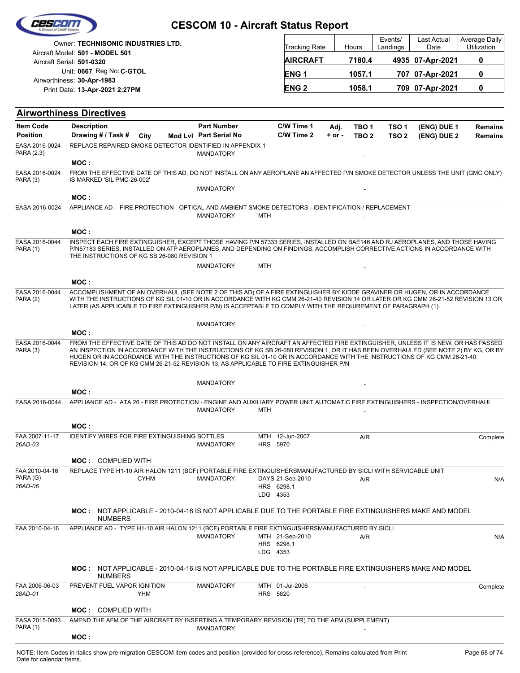|                                       |                                                                                                                                                                                                                                                                                                                                                                                                                                                                                           | <b>CESCOM 10 - Aircraft Status Report</b> |            |                                |          |                  |                     |                     |                              |
|---------------------------------------|-------------------------------------------------------------------------------------------------------------------------------------------------------------------------------------------------------------------------------------------------------------------------------------------------------------------------------------------------------------------------------------------------------------------------------------------------------------------------------------------|-------------------------------------------|------------|--------------------------------|----------|------------------|---------------------|---------------------|------------------------------|
|                                       | Owner: TECHNISONIC INDUSTRIES LTD.<br>Aircraft Model: 501 - MODEL 501                                                                                                                                                                                                                                                                                                                                                                                                                     |                                           |            | <b>Tracking Rate</b>           |          | Hours            | Events/<br>Landings | Last Actual<br>Date | Average Daily<br>Utilization |
|                                       | Aircraft Serial: 501-0320                                                                                                                                                                                                                                                                                                                                                                                                                                                                 |                                           |            | <b>AIRCRAFT</b>                |          | 7180.4           |                     | 4935 07-Apr-2021    | 0                            |
|                                       | Unit: 0667 Reg No: C-GTOL                                                                                                                                                                                                                                                                                                                                                                                                                                                                 |                                           |            | <b>ENG1</b>                    |          | 1057.1           |                     | 707 07-Apr-2021     | 0                            |
|                                       | Airworthiness: 30-Apr-1983<br>Print Date: 13-Apr-2021 2:27PM                                                                                                                                                                                                                                                                                                                                                                                                                              |                                           |            | <b>ENG2</b>                    |          | 1058.1           |                     | 709 07-Apr-2021     | 0                            |
|                                       | <b>Airworthiness Directives</b>                                                                                                                                                                                                                                                                                                                                                                                                                                                           |                                           |            |                                |          |                  |                     |                     |                              |
| <b>Item Code</b>                      | <b>Description</b>                                                                                                                                                                                                                                                                                                                                                                                                                                                                        | <b>Part Number</b>                        |            | C/W Time 1                     | Adj.     | TBO <sub>1</sub> | TSO <sub>1</sub>    | (ENG) DUE 1         | <b>Remains</b>               |
| <b>Position</b>                       | Drawing # / Task #<br>City                                                                                                                                                                                                                                                                                                                                                                                                                                                                | Mod Lvl Part Serial No                    |            | C/W Time 2                     | $+ or -$ | TBO <sub>2</sub> | TSO <sub>2</sub>    | (ENG) DUE 2         | <b>Remains</b>               |
| EASA 2016-0024<br>PARA (2.3)          | REPLACE REPAIRED SMOKE DETECTOR IDENTIFIED IN APPENDIX 1<br>MOC:                                                                                                                                                                                                                                                                                                                                                                                                                          | <b>MANDATORY</b>                          |            |                                |          |                  |                     |                     |                              |
| EASA 2016-0024<br>PARA (3)            | FROM THE EFFECTIVE DATE OF THIS AD, DO NOT INSTALL ON ANY AEROPLANE AN AFFECTED P/N SMOKE DETECTOR UNLESS THE UNIT (GMC ONLY)<br>IS MARKED 'SIL PMC-26-002'                                                                                                                                                                                                                                                                                                                               |                                           |            |                                |          |                  |                     |                     |                              |
|                                       |                                                                                                                                                                                                                                                                                                                                                                                                                                                                                           | <b>MANDATORY</b>                          |            |                                |          |                  |                     |                     |                              |
| EASA 2016-0024                        | MOC:<br>APPLIANCE AD - FIRE PROTECTION - OPTICAL AND AMBIENT SMOKE DETECTORS - IDENTIFICATION / REPLACEMENT                                                                                                                                                                                                                                                                                                                                                                               |                                           |            |                                |          |                  |                     |                     |                              |
|                                       |                                                                                                                                                                                                                                                                                                                                                                                                                                                                                           | <b>MANDATORY</b>                          | <b>MTH</b> |                                |          |                  |                     |                     |                              |
|                                       | MOC:                                                                                                                                                                                                                                                                                                                                                                                                                                                                                      |                                           |            |                                |          |                  |                     |                     |                              |
| EASA 2016-0044<br><b>PARA (1)</b>     | INSPECT EACH FIRE EXTINGUISHER, EXCEPT THOSE HAVING P/N 57333 SERIES, INSTALLED ON BAE146 AND RJ AEROPLANES, AND THOSE HAVING<br>P/N57183 SERIES, INSTALLED ON ATP AEROPLANES, AND DEPENDING ON FINDINGS, ACCOMPLISH CORRECTIVE ACTIONS IN ACCORDANCE WITH<br>THE INSTRUCTIONS OF KG SB 26-080 REVISION 1                                                                                                                                                                                 |                                           |            |                                |          |                  |                     |                     |                              |
|                                       |                                                                                                                                                                                                                                                                                                                                                                                                                                                                                           | <b>MANDATORY</b>                          | <b>MTH</b> |                                |          |                  |                     |                     |                              |
|                                       | MOC :                                                                                                                                                                                                                                                                                                                                                                                                                                                                                     |                                           |            |                                |          |                  |                     |                     |                              |
| EASA 2016-0044<br>PARA(2)             | ACCOMPLISHMENT OF AN OVERHAUL (SEE NOTE 2 OF THIS AD) OF A FIRE EXTINGUISHER BY KIDDE GRAVINER OR HUGEN, OR IN ACCORDANCE<br>WITH THE INSTRUCTIONS OF KG SIL 01-10 OR IN ACCORDANCE WITH KG CMM 26-21-40 REVISION 14 OR LATER OR KG CMM 26-21-52 REVISION 13 OR<br>LATER (AS APPLICABLE TO FIRE EXTINGUISHER P/N) IS ACCEPTABLE TO COMPLY WITH THE REQUIREMENT OF PARAGRAPH (1).                                                                                                          |                                           |            |                                |          |                  |                     |                     |                              |
|                                       | MOC:                                                                                                                                                                                                                                                                                                                                                                                                                                                                                      | <b>MANDATORY</b>                          |            |                                |          |                  |                     |                     |                              |
| EASA 2016-0044<br>PARA (3)            | FROM THE EFFECTIVE DATE OF THIS AD DO NOT INSTALL ON ANY AIRCRAFT AN AFFECTED FIRE EXTINGUISHER, UNLESS IT IS NEW, OR HAS PASSED<br>AN INSPECTION IN ACCORDANCE WITH THE INSTRUCTIONS OF KG SB 26-080 REVISION 1, OR IT HAS BEEN OVERHAULED (SEE NOTE 2) BY KG, OR BY<br>HUGEN OR IN ACCORDANCE WITH THE INSTRUCTIONS OF KG SIL 01-10 OR IN ACCORDANCE WITH THE INSTRUCTIONS OF KG CMM 26-21-40<br>REVISION 14, OR OF KG CMM 26-21-52 REVISION 13, AS APPLICABLE TO FIRE EXTINGUISHER P/N |                                           |            |                                |          |                  |                     |                     |                              |
|                                       |                                                                                                                                                                                                                                                                                                                                                                                                                                                                                           | <b>MANDATORY</b>                          |            |                                |          |                  |                     |                     |                              |
|                                       | MOC:                                                                                                                                                                                                                                                                                                                                                                                                                                                                                      |                                           |            |                                |          |                  |                     |                     |                              |
| EASA 2016-0044                        | APPLIANCE AD - ATA 26 - FIRE PROTECTION - ENGINE AND AUXILIARY POWER UNIT AUTOMATIC FIRE EXTINGUISHERS - INSPECTION/OVERHAUL                                                                                                                                                                                                                                                                                                                                                              | <b>MANDATORY</b>                          | <b>MTH</b> |                                |          |                  |                     |                     |                              |
|                                       | MOC:                                                                                                                                                                                                                                                                                                                                                                                                                                                                                      |                                           |            |                                |          |                  |                     |                     |                              |
| FAA 2007-11-17<br>26AD-03             | <b>IDENTIFY WIRES FOR FIRE EXTINGUISHING BOTTLES</b>                                                                                                                                                                                                                                                                                                                                                                                                                                      | <b>MANDATORY</b>                          | HRS 5970   | MTH 12-Jun-2007                |          | A/R              |                     |                     | Complete                     |
|                                       | <b>MOC: COMPLIED WITH</b>                                                                                                                                                                                                                                                                                                                                                                                                                                                                 |                                           |            |                                |          |                  |                     |                     |                              |
| FAA 2010-04-16<br>PARA (G)<br>26AD-06 | REPLACE TYPE H1-10 AIR HALON 1211 (BCF) PORTABLE FIRE EXTINGUISHERSMANUFACTURED BY SICLI WITH SERVICABLE UNIT<br><b>CYHM</b>                                                                                                                                                                                                                                                                                                                                                              | <b>MANDATORY</b>                          |            | DAYS 21-Sep-2010<br>HRS 6298.1 |          | A/R              |                     |                     | N/A                          |
|                                       |                                                                                                                                                                                                                                                                                                                                                                                                                                                                                           |                                           | LDG 4353   |                                |          |                  |                     |                     |                              |
|                                       | MOC: NOT APPLICABLE - 2010-04-16 IS NOT APPLICABLE DUE TO THE PORTABLE FIRE EXTINGUISHERS MAKE AND MODEL<br><b>NUMBERS</b>                                                                                                                                                                                                                                                                                                                                                                |                                           |            |                                |          |                  |                     |                     |                              |
| FAA 2010-04-16                        | APPLIANCE AD - TYPE H1-10 AIR HALON 1211 (BCF) PORTABLE FIRE EXTINGUISHERSMANUFACTURED BY SICLI                                                                                                                                                                                                                                                                                                                                                                                           | <b>MANDATORY</b>                          | LDG 4353   | MTH 21-Sep-2010<br>HRS 6298.1  |          | A/R              |                     |                     | N/A                          |
|                                       | MOC: NOT APPLICABLE - 2010-04-16 IS NOT APPLICABLE DUE TO THE PORTABLE FIRE EXTINGUISHERS MAKE AND MODEL<br><b>NUMBERS</b>                                                                                                                                                                                                                                                                                                                                                                |                                           |            |                                |          |                  |                     |                     |                              |
| FAA 2006-06-03<br>28AD-01             | PREVENT FUEL VAPOR IGNITION<br><b>YHM</b>                                                                                                                                                                                                                                                                                                                                                                                                                                                 | <b>MANDATORY</b>                          | HRS 5820   | MTH 01-Jul-2006                |          |                  |                     |                     | Complete                     |
|                                       | <b>MOC: COMPLIED WITH</b>                                                                                                                                                                                                                                                                                                                                                                                                                                                                 |                                           |            |                                |          |                  |                     |                     |                              |
| EASA 2015-0093<br><b>PARA (1)</b>     | AMEND THE AFM OF THE AIRCRAFT BY INSERTING A TEMPORARY REVISION (TR) TO THE AFM (SUPPLEMENT)                                                                                                                                                                                                                                                                                                                                                                                              | <b>MANDATORY</b>                          |            |                                |          |                  |                     |                     |                              |
|                                       | MOC:                                                                                                                                                                                                                                                                                                                                                                                                                                                                                      |                                           |            |                                |          |                  |                     |                     |                              |

- -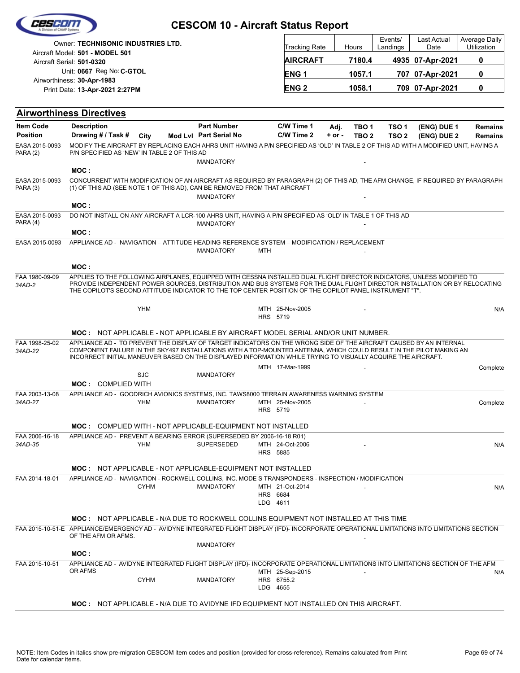|                                     |                                                                                                                                                                                                                                                                                                                                                                 |                                              |                      | <b>CESCOM 10 - Aircraft Status Report</b> |                                                            |                           |                            |                              |
|-------------------------------------|-----------------------------------------------------------------------------------------------------------------------------------------------------------------------------------------------------------------------------------------------------------------------------------------------------------------------------------------------------------------|----------------------------------------------|----------------------|-------------------------------------------|------------------------------------------------------------|---------------------------|----------------------------|------------------------------|
|                                     | Owner: TECHNISONIC INDUSTRIES LTD.                                                                                                                                                                                                                                                                                                                              |                                              |                      | Tracking Rate                             | Hours                                                      | Events/<br>Landings       | <b>Last Actual</b><br>Date | Average Daily<br>Utilization |
|                                     | Aircraft Model: 501 - MODEL 501<br>Aircraft Serial: 501-0320                                                                                                                                                                                                                                                                                                    |                                              |                      | <b>AIRCRAFT</b>                           | 7180.4                                                     |                           | 4935 07-Apr-2021           | 0                            |
|                                     | Unit: 0667 Reg No: C-GTOL                                                                                                                                                                                                                                                                                                                                       |                                              |                      | <b>ENG1</b>                               | 1057.1                                                     |                           | 707 07-Apr-2021            | 0                            |
|                                     | Airworthiness: 30-Apr-1983<br>Print Date: 13-Apr-2021 2:27PM                                                                                                                                                                                                                                                                                                    |                                              |                      | <b>ENG2</b>                               | 1058.1                                                     |                           | 709 07-Apr-2021            | 0                            |
|                                     |                                                                                                                                                                                                                                                                                                                                                                 |                                              |                      |                                           |                                                            |                           |                            |                              |
|                                     | <b>Airworthiness Directives</b>                                                                                                                                                                                                                                                                                                                                 |                                              |                      |                                           |                                                            |                           |                            |                              |
| <b>Item Code</b><br><b>Position</b> | <b>Description</b><br>Drawing # / Task #<br>City                                                                                                                                                                                                                                                                                                                | <b>Part Number</b><br>Mod Lvl Part Serial No |                      | C/W Time 1<br>C/W Time 2                  | Adj.<br>TBO <sub>1</sub><br>$+$ or $-$<br>TBO <sub>2</sub> | TSO 1<br>TSO <sub>2</sub> | (ENG) DUE 1<br>(ENG) DUE 2 | Remains<br><b>Remains</b>    |
| EASA 2015-0093<br>PARA(2)           | MODIFY THE AIRCRAFT BY REPLACING EACH AHRS UNIT HAVING A P/N SPECIFIED AS 'OLD' IN TABLE 2 OF THIS AD WITH A MODIFIED UNIT, HAVING A<br>P/N SPECIFIED AS 'NEW' IN TABLE 2 OF THIS AD                                                                                                                                                                            | <b>MANDATORY</b>                             |                      |                                           |                                                            |                           |                            |                              |
|                                     | MOC :                                                                                                                                                                                                                                                                                                                                                           |                                              |                      |                                           |                                                            |                           |                            |                              |
| EASA 2015-0093<br>PARA (3)          | CONCURRENT WITH MODIFICATION OF AN AIRCRAFT AS REQUIRED BY PARAGRAPH (2) OF THIS AD, THE AFM CHANGE, IF REQUIRED BY PARAGRAPH<br>(1) OF THIS AD (SEE NOTE 1 OF THIS AD), CAN BE REMOVED FROM THAT AIRCRAFT                                                                                                                                                      | <b>MANDATORY</b>                             |                      |                                           |                                                            |                           |                            |                              |
|                                     | MOC:                                                                                                                                                                                                                                                                                                                                                            |                                              |                      |                                           |                                                            |                           |                            |                              |
| EASA 2015-0093<br>PARA(4)           | DO NOT INSTALL ON ANY AIRCRAFT A LCR-100 AHRS UNIT, HAVING A P/N SPECIFIED AS 'OLD' IN TABLE 1 OF THIS AD                                                                                                                                                                                                                                                       | <b>MANDATORY</b>                             |                      |                                           |                                                            |                           |                            |                              |
| EASA 2015-0093                      | MOC:<br>APPLIANCE AD - NAVIGATION - ATTITUDE HEADING REFERENCE SYSTEM - MODIFICATION / REPLACEMENT                                                                                                                                                                                                                                                              | <b>MANDATORY</b>                             | MTH                  |                                           |                                                            |                           |                            |                              |
|                                     | MOC:                                                                                                                                                                                                                                                                                                                                                            |                                              |                      |                                           |                                                            |                           |                            |                              |
| FAA 1980-09-09<br>34AD-2            | APPLIES TO THE FOLLOWING AIRPLANES, EQUIPPED WITH CESSNA INSTALLED DUAL FLIGHT DIRECTOR INDICATORS, UNLESS MODIFIED TO<br>PROVIDE INDEPENDENT POWER SOURCES, DISTRIBUTION AND BUS SYSTEMS FOR THE DUAL FLIGHT DIRECTOR INSTALLATION OR BY RELOCATING<br>THE COPILOT'S SECOND ATTITUDE INDICATOR TO THE TOP CENTER POSITION OF THE COPILOT PANEL INSTRUMENT "T". |                                              |                      |                                           |                                                            |                           |                            |                              |
|                                     | <b>YHM</b>                                                                                                                                                                                                                                                                                                                                                      |                                              | HRS 5719             | MTH 25-Nov-2005                           |                                                            |                           |                            | N/A                          |
|                                     | MOC: NOT APPLICABLE - NOT APPLICABLE BY AIRCRAFT MODEL SERIAL AND/OR UNIT NUMBER.                                                                                                                                                                                                                                                                               |                                              |                      |                                           |                                                            |                           |                            |                              |
| FAA 1998-25-02<br>34AD-22           | APPLIANCE AD - TO PREVENT THE DISPLAY OF TARGET INDICATORS ON THE WRONG SIDE OF THE AIRCRAFT CAUSED BY AN INTERNAL<br>COMPONENT FAILURE IN THE SKY497 INSTALLATIONS WITH A TOP-MOUNTED ANTENNA, WHICH COULD RESULT IN THE PILOT MAKING AN<br>INCORRECT INITIAL MANEUVER BASED ON THE DISPLAYED INFORMATION WHILE TRYING TO VISUALLY ACQUIRE THE AIRCRAFT.       |                                              |                      |                                           |                                                            |                           |                            |                              |
|                                     | <b>SJC</b><br><b>MOC: COMPLIED WITH</b>                                                                                                                                                                                                                                                                                                                         | <b>MANDATORY</b>                             |                      | MTH 17-Mar-1999                           |                                                            |                           |                            | Complete                     |
| FAA 2003-13-08                      | APPLIANCE AD - GOODRICH AVIONICS SYSTEMS, INC. TAWS8000 TERRAIN AWARENESS WARNING SYSTEM                                                                                                                                                                                                                                                                        |                                              |                      |                                           |                                                            |                           |                            |                              |
| 34AD-27                             | YHM                                                                                                                                                                                                                                                                                                                                                             | <b>MANDATORY</b>                             | HRS 5719             | MTH 25-Nov-2005                           |                                                            |                           |                            | Complete                     |
|                                     | <b>MOC: COMPLIED WITH - NOT APPLICABLE-EQUIPMENT NOT INSTALLED</b>                                                                                                                                                                                                                                                                                              |                                              |                      |                                           |                                                            |                           |                            |                              |
| FAA 2006-16-18<br>34AD-35           | APPLIANCE AD - PREVENT A BEARING ERROR (SUPERSEDED BY 2006-16-18 R01)<br>YHM                                                                                                                                                                                                                                                                                    | <b>SUPERSEDED</b>                            | <b>HRS 5885</b>      | MTH 24-Oct-2006                           |                                                            |                           |                            | N/A                          |
|                                     | <b>MOC: NOT APPLICABLE - NOT APPLICABLE-EQUIPMENT NOT INSTALLED</b>                                                                                                                                                                                                                                                                                             |                                              |                      |                                           |                                                            |                           |                            |                              |
| FAA 2014-18-01                      | APPLIANCE AD - NAVIGATION - ROCKWELL COLLINS, INC. MODE S TRANSPONDERS - INSPECTION / MODIFICATION                                                                                                                                                                                                                                                              |                                              |                      |                                           |                                                            |                           |                            |                              |
|                                     | <b>CYHM</b>                                                                                                                                                                                                                                                                                                                                                     | <b>MANDATORY</b>                             | HRS 6684<br>LDG 4611 | MTH 21-Oct-2014                           |                                                            |                           |                            | N/A                          |
|                                     | <b>MOC: NOT APPLICABLE - N/A DUE TO ROCKWELL COLLINS EQUIPMENT NOT INSTALLED AT THIS TIME</b>                                                                                                                                                                                                                                                                   |                                              |                      |                                           |                                                            |                           |                            |                              |
|                                     | FAA 2015-10-51-E APPLIANCE/EMERGENCY AD - AVIDYNE INTEGRATED FLIGHT DISPLAY (IFD)- INCORPORATE OPERATIONAL LIMITATIONS INTO LIMITATIONS SECTION<br>OF THE AFM OR AFMS.                                                                                                                                                                                          |                                              |                      |                                           |                                                            |                           |                            |                              |
|                                     | MOC :                                                                                                                                                                                                                                                                                                                                                           | <b>MANDATORY</b>                             |                      |                                           |                                                            |                           |                            |                              |
| FAA 2015-10-51                      | APPLIANCE AD - AVIDYNE INTEGRATED FLIGHT DISPLAY (IFD)- INCORPORATE OPERATIONAL LIMITATIONS INTO LIMITATIONS SECTION OF THE AFM                                                                                                                                                                                                                                 |                                              |                      |                                           |                                                            |                           |                            |                              |
|                                     | OR AFMS<br><b>CYHM</b>                                                                                                                                                                                                                                                                                                                                          | <b>MANDATORY</b>                             |                      | MTH 25-Sep-2015<br>HRS 6755.2             |                                                            |                           |                            | N/A                          |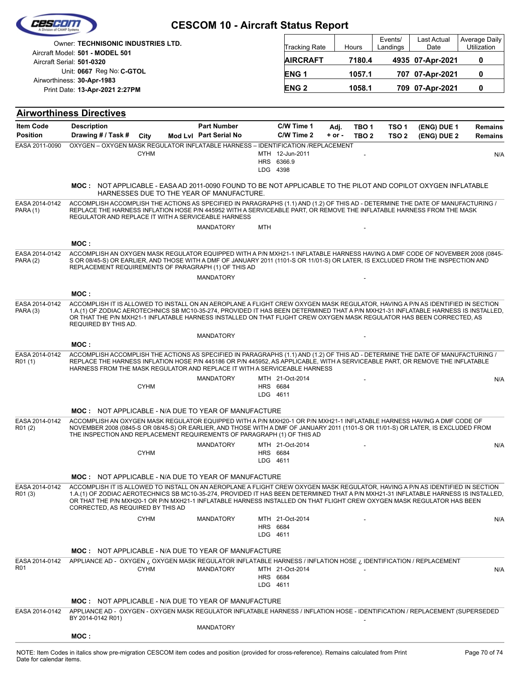|                                     | <b>Owner: TECHNISONIC INDUSTRIES LTD.</b>                                                                                                                                                                                                                                                                                                                                                                                            |                                              |                      |                                           |                    |                                      | Events/                              | Last Actual                | <b>Average Daily</b>             |
|-------------------------------------|--------------------------------------------------------------------------------------------------------------------------------------------------------------------------------------------------------------------------------------------------------------------------------------------------------------------------------------------------------------------------------------------------------------------------------------|----------------------------------------------|----------------------|-------------------------------------------|--------------------|--------------------------------------|--------------------------------------|----------------------------|----------------------------------|
|                                     | Aircraft Model: 501 - MODEL 501                                                                                                                                                                                                                                                                                                                                                                                                      |                                              |                      | Tracking Rate                             |                    | Hours                                | Landings                             | Date                       | Utilization                      |
|                                     | Aircraft Serial: 501-0320<br>Unit: 0667 Reg No: C-GTOL                                                                                                                                                                                                                                                                                                                                                                               |                                              |                      | <b>AIRCRAFT</b>                           |                    | 7180.4                               |                                      | 4935 07-Apr-2021           | 0                                |
|                                     | Airworthiness: 30-Apr-1983                                                                                                                                                                                                                                                                                                                                                                                                           |                                              |                      | <b>ENG1</b>                               |                    | 1057.1                               |                                      | 707 07-Apr-2021            | 0                                |
|                                     | Print Date: 13-Apr-2021 2:27PM                                                                                                                                                                                                                                                                                                                                                                                                       |                                              |                      | <b>ENG2</b>                               |                    | 1058.1                               |                                      | 709 07-Apr-2021            | 0                                |
|                                     | <b>Airworthiness Directives</b>                                                                                                                                                                                                                                                                                                                                                                                                      |                                              |                      |                                           |                    |                                      |                                      |                            |                                  |
| <b>Item Code</b><br><b>Position</b> | <b>Description</b><br>Drawing # / Task #<br>City                                                                                                                                                                                                                                                                                                                                                                                     | <b>Part Number</b><br>Mod Lvl Part Serial No |                      | C/W Time 1<br>C/W Time 2                  | Adj.<br>$+$ or $-$ | TBO <sub>1</sub><br>TBO <sub>2</sub> | TSO <sub>1</sub><br>TSO <sub>2</sub> | (ENG) DUE 1<br>(ENG) DUE 2 | <b>Remains</b><br><b>Remains</b> |
| EASA 2011-0090                      | OXYGEN - OXYGEN MASK REGULATOR INFLATABLE HARNESS - IDENTIFICATION /REPLACEMENT<br><b>CYHM</b>                                                                                                                                                                                                                                                                                                                                       |                                              |                      | MTH 12-Jun-2011<br>HRS 6366.9<br>LDG 4398 |                    |                                      |                                      |                            | N/A                              |
|                                     | MOC: NOT APPLICABLE - EASA AD 2011-0090 FOUND TO BE NOT APPLICABLE TO THE PILOT AND COPILOT OXYGEN INFLATABLE<br>HARNESSES DUE TO THE YEAR OF MANUFACTURE.                                                                                                                                                                                                                                                                           |                                              |                      |                                           |                    |                                      |                                      |                            |                                  |
| EASA 2014-0142<br><b>PARA (1)</b>   | ACCOMPLISH ACCOMPLISH THE ACTIONS AS SPECIFIED IN PARAGRAPHS (1.1) AND (1.2) OF THIS AD - DETERMINE THE DATE OF MANUFACTURING /<br>REPLACE THE HARNESS INFLATION HOSE P/N 445952 WITH A SERVICEABLE PART, OR REMOVE THE INFLATABLE HARNESS FROM THE MASK<br>REGULATOR AND REPLACE IT WITH A SERVICEABLE HARNESS                                                                                                                      | <b>MANDATORY</b>                             | <b>MTH</b>           |                                           |                    |                                      |                                      |                            |                                  |
|                                     | MOC:                                                                                                                                                                                                                                                                                                                                                                                                                                 |                                              |                      |                                           |                    |                                      |                                      |                            |                                  |
| EASA 2014-0142<br>PARA (2)          | ACCOMPLISH AN OXYGEN MASK REGULATOR EQUIPPED WITH A P/N MXH21-1 INFLATABLE HARNESS HAVING A DMF CODE OF NOVEMBER 2008 (0845-<br>S OR 08/45-S) OR EARLIER, AND THOSE WITH A DMF OF JANUARY 2011 (1101-S OR 11/01-S) OR LATER, IS EXCLUDED FROM THE INSPECTION AND<br>REPLACEMENT REQUIREMENTS OF PARAGRAPH (1) OF THIS AD                                                                                                             | <b>MANDATORY</b>                             |                      |                                           |                    |                                      |                                      |                            |                                  |
|                                     | MOC:                                                                                                                                                                                                                                                                                                                                                                                                                                 |                                              |                      |                                           |                    |                                      |                                      |                            |                                  |
| EASA 2014-0142<br>PARA (3)          | ACCOMPLISH IT IS ALLOWED TO INSTALL ON AN AEROPLANE A FLIGHT CREW OXYGEN MASK REGULATOR, HAVING A P/N AS IDENTIFIED IN SECTION<br>1.A.(1) OF ZODIAC AEROTECHNICS SB MC10-35-274, PROVIDED IT HAS BEEN DETERMINED THAT A P/N MXH21-31 INFLATABLE HARNESS IS INSTALLED,<br>OR THAT THE P/N MXH21-1 INFLATABLE HARNESS INSTALLED ON THAT FLIGHT CREW OXYGEN MASK REGULATOR HAS BEEN CORRECTED, AS<br>REQUIRED BY THIS AD.               |                                              |                      |                                           |                    |                                      |                                      |                            |                                  |
|                                     | MOC:                                                                                                                                                                                                                                                                                                                                                                                                                                 | <b>MANDATORY</b>                             |                      |                                           |                    |                                      |                                      |                            |                                  |
| EASA 2014-0142<br>R01 (1)           | ACCOMPLISH ACCOMPLISH THE ACTIONS AS SPECIFIED IN PARAGRAPHS (1.1) AND (1.2) OF THIS AD - DETERMINE THE DATE OF MANUFACTURING /<br>REPLACE THE HARNESS INFLATION HOSE P/N 445186 OR P/N 445952, AS APPLICABLE, WITH A SERVICEABLE PART, OR REMOVE THE INFLATABLE<br>HARNESS FROM THE MASK REGULATOR AND REPLACE IT WITH A SERVICEABLE HARNESS                                                                                        |                                              |                      |                                           |                    |                                      |                                      |                            |                                  |
|                                     | <b>CYHM</b>                                                                                                                                                                                                                                                                                                                                                                                                                          | <b>MANDATORY</b>                             | LDG 4611             | MTH 21-Oct-2014<br>HRS 6684               |                    |                                      |                                      |                            | N/A                              |
|                                     | <b>MOC: NOT APPLICABLE - N/A DUE TO YEAR OF MANUFACTURE</b>                                                                                                                                                                                                                                                                                                                                                                          |                                              |                      |                                           |                    |                                      |                                      |                            |                                  |
| EASA 2014-0142<br>R01 (2)           | ACCOMPLISH AN OXYGEN MASK REGULATOR EQUIPPED WITH A P/N MXH20-1 OR P/N MXH21-1 INFLATABLE HARNESS HAVING A DMF CODE OF<br>NOVEMBER 2008 (0845-S OR 08/45-S) OR EARLIER, AND THOSE WITH A DMF OF JANUARY 2011 (1101-S OR 11/01-S) OR LATER, IS EXCLUDED FROM<br>THE INSPECTION AND REPLACEMENT REQUIREMENTS OF PARAGRAPH (1) OF THIS AD                                                                                               |                                              |                      |                                           |                    |                                      |                                      |                            |                                  |
|                                     | <b>CYHM</b>                                                                                                                                                                                                                                                                                                                                                                                                                          | <b>MANDATORY</b>                             | LDG 4611             | MTH 21-Oct-2014<br>HRS 6684               |                    |                                      |                                      |                            | N/A                              |
|                                     | <b>MOC:</b> NOT APPLICABLE - N/A DUE TO YEAR OF MANUFACTURE                                                                                                                                                                                                                                                                                                                                                                          |                                              |                      |                                           |                    |                                      |                                      |                            |                                  |
| EASA 2014-0142<br>R01 (3)           | ACCOMPLISH IT IS ALLOWED TO INSTALL ON AN AEROPLANE A FLIGHT CREW OXYGEN MASK REGULATOR, HAVING A P/N AS IDENTIFIED IN SECTION<br>1.A.(1) OF ZODIAC AEROTECHNICS SB MC10-35-274, PROVIDED IT HAS BEEN DETERMINED THAT A P/N MXH21-31 INFLATABLE HARNESS IS INSTALLED,<br>OR THAT THE P/N MXH20-1 OR P/N MXH21-1 INFLATABLE HARNESS INSTALLED ON THAT FLIGHT CREW OXYGEN MASK REGULATOR HAS BEEN<br>CORRECTED, AS REQUIRED BY THIS AD |                                              |                      |                                           |                    |                                      |                                      |                            |                                  |
|                                     | <b>CYHM</b>                                                                                                                                                                                                                                                                                                                                                                                                                          | <b>MANDATORY</b>                             | HRS 6684<br>LDG 4611 | MTH 21-Oct-2014                           |                    |                                      |                                      |                            | N/A                              |
|                                     | <b>MOC: NOT APPLICABLE - N/A DUE TO YEAR OF MANUFACTURE</b>                                                                                                                                                                                                                                                                                                                                                                          |                                              |                      |                                           |                    |                                      |                                      |                            |                                  |
| EASA 2014-0142<br>R01               | APPLIANCE AD - OXYGEN ¿ OXYGEN MASK REGULATOR INFLATABLE HARNESS / INFLATION HOSE ¿ IDENTIFICATION / REPLACEMENT<br><b>CYHM</b>                                                                                                                                                                                                                                                                                                      | <b>MANDATORY</b>                             | LDG 4611             | MTH 21-Oct-2014<br>HRS 6684               |                    |                                      |                                      |                            | N/A                              |
|                                     | <b>MOC: NOT APPLICABLE - N/A DUE TO YEAR OF MANUFACTURE</b>                                                                                                                                                                                                                                                                                                                                                                          |                                              |                      |                                           |                    |                                      |                                      |                            |                                  |
| EASA 2014-0142                      | APPLIANCE AD - OXYGEN - OXYGEN MASK REGULATOR INFLATABLE HARNESS / INFLATION HOSE - IDENTIFICATION / REPLACEMENT (SUPERSEDED<br>BY 2014-0142 R01)                                                                                                                                                                                                                                                                                    |                                              |                      |                                           |                    |                                      |                                      |                            |                                  |
|                                     | MOC:                                                                                                                                                                                                                                                                                                                                                                                                                                 | <b>MANDATORY</b>                             |                      |                                           |                    |                                      |                                      |                            |                                  |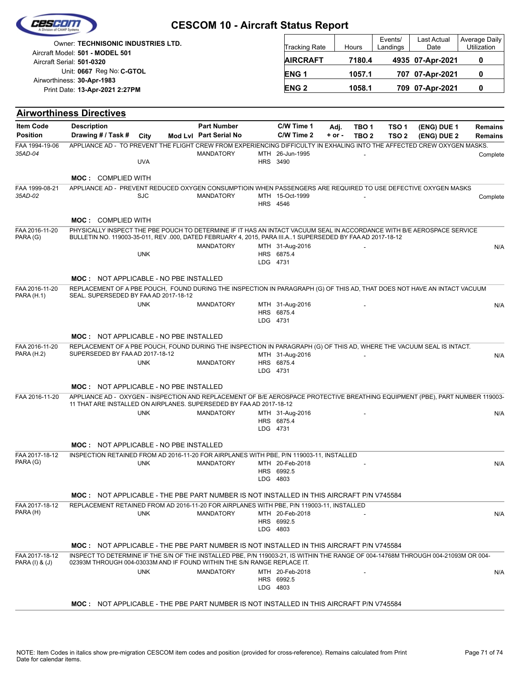| 62560                               |                                                                                                                                                                                                              | <b>CESCOM 10 - Aircraft Status Report</b>    |                 |                               |                    |                                                                                         |                                      |                            |                                  |
|-------------------------------------|--------------------------------------------------------------------------------------------------------------------------------------------------------------------------------------------------------------|----------------------------------------------|-----------------|-------------------------------|--------------------|-----------------------------------------------------------------------------------------|--------------------------------------|----------------------------|----------------------------------|
|                                     | Owner: TECHNISONIC INDUSTRIES LTD.                                                                                                                                                                           |                                              |                 | Tracking Rate                 |                    | Hours                                                                                   | Events/<br>Landings                  | Last Actual<br>Date        | Average Daily<br>Utilization     |
|                                     | Aircraft Model: 501 - MODEL 501<br>Aircraft Serial: 501-0320                                                                                                                                                 |                                              |                 | <b>AIRCRAFT</b>               |                    | 7180.4                                                                                  |                                      | 4935 07-Apr-2021           | 0                                |
|                                     | Unit: 0667 Reg No: C-GTOL                                                                                                                                                                                    |                                              |                 | ENG <sub>1</sub>              |                    | 1057.1                                                                                  |                                      | 707 07-Apr-2021            | 0                                |
|                                     | Airworthiness: 30-Apr-1983<br>Print Date: 13-Apr-2021 2:27PM                                                                                                                                                 |                                              |                 | <b>ENG2</b>                   |                    | 1058.1                                                                                  |                                      | 709 07-Apr-2021            | 0                                |
|                                     |                                                                                                                                                                                                              |                                              |                 |                               |                    |                                                                                         |                                      |                            |                                  |
|                                     | <b>Airworthiness Directives</b>                                                                                                                                                                              |                                              |                 |                               |                    |                                                                                         |                                      |                            |                                  |
| <b>Item Code</b><br><b>Position</b> | <b>Description</b><br>Drawing # / Task #<br>City                                                                                                                                                             | <b>Part Number</b><br>Mod Lvl Part Serial No |                 | C/W Time 1<br>C/W Time 2      | Adj.<br>$+$ or $-$ | TBO 1<br>TBO <sub>2</sub>                                                               | TSO <sub>1</sub><br>TSO <sub>2</sub> | (ENG) DUE 1<br>(ENG) DUE 2 | <b>Remains</b><br><b>Remains</b> |
| FAA 1994-19-06<br>35AD-04           | APPLIANCE AD - TO PREVENT THE FLIGHT CREW FROM EXPERIENCING DIFFICULTY IN EXHALING INTO THE AFFECTED CREW OXYGEN MASKS.                                                                                      | <b>MANDATORY</b>                             |                 | MTH 26-Jun-1995               |                    |                                                                                         |                                      |                            | Complete                         |
|                                     | <b>UVA</b>                                                                                                                                                                                                   |                                              | <b>HRS 3490</b> |                               |                    |                                                                                         |                                      |                            |                                  |
|                                     | <b>MOC: COMPLIED WITH</b>                                                                                                                                                                                    |                                              |                 |                               |                    |                                                                                         |                                      |                            |                                  |
| FAA 1999-08-21<br>35AD-02           | APPLIANCE AD - PREVENT REDUCED OXYGEN CONSUMPTIOIN WHEN PASSENGERS ARE REQUIRED TO USE DEFECTIVE OXYGEN MASKS<br><b>SJC</b>                                                                                  |                                              |                 | MTH 15-Oct-1999               |                    |                                                                                         |                                      |                            |                                  |
|                                     |                                                                                                                                                                                                              | <b>MANDATORY</b>                             | HRS 4546        |                               |                    |                                                                                         |                                      |                            | Complete                         |
|                                     | <b>MOC: COMPLIED WITH</b>                                                                                                                                                                                    |                                              |                 |                               |                    |                                                                                         |                                      |                            |                                  |
| FAA 2016-11-20                      | PHYSICALLY INSPECT THE PBE POUCH TO DETERMINE IF IT HAS AN INTACT VACUUM SEAL IN ACCORDANCE WITH B/E AEROSPACE SERVICE                                                                                       |                                              |                 |                               |                    |                                                                                         |                                      |                            |                                  |
| PARA (G)                            | BULLETIN NO. 119003-35-011, REV .000, DATED FEBRUARY 4, 2015, PARA III.A1 SUPERSEDED BY FAA AD 2017-18-12                                                                                                    | <b>MANDATORY</b>                             |                 | MTH 31-Aug-2016               |                    |                                                                                         |                                      |                            | N/A                              |
|                                     | <b>UNK</b>                                                                                                                                                                                                   |                                              | LDG 4731        | HRS 6875.4                    |                    |                                                                                         |                                      |                            |                                  |
|                                     |                                                                                                                                                                                                              |                                              |                 |                               |                    |                                                                                         |                                      |                            |                                  |
| FAA 2016-11-20                      | <b>MOC: NOT APPLICABLE - NO PBE INSTALLED</b><br>REPLACEMENT OF A PBE POUCH, FOUND DURING THE INSPECTION IN PARAGRAPH (G) OF THIS AD, THAT DOES NOT HAVE AN INTACT VACUUM                                    |                                              |                 |                               |                    |                                                                                         |                                      |                            |                                  |
| <b>PARA (H.1)</b>                   | SEAL. SUPERSEDED BY FAA AD 2017-18-12                                                                                                                                                                        |                                              |                 |                               |                    |                                                                                         |                                      |                            |                                  |
|                                     | <b>UNK</b>                                                                                                                                                                                                   | <b>MANDATORY</b>                             |                 | MTH 31-Aug-2016<br>HRS 6875.4 |                    |                                                                                         |                                      |                            | N/A                              |
|                                     |                                                                                                                                                                                                              |                                              | LDG 4731        |                               |                    |                                                                                         |                                      |                            |                                  |
|                                     | <b>MOC: NOT APPLICABLE - NO PBE INSTALLED</b>                                                                                                                                                                |                                              |                 |                               |                    |                                                                                         |                                      |                            |                                  |
| FAA 2016-11-20<br><b>PARA (H.2)</b> | REPLACEMENT OF A PBE POUCH, FOUND DURING THE INSPECTION IN PARAGRAPH (G) OF THIS AD, WHERE THE VACUUM SEAL IS INTACT.<br>SUPERSEDED BY FAA AD 2017-18-12                                                     |                                              |                 | MTH 31-Aug-2016               |                    |                                                                                         |                                      |                            |                                  |
|                                     | <b>UNK</b>                                                                                                                                                                                                   | <b>MANDATORY</b>                             |                 | HRS 6875.4                    |                    |                                                                                         |                                      |                            | N/A                              |
|                                     |                                                                                                                                                                                                              |                                              | LDG 4731        |                               |                    |                                                                                         |                                      |                            |                                  |
|                                     | <b>MOC: NOT APPLICABLE - NO PBE INSTALLED</b>                                                                                                                                                                |                                              |                 |                               |                    |                                                                                         |                                      |                            |                                  |
| FAA 2016-11-20                      | APPLIANCE AD - OXYGEN - INSPECTION AND REPLACEMENT OF B/E AEROSPACE PROTECTIVE BREATHING EQUIPMENT (PBE), PART NUMBER 119003-<br>11 THAT ARE INSTALLED ON AIRPLANES. SUPERSEDED BY FAA AD 2017-18-12         |                                              |                 |                               |                    |                                                                                         |                                      |                            |                                  |
|                                     | <b>UNK</b>                                                                                                                                                                                                   | <b>MANDATORY</b>                             |                 | MTH 31-Aug-2016               |                    |                                                                                         |                                      |                            | N/A                              |
|                                     |                                                                                                                                                                                                              |                                              | LDG 4731        | HRS 6875.4                    |                    |                                                                                         |                                      |                            |                                  |
|                                     | <b>MOC: NOT APPLICABLE - NO PBE INSTALLED</b>                                                                                                                                                                |                                              |                 |                               |                    |                                                                                         |                                      |                            |                                  |
| FAA 2017-18-12                      | INSPECTION RETAINED FROM AD 2016-11-20 FOR AIRPLANES WITH PBE, P/N 119003-11, INSTALLED                                                                                                                      |                                              |                 |                               |                    |                                                                                         |                                      |                            |                                  |
| PARA (G)                            | <b>UNK</b>                                                                                                                                                                                                   | <b>MANDATORY</b>                             |                 | MTH 20-Feb-2018<br>HRS 6992.5 |                    |                                                                                         |                                      |                            | N/A                              |
|                                     |                                                                                                                                                                                                              |                                              | LDG 4803        |                               |                    |                                                                                         |                                      |                            |                                  |
|                                     | <b>MOC:</b> NOT APPLICABLE - THE PBE PART NUMBER IS NOT INSTALLED IN THIS AIRCRAFT P/N V745584                                                                                                               |                                              |                 |                               |                    |                                                                                         |                                      |                            |                                  |
| FAA 2017-18-12<br>PARA (H)          | REPLACEMENT RETAINED FROM AD 2016-11-20 FOR AIRPLANES WITH PBE, P/N 119003-11, INSTALLED<br><b>UNK</b>                                                                                                       | <b>MANDATORY</b>                             |                 | MTH 20-Feb-2018               |                    |                                                                                         |                                      |                            |                                  |
|                                     |                                                                                                                                                                                                              |                                              |                 | HRS 6992.5                    |                    |                                                                                         |                                      |                            | N/A                              |
|                                     |                                                                                                                                                                                                              |                                              | LDG 4803        |                               |                    |                                                                                         |                                      |                            |                                  |
|                                     | <b>MOC: NOT APPLICABLE - THE PBE PART NUMBER IS NOT INSTALLED IN THIS AIRCRAFT P/N V745584</b>                                                                                                               |                                              |                 |                               |                    |                                                                                         |                                      |                            |                                  |
| FAA 2017-18-12<br>PARA (I) & (J)    | INSPECT TO DETERMINE IF THE S/N OF THE INSTALLED PBE, P/N 119003-21, IS WITHIN THE RANGE OF 004-14768M THROUGH 004-21093M OR 004-<br>02393M THROUGH 004-03033M AND IF FOUND WITHIN THE S/N RANGE REPLACE IT. |                                              |                 |                               |                    |                                                                                         |                                      |                            |                                  |
|                                     | <b>UNK</b>                                                                                                                                                                                                   | <b>MANDATORY</b>                             |                 | MTH 20-Feb-2018               |                    |                                                                                         |                                      |                            | N/A                              |
|                                     |                                                                                                                                                                                                              |                                              | LDG 4803        | HRS 6992.5                    |                    |                                                                                         |                                      |                            |                                  |
|                                     |                                                                                                                                                                                                              |                                              |                 |                               |                    | MOC: NOT APPLICABLE - THE PBE PART NUMBER IS NOT INSTALLED IN THIS AIRCRAFT P/N V745584 |                                      |                            |                                  |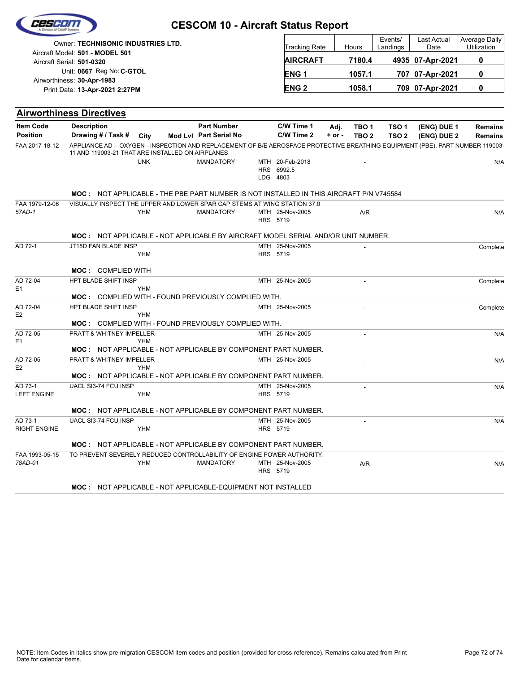| Cescom |  |
|--------|--|
|        |  |
|        |  |

| Owner: TECHNISONIC INDUSTRIES LTD.                           | <b>Tracking Rate</b> | Hours  | Events/<br>Landings | Last Actual<br>Date | Average Daily<br><b>Utilization</b> |
|--------------------------------------------------------------|----------------------|--------|---------------------|---------------------|-------------------------------------|
| Aircraft Model: 501 - MODEL 501<br>Aircraft Serial: 501-0320 | <b>AIRCRAFT</b>      | 7180.4 |                     | 4935 07-Apr-2021    |                                     |
| Unit: 0667 Reg No: C-GTOL<br>Airworthiness: 30-Apr-1983      | <b>ENG1</b>          | 1057.1 |                     | 707 07-Apr-2021     |                                     |
| Print Date: 13-Apr-2021 2:27PM                               | <b>ENG 2</b>         | 1058.1 |                     | 709 07-Apr-2021     |                                     |

| <b>Item Code</b><br><b>Description</b><br><b>Part Number</b><br>C/W Time 1<br>TBO <sub>1</sub><br>TSO <sub>1</sub><br>(ENG) DUE 1<br>Adj.<br><b>Remains</b><br><b>Position</b><br>Mod Lvl Part Serial No<br>C/W Time 2<br>Drawing # / Task #<br>City<br>$+$ or $-$<br>TSO <sub>2</sub><br>TBO <sub>2</sub><br>(ENG) DUE 2<br><b>Remains</b><br>FAA 2017-18-12<br>APPLIANCE AD - OXYGEN - INSPECTION AND REPLACEMENT OF B/E AEROSPACE PROTECTIVE BREATHING EQUIPMENT (PBE), PART NUMBER 119003-<br>11 AND 119003-21 THAT ARE INSTALLED ON AIRPLANES<br><b>UNK</b><br><b>MANDATORY</b><br>MTH 20-Feb-2018<br>HRS 6992.5<br>LDG 4803<br><b>MOC: NOT APPLICABLE - THE PBE PART NUMBER IS NOT INSTALLED IN THIS AIRCRAFT P/N V745584</b><br>VISUALLY INSPECT THE UPPER AND LOWER SPAR CAP STEMS AT WING STATION 37.0<br>FAA 1979-12-06<br>57AD-1<br><b>YHM</b><br><b>MANDATORY</b><br>MTH 25-Nov-2005<br>A/R<br>N/A<br>HRS 5719<br><b>MOC: NOT APPLICABLE - NOT APPLICABLE BY AIRCRAFT MODEL SERIAL AND/OR UNIT NUMBER.</b><br>AD 72-1<br>JT15D FAN BLADE INSP<br>MTH 25-Nov-2005<br>HRS 5719<br>YHM<br><b>MOC: COMPLIED WITH</b><br>AD 72-04<br>HPT BLADE SHIFT INSP<br>MTH 25-Nov-2005<br>E <sub>1</sub><br><b>YHM</b><br><b>MOC:</b> COMPLIED WITH - FOUND PREVIOUSLY COMPLIED WITH.<br>HPT BLADE SHIFT INSP<br>AD 72-04<br>MTH 25-Nov-2005<br>Complete<br>E <sub>2</sub><br><b>YHM</b><br><b>MOC:</b> COMPLIED WITH - FOUND PREVIOUSLY COMPLIED WITH.<br>AD 72-05<br>PRATT & WHITNEY IMPELLER<br>MTH 25-Nov-2005<br>E <sub>1</sub><br><b>YHM</b><br>MOC: NOT APPLICABLE - NOT APPLICABLE BY COMPONENT PART NUMBER.<br>PRATT & WHITNEY IMPELLER<br>AD 72-05<br>MTH 25-Nov-2005<br>E <sub>2</sub><br><b>YHM</b><br><b>MOC: NOT APPLICABLE - NOT APPLICABLE BY COMPONENT PART NUMBER.</b><br>AD 73-1<br>UACL SI3-74 FCU INSP<br>MTH 25-Nov-2005<br>N/A<br><b>LEFT ENGINE</b><br><b>YHM</b><br>HRS 5719<br>MOC: NOT APPLICABLE - NOT APPLICABLE BY COMPONENT PART NUMBER.<br>AD 73-1<br>UACL SI3-74 FCU INSP<br>MTH 25-Nov-2005<br><b>RIGHT ENGINE</b><br><b>YHM</b><br>HRS 5719<br><b>MOC: NOT APPLICABLE - NOT APPLICABLE BY COMPONENT PART NUMBER.</b><br>FAA 1993-05-15<br>TO PREVENT SEVERELY REDUCED CONTROLLABILITY OF ENGINE POWER AUTHORITY.<br>78AD-01<br><b>YHM</b><br><b>MANDATORY</b><br>MTH 25-Nov-2005<br>A/R<br>HRS 5719<br><b>MOC: NOT APPLICABLE - NOT APPLICABLE-EQUIPMENT NOT INSTALLED</b> | <b>Airworthiness Directives</b> |  |  |  |  |          |
|------------------------------------------------------------------------------------------------------------------------------------------------------------------------------------------------------------------------------------------------------------------------------------------------------------------------------------------------------------------------------------------------------------------------------------------------------------------------------------------------------------------------------------------------------------------------------------------------------------------------------------------------------------------------------------------------------------------------------------------------------------------------------------------------------------------------------------------------------------------------------------------------------------------------------------------------------------------------------------------------------------------------------------------------------------------------------------------------------------------------------------------------------------------------------------------------------------------------------------------------------------------------------------------------------------------------------------------------------------------------------------------------------------------------------------------------------------------------------------------------------------------------------------------------------------------------------------------------------------------------------------------------------------------------------------------------------------------------------------------------------------------------------------------------------------------------------------------------------------------------------------------------------------------------------------------------------------------------------------------------------------------------------------------------------------------------------------------------------------------------------------------------------------------------------------------------------------------------------------------------------------------------------------------------------------------------------------------------------------------------------------------------------------|---------------------------------|--|--|--|--|----------|
|                                                                                                                                                                                                                                                                                                                                                                                                                                                                                                                                                                                                                                                                                                                                                                                                                                                                                                                                                                                                                                                                                                                                                                                                                                                                                                                                                                                                                                                                                                                                                                                                                                                                                                                                                                                                                                                                                                                                                                                                                                                                                                                                                                                                                                                                                                                                                                                                            |                                 |  |  |  |  |          |
|                                                                                                                                                                                                                                                                                                                                                                                                                                                                                                                                                                                                                                                                                                                                                                                                                                                                                                                                                                                                                                                                                                                                                                                                                                                                                                                                                                                                                                                                                                                                                                                                                                                                                                                                                                                                                                                                                                                                                                                                                                                                                                                                                                                                                                                                                                                                                                                                            |                                 |  |  |  |  |          |
|                                                                                                                                                                                                                                                                                                                                                                                                                                                                                                                                                                                                                                                                                                                                                                                                                                                                                                                                                                                                                                                                                                                                                                                                                                                                                                                                                                                                                                                                                                                                                                                                                                                                                                                                                                                                                                                                                                                                                                                                                                                                                                                                                                                                                                                                                                                                                                                                            |                                 |  |  |  |  |          |
|                                                                                                                                                                                                                                                                                                                                                                                                                                                                                                                                                                                                                                                                                                                                                                                                                                                                                                                                                                                                                                                                                                                                                                                                                                                                                                                                                                                                                                                                                                                                                                                                                                                                                                                                                                                                                                                                                                                                                                                                                                                                                                                                                                                                                                                                                                                                                                                                            |                                 |  |  |  |  | N/A      |
|                                                                                                                                                                                                                                                                                                                                                                                                                                                                                                                                                                                                                                                                                                                                                                                                                                                                                                                                                                                                                                                                                                                                                                                                                                                                                                                                                                                                                                                                                                                                                                                                                                                                                                                                                                                                                                                                                                                                                                                                                                                                                                                                                                                                                                                                                                                                                                                                            |                                 |  |  |  |  |          |
|                                                                                                                                                                                                                                                                                                                                                                                                                                                                                                                                                                                                                                                                                                                                                                                                                                                                                                                                                                                                                                                                                                                                                                                                                                                                                                                                                                                                                                                                                                                                                                                                                                                                                                                                                                                                                                                                                                                                                                                                                                                                                                                                                                                                                                                                                                                                                                                                            |                                 |  |  |  |  |          |
|                                                                                                                                                                                                                                                                                                                                                                                                                                                                                                                                                                                                                                                                                                                                                                                                                                                                                                                                                                                                                                                                                                                                                                                                                                                                                                                                                                                                                                                                                                                                                                                                                                                                                                                                                                                                                                                                                                                                                                                                                                                                                                                                                                                                                                                                                                                                                                                                            |                                 |  |  |  |  |          |
|                                                                                                                                                                                                                                                                                                                                                                                                                                                                                                                                                                                                                                                                                                                                                                                                                                                                                                                                                                                                                                                                                                                                                                                                                                                                                                                                                                                                                                                                                                                                                                                                                                                                                                                                                                                                                                                                                                                                                                                                                                                                                                                                                                                                                                                                                                                                                                                                            |                                 |  |  |  |  |          |
|                                                                                                                                                                                                                                                                                                                                                                                                                                                                                                                                                                                                                                                                                                                                                                                                                                                                                                                                                                                                                                                                                                                                                                                                                                                                                                                                                                                                                                                                                                                                                                                                                                                                                                                                                                                                                                                                                                                                                                                                                                                                                                                                                                                                                                                                                                                                                                                                            |                                 |  |  |  |  | Complete |
|                                                                                                                                                                                                                                                                                                                                                                                                                                                                                                                                                                                                                                                                                                                                                                                                                                                                                                                                                                                                                                                                                                                                                                                                                                                                                                                                                                                                                                                                                                                                                                                                                                                                                                                                                                                                                                                                                                                                                                                                                                                                                                                                                                                                                                                                                                                                                                                                            |                                 |  |  |  |  |          |
|                                                                                                                                                                                                                                                                                                                                                                                                                                                                                                                                                                                                                                                                                                                                                                                                                                                                                                                                                                                                                                                                                                                                                                                                                                                                                                                                                                                                                                                                                                                                                                                                                                                                                                                                                                                                                                                                                                                                                                                                                                                                                                                                                                                                                                                                                                                                                                                                            |                                 |  |  |  |  |          |
|                                                                                                                                                                                                                                                                                                                                                                                                                                                                                                                                                                                                                                                                                                                                                                                                                                                                                                                                                                                                                                                                                                                                                                                                                                                                                                                                                                                                                                                                                                                                                                                                                                                                                                                                                                                                                                                                                                                                                                                                                                                                                                                                                                                                                                                                                                                                                                                                            |                                 |  |  |  |  | Complete |
|                                                                                                                                                                                                                                                                                                                                                                                                                                                                                                                                                                                                                                                                                                                                                                                                                                                                                                                                                                                                                                                                                                                                                                                                                                                                                                                                                                                                                                                                                                                                                                                                                                                                                                                                                                                                                                                                                                                                                                                                                                                                                                                                                                                                                                                                                                                                                                                                            |                                 |  |  |  |  |          |
|                                                                                                                                                                                                                                                                                                                                                                                                                                                                                                                                                                                                                                                                                                                                                                                                                                                                                                                                                                                                                                                                                                                                                                                                                                                                                                                                                                                                                                                                                                                                                                                                                                                                                                                                                                                                                                                                                                                                                                                                                                                                                                                                                                                                                                                                                                                                                                                                            |                                 |  |  |  |  |          |
|                                                                                                                                                                                                                                                                                                                                                                                                                                                                                                                                                                                                                                                                                                                                                                                                                                                                                                                                                                                                                                                                                                                                                                                                                                                                                                                                                                                                                                                                                                                                                                                                                                                                                                                                                                                                                                                                                                                                                                                                                                                                                                                                                                                                                                                                                                                                                                                                            |                                 |  |  |  |  |          |
|                                                                                                                                                                                                                                                                                                                                                                                                                                                                                                                                                                                                                                                                                                                                                                                                                                                                                                                                                                                                                                                                                                                                                                                                                                                                                                                                                                                                                                                                                                                                                                                                                                                                                                                                                                                                                                                                                                                                                                                                                                                                                                                                                                                                                                                                                                                                                                                                            |                                 |  |  |  |  |          |
|                                                                                                                                                                                                                                                                                                                                                                                                                                                                                                                                                                                                                                                                                                                                                                                                                                                                                                                                                                                                                                                                                                                                                                                                                                                                                                                                                                                                                                                                                                                                                                                                                                                                                                                                                                                                                                                                                                                                                                                                                                                                                                                                                                                                                                                                                                                                                                                                            |                                 |  |  |  |  | N/A      |
|                                                                                                                                                                                                                                                                                                                                                                                                                                                                                                                                                                                                                                                                                                                                                                                                                                                                                                                                                                                                                                                                                                                                                                                                                                                                                                                                                                                                                                                                                                                                                                                                                                                                                                                                                                                                                                                                                                                                                                                                                                                                                                                                                                                                                                                                                                                                                                                                            |                                 |  |  |  |  |          |
|                                                                                                                                                                                                                                                                                                                                                                                                                                                                                                                                                                                                                                                                                                                                                                                                                                                                                                                                                                                                                                                                                                                                                                                                                                                                                                                                                                                                                                                                                                                                                                                                                                                                                                                                                                                                                                                                                                                                                                                                                                                                                                                                                                                                                                                                                                                                                                                                            |                                 |  |  |  |  |          |
|                                                                                                                                                                                                                                                                                                                                                                                                                                                                                                                                                                                                                                                                                                                                                                                                                                                                                                                                                                                                                                                                                                                                                                                                                                                                                                                                                                                                                                                                                                                                                                                                                                                                                                                                                                                                                                                                                                                                                                                                                                                                                                                                                                                                                                                                                                                                                                                                            |                                 |  |  |  |  | N/A      |
|                                                                                                                                                                                                                                                                                                                                                                                                                                                                                                                                                                                                                                                                                                                                                                                                                                                                                                                                                                                                                                                                                                                                                                                                                                                                                                                                                                                                                                                                                                                                                                                                                                                                                                                                                                                                                                                                                                                                                                                                                                                                                                                                                                                                                                                                                                                                                                                                            |                                 |  |  |  |  |          |
|                                                                                                                                                                                                                                                                                                                                                                                                                                                                                                                                                                                                                                                                                                                                                                                                                                                                                                                                                                                                                                                                                                                                                                                                                                                                                                                                                                                                                                                                                                                                                                                                                                                                                                                                                                                                                                                                                                                                                                                                                                                                                                                                                                                                                                                                                                                                                                                                            |                                 |  |  |  |  |          |
|                                                                                                                                                                                                                                                                                                                                                                                                                                                                                                                                                                                                                                                                                                                                                                                                                                                                                                                                                                                                                                                                                                                                                                                                                                                                                                                                                                                                                                                                                                                                                                                                                                                                                                                                                                                                                                                                                                                                                                                                                                                                                                                                                                                                                                                                                                                                                                                                            |                                 |  |  |  |  |          |
|                                                                                                                                                                                                                                                                                                                                                                                                                                                                                                                                                                                                                                                                                                                                                                                                                                                                                                                                                                                                                                                                                                                                                                                                                                                                                                                                                                                                                                                                                                                                                                                                                                                                                                                                                                                                                                                                                                                                                                                                                                                                                                                                                                                                                                                                                                                                                                                                            |                                 |  |  |  |  |          |
|                                                                                                                                                                                                                                                                                                                                                                                                                                                                                                                                                                                                                                                                                                                                                                                                                                                                                                                                                                                                                                                                                                                                                                                                                                                                                                                                                                                                                                                                                                                                                                                                                                                                                                                                                                                                                                                                                                                                                                                                                                                                                                                                                                                                                                                                                                                                                                                                            |                                 |  |  |  |  | N/A      |
|                                                                                                                                                                                                                                                                                                                                                                                                                                                                                                                                                                                                                                                                                                                                                                                                                                                                                                                                                                                                                                                                                                                                                                                                                                                                                                                                                                                                                                                                                                                                                                                                                                                                                                                                                                                                                                                                                                                                                                                                                                                                                                                                                                                                                                                                                                                                                                                                            |                                 |  |  |  |  |          |
|                                                                                                                                                                                                                                                                                                                                                                                                                                                                                                                                                                                                                                                                                                                                                                                                                                                                                                                                                                                                                                                                                                                                                                                                                                                                                                                                                                                                                                                                                                                                                                                                                                                                                                                                                                                                                                                                                                                                                                                                                                                                                                                                                                                                                                                                                                                                                                                                            |                                 |  |  |  |  |          |
|                                                                                                                                                                                                                                                                                                                                                                                                                                                                                                                                                                                                                                                                                                                                                                                                                                                                                                                                                                                                                                                                                                                                                                                                                                                                                                                                                                                                                                                                                                                                                                                                                                                                                                                                                                                                                                                                                                                                                                                                                                                                                                                                                                                                                                                                                                                                                                                                            |                                 |  |  |  |  | N/A      |
|                                                                                                                                                                                                                                                                                                                                                                                                                                                                                                                                                                                                                                                                                                                                                                                                                                                                                                                                                                                                                                                                                                                                                                                                                                                                                                                                                                                                                                                                                                                                                                                                                                                                                                                                                                                                                                                                                                                                                                                                                                                                                                                                                                                                                                                                                                                                                                                                            |                                 |  |  |  |  |          |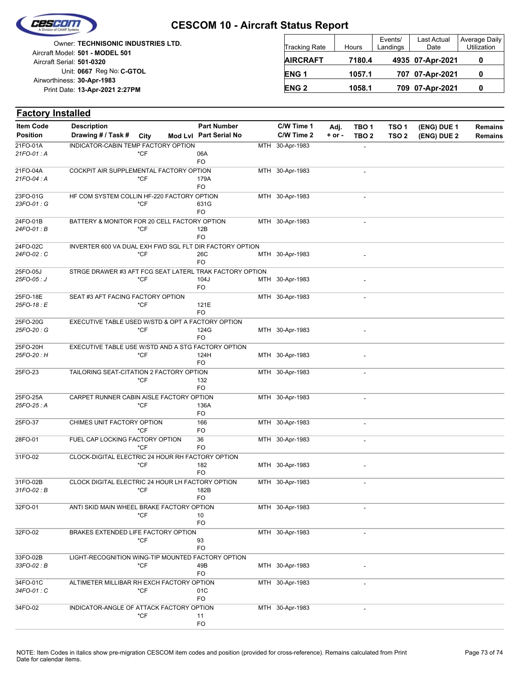

## **CESCOM 10 - Aircraft Status Report**

Unit: 0667 Reg No: C-GTOL **13-Apr-2021 2:27PM** Print Date: **30-Apr-1983** Airworthiness: Owner: **TECHNISONIC INDUSTRIES LTD.** Aircraft Serial: **501-0320** Aircraft Model: **501 - MODEL 501**

| <b>Tracking Rate</b> | Hours  | Events/<br>Landings | Last Actual<br>Date | Average Daily<br>Utilization |  |  |
|----------------------|--------|---------------------|---------------------|------------------------------|--|--|
| <b>AIRCRAFT</b>      | 7180.4 |                     | 4935 07-Apr-2021    |                              |  |  |
| ENG <sub>1</sub>     | 1057.1 |                     | 707 07-Apr-2021     |                              |  |  |
| <b>ENG 2</b>         | 1058.1 |                     | 709 07-Apr-2021     |                              |  |  |

| <b>Factory Installed</b> |                                                         |        |                        |     |                 |          |                              |                  |             |                |
|--------------------------|---------------------------------------------------------|--------|------------------------|-----|-----------------|----------|------------------------------|------------------|-------------|----------------|
| <b>Item Code</b>         | <b>Description</b>                                      |        | <b>Part Number</b>     |     | C/W Time 1      | Adj.     | TBO <sub>1</sub>             | TSO <sub>1</sub> | (ENG) DUE 1 | <b>Remains</b> |
| <b>Position</b>          | Drawing # / Task #                                      | City   | Mod Lvl Part Serial No |     | C/W Time 2      | $+ or -$ | TBO <sub>2</sub>             | TSO <sub>2</sub> | (ENG) DUE 2 | <b>Remains</b> |
| 21FO-01A                 | INDICATOR-CABIN TEMP FACTORY OPTION                     |        |                        | MTH | 30-Apr-1983     |          |                              |                  |             |                |
| 21FO-01: A               |                                                         | *CF    | 06A                    |     |                 |          |                              |                  |             |                |
|                          |                                                         |        | FO                     |     |                 |          |                              |                  |             |                |
| 21FO-04A<br>21FO-04 : A  | COCKPIT AIR SUPPLEMENTAL FACTORY OPTION                 | *CF    | 179A                   |     | MTH 30-Apr-1983 |          | $\overline{a}$               |                  |             |                |
|                          |                                                         |        | FO                     |     |                 |          |                              |                  |             |                |
| 23FO-01G                 | HF COM SYSTEM COLLIN HF-220 FACTORY OPTION              |        |                        |     | MTH 30-Apr-1983 |          | $\overline{\phantom{a}}$     |                  |             |                |
| 23FO-01: G               |                                                         | *CF    | 631G                   |     |                 |          |                              |                  |             |                |
|                          |                                                         |        | FO                     |     |                 |          |                              |                  |             |                |
| 24FO-01B<br>24FO-01 : B  | BATTERY & MONITOR FOR 20 CELL FACTORY OPTION            | *CF    | 12B                    |     | MTH 30-Apr-1983 |          | $\overline{\phantom{a}}$     |                  |             |                |
|                          |                                                         |        | FO                     |     |                 |          |                              |                  |             |                |
| 24FO-02C                 | INVERTER 600 VA DUAL EXH FWD SGL FLT DIR FACTORY OPTION |        |                        |     |                 |          |                              |                  |             |                |
| 24FO-02: C               |                                                         | *CF    | 26C                    |     | MTH 30-Apr-1983 |          |                              |                  |             |                |
|                          |                                                         |        | FO                     |     |                 |          |                              |                  |             |                |
| 25FO-05J                 | STRGE DRAWER #3 AFT FCG SEAT LATERL TRAK FACTORY OPTION |        |                        |     |                 |          |                              |                  |             |                |
| 25FO-05: J               |                                                         | $*$ CF | 104J<br>FO             |     | MTH 30-Apr-1983 |          |                              |                  |             |                |
| 25FO-18E                 | SEAT #3 AFT FACING FACTORY OPTION                       |        |                        |     | MTH 30-Apr-1983 |          | $\qquad \qquad \blacksquare$ |                  |             |                |
| 25FO-18 : E              |                                                         | *CF    | 121E                   |     |                 |          |                              |                  |             |                |
|                          |                                                         |        | FO                     |     |                 |          |                              |                  |             |                |
| 25FO-20G                 | EXECUTIVE TABLE USED W/STD & OPT A FACTORY OPTION       |        |                        |     |                 |          |                              |                  |             |                |
| 25FO-20 : G              |                                                         | *CF    | 124G                   |     | MTH 30-Apr-1983 |          |                              |                  |             |                |
| 25FO-20H                 |                                                         |        | FO                     |     |                 |          |                              |                  |             |                |
| 25FO-20 : H              | EXECUTIVE TABLE USE W/STD AND A STG FACTORY OPTION      | *CF    | 124H                   |     | MTH 30-Apr-1983 |          |                              |                  |             |                |
|                          |                                                         |        | FO                     |     |                 |          |                              |                  |             |                |
| 25FO-23                  | TAILORING SEAT-CITATION 2 FACTORY OPTION                |        |                        |     | MTH 30-Apr-1983 |          | $\overline{a}$               |                  |             |                |
|                          |                                                         | $*$ CF | 132                    |     |                 |          |                              |                  |             |                |
|                          |                                                         |        | FO                     |     |                 |          |                              |                  |             |                |
| 25FO-25A<br>25FO-25: A   | CARPET RUNNER CABIN AISLE FACTORY OPTION                | *CF    | 136A                   |     | MTH 30-Apr-1983 |          | $\overline{\phantom{a}}$     |                  |             |                |
|                          |                                                         |        | FO                     |     |                 |          |                              |                  |             |                |
| 25FO-37                  | CHIMES UNIT FACTORY OPTION                              |        | 166                    |     | MTH 30-Apr-1983 |          | $\overline{a}$               |                  |             |                |
|                          |                                                         | *CF    | FO                     |     |                 |          |                              |                  |             |                |
| 28FO-01                  | FUEL CAP LOCKING FACTORY OPTION                         |        | 36                     |     | MTH 30-Apr-1983 |          | $\overline{\phantom{a}}$     |                  |             |                |
|                          |                                                         | *CF    | F <sub>O</sub>         |     |                 |          |                              |                  |             |                |
| 31FO-02                  | CLOCK-DIGITAL ELECTRIC 24 HOUR RH FACTORY OPTION        | *CF    | 182                    |     |                 |          |                              |                  |             |                |
|                          |                                                         |        | F <sub>O</sub>         |     | MTH 30-Apr-1983 |          |                              |                  |             |                |
| 31FO-02B                 | CLOCK DIGITAL ELECTRIC 24 HOUR LH FACTORY OPTION        |        |                        |     | MTH 30-Apr-1983 |          | $\overline{a}$               |                  |             |                |
| 31FO-02 : B              |                                                         | *CF    | 182B                   |     |                 |          |                              |                  |             |                |
|                          |                                                         |        | FO                     |     |                 |          |                              |                  |             |                |
| 32FO-01                  | ANTI SKID MAIN WHEEL BRAKE FACTORY OPTION               |        |                        |     | MTH 30-Apr-1983 |          |                              |                  |             |                |
|                          |                                                         | *CF    | 10<br><b>FO</b>        |     |                 |          |                              |                  |             |                |
| 32FO-02                  | BRAKES EXTENDED LIFE FACTORY OPTION                     |        |                        |     | MTH 30-Apr-1983 |          | $\overline{a}$               |                  |             |                |
|                          |                                                         | *CF    | 93                     |     |                 |          |                              |                  |             |                |
|                          |                                                         |        | F <sub>O</sub>         |     |                 |          |                              |                  |             |                |
| 33FO-02B                 | LIGHT-RECOGNITION WING-TIP MOUNTED FACTORY OPTION       |        |                        |     |                 |          |                              |                  |             |                |
| 33FO-02: B               |                                                         | *CF    | 49B                    |     | MTH 30-Apr-1983 |          |                              |                  |             |                |
| 34FO-01C                 | ALTIMETER MILLIBAR RH EXCH FACTORY OPTION               |        | FO                     |     |                 |          |                              |                  |             |                |
| 34FO-01 : C              |                                                         | $*$ CF | 01C                    |     | MTH 30-Apr-1983 |          |                              |                  |             |                |
|                          |                                                         |        | FO                     |     |                 |          |                              |                  |             |                |
| 34FO-02                  | INDICATOR-ANGLE OF ATTACK FACTORY OPTION                |        |                        |     | MTH 30-Apr-1983 |          | $\overline{\phantom{a}}$     |                  |             |                |
|                          |                                                         | $*$ CF | 11                     |     |                 |          |                              |                  |             |                |
|                          |                                                         |        | <b>FO</b>              |     |                 |          |                              |                  |             |                |